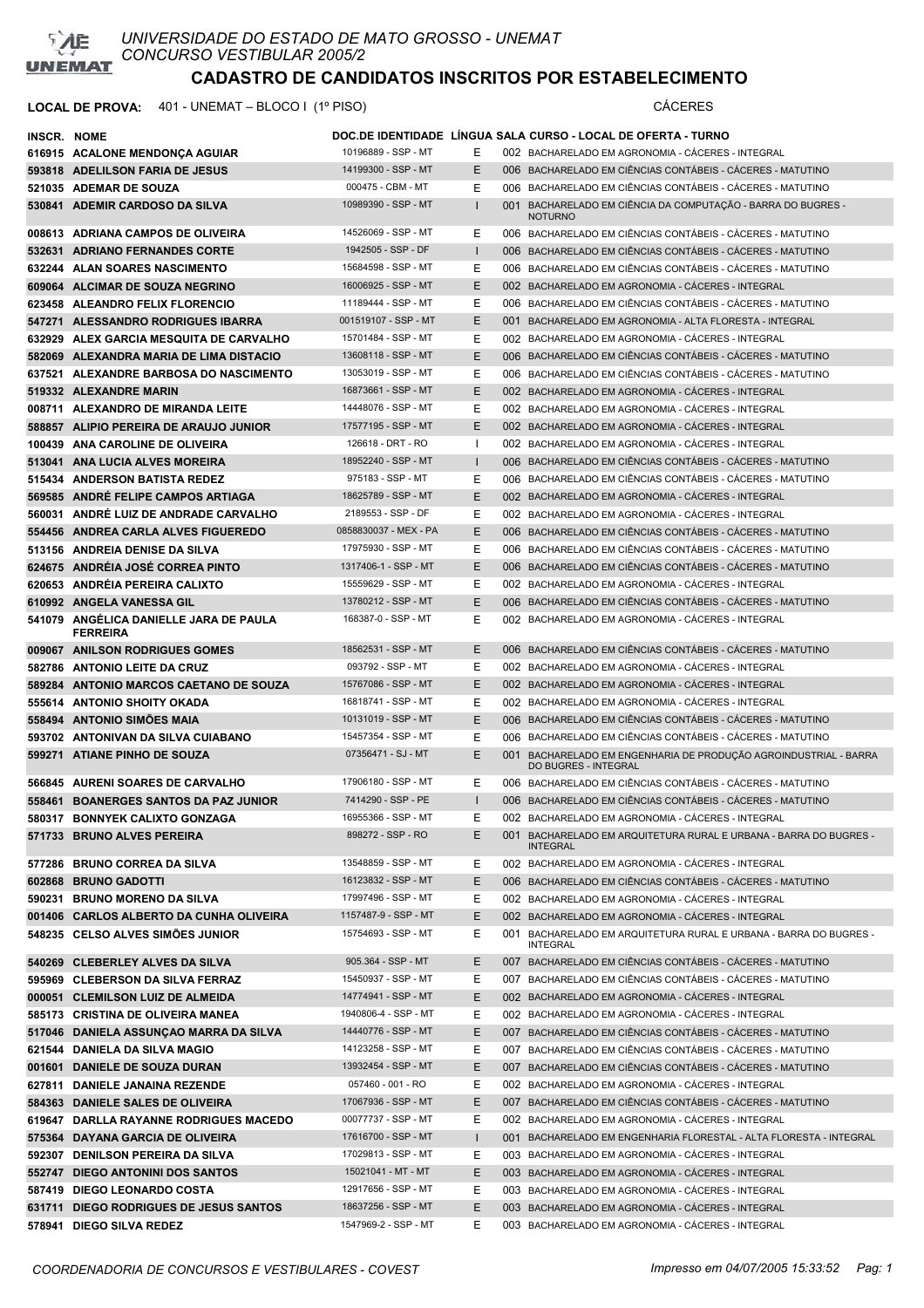

| <b>INSCR. NOME</b> |                                                           |                       |              | DOC.DE IDENTIDADE LINGUA SALA CURSO - LOCAL DE OFERTA - TURNO                            |
|--------------------|-----------------------------------------------------------|-----------------------|--------------|------------------------------------------------------------------------------------------|
|                    | 616915 ACALONE MENDONÇA AGUIAR                            | 10196889 - SSP - MT   | E.           | 002 BACHARELADO EM AGRONOMIA - CACERES - INTEGRAL                                        |
|                    | 593818 ADELILSON FARIA DE JESUS                           | 14199300 - SSP - MT   | E            | 006 BACHARELADO EM CIÊNCIAS CONTÁBEIS - CÁCERES - MATUTINO                               |
|                    | 521035 ADEMAR DE SOUZA                                    | 000475 - CBM - MT     | Е            | 006 BACHARELADO EM CIÊNCIAS CONTÁBEIS - CÁCERES - MATUTINO                               |
|                    | 530841 ADEMIR CARDOSO DA SILVA                            | 10989390 - SSP - MT   | Ш.           | 001 BACHARELADO EM CIÊNCIA DA COMPUTAÇÃO - BARRA DO BUGRES -<br><b>NOTURNO</b>           |
|                    | 008613 ADRIANA CAMPOS DE OLIVEIRA                         | 14526069 - SSP - MT   | Е            | 006 BACHARELADO EM CIÊNCIAS CONTÁBEIS - CÁCERES - MATUTINO                               |
|                    | 532631 ADRIANO FERNANDES CORTE                            | 1942505 - SSP - DF    | I.           | 006 BACHARELADO EM CIÊNCIAS CONTÁBEIS - CÁCERES - MATUTINO                               |
|                    | 632244 ALAN SOARES NASCIMENTO                             | 15684598 - SSP - MT   | Е            | 006 BACHARELADO EM CIÊNCIAS CONTÁBEIS - CÁCERES - MATUTINO                               |
|                    | 609064 ALCIMAR DE SOUZA NEGRINO                           | 16006925 - SSP - MT   | E            | 002 BACHARELADO EM AGRONOMIA - CÁCERES - INTEGRAL                                        |
|                    | 623458 ALEANDRO FELIX FLORENCIO                           | 11189444 - SSP - MT   | E.           | 006 BACHARELADO EM CIÊNCIAS CONTÁBEIS - CÁCERES - MATUTINO                               |
|                    | 547271 ALESSANDRO RODRIGUES IBARRA                        | 001519107 - SSP - MT  | E.           | 001 BACHARELADO EM AGRONOMIA - ALTA FLORESTA - INTEGRAL                                  |
|                    | 632929 ALEX GARCIA MESQUITA DE CARVALHO                   | 15701484 - SSP - MT   | E.           | 002 BACHARELADO EM AGRONOMIA - CACERES - INTEGRAL                                        |
|                    | 582069 ALEXANDRA MARIA DE LIMA DISTACIO                   | 13608118 - SSP - MT   | E            | 006 BACHARELADO EM CIÊNCIAS CONTÁBEIS - CACERES - MATUTINO                               |
|                    | 637521 ALEXANDRE BARBOSA DO NASCIMENTO                    | 13053019 - SSP - MT   | Е            | 006 BACHARELADO EM CIÊNCIAS CONTÁBEIS - CACERES - MATUTINO                               |
|                    | 519332 ALEXANDRE MARIN                                    | 16873661 - SSP - MT   | E.           | 002 BACHARELADO EM AGRONOMIA - CACERES - INTEGRAL                                        |
|                    | 008711 ALEXANDRO DE MIRANDA LEITE                         | 14448076 - SSP - MT   | E.           | 002 BACHARELADO EM AGRONOMIA - CÁCERES - INTEGRAL                                        |
|                    | 588857 ALIPIO PEREIRA DE ARAUJO JUNIOR                    | 17577195 - SSP - MT   | E.           | 002 BACHARELADO EM AGRONOMIA - CÁCERES - INTEGRAL                                        |
|                    | 100439 ANA CAROLINE DE OLIVEIRA                           | 126618 - DRT - RO     | $\mathbf{I}$ | 002 BACHARELADO EM AGRONOMIA - CÁCERES - INTEGRAL                                        |
|                    | 513041 ANA LUCIA ALVES MOREIRA                            | 18952240 - SSP - MT   | $\mathbf{I}$ | 006 BACHARELADO EM CIÊNCIAS CONTÁBEIS - CACERES - MATUTINO                               |
|                    | 515434 ANDERSON BATISTA REDEZ                             | 975183 - SSP - MT     | Е            | 006 BACHARELADO EM CIÊNCIAS CONTÁBEIS - CÁCERES - MATUTINO                               |
|                    | 569585 ANDRÉ FELIPE CAMPOS ARTIAGA                        | 18625789 - SSP - MT   | E            | 002 BACHARELADO EM AGRONOMIA - CACERES - INTEGRAL                                        |
|                    | 560031 ANDRÉ LUIZ DE ANDRADE CARVALHO                     | 2189553 - SSP - DF    | Е            | 002 BACHARELADO EM AGRONOMIA - CÁCERES - INTEGRAL                                        |
|                    | 554456 ANDREA CARLA ALVES FIGUEREDO                       | 0858830037 - MEX - PA | E            | 006 BACHARELADO EM CIÊNCIAS CONTÁBEIS - CÁCERES - MATUTINO                               |
|                    | 513156 ANDREIA DENISE DA SILVA                            | 17975930 - SSP - MT   | Е            | 006 BACHARELADO EM CIÊNCIAS CONTÁBEIS - CÁCERES - MATUTINO                               |
|                    | 624675 ANDREIA JOSE CORREA PINTO                          | 1317406-1 - SSP - MT  | E            | 006 BACHARELADO EM CIÊNCIAS CONTÁBEIS - CÁCERES - MATUTINO                               |
|                    | 620653 ANDRÉIA PEREIRA CALIXTO                            | 15559629 - SSP - MT   | Е            | 002 BACHARELADO EM AGRONOMIA - CÁCERES - INTEGRAL                                        |
|                    | 610992 ANGELA VANESSA GIL                                 | 13780212 - SSP - MT   | E            | 006 BACHARELADO EM CIÊNCIAS CONTÁBEIS - CÁCERES - MATUTINO                               |
|                    | 541079 ANGÉLICA DANIELLE JARA DE PAULA<br><b>FERREIRA</b> | 168387-0 - SSP - MT   | Е            | 002 BACHARELADO EM AGRONOMIA - CÁCERES - INTEGRAL                                        |
|                    | 009067 ANILSON RODRIGUES GOMES                            | 18562531 - SSP - MT   | E.           | 006 BACHARELADO EM CIÊNCIAS CONTÁBEIS - CÁCERES - MATUTINO                               |
|                    | 582786 ANTONIO LEITE DA CRUZ                              | 093792 - SSP - MT     | Е            | 002 BACHARELADO EM AGRONOMIA - CÁCERES - INTEGRAL                                        |
|                    | 589284 ANTONIO MARCOS CAETANO DE SOUZA                    | 15767086 - SSP - MT   | E.           | 002 BACHARELADO EM AGRONOMIA - CACERES - INTEGRAL                                        |
|                    | 555614 ANTONIO SHOITY OKADA                               | 16818741 - SSP - MT   | Е            | 002 BACHARELADO EM AGRONOMIA - CÁCERES - INTEGRAL                                        |
|                    | 558494 ANTONIO SIMOES MAIA                                | 10131019 - SSP - MT   | E            | 006 BACHARELADO EM CIÊNCIAS CONTÁBEIS - CÁCERES - MATUTINO                               |
|                    | 593702 ANTONIVAN DA SILVA CUIABANO                        | 15457354 - SSP - MT   | Е            | 006 BACHARELADO EM CIÊNCIAS CONTÁBEIS - CÁCERES - MATUTINO                               |
|                    | 599271 ATIANE PINHO DE SOUZA                              | 07356471 - SJ - MT    | E            | 001 BACHARELADO EM ENGENHARIA DE PRODUÇÃO AGROINDUSTRIAL - BARRA<br>DO BUGRES - INTEGRAL |
|                    | 566845 AURENI SOARES DE CARVALHO                          | 17906180 - SSP - MT   | Е            | 006 BACHARELADO EM CIÊNCIAS CONTÁBEIS - CÁCERES - MATUTINO                               |
|                    | 558461 BOANERGES SANTOS DA PAZ JUNIOR                     | 7414290 - SSP - PE    | Ш.           | 006 BACHARELADO EM CIÊNCIAS CONTÁBEIS - CÁCERES - MATUTINO                               |
|                    | 580317 BONNYEK CALIXTO GONZAGA                            | 16955366 - SSP - MT   | E            | 002 BACHARELADO EM AGRONOMIA - CÁCERES - INTEGRAL                                        |
|                    | 571733 BRUNO ALVES PEREIRA                                | 898272 - SSP - RO     | Ε            | 001 BACHARELADO EM ARQUITETURA RURAL E URBANA - BARRA DO BUGRES -<br><b>INTEGRAL</b>     |
|                    | 577286 BRUNO CORREA DA SILVA                              | 13548859 - SSP - MT   | Е            | 002 BACHARELADO EM AGRONOMIA - CÁCERES - INTEGRAL                                        |
|                    | 602868 BRUNO GADOTTI                                      | 16123832 - SSP - MT   | E.           | 006 BACHARELADO EM CIÊNCIAS CONTÁBEIS - CÁCERES - MATUTINO                               |
|                    | 590231 BRUNO MORENO DA SILVA                              | 17997496 - SSP - MT   | Е            | 002 BACHARELADO EM AGRONOMIA - CÁCERES - INTEGRAL                                        |
|                    | 001406 CARLOS ALBERTO DA CUNHA OLIVEIRA                   | 1157487-9 - SSP - MT  | E.           | 002 BACHARELADO EM AGRONOMIA - CÁCERES - INTEGRAL                                        |
|                    | 548235 CELSO ALVES SIMÕES JUNIOR                          | 15754693 - SSP - MT   | Е            | 001 BACHARELADO EM ARQUITETURA RURAL E URBANA - BARRA DO BUGRES -<br><b>INTEGRAL</b>     |
|                    | 540269 CLEBERLEY ALVES DA SILVA                           | 905.364 - SSP - MT    | E.           | 007 BACHARELADO EM CIÊNCIAS CONTÁBEIS - CÁCERES - MATUTINO                               |
|                    | 595969 CLEBERSON DA SILVA FERRAZ                          | 15450937 - SSP - MT   | Е            | 007 BACHARELADO EM CIÊNCIAS CONTÁBEIS - CÁCERES - MATUTINO                               |
|                    | 000051 CLEMILSON LUIZ DE ALMEIDA                          | 14774941 - SSP - MT   | E.           | 002 BACHARELADO EM AGRONOMIA - CÁCERES - INTEGRAL                                        |
|                    | 585173 CRISTINA DE OLIVEIRA MANEA                         | 1940806-4 - SSP - MT  | E.           | 002 BACHARELADO EM AGRONOMIA - CÁCERES - INTEGRAL                                        |
|                    | 517046 DANIELA ASSUNCAO MARRA DA SILVA                    | 14440776 - SSP - MT   | E.           | 007 BACHARELADO EM CIÊNCIAS CONTÁBEIS - CÁCERES - MATUTINO                               |
|                    | 621544 DANIELA DA SILVA MAGIO                             | 14123258 - SSP - MT   | Е            | 007 BACHARELADO EM CIÊNCIAS CONTÁBEIS - CÁCERES - MATUTINO                               |
|                    | 001601 DANIELE DE SOUZA DURAN                             | 13932454 - SSP - MT   | E.           | 007 BACHARELADO EM CIÊNCIAS CONTÁBEIS - CÁCERES - MATUTINO                               |
|                    | 627811 DANIELE JANAINA REZENDE                            | 057460 - 001 - RO     | Е            | 002 BACHARELADO EM AGRONOMIA - CÁCERES - INTEGRAL                                        |
|                    | 584363 DANIELE SALES DE OLIVEIRA                          | 17067936 - SSP - MT   | E.           | 007 BACHARELADO EM CIÊNCIAS CONTÁBEIS - CÁCERES - MATUTINO                               |
|                    | 619647 DARLLA RAYANNE RODRIGUES MACEDO                    | 00077737 - SSP - MT   | Е            | 002 BACHARELADO EM AGRONOMIA - CÁCERES - INTEGRAL                                        |
|                    | 575364 DAYANA GARCIA DE OLIVEIRA                          | 17616700 - SSP - MT   | $\mathbf{I}$ | 001 BACHARELADO EM ENGENHARIA FLORESTAL - ALTA FLORESTA - INTEGRAL                       |
|                    | 592307 DENILSON PEREIRA DA SILVA                          | 17029813 - SSP - MT   | E.           | 003 BACHARELADO EM AGRONOMIA - CÁCERES - INTEGRAL                                        |
|                    | 552747 DIEGO ANTONINI DOS SANTOS                          | 15021041 - MT - MT    | E.           | 003 BACHARELADO EM AGRONOMIA - CÁCERES - INTEGRAL                                        |
|                    | 587419 DIEGO LEONARDO COSTA                               | 12917656 - SSP - MT   | Е            | 003 BACHARELADO EM AGRONOMIA - CÁCERES - INTEGRAL                                        |
|                    | 631711 DIEGO RODRIGUES DE JESUS SANTOS                    | 18637256 - SSP - MT   | E.           | 003 BACHARELADO EM AGRONOMIA - CÁCERES - INTEGRAL                                        |
|                    | 578941 DIEGO SILVA REDEZ                                  | 1547969-2 - SSP - MT  | Е            | 003 BACHARELADO EM AGRONOMIA - CÁCERES - INTEGRAL                                        |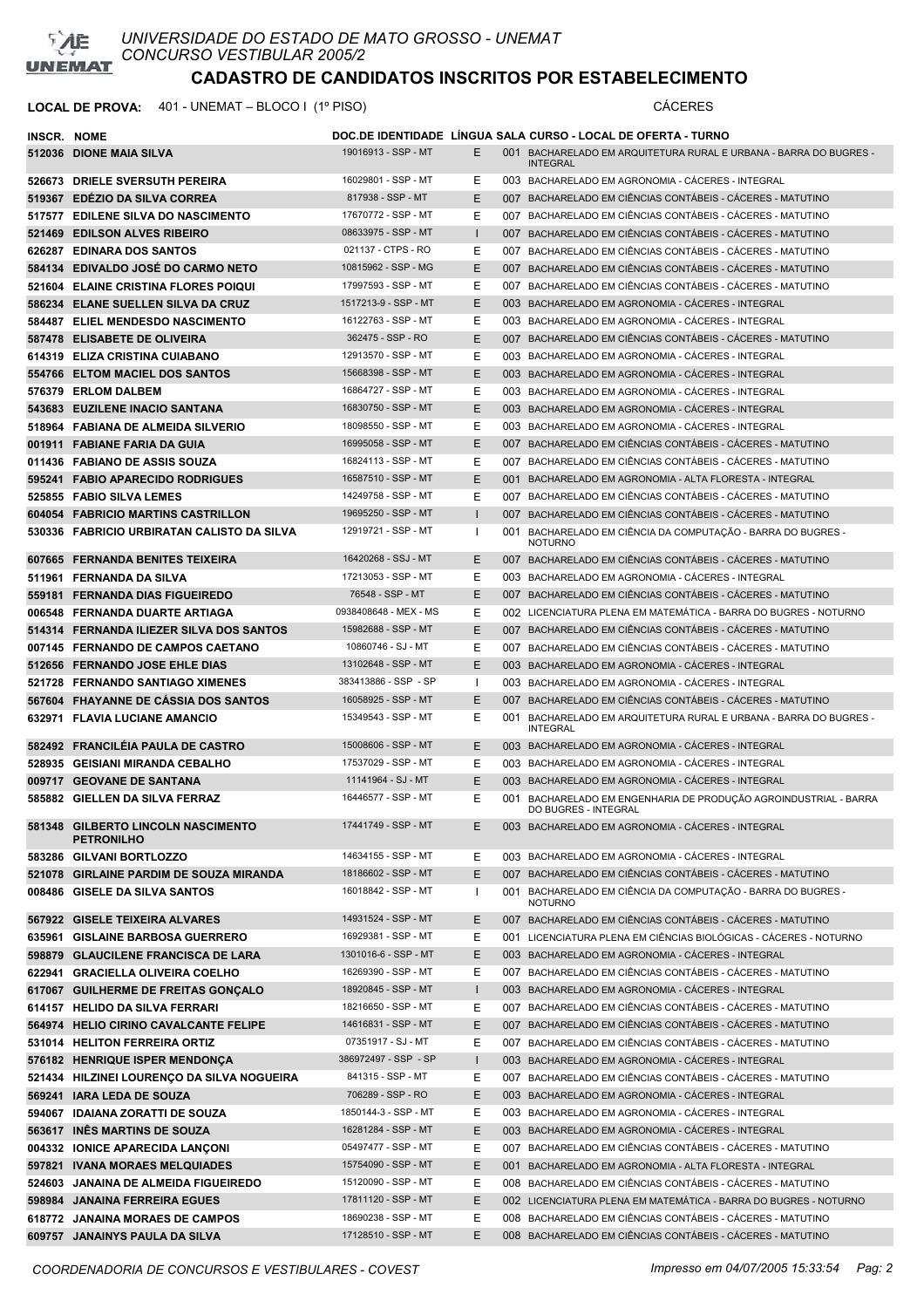

| <b>INSCR. NOME</b> |                                                                        |                                            |              | DOC.DE IDENTIDADE LINGUA SALA CURSO - LOCAL DE OFERTA - TURNO                                                                                 |
|--------------------|------------------------------------------------------------------------|--------------------------------------------|--------------|-----------------------------------------------------------------------------------------------------------------------------------------------|
|                    | 512036 DIONE MAIA SILVA                                                | 19016913 - SSP - MT                        | E.           | 001 BACHARELADO EM ARQUITETURA RURAL E URBANA - BARRA DO BUGRES -<br><b>INTEGRAL</b>                                                          |
|                    | 526673 DRIELE SVERSUTH PEREIRA                                         | 16029801 - SSP - MT                        | E.           | 003 BACHARELADO EM AGRONOMIA - CÁCERES - INTEGRAL                                                                                             |
|                    | 519367 EDEZIO DA SILVA CORREA                                          | 817938 - SSP - MT                          | E.           | 007 BACHARELADO EM CIÊNCIAS CONTÁBEIS - CACERES - MATUTINO                                                                                    |
|                    | 517577 EDILENE SILVA DO NASCIMENTO                                     | 17670772 - SSP - MT                        | Е            | 007 BACHARELADO EM CIÊNCIAS CONTÁBEIS - CÁCERES - MATUTINO                                                                                    |
|                    | 521469 EDILSON ALVES RIBEIRO                                           | 08633975 - SSP - MT                        | $\mathbf{I}$ | 007 BACHARELADO EM CIÊNCIAS CONTÁBEIS - CACERES - MATUTINO                                                                                    |
|                    | 626287 EDINARA DOS SANTOS                                              | 021137 - CTPS - RO                         | E            | 007 BACHARELADO EM CIÊNCIAS CONTÁBEIS - CÁCERES - MATUTINO                                                                                    |
|                    | 584134 EDIVALDO JOSE DO CARMO NETO                                     | 10815962 - SSP - MG                        | E.           | 007 BACHARELADO EM CIÊNCIAS CONTÁBEIS - CACERES - MATUTINO                                                                                    |
|                    | 521604 ELAINE CRISTINA FLORES POIQUI                                   | 17997593 - SSP - MT                        | E            | 007 BACHARELADO EM CIÊNCIAS CONTÁBEIS - CÁCERES - MATUTINO                                                                                    |
|                    | 586234 ELANE SUELLEN SILVA DA CRUZ                                     | 1517213-9 - SSP - MT                       | E            | 003 BACHARELADO EM AGRONOMIA - CÁCERES - INTEGRAL                                                                                             |
|                    | <b>584487 ELIEL MENDESDO NASCIMENTO</b>                                | 16122763 - SSP - MT                        | E            | 003 BACHARELADO EM AGRONOMIA - CÁCERES - INTEGRAL                                                                                             |
|                    | 587478 ELISABETE DE OLIVEIRA                                           | 362475 - SSP - RO                          | E            | 007 BACHARELADO EM CIÊNCIAS CONTÁBEIS - CACERES - MATUTINO                                                                                    |
|                    | 614319 ELIZA CRISTINA CUIABANO                                         | 12913570 - SSP - MT                        | E            | 003 BACHARELADO EM AGRONOMIA - CACERES - INTEGRAL                                                                                             |
|                    | 554766 ELTOM MACIEL DOS SANTOS                                         | 15668398 - SSP - MT                        | E.           | 003 BACHARELADO EM AGRONOMIA - CACERES - INTEGRAL                                                                                             |
|                    | 576379 ERLOM DALBEM                                                    | 16864727 - SSP - MT<br>16830750 - SSP - MT | E<br>E.      | 003 BACHARELADO EM AGRONOMIA - CÁCERES - INTEGRAL                                                                                             |
|                    | 543683 EUZILENE INACIO SANTANA                                         | 18098550 - SSP - MT                        | E            | 003 BACHARELADO EM AGRONOMIA - CACERES - INTEGRAL                                                                                             |
|                    | 518964 FABIANA DE ALMEIDA SILVERIO                                     | 16995058 - SSP - MT                        | E.           | 003 BACHARELADO EM AGRONOMIA - CACERES - INTEGRAL<br>007 BACHARELADO EM CIÊNCIAS CONTÁBEIS - CÁCERES - MATUTINO                               |
|                    | 001911 FABIANE FARIA DA GUIA<br>011436 FABIANO DE ASSIS SOUZA          | 16824113 - SSP - MT                        | E            | 007 BACHARELADO EM CIÊNCIAS CONTÁBEIS - CÁCERES - MATUTINO                                                                                    |
|                    | 595241 FABIO APARECIDO RODRIGUES                                       | 16587510 - SSP - MT                        | E.           | 001 BACHARELADO EM AGRONOMIA - ALTA FLORESTA - INTEGRAL                                                                                       |
|                    | 525855 FABIO SILVA LEMES                                               | 14249758 - SSP - MT                        | E            | 007 BACHARELADO EM CIÊNCIAS CONTÁBEIS - CÁCERES - MATUTINO                                                                                    |
|                    | 604054 FABRICIO MARTINS CASTRILLON                                     | 19695250 - SSP - MT                        | $\mathbf{I}$ | 007 BACHARELADO EM CIÊNCIAS CONTÁBEIS - CÁCERES - MATUTINO                                                                                    |
|                    | 530336 FABRICIO URBIRATAN CALISTO DA SILVA                             | 12919721 - SSP - MT                        | J.           | 001 BACHARELADO EM CIÊNCIA DA COMPUTAÇÃO - BARRA DO BUGRES -                                                                                  |
|                    |                                                                        |                                            |              | <b>NOTURNO</b>                                                                                                                                |
|                    | 607665 FERNANDA BENITES TEIXEIRA                                       | 16420268 - SSJ - MT                        | E.           | 007 BACHARELADO EM CIÊNCIAS CONTÁBEIS - CÁCERES - MATUTINO                                                                                    |
|                    | 511961 FERNANDA DA SILVA                                               | 17213053 - SSP - MT                        | E            | 003 BACHARELADO EM AGRONOMIA - CÁCERES - INTEGRAL                                                                                             |
|                    | 559181 FERNANDA DIAS FIGUEIREDO                                        | 76548 - SSP - MT                           | E.           | 007 BACHARELADO EM CIÊNCIAS CONTÁBEIS - CÁCERES - MATUTINO                                                                                    |
|                    | 006548 FERNANDA DUARTE ARTIAGA                                         | 0938408648 - MEX - MS                      | E            | 002 LICENCIATURA PLENA EM MATEMÁTICA - BARRA DO BUGRES - NOTURNO                                                                              |
|                    | 514314 FERNANDA ILIEZER SILVA DOS SANTOS                               | 15982688 - SSP - MT                        | E.           | 007 BACHARELADO EM CIÊNCIAS CONTÁBEIS - CACERES - MATUTINO                                                                                    |
|                    | 007145 FERNANDO DE CAMPOS CAETANO                                      | 10860746 - SJ - MT                         | E            | 007 BACHARELADO EM CIÊNCIAS CONTÁBEIS - CÁCERES - MATUTINO                                                                                    |
|                    | 512656 FERNANDO JOSE EHLE DIAS                                         | 13102648 - SSP - MT                        | E.           | 003 BACHARELADO EM AGRONOMIA - CÁCERES - INTEGRAL                                                                                             |
|                    | 521728 FERNANDO SANTIAGO XIMENES                                       | 383413886 - SSP - SP                       | Ι.           | 003 BACHARELADO EM AGRONOMIA - CACERES - INTEGRAL                                                                                             |
|                    | 567604 FHAYANNE DE CASSIA DOS SANTOS                                   | 16058925 - SSP - MT                        | E.           | 007 BACHARELADO EM CIÊNCIAS CONTÁBEIS - CÁCERES - MATUTINO                                                                                    |
|                    | 632971 FLAVIA LUCIANE AMANCIO                                          | 15349543 - SSP - MT                        | E            | 001 BACHARELADO EM ARQUITETURA RURAL E URBANA - BARRA DO BUGRES -<br><b>INTEGRAL</b>                                                          |
|                    | 582492 FRANCILEIA PAULA DE CASTRO                                      | 15008606 - SSP - MT                        | E.           | 003 BACHARELADO EM AGRONOMIA - CÁCERES - INTEGRAL                                                                                             |
|                    | 528935 GEISIANI MIRANDA CEBALHO                                        | 17537029 - SSP - MT                        | E            | 003 BACHARELADO EM AGRONOMIA - CÁCERES - INTEGRAL                                                                                             |
|                    | 009717 GEOVANE DE SANTANA                                              | 11141964 - SJ - MT<br>16446577 - SSP - MT  | E.<br>Е      | 003 BACHARELADO EM AGRONOMIA - CACERES - INTEGRAL                                                                                             |
|                    | 585882 GIELLEN DA SILVA FERRAZ<br>581348 GILBERTO LINCOLN NASCIMENTO   | 17441749 - SSP - MT                        | Ε            | 001 BACHARELADO EM ENGENHARIA DE PRODUÇÃO AGROINDUSTRIAL - BARRA<br>DO BUGRES - INTEGRAL<br>003 BACHARELADO EM AGRONOMIA - CACERES - INTEGRAL |
|                    | <b>PETRONILHO</b>                                                      |                                            |              |                                                                                                                                               |
|                    | 583286 GILVANI BORTLOZZO                                               | 14634155 - SSP - MT                        | E.           | 003 BACHARELADO EM AGRONOMIA - CÁCERES - INTEGRAL                                                                                             |
|                    | 521078 GIRLAINE PARDIM DE SOUZA MIRANDA                                | 18186602 - SSP - MT                        | E            | 007 BACHARELADO EM CIÊNCIAS CONTÁBEIS - CÁCERES - MATUTINO                                                                                    |
|                    | 008486 GISELE DA SILVA SANTOS                                          | 16018842 - SSP - MT                        | $\mathbf{I}$ | 001 BACHARELADO EM CIÊNCIA DA COMPUTAÇÃO - BARRA DO BUGRES -<br><b>NOTURNO</b>                                                                |
|                    | 567922 GISELE TEIXEIRA ALVARES                                         | 14931524 - SSP - MT                        | E            | 007 BACHARELADO EM CIÊNCIAS CONTÁBEIS - CÁCERES - MATUTINO                                                                                    |
|                    | 635961 GISLAINE BARBOSA GUERRERO                                       | 16929381 - SSP - MT                        | Ε            | 001 LICENCIATURA PLENA EM CIÊNCIAS BIOLÓGICAS - CÁCERES - NOTURNO                                                                             |
|                    | 598879 GLAUCILENE FRANCISCA DE LARA                                    | 1301016-6 - SSP - MT                       | E.           | 003 BACHARELADO EM AGRONOMIA - CÁCERES - INTEGRAL                                                                                             |
|                    | 622941 GRACIELLA OLIVEIRA COELHO                                       | 16269390 - SSP - MT                        | E            | 007 BACHARELADO EM CIÊNCIAS CONTÁBEIS - CÁCERES - MATUTINO                                                                                    |
|                    | 617067 GUILHERME DE FREITAS GONÇALO                                    | 18920845 - SSP - MT                        | $\mathbf{I}$ | 003 BACHARELADO EM AGRONOMIA - CÁCERES - INTEGRAL                                                                                             |
|                    | 614157 HELIDO DA SILVA FERRARI                                         | 18216650 - SSP - MT<br>14616831 - SSP - MT | E            | 007 BACHARELADO EM CIÊNCIAS CONTÁBEIS - CÁCERES - MATUTINO                                                                                    |
|                    | 564974 HELIO CIRINO CAVALCANTE FELIPE<br>531014 HELITON FERREIRA ORTIZ | 07351917 - SJ - MT                         | E<br>E       | 007 BACHARELADO EM CIÊNCIAS CONTÁBEIS - CÁCERES - MATUTINO<br>007 BACHARELADO EM CIÊNCIAS CONTÁBEIS - CÁCERES - MATUTINO                      |
|                    | 576182 HENRIQUE ISPER MENDONCA                                         | 386972497 - SSP - SP                       | $\mathbf{I}$ | 003 BACHARELADO EM AGRONOMIA - CÁCERES - INTEGRAL                                                                                             |
|                    | 521434 HILZINEI LOURENÇO DA SILVA NOGUEIRA                             | 841315 - SSP - MT                          | E            | 007 BACHARELADO EM CIÊNCIAS CONTÁBEIS - CÁCERES - MATUTINO                                                                                    |
|                    | 569241 IARA LEDA DE SOUZA                                              | 706289 - SSP - RO                          | E            | 003 BACHARELADO EM AGRONOMIA - CÁCERES - INTEGRAL                                                                                             |
|                    | 594067 IDAIANA ZORATTI DE SOUZA                                        | 1850144-3 - SSP - MT                       | E            | 003 BACHARELADO EM AGRONOMIA - CÁCERES - INTEGRAL                                                                                             |
|                    | 563617 INÊS MARTINS DE SOUZA                                           | 16281284 - SSP - MT                        | E            | 003 BACHARELADO EM AGRONOMIA - CÁCERES - INTEGRAL                                                                                             |
|                    | 004332 IONICE APARECIDA LANCONI                                        | 05497477 - SSP - MT                        | E            | 007 BACHARELADO EM CIÊNCIAS CONTÁBEIS - CÁCERES - MATUTINO                                                                                    |
|                    | 597821 IVANA MORAES MELQUIADES                                         | 15754090 - SSP - MT                        | E            | 001 BACHARELADO EM AGRONOMIA - ALTA FLORESTA - INTEGRAL                                                                                       |
|                    | 524603 JANAINA DE ALMEIDA FIGUEIREDO                                   | 15120090 - SSP - MT                        | E            | 008 BACHARELADO EM CIÊNCIAS CONTÁBEIS - CÁCERES - MATUTINO                                                                                    |
|                    | 598984 JANAINA FERREIRA EGUES                                          | 17811120 - SSP - MT                        | E            | 002 LICENCIATURA PLENA EM MATEMÁTICA - BARRA DO BUGRES - NOTURNO                                                                              |
|                    | 618772 JANAINA MORAES DE CAMPOS                                        | 18690238 - SSP - MT                        | E            | 008 BACHARELADO EM CIÊNCIAS CONTÁBEIS - CÁCERES - MATUTINO                                                                                    |
|                    | 609757 JANAINYS PAULA DA SILVA                                         | 17128510 - SSP - MT                        | E.           | 008 BACHARELADO EM CIÊNCIAS CONTÁBEIS - CÁCERES - MATUTINO                                                                                    |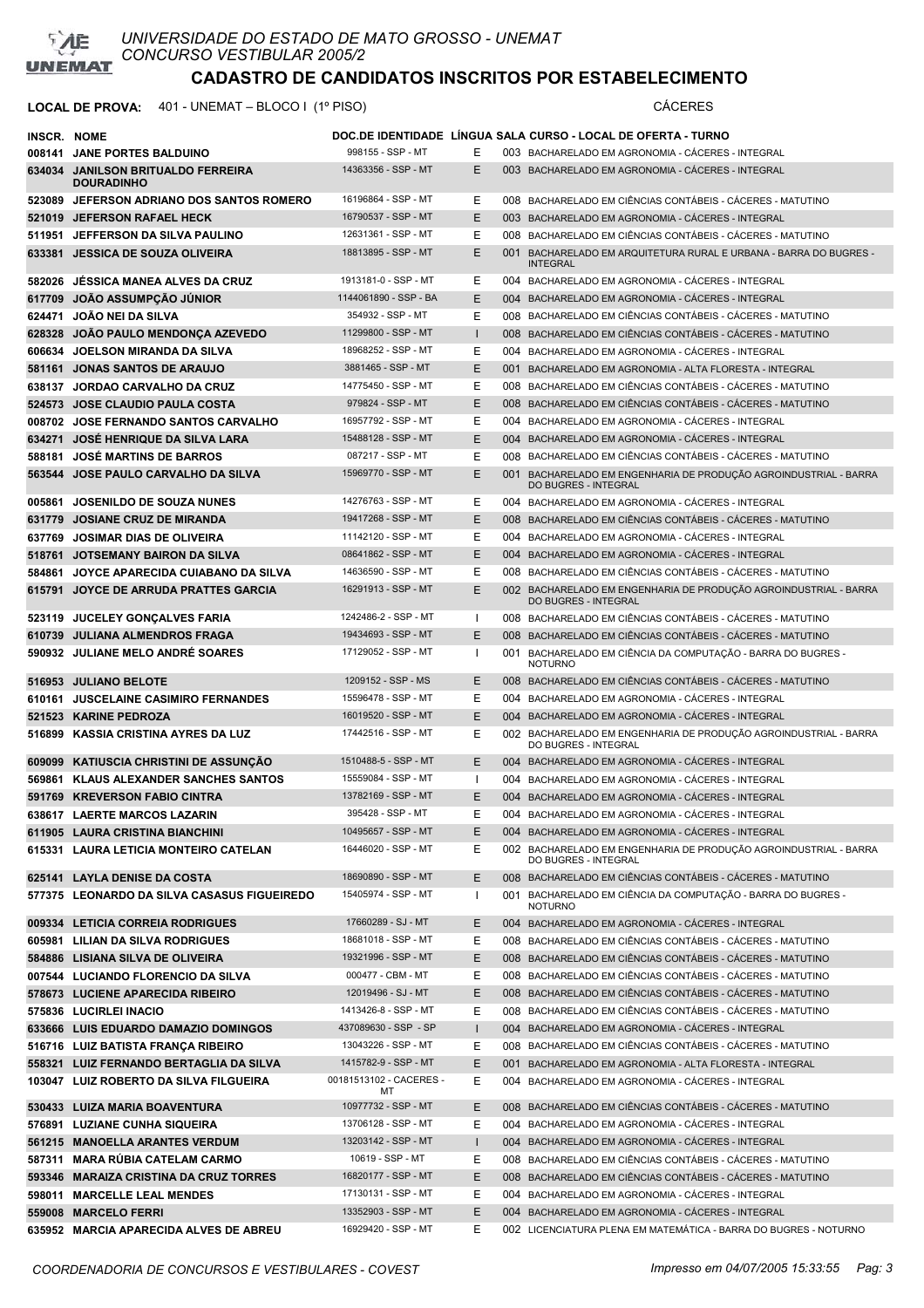

| INSCR. NOME |                                                                          |                                            |              |     | DOC.DE IDENTIDADE LINGUA SALA CURSO - LOCAL DE OFERTA - TURNO                                                                                 |
|-------------|--------------------------------------------------------------------------|--------------------------------------------|--------------|-----|-----------------------------------------------------------------------------------------------------------------------------------------------|
|             | 008141 JANE PORTES BALDUINO                                              | 998155 - SSP - MT                          | Е            |     | 003 BACHARELADO EM AGRONOMIA - CACERES - INTEGRAL                                                                                             |
|             | 634034 JANILSON BRITUALDO FERREIRA<br><b>DOURADINHO</b>                  | 14363356 - SSP - MT                        | Ε            |     | 003 BACHARELADO EM AGRONOMIA - CACERES - INTEGRAL                                                                                             |
|             | 523089 JEFERSON ADRIANO DOS SANTOS ROMERO                                | 16196864 - SSP - MT                        | Ε            |     | 008 BACHARELADO EM CIÊNCIAS CONTÁBEIS - CÁCERES - MATUTINO                                                                                    |
|             | 521019 JEFERSON RAFAEL HECK                                              | 16790537 - SSP - MT                        | E            |     | 003 BACHARELADO EM AGRONOMIA - CÁCERES - INTEGRAL                                                                                             |
|             | 511951 JEFFERSON DA SILVA PAULINO                                        | 12631361 - SSP - MT                        | Ε            |     | 008 BACHARELADO EM CIÊNCIAS CONTÁBEIS - CÁCERES - MATUTINO                                                                                    |
|             | 633381 JESSICA DE SOUZA OLIVEIRA                                         | 18813895 - SSP - MT                        | E            |     | 001 BACHARELADO EM ARQUITETURA RURAL E URBANA - BARRA DO BUGRES -<br><b>INTEGRAL</b>                                                          |
|             | 582026 JESSICA MANEA ALVES DA CRUZ                                       | 1913181-0 - SSP - MT                       | Ε            |     | 004 BACHARELADO EM AGRONOMIA - CACERES - INTEGRAL                                                                                             |
|             | 617709 JOAO ASSUMPÇÃO JÚNIOR                                             | 1144061890 - SSP - BA                      | E            |     | 004 BACHARELADO EM AGRONOMIA - CÁCERES - INTEGRAL                                                                                             |
|             | 624471 JOAO NEI DA SILVA                                                 | 354932 - SSP - MT                          | Е            |     | 008 BACHARELADO EM CIÊNCIAS CONTÁBEIS - CÁCERES - MATUTINO                                                                                    |
| 628328      | JOAO PAULO MENDONÇA AZEVEDO                                              | 11299800 - SSP - MT                        | $\mathbf{I}$ |     | 008 BACHARELADO EM CIÊNCIAS CONTÁBEIS - CÁCERES - MATUTINO                                                                                    |
|             | 606634 JOELSON MIRANDA DA SILVA                                          | 18968252 - SSP - MT                        | Ε            |     | 004 BACHARELADO EM AGRONOMIA - CÁCERES - INTEGRAL                                                                                             |
|             | 581161 JONAS SANTOS DE ARAUJO                                            | 3881465 - SSP - MT                         | E            |     | 001 BACHARELADO EM AGRONOMIA - ALTA FLORESTA - INTEGRAL                                                                                       |
|             | 638137 JORDAO CARVALHO DA CRUZ                                           | 14775450 - SSP - MT                        | Е            |     | 008 BACHARELADO EM CIÊNCIAS CONTÁBEIS - CÁCERES - MATUTINO                                                                                    |
|             | 524573 JOSE CLAUDIO PAULA COSTA                                          | 979824 - SSP - MT                          | E            |     | 008 BACHARELADO EM CIÊNCIAS CONTÁBEIS - CÁCERES - MATUTINO                                                                                    |
|             | 008702 JOSE FERNANDO SANTOS CARVALHO                                     | 16957792 - SSP - MT                        | Ε            |     | 004 BACHARELADO EM AGRONOMIA - CÁCERES - INTEGRAL                                                                                             |
|             | 634271 JOSÉ HENRIQUE DA SILVA LARA                                       | 15488128 - SSP - MT                        | E            |     | 004 BACHARELADO EM AGRONOMIA - CACERES - INTEGRAL                                                                                             |
|             | 588181 JOSÉ MARTINS DE BARROS                                            | 087217 - SSP - MT                          | Ε            |     | 008 BACHARELADO EM CIÊNCIAS CONTÁBEIS - CÁCERES - MATUTINO                                                                                    |
| 563544      | JOSE PAULO CARVALHO DA SILVA                                             | 15969770 - SSP - MT                        | E            |     | 001 BACHARELADO EM ENGENHARIA DE PRODUÇÃO AGROINDUSTRIAL - BARRA<br><b>DO BUGRES - INTEGRAL</b>                                               |
|             | 005861 JOSENILDO DE SOUZA NUNES                                          | 14276763 - SSP - MT                        | Е            |     | 004 BACHARELADO EM AGRONOMIA - CÁCERES - INTEGRAL                                                                                             |
|             | 631779 JOSIANE CRUZ DE MIRANDA                                           | 19417268 - SSP - MT                        | Ε            |     | 008 BACHARELADO EM CIÊNCIAS CONTÁBEIS - CÁCERES - MATUTINO                                                                                    |
|             | 637769 JOSIMAR DIAS DE OLIVEIRA                                          | 11142120 - SSP - MT                        | E            |     | 004 BACHARELADO EM AGRONOMIA - CÁCERES - INTEGRAL                                                                                             |
|             | 518761 JOTSEMANY BAIRON DA SILVA                                         | 08641862 - SSP - MT                        | E            |     | 004 BACHARELADO EM AGRONOMIA - CACERES - INTEGRAL                                                                                             |
| 584861      | JOYCE APARECIDA CUIABANO DA SILVA                                        | 14636590 - SSP - MT                        | Ε            |     | 008 BACHARELADO EM CIÊNCIAS CONTÁBEIS - CÁCERES - MATUTINO                                                                                    |
|             | 615791 JOYCE DE ARRUDA PRATTES GARCIA                                    | 16291913 - SSP - MT                        | Ε            |     | 002 BACHARELADO EM ENGENHARIA DE PRODUÇÃO AGROINDUSTRIAL - BARRA<br><b>DO BUGRES - INTEGRAL</b>                                               |
|             | 523119 JUCELEY GONCALVES FARIA                                           | 1242486-2 - SSP - MT                       | $\mathbf{I}$ |     | 008 BACHARELADO EM CIÊNCIAS CONTÁBEIS - CÁCERES - MATUTINO                                                                                    |
|             | 610739 JULIANA ALMENDROS FRAGA                                           | 19434693 - SSP - MT                        | Ε            |     | 008 BACHARELADO EM CIÊNCIAS CONTÁBEIS - CÁCERES - MATUTINO                                                                                    |
|             | 590932 JULIANE MELO ANDRÉ SOARES                                         | 17129052 - SSP - MT                        | $\mathbf{I}$ |     | 001 BACHARELADO EM CIÊNCIA DA COMPUTAÇÃO - BARRA DO BUGRES -<br><b>NOTURNO</b>                                                                |
|             | 516953 JULIANO BELOTE                                                    | 1209152 - SSP - MS                         | E            |     | 008 BACHARELADO EM CIÊNCIAS CONTÁBEIS - CACERES - MATUTINO                                                                                    |
|             | 610161 JUSCELAINE CASIMIRO FERNANDES                                     | 15596478 - SSP - MT                        | Ε            |     | 004 BACHARELADO EM AGRONOMIA - CÁCERES - INTEGRAL                                                                                             |
|             | 521523 KARINE PEDROZA                                                    | 16019520 - SSP - MT                        | E            |     | 004 BACHARELADO EM AGRONOMIA - CACERES - INTEGRAL                                                                                             |
| 516899      | KASSIA CRISTINA AYRES DA LUZ                                             | 17442516 - SSP - MT                        | Ε            |     | 002 BACHARELADO EM ENGENHARIA DE PRODUÇÃO AGROINDUSTRIAL - BARRA<br>DO BUGRES - INTEGRAL                                                      |
|             | 609099 KATIUSCIA CHRISTINI DE ASSUNÇÃO                                   | 1510488-5 - SSP - MT                       | E.           |     | 004 BACHARELADO EM AGRONOMIA - CÁCERES - INTEGRAL                                                                                             |
| 569861      | <b>KLAUS ALEXANDER SANCHES SANTOS</b>                                    | 15559084 - SSP - MT                        | $\mathbf{I}$ |     | 004 BACHARELADO EM AGRONOMIA - CÁCERES - INTEGRAL                                                                                             |
|             | 591769 KREVERSON FABIO CINTRA                                            | 13782169 - SSP - MT                        | Ε            |     | 004 BACHARELADO EM AGRONOMIA - CÁCERES - INTEGRAL                                                                                             |
|             | 638617 LAERTE MARCOS LAZARIN                                             | 395428 - SSP - MT                          | E            |     | 004 BACHARELADO EM AGRONOMIA - CÁCERES - INTEGRAL                                                                                             |
|             | 611905 LAURA CRISTINA BIANCHINI<br>615331 LAURA LETICIA MONTEIRO CATELAN | 10495657 - SSP - MT<br>16446020 - SSP - MT | Е<br>Е       |     | 004 BACHARELADO EM AGRONOMIA - CÁCERES - INTEGRAL<br>002 BACHARELADO EM ENGENHARIA DE PRODUÇÃO AGROINDUSTRIAL - BARRA<br>DO BUGRES - INTEGRAL |
|             | 625141 LAYLA DENISE DA COSTA                                             | 18690890 - SSP - MT                        | E            |     | 008 BACHARELADO EM CIÊNCIAS CONTÁBEIS - CÁCERES - MATUTINO                                                                                    |
|             | 577375 LEONARDO DA SILVA CASASUS FIGUEIREDO                              | 15405974 - SSP - MT                        | $\mathbf{I}$ |     | 001 BACHARELADO EM CIÊNCIA DA COMPUTAÇÃO - BARRA DO BUGRES -<br><b>NOTURNO</b>                                                                |
|             | 009334 LETICIA CORREIA RODRIGUES                                         | 17660289 - SJ - MT                         | Е            |     | 004 BACHARELADO EM AGRONOMIA - CÁCERES - INTEGRAL                                                                                             |
|             | 605981 LILIAN DA SILVA RODRIGUES                                         | 18681018 - SSP - MT                        | Е            |     | 008 BACHARELADO EM CIÊNCIAS CONTÁBEIS - CÁCERES - MATUTINO                                                                                    |
|             | 584886 LISIANA SILVA DE OLIVEIRA                                         | 19321996 - SSP - MT                        | Е            |     | 008 BACHARELADO EM CIÊNCIAS CONTÁBEIS - CÁCERES - MATUTINO                                                                                    |
|             | 007544 LUCIANDO FLORENCIO DA SILVA                                       | 000477 - CBM - MT                          | Ε            |     | 008 BACHARELADO EM CIÊNCIAS CONTÁBEIS - CÁCERES - MATUTINO                                                                                    |
|             | 578673 LUCIENE APARECIDA RIBEIRO                                         | 12019496 - SJ - MT                         | E            |     | 008 BACHARELADO EM CIÊNCIAS CONTÁBEIS - CÁCERES - MATUTINO                                                                                    |
|             | 575836 LUCIRLEI INACIO                                                   | 1413426-8 - SSP - MT                       | Е            |     | 008 BACHARELADO EM CIÊNCIAS CONTÁBEIS - CÁCERES - MATUTINO                                                                                    |
|             | 633666 LUIS EDUARDO DAMAZIO DOMINGOS                                     | 437089630 - SSP - SP                       | $\mathbf{I}$ |     | 004 BACHARELADO EM AGRONOMIA - CÁCERES - INTEGRAL                                                                                             |
|             | 516716 LUIZ BATISTA FRANÇA RIBEIRO                                       | 13043226 - SSP - MT                        | Ε            |     | 008 BACHARELADO EM CIÊNCIAS CONTÁBEIS - CÁCERES - MATUTINO                                                                                    |
|             | 558321 LUIZ FERNANDO BERTAGLIA DA SILVA                                  | 1415782-9 - SSP - MT                       | E            | 001 | BACHARELADO EM AGRONOMIA - ALTA FLORESTA - INTEGRAL                                                                                           |
|             | 103047 LUIZ ROBERTO DA SILVA FILGUEIRA                                   | 00181513102 - CACERES -<br>МT              | Е            |     | 004 BACHARELADO EM AGRONOMIA - CÁCERES - INTEGRAL                                                                                             |
|             | 530433 LUIZA MARIA BOAVENTURA                                            | 10977732 - SSP - MT                        | Е            |     | 008 BACHARELADO EM CIÊNCIAS CONTÁBEIS - CÁCERES - MATUTINO                                                                                    |
| 576891      | LUZIANE CUNHA SIQUEIRA                                                   | 13706128 - SSP - MT                        | Ε            |     | 004 BACHARELADO EM AGRONOMIA - CÁCERES - INTEGRAL                                                                                             |
|             | 561215 MANOELLA ARANTES VERDUM                                           | 13203142 - SSP - MT                        | $\mathbf{I}$ |     | 004 BACHARELADO EM AGRONOMIA - CÁCERES - INTEGRAL                                                                                             |
|             | 587311 MARA RÚBIA CATELAM CARMO                                          | 10619 - SSP - MT                           | Е            |     | 008 BACHARELADO EM CIÊNCIAS CONTÁBEIS - CÁCERES - MATUTINO                                                                                    |
| 593346      | <b>MARAIZA CRISTINA DA CRUZ TORRES</b>                                   | 16820177 - SSP - MT                        | Е            |     | 008 BACHARELADO EM CIÊNCIAS CONTÁBEIS - CÁCERES - MATUTINO                                                                                    |
|             | 598011 MARCELLE LEAL MENDES                                              | 17130131 - SSP - MT                        | Е            |     | 004 BACHARELADO EM AGRONOMIA - CÁCERES - INTEGRAL                                                                                             |
|             | 559008 MARCELO FERRI                                                     | 13352903 - SSP - MT                        | E            |     | 004 BACHARELADO EM AGRONOMIA - CÁCERES - INTEGRAL                                                                                             |
|             | 635952 MARCIA APARECIDA ALVES DE ABREU                                   | 16929420 - SSP - MT                        | Ε            |     | 002 LICENCIATURA PLENA EM MATEMÁTICA - BARRA DO BUGRES - NOTURNO                                                                              |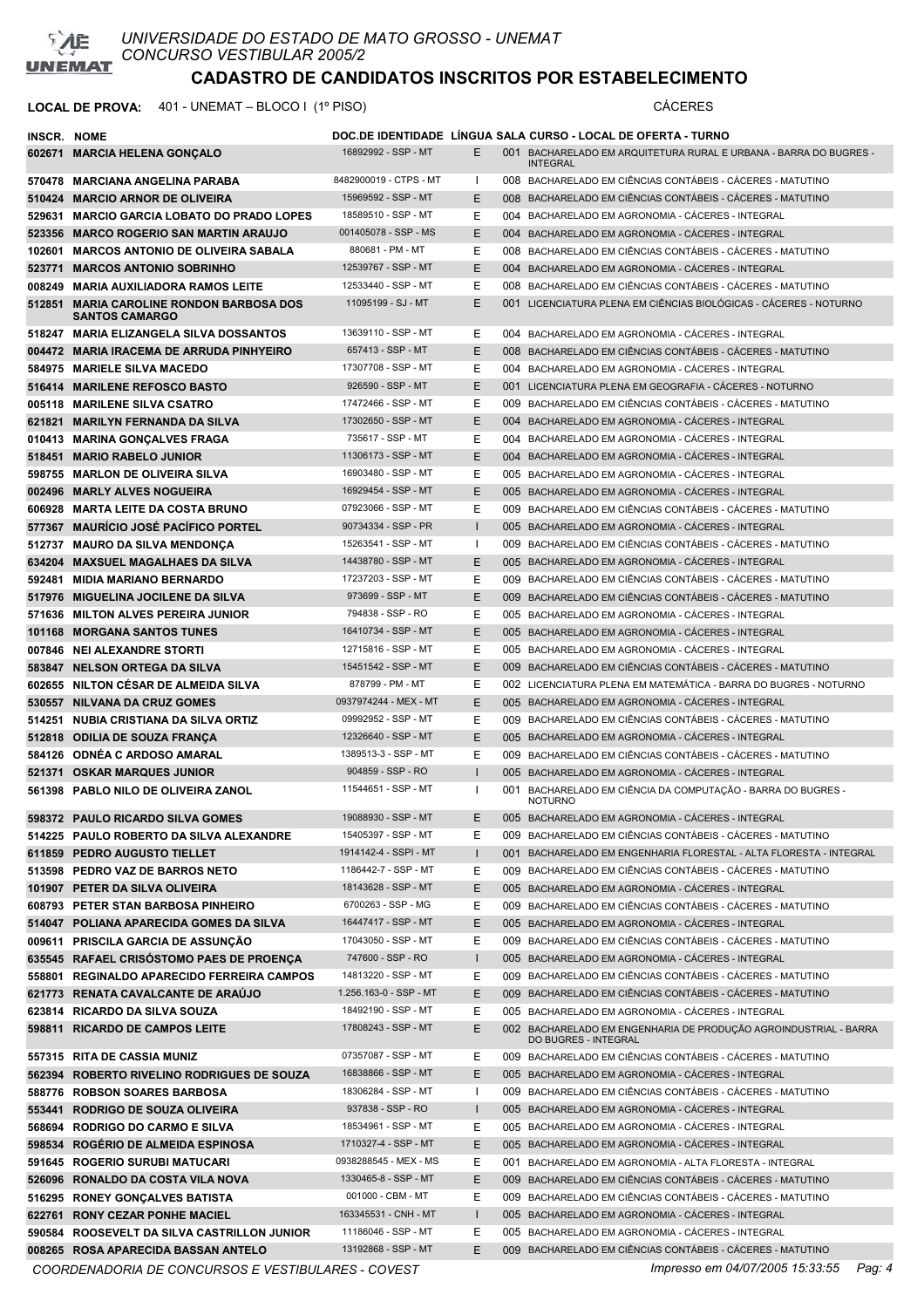

## **LOCAL DE PROVA:** 401 - UNEMAT – BLOCO I (1º PISO) CÁCERES

| <b>INSCR. NOME</b> |                                                                                |                                            |                   | DOC.DE IDENTIDADE   LINGUA SALA CURSO - LOCAL DE OFERTA - TURNO                                                 |
|--------------------|--------------------------------------------------------------------------------|--------------------------------------------|-------------------|-----------------------------------------------------------------------------------------------------------------|
|                    | 602671 MARCIA HELENA GONÇALO                                                   | 16892992 - SSP - MT                        | E.                | 001 BACHARELADO EM ARQUITETURA RURAL E URBANA - BARRA DO BUGRES -<br><b>INTEGRAL</b>                            |
|                    | 570478 MARCIANA ANGELINA PARABA                                                | 8482900019 - CTPS - MT                     | л.                | 008 BACHARELADO EM CIÊNCIAS CONTÁBEIS - CÁCERES - MATUTINO                                                      |
|                    | 510424 MARCIO ARNOR DE OLIVEIRA                                                | 15969592 - SSP - MT                        | E.                | 008 BACHARELADO EM CIÊNCIAS CONTÁBEIS - CACERES - MATUTINO                                                      |
|                    | 529631 MARCIO GARCIA LOBATO DO PRADO LOPES                                     | 18589510 - SSP - MT                        | E                 | 004 BACHARELADO EM AGRONOMIA - CACERES - INTEGRAL                                                               |
|                    | 523356 MARCO ROGERIO SAN MARTIN ARAUJO                                         | 001405078 - SSP - MS                       | E.                | 004 BACHARELADO EM AGRONOMIA - CACERES - INTEGRAL                                                               |
|                    | 102601 MARCOS ANTONIO DE OLIVEIRA SABALA                                       | 880681 - PM - MT                           | E                 | 008 BACHARELADO EM CIÊNCIAS CONTÁBEIS - CÁCERES - MATUTINO                                                      |
|                    | 523771 MARCOS ANTONIO SOBRINHO                                                 | 12539767 - SSP - MT                        | E.                | 004 BACHARELADO EM AGRONOMIA - CACERES - INTEGRAL                                                               |
|                    | 008249 MARIA AUXILIADORA RAMOS LEITE                                           | 12533440 - SSP - MT                        | E                 | 008 BACHARELADO EM CIÊNCIAS CONTÁBEIS - CÁCERES - MATUTINO                                                      |
|                    | 512851 MARIA CAROLINE RONDON BARBOSA DOS<br><b>SANTOS CAMARGO</b>              | 11095199 - SJ - MT                         | E                 | 001 LICENCIATURA PLENA EM CIÊNCIAS BIOLÓGICAS - CÁCERES - NOTURNO                                               |
|                    | 518247 MARIA ELIZANGELA SILVA DOSSANTOS                                        | 13639110 - SSP - MT                        | E                 | 004 BACHARELADO EM AGRONOMIA - CÁCERES - INTEGRAL                                                               |
|                    | 004472 MARIA IRACEMA DE ARRUDA PINHYEIRO                                       | 657413 - SSP - MT                          | E.                | 008 BACHARELADO EM CIÊNCIAS CONTÁBEIS - CÁCERES - MATUTINO                                                      |
|                    | 584975 MARIELE SILVA MACEDO                                                    | 17307708 - SSP - MT                        | E                 | 004 BACHARELADO EM AGRONOMIA - CÁCERES - INTEGRAL                                                               |
|                    | 516414 MARILENE REFOSCO BASTO                                                  | 926590 - SSP - MT                          | E.                | 001 LICENCIATURA PLENA EM GEOGRAFIA - CÁCERES - NOTURNO                                                         |
|                    | 005118 MARILENE SILVA CSATRO                                                   | 17472466 - SSP - MT                        | E                 | 009 BACHARELADO EM CIÊNCIAS CONTÁBEIS - CÁCERES - MATUTINO                                                      |
| 621821             | <b>MARILYN FERNANDA DA SILVA</b>                                               | 17302650 - SSP - MT                        | E.                | 004 BACHARELADO EM AGRONOMIA - CÁCERES - INTEGRAL                                                               |
|                    | 010413 MARINA GONÇALVES FRAGA                                                  | 735617 - SSP - MT<br>11306173 - SSP - MT   | E                 | 004 BACHARELADO EM AGRONOMIA - CACERES - INTEGRAL                                                               |
| 518451             | <b>MARIO RABELO JUNIOR</b>                                                     | 16903480 - SSP - MT                        | E.                | 004 BACHARELADO EM AGRONOMIA - CACERES - INTEGRAL                                                               |
|                    | 598755 MARLON DE OLIVEIRA SILVA                                                | 16929454 - SSP - MT                        | E                 | 005 BACHARELADO EM AGRONOMIA - CÁCERES - INTEGRAL                                                               |
|                    | 002496 MARLY ALVES NOGUEIRA                                                    | 07923066 - SSP - MT                        | E.<br>E           | 005 BACHARELADO EM AGRONOMIA - CACERES - INTEGRAL                                                               |
|                    | 606928 MARTA LEITE DA COSTA BRUNO                                              | 90734334 - SSP - PR                        | $\mathbf{I}$      | 009 BACHARELADO EM CIÊNCIAS CONTÁBEIS - CÁCERES - MATUTINO                                                      |
|                    | 577367 MAURICIO JOSÉ PACÍFICO PORTEL                                           | 15263541 - SSP - MT                        | $\mathbf{I}$      | 005 BACHARELADO EM AGRONOMIA - CACERES - INTEGRAL<br>009 BACHARELADO EM CIÊNCIAS CONTÁBEIS - CÁCERES - MATUTINO |
|                    | 512737 MAURO DA SILVA MENDONÇA<br>634204 MAXSUEL MAGALHAES DA SILVA            | 14438780 - SSP - MT                        | E.                | 005 BACHARELADO EM AGRONOMIA - CACERES - INTEGRAL                                                               |
|                    | 592481 MIDIA MARIANO BERNARDO                                                  | 17237203 - SSP - MT                        | E                 | 009 BACHARELADO EM CIÊNCIAS CONTÁBEIS - CÁCERES - MATUTINO                                                      |
|                    | 517976 MIGUELINA JOCILENE DA SILVA                                             | 973699 - SSP - MT                          | E.                | 009 BACHARELADO EM CIÊNCIAS CONTÁBEIS - CÁCERES - MATUTINO                                                      |
|                    | 571636 MILTON ALVES PEREIRA JUNIOR                                             | 794838 - SSP - RO                          | E                 | 005 BACHARELADO EM AGRONOMIA - CÁCERES - INTEGRAL                                                               |
|                    | 101168 MORGANA SANTOS TUNES                                                    | 16410734 - SSP - MT                        | E.                | 005 BACHARELADO EM AGRONOMIA - CÁCERES - INTEGRAL                                                               |
|                    | 007846 NEI ALEXANDRE STORTI                                                    | 12715816 - SSP - MT                        | E                 | 005 BACHARELADO EM AGRONOMIA - CÁCERES - INTEGRAL                                                               |
|                    | 583847 NELSON ORTEGA DA SILVA                                                  | 15451542 - SSP - MT                        | E                 | 009 BACHARELADO EM CIÊNCIAS CONTÁBEIS - CACERES - MATUTINO                                                      |
|                    | 602655 NILTON CESAR DE ALMEIDA SILVA                                           | 878799 - PM - MT                           | E                 | 002 LICENCIATURA PLENA EM MATEMÁTICA - BARRA DO BUGRES - NOTURNO                                                |
|                    | 530557 NILVANA DA CRUZ GOMES                                                   | 0937974244 - MEX - MT                      | E                 | 005 BACHARELADO EM AGRONOMIA - CÁCERES - INTEGRAL                                                               |
|                    | 514251 NUBIA CRISTIANA DA SILVA ORTIZ                                          | 09992952 - SSP - MT                        | E                 | 009 BACHARELADO EM CIÊNCIAS CONTÁBEIS - CÁCERES - MATUTINO                                                      |
|                    | 512818 ODILIA DE SOUZA FRANCA                                                  | 12326640 - SSP - MT                        | E.                | 005 BACHARELADO EM AGRONOMIA - CÁCERES - INTEGRAL                                                               |
|                    | 584126 ODNÉA C ARDOSO AMARAL                                                   | 1389513-3 - SSP - MT                       | E                 | 009 BACHARELADO EM CIÊNCIAS CONTÁBEIS - CÁCERES - MATUTINO                                                      |
|                    | 521371 OSKAR MARQUES JUNIOR                                                    | 904859 - SSP - RO                          | $\mathsf{I}$      | 005 BACHARELADO EM AGRONOMIA - CÁCERES - INTEGRAL                                                               |
|                    | 561398 PABLO NILO DE OLIVEIRA ZANOL                                            | 11544651 - SSP - MT                        | $\mathbf{I}$      | 001 BACHARELADO EM CIÊNCIA DA COMPUTAÇÃO - BARRA DO BUGRES -<br><b>NOTURNO</b>                                  |
|                    | 598372 PAULO RICARDO SILVA GOMES                                               | 19088930 - SSP - MT                        | E                 | 005 BACHARELADO EM AGRONOMIA - CÁCERES - INTEGRAL                                                               |
|                    | 514225 PAULO ROBERTO DA SILVA ALEXANDRE                                        | 15405397 - SSP - MT                        | Е                 | 009 BACHARELADO EM CIÊNCIAS CONTÁBEIS - CÁCERES - MATUTINO                                                      |
|                    | 611859 PEDRO AUGUSTO TIELLET                                                   | 1914142-4 - SSPI - MT                      | $\mathbf{I}$      | 001 BACHARELADO EM ENGENHARIA FLORESTAL - ALTA FLORESTA - INTEGRAL                                              |
|                    | 513598 PEDRO VAZ DE BARROS NETO                                                | 1186442-7 - SSP - MT                       | E                 | 009 BACHARELADO EM CIÊNCIAS CONTÁBEIS - CÁCERES - MATUTINO                                                      |
|                    | 101907 PETER DA SILVA OLIVEIRA                                                 | 18143628 - SSP - MT                        | E                 | 005 BACHARELADO EM AGRONOMIA - CÁCERES - INTEGRAL                                                               |
|                    | 608793 PETER STAN BARBOSA PINHEIRO                                             | 6700263 - SSP - MG                         | E                 | 009 BACHARELADO EM CIÊNCIAS CONTÁBEIS - CÁCERES - MATUTINO                                                      |
|                    | 514047 POLIANA APARECIDA GOMES DA SILVA                                        | 16447417 - SSP - MT<br>17043050 - SSP - MT | E                 | 005 BACHARELADO EM AGRONOMIA - CÁCERES - INTEGRAL                                                               |
|                    | 009611 PRISCILA GARCIA DE ASSUNÇÃO<br>635545 RAFAEL CRISÓSTOMO PAES DE PROENÇA | 747600 - SSP - RO                          | E                 | 009 BACHARELADO EM CIÊNCIAS CONTÁBEIS - CÁCERES - MATUTINO<br>005 BACHARELADO EM AGRONOMIA - CÁCERES - INTEGRAL |
|                    | 558801 REGINALDO APARECIDO FERREIRA CAMPOS                                     | 14813220 - SSP - MT                        | $\mathbf{I}$<br>E | 009 BACHARELADO EM CIÊNCIAS CONTÁBEIS - CÁCERES - MATUTINO                                                      |
|                    | 621773 RENATA CAVALCANTE DE ARAÚJO                                             | 1.256.163-0 - SSP - MT                     | E                 | 009 BACHARELADO EM CIÊNCIAS CONTÁBEIS - CÁCERES - MATUTINO                                                      |
|                    | 623814 RICARDO DA SILVA SOUZA                                                  | 18492190 - SSP - MT                        | E                 | 005 BACHARELADO EM AGRONOMIA - CÁCERES - INTEGRAL                                                               |
|                    | 598811 RICARDO DE CAMPOS LEITE                                                 | 17808243 - SSP - MT                        | E                 | 002 BACHARELADO EM ENGENHARIA DE PRODUÇÃO AGROINDUSTRIAL - BARRA<br>DO BUGRES - INTEGRAL                        |
|                    | 557315 RITA DE CASSIA MUNIZ                                                    | 07357087 - SSP - MT                        | E.                | 009 BACHARELADO EM CIÊNCIAS CONTÁBEIS - CÁCERES - MATUTINO                                                      |
|                    | 562394 ROBERTO RIVELINO RODRIGUES DE SOUZA                                     | 16838866 - SSP - MT                        | E                 | 005 BACHARELADO EM AGRONOMIA - CÁCERES - INTEGRAL                                                               |
|                    | 588776 ROBSON SOARES BARBOSA                                                   | 18306284 - SSP - MT                        | $\mathbf{I}$      | 009 BACHARELADO EM CIÊNCIAS CONTÁBEIS - CÁCERES - MATUTINO                                                      |
|                    | 553441 RODRIGO DE SOUZA OLIVEIRA                                               | 937838 - SSP - RO                          | $\mathbf{I}$      | 005 BACHARELADO EM AGRONOMIA - CÁCERES - INTEGRAL                                                               |
|                    | 568694 RODRIGO DO CARMO E SILVA                                                | 18534961 - SSP - MT                        | E                 | 005 BACHARELADO EM AGRONOMIA - CÁCERES - INTEGRAL                                                               |
|                    | 598534 ROGÉRIO DE ALMEIDA ESPINOSA                                             | 1710327-4 - SSP - MT                       | E                 | 005 BACHARELADO EM AGRONOMIA - CÁCERES - INTEGRAL                                                               |
|                    | 591645 ROGERIO SURUBI MATUCARI                                                 | 0938288545 - MEX - MS                      | E                 | 001 BACHARELADO EM AGRONOMIA - ALTA FLORESTA - INTEGRAL                                                         |
|                    | 526096 RONALDO DA COSTA VILA NOVA                                              | 1330465-8 - SSP - MT                       | E                 | 009 BACHARELADO EM CIÊNCIAS CONTÁBEIS - CÁCERES - MATUTINO                                                      |
|                    | 516295 RONEY GONÇALVES BATISTA                                                 | 001000 - CBM - MT                          | E                 | 009 BACHARELADO EM CIÊNCIAS CONTÁBEIS - CÁCERES - MATUTINO                                                      |
|                    | 622761 RONY CEZAR PONHE MACIEL                                                 | 163345531 - CNH - MT                       | $\mathbf{I}$      | 005 BACHARELADO EM AGRONOMIA - CÁCERES - INTEGRAL                                                               |
|                    | 590584 ROOSEVELT DA SILVA CASTRILLON JUNIOR                                    | 11186046 - SSP - MT                        | E                 | 005 BACHARELADO EM AGRONOMIA - CÁCERES - INTEGRAL                                                               |
|                    | 008265 ROSA APARECIDA BASSAN ANTELO                                            | 13192868 - SSP - MT                        | E                 | 009 BACHARELADO EM CIÊNCIAS CONTÁBEIS - CÁCERES - MATUTINO                                                      |

*COORDENADORIA DE CONCURSOS E VESTIBULARES - COVEST Impresso em 04/07/2005 15:33:55 Pag: 4*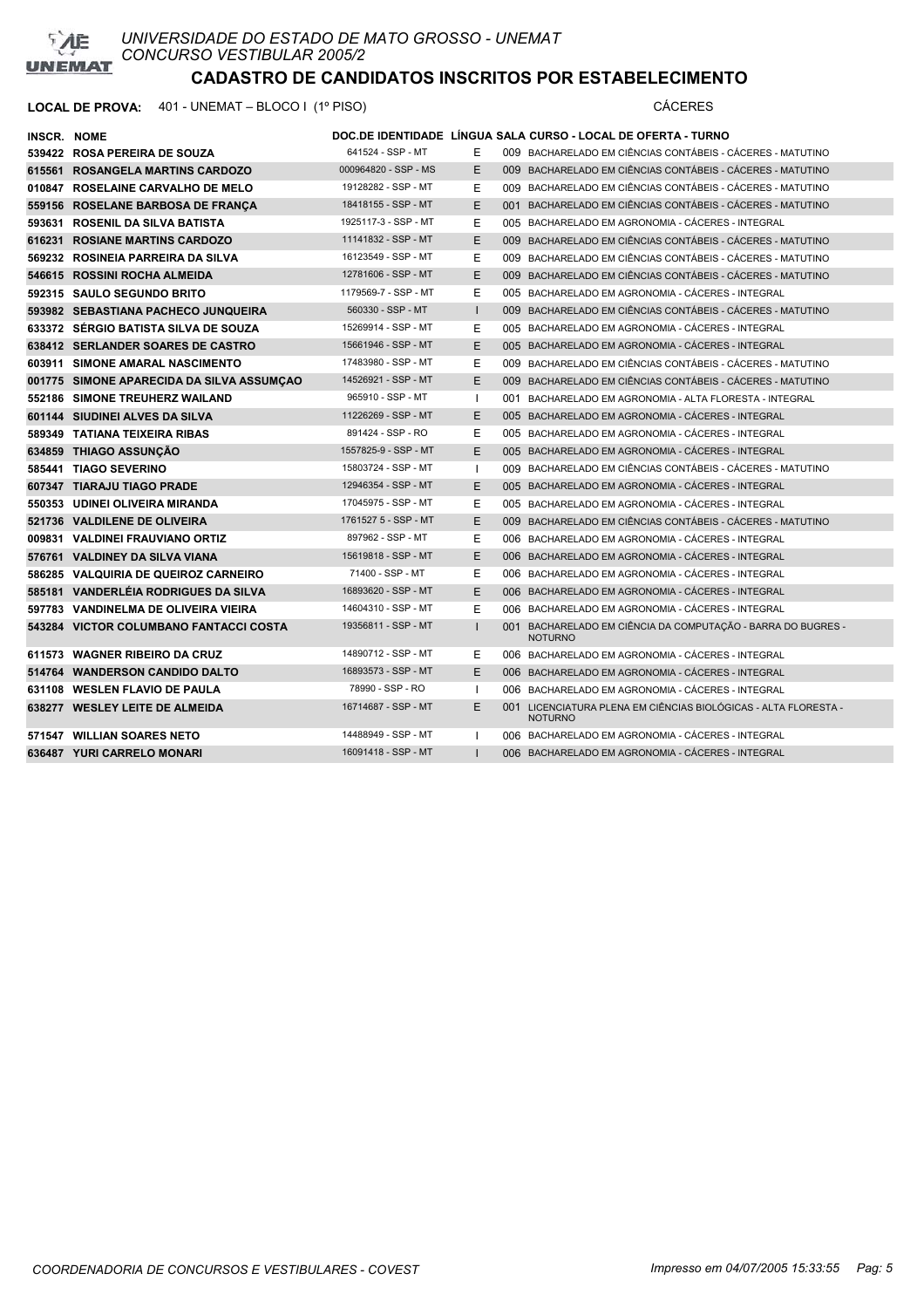

| <b>INSCR. NOME</b> |                                           |                      |              | DOC.DE IDENTIDADE LÍNGUA SALA CURSO - LOCAL DE OFERTA - TURNO                     |
|--------------------|-------------------------------------------|----------------------|--------------|-----------------------------------------------------------------------------------|
|                    | 539422 ROSA PEREIRA DE SOUZA              | 641524 - SSP - MT    | Е            | 009 BACHARELADO EM CIÊNCIAS CONTÁBEIS - CÁCERES - MATUTINO                        |
|                    | 615561 ROSANGELA MARTINS CARDOZO          | 000964820 - SSP - MS | E            | 009 BACHARELADO EM CIÊNCIAS CONTÁBEIS - CÁCERES - MATUTINO                        |
|                    | 010847 ROSELAINE CARVALHO DE MELO         | 19128282 - SSP - MT  | Ε            | 009 BACHARELADO EM CIÊNCIAS CONTÁBEIS - CÁCERES - MATUTINO                        |
|                    | 559156 ROSELANE BARBOSA DE FRANCA         | 18418155 - SSP - MT  | E            | 001 BACHARELADO EM CIÊNCIAS CONTÁBEIS - CÁCERES - MATUTINO                        |
|                    | 593631 ROSENIL DA SILVA BATISTA           | 1925117-3 - SSP - MT | Ε            | 005 BACHARELADO EM AGRONOMIA - CÁCERES - INTEGRAL                                 |
|                    | 616231 ROSIANE MARTINS CARDOZO            | 11141832 - SSP - MT  | E            | 009 BACHARELADO EM CIÊNCIAS CONTÁBEIS - CÁCERES - MATUTINO                        |
|                    | 569232 ROSINEIA PARREIRA DA SILVA         | 16123549 - SSP - MT  | E            | 009 BACHARELADO EM CIÊNCIAS CONTÁBEIS - CÁCERES - MATUTINO                        |
|                    | 546615 ROSSINI ROCHA ALMEIDA              | 12781606 - SSP - MT  | E            | 009 BACHARELADO EM CIÊNCIAS CONTÁBEIS - CÁCERES - MATUTINO                        |
|                    | 592315 SAULO SEGUNDO BRITO                | 1179569-7 - SSP - MT | Ε            | 005 BACHARELADO EM AGRONOMIA - CÁCERES - INTEGRAL                                 |
|                    | 593982 SEBASTIANA PACHECO JUNQUEIRA       | 560330 - SSP - MT    | $\mathbf{I}$ | 009 BACHARELADO EM CIÊNCIAS CONTÁBEIS - CÁCERES - MATUTINO                        |
|                    | 633372 SÉRGIO BATISTA SILVA DE SOUZA      | 15269914 - SSP - MT  | Е            | 005 BACHARELADO EM AGRONOMIA - CÁCERES - INTEGRAL                                 |
|                    | 638412 SERLANDER SOARES DE CASTRO         | 15661946 - SSP - MT  | E            | 005 BACHARELADO EM AGRONOMIA - CÁCERES - INTEGRAL                                 |
|                    | 603911 SIMONE AMARAL NASCIMENTO           | 17483980 - SSP - MT  | Ε            | 009 BACHARELADO EM CIÊNCIAS CONTÁBEIS - CÁCERES - MATUTINO                        |
|                    | 001775 SIMONE APARECIDA DA SILVA ASSUMÇÃO | 14526921 - SSP - MT  | E            | 009 BACHARELADO EM CIÊNCIAS CONTÁBEIS - CÁCERES - MATUTINO                        |
|                    | 552186 SIMONE TREUHERZ WAILAND            | 965910 - SSP - MT    |              | 001 BACHARELADO EM AGRONOMIA - ALTA FLORESTA - INTEGRAL                           |
|                    | 601144 SIUDINEI ALVES DA SILVA            | 11226269 - SSP - MT  | E            | 005 BACHARELADO EM AGRONOMIA - CÁCERES - INTEGRAL                                 |
|                    | 589349 TATIANA TEIXEIRA RIBAS             | 891424 - SSP - RO    | Ε            | 005 BACHARELADO EM AGRONOMIA - CÁCERES - INTEGRAL                                 |
|                    | 634859 THIAGO ASSUNCÃO                    | 1557825-9 - SSP - MT | E            | 005 BACHARELADO EM AGRONOMIA - CÁCERES - INTEGRAL                                 |
|                    | 585441 TIAGO SEVERINO                     | 15803724 - SSP - MT  |              | 009 BACHARELADO EM CIÊNCIAS CONTÁBEIS - CÁCERES - MATUTINO                        |
|                    | 607347 TIARAJU TIAGO PRADE                | 12946354 - SSP - MT  | E            | 005 BACHARELADO EM AGRONOMIA - CÁCERES - INTEGRAL                                 |
|                    | 550353 UDINEI OLIVEIRA MIRANDA            | 17045975 - SSP - MT  | E            | 005 BACHARELADO EM AGRONOMIA - CÁCERES - INTEGRAL                                 |
|                    | 521736 VALDILENE DE OLIVEIRA              | 1761527 5 - SSP - MT | E            | 009 BACHARELADO EM CIÊNCIAS CONTÁBEIS - CÁCERES - MATUTINO                        |
|                    | 009831 VALDINEI FRAUVIANO ORTIZ           | 897962 - SSP - MT    | E            | 006 BACHARELADO EM AGRONOMIA - CÁCERES - INTEGRAL                                 |
|                    | 576761 VALDINEY DA SILVA VIANA            | 15619818 - SSP - MT  | E            | 006 BACHARELADO EM AGRONOMIA - CÁCERES - INTEGRAL                                 |
|                    | 586285 VALQUIRIA DE QUEIROZ CARNEIRO      | 71400 - SSP - MT     | Ε            | 006 BACHARELADO EM AGRONOMIA - CÁCERES - INTEGRAL                                 |
|                    | 585181 VANDERLEIA RODRIGUES DA SILVA      | 16893620 - SSP - MT  | E            | 006 BACHARELADO EM AGRONOMIA - CÁCERES - INTEGRAL                                 |
|                    | 597783 VANDINELMA DE OLIVEIRA VIEIRA      | 14604310 - SSP - MT  | Ε            | 006 BACHARELADO EM AGRONOMIA - CÁCERES - INTEGRAL                                 |
|                    | 543284 VICTOR COLUMBANO FANTACCI COSTA    | 19356811 - SSP - MT  |              | 001 BACHARELADO EM CIÊNCIA DA COMPUTAÇÃO - BARRA DO BUGRES -<br><b>NOTURNO</b>    |
|                    | 611573 WAGNER RIBEIRO DA CRUZ             | 14890712 - SSP - MT  | Е            | 006 BACHARELADO EM AGRONOMIA - CÁCERES - INTEGRAL                                 |
|                    | 514764 WANDERSON CANDIDO DALTO            | 16893573 - SSP - MT  | E            | 006 BACHARELADO EM AGRONOMIA - CÁCERES - INTEGRAL                                 |
|                    | 631108 WESLEN FLAVIO DE PAULA             | 78990 - SSP - RO     |              | 006 BACHARELADO EM AGRONOMIA - CÁCERES - INTEGRAL                                 |
|                    | 638277 WESLEY LEITE DE ALMEIDA            | 16714687 - SSP - MT  | E            | 001 LICENCIATURA PLENA EM CIÊNCIAS BIOLÓGICAS - ALTA FLORESTA -<br><b>NOTURNO</b> |
|                    | 571547 WILLIAN SOARES NETO                | 14488949 - SSP - MT  |              | 006 BACHARELADO EM AGRONOMIA - CÁCERES - INTEGRAL                                 |
|                    | 636487 YURI CARRELO MONARI                | 16091418 - SSP - MT  |              | 006 BACHARELADO EM AGRONOMIA - CÁCERES - INTEGRAL                                 |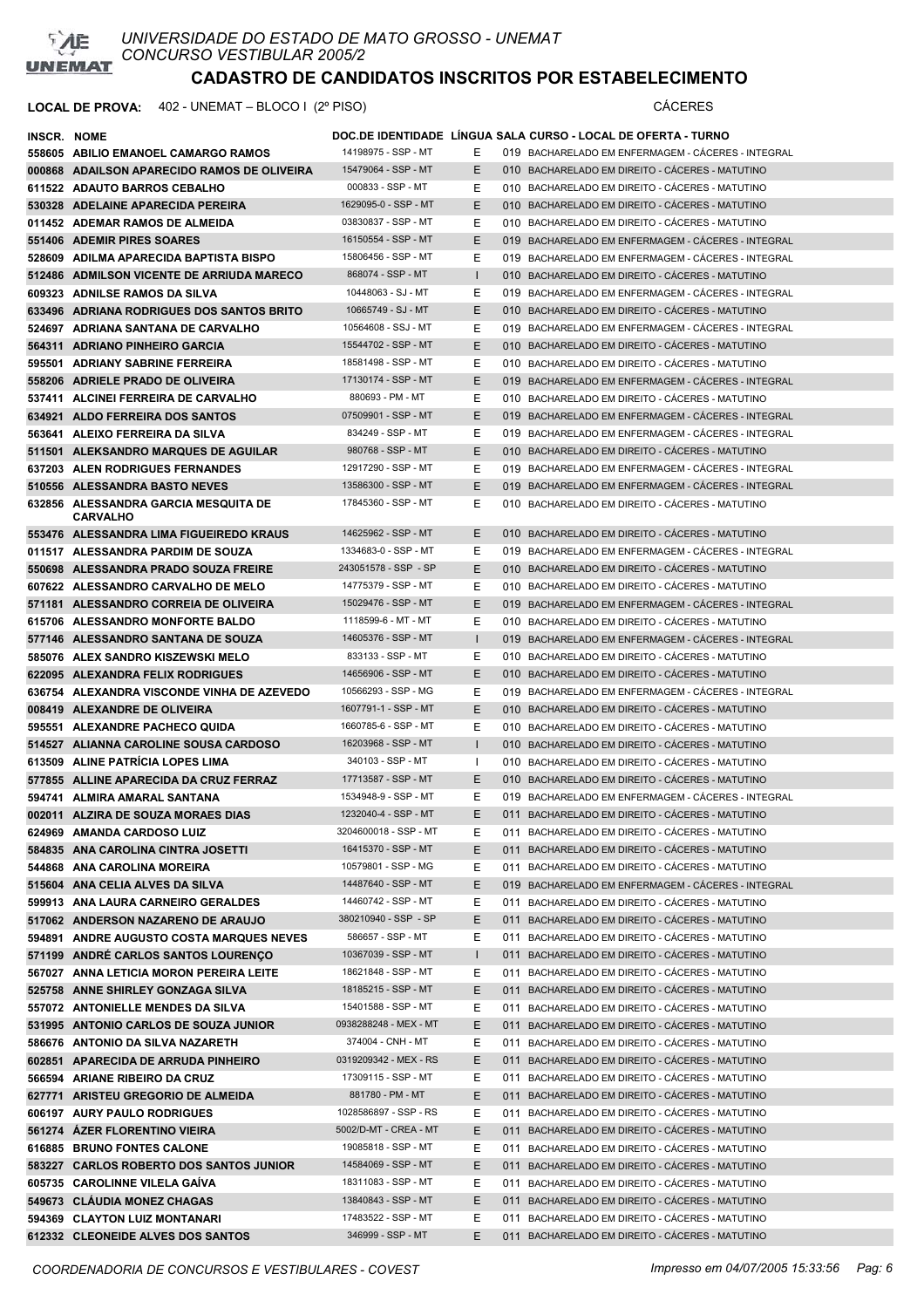

| <b>INSCR. NOME</b> |                                                                              |                                             |                   | DOC.DE IDENTIDADE LINGUA SALA CURSO - LOCAL DE OFERTA - TURNO                                      |
|--------------------|------------------------------------------------------------------------------|---------------------------------------------|-------------------|----------------------------------------------------------------------------------------------------|
|                    | 558605 ABILIO EMANOEL CAMARGO RAMOS                                          | 14198975 - SSP - MT                         | Е                 | 019 BACHARELADO EM ENFERMAGEM - CACERES - INTEGRAL                                                 |
|                    | 000868 ADAILSON APARECIDO RAMOS DE OLIVEIRA                                  | 15479064 - SSP - MT                         | E.                | 010 BACHARELADO EM DIREITO - CÁCERES - MATUTINO                                                    |
|                    | 611522 ADAUTO BARROS CEBALHO                                                 | 000833 - SSP - MT                           | Е                 | 010 BACHARELADO EM DIREITO - CÁCERES - MATUTINO                                                    |
|                    | 530328 ADELAINE APARECIDA PEREIRA                                            | 1629095-0 - SSP - MT                        | E.                | 010 BACHARELADO EM DIREITO - CÁCERES - MATUTINO                                                    |
|                    | 011452 ADEMAR RAMOS DE ALMEIDA                                               | 03830837 - SSP - MT                         | E                 | 010 BACHARELADO EM DIREITO - CÁCERES - MATUTINO                                                    |
|                    | 551406 ADEMIR PIRES SOARES                                                   | 16150554 - SSP - MT                         | E.                | 019 BACHARELADO EM ENFERMAGEM - CÁCERES - INTEGRAL                                                 |
|                    | 528609 ADILMA APARECIDA BAPTISTA BISPO                                       | 15806456 - SSP - MT                         | E                 | 019 BACHARELADO EM ENFERMAGEM - CÁCERES - INTEGRAL                                                 |
|                    | 512486 ADMILSON VICENTE DE ARRIUDA MARECO                                    | 868074 - SSP - MT                           | $\mathbf{I}$      | 010 BACHARELADO EM DIREITO - CÁCERES - MATUTINO                                                    |
|                    | 609323 ADNILSE RAMOS DA SILVA                                                | 10448063 - SJ - MT                          | E.                | 019 BACHARELADO EM ENFERMAGEM - CACERES - INTEGRAL                                                 |
|                    | 633496 ADRIANA RODRIGUES DOS SANTOS BRITO                                    | 10665749 - SJ - MT                          | E.                | 010 BACHARELADO EM DIREITO - CÁCERES - MATUTINO                                                    |
|                    | 524697 ADRIANA SANTANA DE CARVALHO                                           | 10564608 - SSJ - MT                         | E.                | 019 BACHARELADO EM ENFERMAGEM - CÁCERES - INTEGRAL                                                 |
|                    | 564311 ADRIANO PINHEIRO GARCIA                                               | 15544702 - SSP - MT                         | E.                | 010 BACHARELADO EM DIREITO - CÁCERES - MATUTINO                                                    |
|                    | 595501 ADRIANY SABRINE FERREIRA                                              | 18581498 - SSP - MT                         | E.                | 010 BACHARELADO EM DIREITO - CÁCERES - MATUTINO                                                    |
|                    | 558206 ADRIELE PRADO DE OLIVEIRA                                             | 17130174 - SSP - MT                         | E.                | 019 BACHARELADO EM ENFERMAGEM - CACERES - INTEGRAL                                                 |
|                    | 537411 ALCINEI FERREIRA DE CARVALHO                                          | 880693 - PM - MT                            | E.                | 010 BACHARELADO EM DIREITO - CÁCERES - MATUTINO                                                    |
|                    | 634921 ALDO FERREIRA DOS SANTOS                                              | 07509901 - SSP - MT                         | E.                | 019 BACHARELADO EM ENFERMAGEM - CACERES - INTEGRAL                                                 |
|                    | 563641 ALEIXO FERREIRA DA SILVA                                              | 834249 - SSP - MT                           | E.                | 019 BACHARELADO EM ENFERMAGEM - CÁCERES - INTEGRAL                                                 |
|                    | 511501 ALEKSANDRO MARQUES DE AGUILAR                                         | 980768 - SSP - MT                           | E.                | 010 BACHARELADO EM DIREITO - CÁCERES - MATUTINO                                                    |
|                    | 637203 ALEN RODRIGUES FERNANDES                                              | 12917290 - SSP - MT                         | E.                | 019 BACHARELADO EM ENFERMAGEM - CÁCERES - INTEGRAL                                                 |
|                    | 510556 ALESSANDRA BASTO NEVES                                                | 13586300 - SSP - MT                         | E.                | 019 BACHARELADO EM ENFERMAGEM - CÁCERES - INTEGRAL                                                 |
|                    | 632856 ALESSANDRA GARCIA MESQUITA DE                                         | 17845360 - SSP - MT                         | E.                | 010 BACHARELADO EM DIREITO - CÁCERES - MATUTINO                                                    |
|                    | <b>CARVALHO</b>                                                              |                                             |                   |                                                                                                    |
|                    | 553476 ALESSANDRA LIMA FIGUEIREDO KRAUS                                      | 14625962 - SSP - MT                         | E.                | 010 BACHARELADO EM DIREITO - CÁCERES - MATUTINO                                                    |
|                    | 011517 ALESSANDRA PARDIM DE SOUZA                                            | 1334683-0 - SSP - MT                        | E.                | 019 BACHARELADO EM ENFERMAGEM - CÁCERES - INTEGRAL                                                 |
|                    | 550698 ALESSANDRA PRADO SOUZA FREIRE                                         | 243051578 - SSP - SP                        | E.                | 010 BACHARELADO EM DIREITO - CÁCERES - MATUTINO                                                    |
|                    | 607622 ALESSANDRO CARVALHO DE MELO                                           | 14775379 - SSP - MT                         | E.                | 010 BACHARELADO EM DIREITO - CÁCERES - MATUTINO                                                    |
|                    | 571181 ALESSANDRO CORREIA DE OLIVEIRA                                        | 15029476 - SSP - MT                         | E.                | 019 BACHARELADO EM ENFERMAGEM - CACERES - INTEGRAL                                                 |
|                    | 615706 ALESSANDRO MONFORTE BALDO                                             | 1118599-6 - MT - MT                         | E.                | 010 BACHARELADO EM DIREITO - CÁCERES - MATUTINO                                                    |
|                    | 577146 ALESSANDRO SANTANA DE SOUZA                                           | 14605376 - SSP - MT                         | $\mathbf{I}$      | 019 BACHARELADO EM ENFERMAGEM - CÁCERES - INTEGRAL                                                 |
|                    | 585076 ALEX SANDRO KISZEWSKI MELO                                            | 833133 - SSP - MT                           | E                 | 010 BACHARELADO EM DIREITO - CACERES - MATUTINO                                                    |
|                    | 622095 ALEXANDRA FELIX RODRIGUES                                             | 14656906 - SSP - MT                         | E.                | 010 BACHARELADO EM DIREITO - CÁCERES - MATUTINO                                                    |
|                    | 636754 ALEXANDRA VISCONDE VINHA DE AZEVEDO                                   | 10566293 - SSP - MG                         | E.                | 019 BACHARELADO EM ENFERMAGEM - CACERES - INTEGRAL                                                 |
|                    | 008419 ALEXANDRE DE OLIVEIRA                                                 | 1607791-1 - SSP - MT                        | E.                | 010 BACHARELADO EM DIREITO - CÁCERES - MATUTINO                                                    |
|                    | 595551 ALEXANDRE PACHECO QUIDA                                               | 1660785-6 - SSP - MT                        | E                 | 010 BACHARELADO EM DIREITO - CÁCERES - MATUTINO                                                    |
|                    | 514527 ALIANNA CAROLINE SOUSA CARDOSO                                        | 16203968 - SSP - MT                         | $\mathbf{I}$      | 010 BACHARELADO EM DIREITO - CÁCERES - MATUTINO                                                    |
|                    | 613509 ALINE PATRICIA LOPES LIMA                                             | 340103 - SSP - MT                           | $\mathbf{I}$      | 010 BACHARELADO EM DIREITO - CÁCERES - MATUTINO                                                    |
|                    | 577855 ALLINE APARECIDA DA CRUZ FERRAZ                                       | 17713587 - SSP - MT                         | E.                | 010 BACHARELADO EM DIREITO - CÁCERES - MATUTINO                                                    |
|                    | 594741 ALMIRA AMARAL SANTANA                                                 | 1534948-9 - SSP - MT                        | E                 | 019 BACHARELADO EM ENFERMAGEM - CÁCERES - INTEGRAL                                                 |
|                    | 002011 ALZIRA DE SOUZA MORAES DIAS                                           | 1232040-4 - SSP - MT                        | E                 | 011 BACHARELADO EM DIREITO - CÁCERES - MATUTINO                                                    |
|                    | 624969 AMANDA CARDOSO LUIZ                                                   | 3204600018 - SSP - MT                       | E.                | 011 BACHARELADO EM DIREITO - CÁCERES - MATUTINO                                                    |
|                    | 584835 ANA CAROLINA CINTRA JOSETTI                                           | 16415370 - SSP - MT                         | E.                | 011 BACHARELADO EM DIREITO - CÁCERES - MATUTINO                                                    |
|                    | 544868 ANA CAROLINA MOREIRA                                                  | 10579801 - SSP - MG                         | E.                | 011 BACHARELADO EM DIREITO - CÁCERES - MATUTINO                                                    |
|                    | 515604 ANA CELIA ALVES DA SILVA                                              | 14487640 - SSP - MT                         | E                 | 019 BACHARELADO EM ENFERMAGEM - CÁCERES - INTEGRAL                                                 |
|                    | 599913 ANA LAURA CARNEIRO GERALDES                                           | 14460742 - SSP - MT<br>380210940 - SSP - SP | E                 | 011 BACHARELADO EM DIREITO - CÁCERES - MATUTINO                                                    |
|                    | 517062 ANDERSON NAZARENO DE ARAUJO                                           | 586657 - SSP - MT                           | E                 | 011 BACHARELADO EM DIREITO - CÁCERES - MATUTINO                                                    |
|                    | 594891 ANDRE AUGUSTO COSTA MARQUES NEVES                                     | 10367039 - SSP - MT                         | E<br>$\mathbf{I}$ | 011 BACHARELADO EM DIREITO - CÁCERES - MATUTINO                                                    |
|                    | 571199 ANDRÉ CARLOS SANTOS LOURENÇO                                          | 18621848 - SSP - MT                         | E.                | 011 BACHARELADO EM DIREITO - CÁCERES - MATUTINO<br>011 BACHARELADO EM DIREITO - CÁCERES - MATUTINO |
|                    | 567027 ANNA LETICIA MORON PEREIRA LEITE<br>525758 ANNE SHIRLEY GONZAGA SILVA | 18185215 - SSP - MT                         | E.                | 011 BACHARELADO EM DIREITO - CÁCERES - MATUTINO                                                    |
|                    | 557072 ANTONIELLE MENDES DA SILVA                                            | 15401588 - SSP - MT                         | E.                | 011 BACHARELADO EM DIREITO - CÁCERES - MATUTINO                                                    |
|                    | 531995 ANTONIO CARLOS DE SOUZA JUNIOR                                        | 0938288248 - MEX - MT                       | E.                | 011 BACHARELADO EM DIREITO - CÁCERES - MATUTINO                                                    |
|                    | 586676 ANTONIO DA SILVA NAZARETH                                             | 374004 - CNH - MT                           | E                 | 011 BACHARELADO EM DIREITO - CÁCERES - MATUTINO                                                    |
|                    | 602851 APARECIDA DE ARRUDA PINHEIRO                                          | 0319209342 - MEX - RS                       | E.                | 011 BACHARELADO EM DIREITO - CÁCERES - MATUTINO                                                    |
|                    | 566594 ARIANE RIBEIRO DA CRUZ                                                | 17309115 - SSP - MT                         | E.                | 011 BACHARELADO EM DIREITO - CÁCERES - MATUTINO                                                    |
|                    | 627771 ARISTEU GREGORIO DE ALMEIDA                                           | 881780 - PM - MT                            | E.                | 011 BACHARELADO EM DIREITO - CÁCERES - MATUTINO                                                    |
|                    | 606197 AURY PAULO RODRIGUES                                                  | 1028586897 - SSP - RS                       | E.                | 011 BACHARELADO EM DIREITO - CÁCERES - MATUTINO                                                    |
|                    | 561274 AZER FLORENTINO VIEIRA                                                | 5002/D-MT - CREA - MT                       | E.                | 011 BACHARELADO EM DIREITO - CÁCERES - MATUTINO                                                    |
|                    | 616885 BRUNO FONTES CALONE                                                   | 19085818 - SSP - MT                         | E.                | 011 BACHARELADO EM DIREITO - CÁCERES - MATUTINO                                                    |
|                    | 583227 CARLOS ROBERTO DOS SANTOS JUNIOR                                      | 14584069 - SSP - MT                         | E.                | 011 BACHARELADO EM DIREITO - CÁCERES - MATUTINO                                                    |
|                    | 605735 CAROLINNE VILELA GAIVA                                                | 18311083 - SSP - MT                         | E                 | 011 BACHARELADO EM DIREITO - CÁCERES - MATUTINO                                                    |
|                    | 549673 CLÁUDIA MONEZ CHAGAS                                                  | 13840843 - SSP - MT                         | E                 | 011 BACHARELADO EM DIREITO - CÁCERES - MATUTINO                                                    |
|                    | 594369 CLAYTON LUIZ MONTANARI                                                | 17483522 - SSP - MT                         | E.                | 011 BACHARELADO EM DIREITO - CÁCERES - MATUTINO                                                    |
|                    | 612332 CLEONEIDE ALVES DOS SANTOS                                            | 346999 - SSP - MT                           | E.                | 011 BACHARELADO EM DIREITO - CÁCERES - MATUTINO                                                    |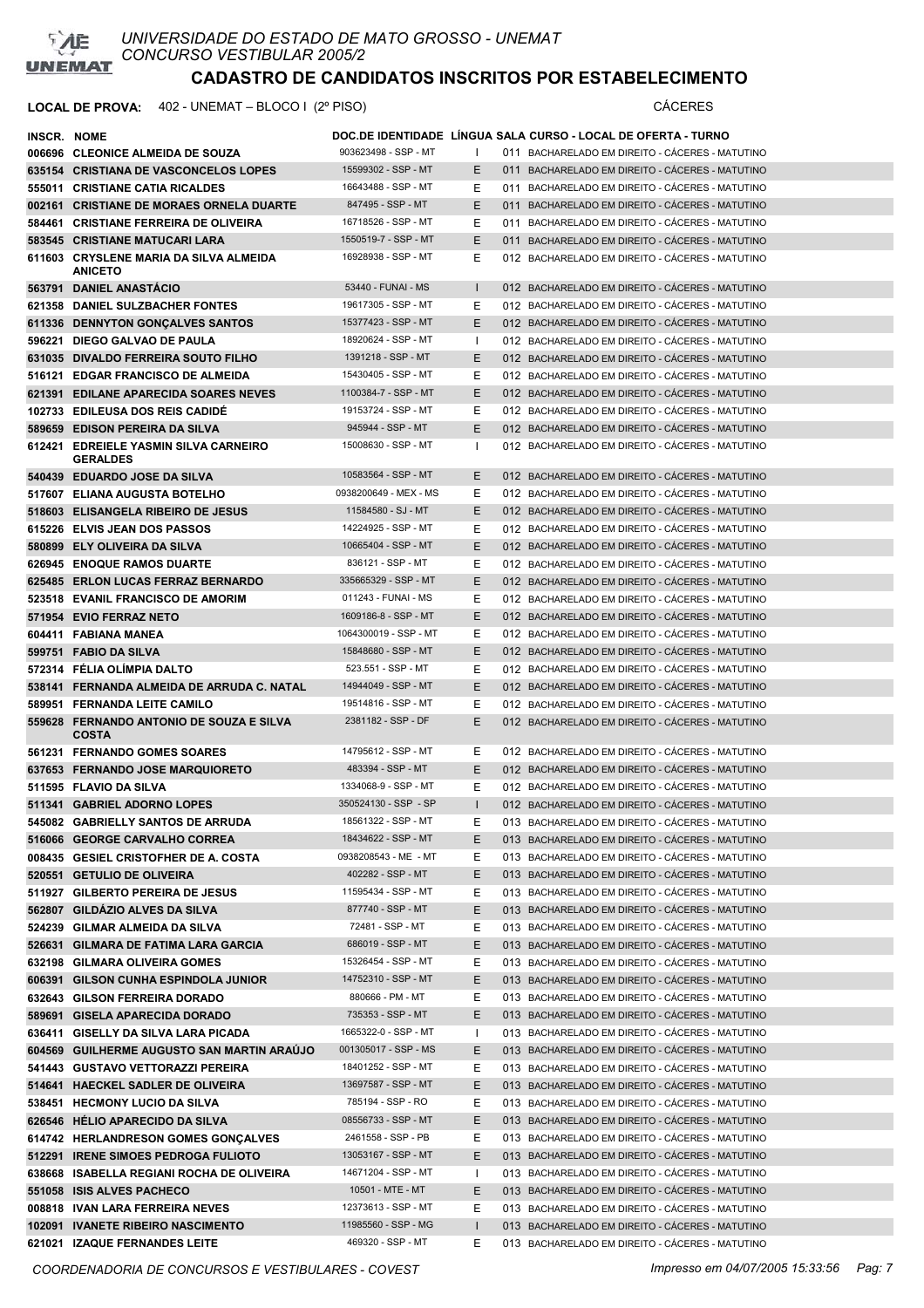

## **LOCAL DE PROVA:** 402 - UNEMAT – BLOCO I (2º PISO) CÁCERES

| INSCR. NOME |                                                                        |                                          |              | DOC.DE IDENTIDADE   LÍNGUA SALA CURSO - LOCAL DE OFERTA - TURNO                                    |
|-------------|------------------------------------------------------------------------|------------------------------------------|--------------|----------------------------------------------------------------------------------------------------|
|             | 006696 CLEONICE ALMEIDA DE SOUZA                                       | 903623498 - SSP - MT                     |              | 011 BACHARELADO EM DIREITO - CACERES - MATUTINO                                                    |
|             | 635154 CRISTIANA DE VASCONCELOS LOPES                                  | 15599302 - SSP - MT                      | E.           | 011 BACHARELADO EM DIREITO - CÁCERES - MATUTINO                                                    |
|             | 555011 CRISTIANE CATIA RICALDES                                        | 16643488 - SSP - MT                      | Е            | 011 BACHARELADO EM DIREITO - CÁCERES - MATUTINO                                                    |
|             | 002161 CRISTIANE DE MORAES ORNELA DUARTE                               | 847495 - SSP - MT                        | E.           | 011 BACHARELADO EM DIREITO - CÁCERES - MATUTINO                                                    |
|             | 584461 CRISTIANE FERREIRA DE OLIVEIRA                                  | 16718526 - SSP - MT                      | Е            | 011 BACHARELADO EM DIREITO - CÁCERES - MATUTINO                                                    |
|             | 583545 CRISTIANE MATUCARI LARA                                         | 1550519-7 - SSP - MT                     | Е            | 011 BACHARELADO EM DIREITO - CÁCERES - MATUTINO                                                    |
|             | 611603 CRYSLENE MARIA DA SILVA ALMEIDA<br><b>ANICETO</b>               | 16928938 - SSP - MT                      | Ε            | 012 BACHARELADO EM DIREITO - CÁCERES - MATUTINO                                                    |
|             | 563791 DANIEL ANASTÁCIO                                                | 53440 - FUNAI - MS                       | $\mathbf{I}$ | 012 BACHARELADO EM DIREITO - CÁCERES - MATUTINO                                                    |
|             | 621358 DANIEL SULZBACHER FONTES                                        | 19617305 - SSP - MT                      | Е            | 012 BACHARELADO EM DIREITO - CÁCERES - MATUTINO                                                    |
|             | 611336 DENNYTON GONCALVES SANTOS                                       | 15377423 - SSP - MT                      | Е            | 012 BACHARELADO EM DIREITO - CÁCERES - MATUTINO                                                    |
|             | 596221 DIEGO GALVAO DE PAULA                                           | 18920624 - SSP - MT                      |              | 012 BACHARELADO EM DIREITO - CÁCERES - MATUTINO                                                    |
|             | 631035 DIVALDO FERREIRA SOUTO FILHO                                    | 1391218 - SSP - MT                       | E            | 012 BACHARELADO EM DIREITO - CÁCERES - MATUTINO                                                    |
|             | 516121 EDGAR FRANCISCO DE ALMEIDA                                      | 15430405 - SSP - MT                      | Ε            | 012 BACHARELADO EM DIREITO - CÁCERES - MATUTINO                                                    |
|             | 621391 EDILANE APARECIDA SOARES NEVES                                  | 1100384-7 - SSP - MT                     | Е            | 012 BACHARELADO EM DIREITO - CÁCERES - MATUTINO                                                    |
|             | 102733 EDILEUSA DOS REIS CADIDE                                        | 19153724 - SSP - MT                      | Е            | 012 BACHARELADO EM DIREITO - CÁCERES - MATUTINO                                                    |
|             | 589659 EDISON PEREIRA DA SILVA                                         | 945944 - SSP - MT                        | Е            | 012 BACHARELADO EM DIREITO - CÁCERES - MATUTINO                                                    |
|             | 612421 EDREIELE YASMIN SILVA CARNEIRO<br><b>GERALDES</b>               | 15008630 - SSP - MT                      |              | 012 BACHARELADO EM DIREITO - CÁCERES - MATUTINO                                                    |
|             | 540439 EDUARDO JOSE DA SILVA                                           | 10583564 - SSP - MT                      | E.           | 012 BACHARELADO EM DIREITO - CÁCERES - MATUTINO                                                    |
|             | 517607 ELIANA AUGUSTA BOTELHO                                          | 0938200649 - MEX - MS                    | Е            | 012 BACHARELADO EM DIREITO - CÁCERES - MATUTINO                                                    |
|             | 518603 ELISANGELA RIBEIRO DE JESUS                                     | 11584580 - SJ - MT                       | Е            | 012 BACHARELADO EM DIREITO - CÁCERES - MATUTINO                                                    |
|             | 615226 ELVIS JEAN DOS PASSOS                                           | 14224925 - SSP - MT                      | Е            | 012 BACHARELADO EM DIREITO - CÁCERES - MATUTINO                                                    |
|             | 580899 ELY OLIVEIRA DA SILVA                                           | 10665404 - SSP - MT                      | Е            | 012 BACHARELADO EM DIREITO - CÁCERES - MATUTINO                                                    |
|             | 626945 ENOQUE RAMOS DUARTE                                             | 836121 - SSP - MT                        | Е            | 012 BACHARELADO EM DIREITO - CÁCERES - MATUTINO                                                    |
|             | 625485 ERLON LUCAS FERRAZ BERNARDO                                     | 335665329 - SSP - MT                     | E.           | 012 BACHARELADO EM DIREITO - CÁCERES - MATUTINO                                                    |
|             | 523518 EVANIL FRANCISCO DE AMORIM                                      | 011243 - FUNAI - MS                      | Ε            | 012 BACHARELADO EM DIREITO - CÁCERES - MATUTINO                                                    |
|             | 571954 EVIO FERRAZ NETO                                                | 1609186-8 - SSP - MT                     | E            | 012 BACHARELADO EM DIREITO - CÁCERES - MATUTINO                                                    |
|             | 604411 FABIANA MANEA                                                   | 1064300019 - SSP - MT                    | Е            | 012 BACHARELADO EM DIREITO - CÁCERES - MATUTINO                                                    |
|             | 599751 FABIO DA SILVA                                                  | 15848680 - SSP - MT                      | Е            | 012 BACHARELADO EM DIREITO - CÁCERES - MATUTINO                                                    |
|             | 572314 FÉLIA OLÍMPIA DALTO                                             | 523.551 - SSP - MT                       | Ε            | 012 BACHARELADO EM DIREITO - CÁCERES - MATUTINO                                                    |
|             | 538141 FERNANDA ALMEIDA DE ARRUDA C. NATAL                             | 14944049 - SSP - MT                      | Е            | 012 BACHARELADO EM DIREITO - CÁCERES - MATUTINO                                                    |
|             | 589951 FERNANDA LEITE CAMILO                                           | 19514816 - SSP - MT                      | Е            | 012 BACHARELADO EM DIREITO - CÁCERES - MATUTINO                                                    |
|             | 559628 FERNANDO ANTONIO DE SOUZA E SILVA<br><b>COSTA</b>               | 2381182 - SSP - DF                       | E.           | 012 BACHARELADO EM DIREITO - CÁCERES - MATUTINO                                                    |
|             | 561231 FERNANDO GOMES SOARES                                           | 14795612 - SSP - MT                      | Е            | 012 BACHARELADO EM DIREITO - CÁCERES - MATUTINO                                                    |
|             | 637653 FERNANDO JOSE MARQUIORETO                                       | 483394 - SSP - MT                        | Е            | 012 BACHARELADO EM DIREITO - CÁCERES - MATUTINO                                                    |
|             | 511595 FLAVIO DA SILVA                                                 | 1334068-9 - SSP - MT                     | Е            | 012 BACHARELADO EM DIREITO - CÁCERES - MATUTINO                                                    |
|             | 511341 GABRIEL ADORNO LOPES                                            | 350524130 - SSP - SP                     | $\mathbf{I}$ | 012 BACHARELADO EM DIREITO - CÁCERES - MATUTINO                                                    |
|             | 545082 GABRIELLY SANTOS DE ARRUDA                                      | 18561322 - SSP - MT                      | E.           | 013 BACHARELADO EM DIREITO - CÁCERES - MATUTINO                                                    |
|             | 516066 GEORGE CARVALHO CORREA                                          | 18434622 - SSP - MT                      | E            | 013 BACHARELADO EM DIREITO - CÁCERES - MATUTINO                                                    |
|             | 008435 GESIEL CRISTOFHER DE A. COSTA                                   | 0938208543 - ME - MT                     | Е            | 013 BACHARELADO EM DIREITO - CÁCERES - MATUTINO                                                    |
|             | 520551 GETULIO DE OLIVEIRA                                             | 402282 - SSP - MT                        | E.           | 013 BACHARELADO EM DIREITO - CÁCERES - MATUTINO                                                    |
|             | 511927 GILBERTO PEREIRA DE JESUS                                       | 11595434 - SSP - MT<br>877740 - SSP - MT | E.           | 013 BACHARELADO EM DIREITO - CÁCERES - MATUTINO                                                    |
|             | 562807 GILDÁZIO ALVES DA SILVA                                         | 72481 - SSP - MT                         | E.           | 013 BACHARELADO EM DIREITO - CÁCERES - MATUTINO                                                    |
|             | 524239 GILMAR ALMEIDA DA SILVA<br>526631 GILMARA DE FATIMA LARA GARCIA | 686019 - SSP - MT                        | Ε<br>Е       | 013 BACHARELADO EM DIREITO - CÁCERES - MATUTINO<br>013 BACHARELADO EM DIREITO - CÁCERES - MATUTINO |
|             | 632198 GILMARA OLIVEIRA GOMES                                          | 15326454 - SSP - MT                      | Е            | 013 BACHARELADO EM DIREITO - CÁCERES - MATUTINO                                                    |
|             | 606391 GILSON CUNHA ESPINDOLA JUNIOR                                   | 14752310 - SSP - MT                      | Ε            | 013 BACHARELADO EM DIREITO - CÁCERES - MATUTINO                                                    |
|             | 632643 GILSON FERREIRA DORADO                                          | 880666 - PM - MT                         | Ε            | 013 BACHARELADO EM DIREITO - CÁCERES - MATUTINO                                                    |
|             | 589691 GISELA APARECIDA DORADO                                         | 735353 - SSP - MT                        | Е            | 013 BACHARELADO EM DIREITO - CÁCERES - MATUTINO                                                    |
|             | 636411 GISELLY DA SILVA LARA PICADA                                    | 1665322-0 - SSP - MT                     |              | 013 BACHARELADO EM DIREITO - CÁCERES - MATUTINO                                                    |
|             | 604569 GUILHERME AUGUSTO SAN MARTIN ARAUJO                             | 001305017 - SSP - MS                     | Ε            | 013 BACHARELADO EM DIREITO - CÁCERES - MATUTINO                                                    |
|             | 541443 GUSTAVO VETTORAZZI PEREIRA                                      | 18401252 - SSP - MT                      | Ε            | 013 BACHARELADO EM DIREITO - CÁCERES - MATUTINO                                                    |
|             | 514641 HAECKEL SADLER DE OLIVEIRA                                      | 13697587 - SSP - MT                      | E.           | 013 BACHARELADO EM DIREITO - CÁCERES - MATUTINO                                                    |
|             | 538451 HECMONY LUCIO DA SILVA                                          | 785194 - SSP - RO                        | Ε            | 013 BACHARELADO EM DIREITO - CÁCERES - MATUTINO                                                    |
|             | 626546 HÉLIO APARECIDO DA SILVA                                        | 08556733 - SSP - MT                      | E.           | 013 BACHARELADO EM DIREITO - CÁCERES - MATUTINO                                                    |
|             | 614742 HERLANDRESON GOMES GONÇALVES                                    | 2461558 - SSP - PB                       | Е            | 013 BACHARELADO EM DIREITO - CÁCERES - MATUTINO                                                    |
|             | 512291 IRENE SIMOES PEDROGA FULIOTO                                    | 13053167 - SSP - MT                      | E.           | 013 BACHARELADO EM DIREITO - CÁCERES - MATUTINO                                                    |
|             | 638668 ISABELLA REGIANI ROCHA DE OLIVEIRA                              | 14671204 - SSP - MT                      |              | 013 BACHARELADO EM DIREITO - CÁCERES - MATUTINO                                                    |
|             | 551058 ISIS ALVES PACHECO                                              | 10501 - MTE - MT                         | E.           | 013 BACHARELADO EM DIREITO - CÁCERES - MATUTINO                                                    |
|             | 008818 IVAN LARA FERREIRA NEVES                                        | 12373613 - SSP - MT                      | Е            | 013 BACHARELADO EM DIREITO - CÁCERES - MATUTINO                                                    |
|             | 102091 IVANETE RIBEIRO NASCIMENTO                                      | 11985560 - SSP - MG                      |              | 013 BACHARELADO EM DIREITO - CÁCERES - MATUTINO                                                    |
|             | 621021 IZAQUE FERNANDES LEITE                                          | 469320 - SSP - MT                        | Е            | 013 BACHARELADO EM DIREITO - CÁCERES - MATUTINO                                                    |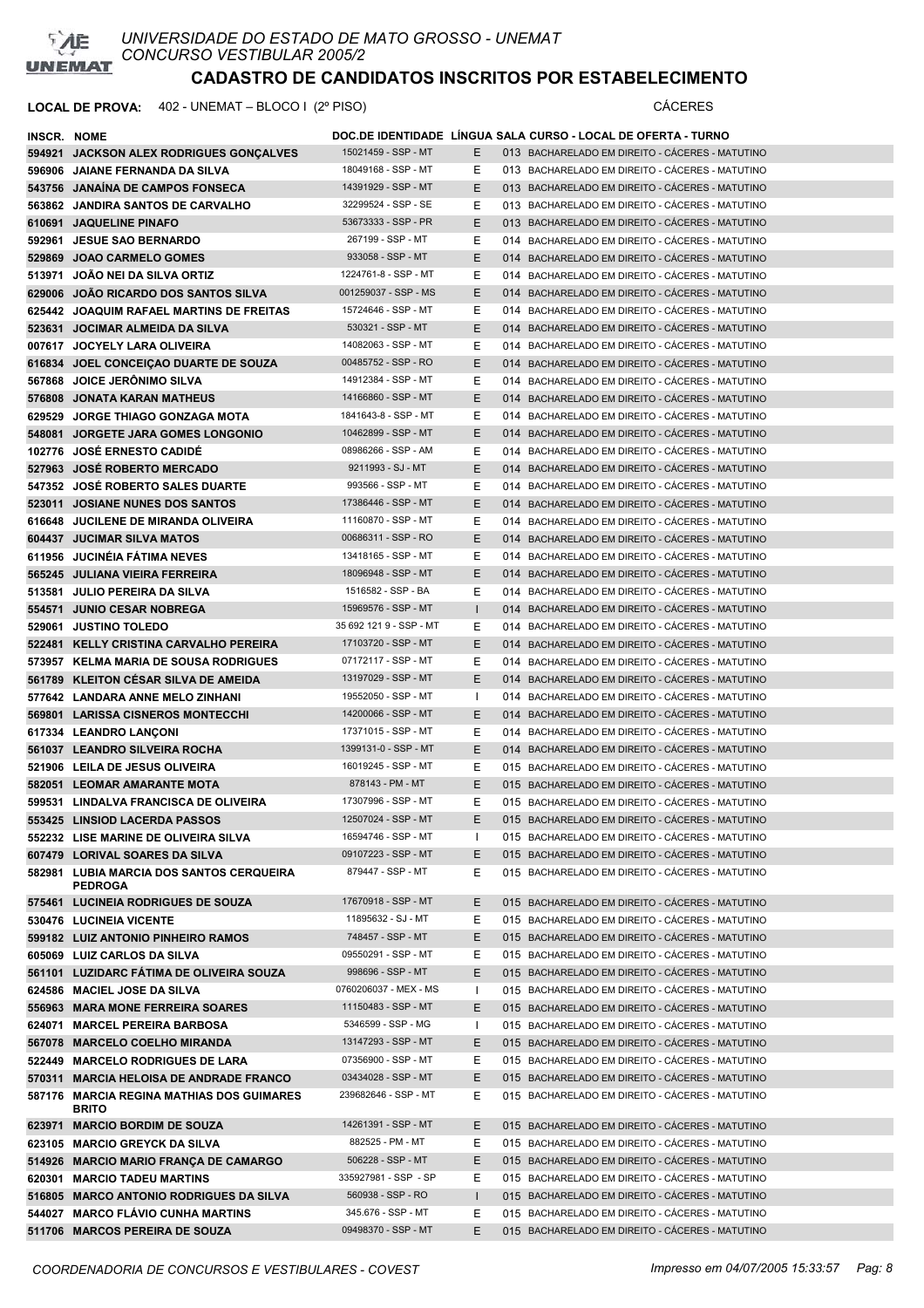

| INSCR. NOME |                                                                   |                                         |         | DOC.DE IDENTIDADE LINGUA SALA CURSO - LOCAL DE OFERTA - TURNO                                      |
|-------------|-------------------------------------------------------------------|-----------------------------------------|---------|----------------------------------------------------------------------------------------------------|
|             | 594921 JACKSON ALEX RODRIGUES GONCALVES                           | 15021459 - SSP - MT                     | E.      | 013 BACHARELADO EM DIREITO - CÁCERES - MATUTINO                                                    |
|             | 596906 JAIANE FERNANDA DA SILVA                                   | 18049168 - SSP - MT                     | E.      | 013 BACHARELADO EM DIREITO - CÁCERES - MATUTINO                                                    |
|             | 543756 JANAINA DE CAMPOS FONSECA                                  | 14391929 - SSP - MT                     | E.      | 013 BACHARELADO EM DIREITO - CÁCERES - MATUTINO                                                    |
|             | 563862 JANDIRA SANTOS DE CARVALHO                                 | 32299524 - SSP - SE                     | Ε       | 013 BACHARELADO EM DIREITO - CÁCERES - MATUTINO                                                    |
|             | 610691 JAQUELINE PINAFO                                           | 53673333 - SSP - PR                     | Ε       | 013 BACHARELADO EM DIREITO - CÁCERES - MATUTINO                                                    |
|             | 592961 JESUE SAO BERNARDO                                         | 267199 - SSP - MT                       | E       | 014 BACHARELADO EM DIREITO - CÁCERES - MATUTINO                                                    |
|             | 529869 JOAO CARMELO GOMES                                         | 933058 - SSP - MT                       | Ε       | 014 BACHARELADO EM DIREITO - CÁCERES - MATUTINO                                                    |
|             | 513971 JOAO NEI DA SILVA ORTIZ                                    | 1224761-8 - SSP - MT                    | Ε       | 014 BACHARELADO EM DIREITO - CACERES - MATUTINO                                                    |
|             | 629006 JOAO RICARDO DOS SANTOS SILVA                              | 001259037 - SSP - MS                    | E.      | 014 BACHARELADO EM DIREITO - CACERES - MATUTINO                                                    |
|             | 625442 JOAQUIM RAFAEL MARTINS DE FREITAS                          | 15724646 - SSP - MT                     | E.      | 014 BACHARELADO EM DIREITO - CÁCERES - MATUTINO                                                    |
|             | 523631 JOCIMAR ALMEIDA DA SILVA                                   | 530321 - SSP - MT                       | E.      | 014 BACHARELADO EM DIREITO - CÁCERES - MATUTINO                                                    |
|             | 007617 JOCYELY LARA OLIVEIRA                                      | 14082063 - SSP - MT                     | E.      | 014 BACHARELADO EM DIREITO - CACERES - MATUTINO                                                    |
|             | 616834 JOEL CONCEIÇAO DUARTE DE SOUZA                             | 00485752 - SSP - RO                     | E.      | 014 BACHARELADO EM DIREITO - CÁCERES - MATUTINO                                                    |
|             | 567868 JOICE JERÖNIMO SILVA                                       | 14912384 - SSP - MT                     | E.      | 014 BACHARELADO EM DIREITO - CÁCERES - MATUTINO                                                    |
|             | 576808 JONATA KARAN MATHEUS                                       | 14166860 - SSP - MT                     | E       | 014 BACHARELADO EM DIREITO - CÁCERES - MATUTINO                                                    |
|             | 629529 JORGE THIAGO GONZAGA MOTA                                  | 1841643-8 - SSP - MT                    | Е       | 014 BACHARELADO EM DIREITO - CÁCERES - MATUTINO                                                    |
|             | 548081 JORGETE JARA GOMES LONGONIO                                | 10462899 - SSP - MT                     | E.      | 014 BACHARELADO EM DIREITO - CÁCERES - MATUTINO                                                    |
|             | 102776 JOSÉ ERNESTO CADIDÉ                                        | 08986266 - SSP - AM                     | Ε       | 014 BACHARELADO EM DIREITO - CÁCERES - MATUTINO                                                    |
|             | 527963 JOSÉ ROBERTO MERCADO                                       | 9211993 - SJ - MT                       | E.      | 014 BACHARELADO EM DIREITO - CÁCERES - MATUTINO                                                    |
|             | 547352 JOSE ROBERTO SALES DUARTE                                  | 993566 - SSP - MT                       | Ε       | 014 BACHARELADO EM DIREITO - CÁCERES - MATUTINO                                                    |
|             | 523011 JOSIANE NUNES DOS SANTOS                                   | 17386446 - SSP - MT                     | Ε       | 014 BACHARELADO EM DIREITO - CÁCERES - MATUTINO                                                    |
|             | 616648 JUCILENE DE MIRANDA OLIVEIRA                               | 11160870 - SSP - MT                     | Ε       | 014 BACHARELADO EM DIREITO - CÁCERES - MATUTINO                                                    |
|             | 604437 JUCIMAR SILVA MATOS                                        | 00686311 - SSP - RO                     | Ε       | 014 BACHARELADO EM DIREITO - CÁCERES - MATUTINO                                                    |
|             | 611956 JUCINEIA FATIMA NEVES                                      | 13418165 - SSP - MT                     | Е       | 014 BACHARELADO EM DIREITO - CÁCERES - MATUTINO                                                    |
|             | 565245 JULIANA VIEIRA FERREIRA                                    | 18096948 - SSP - MT                     | E.      | 014 BACHARELADO EM DIREITO - CÁCERES - MATUTINO                                                    |
|             | 513581 JULIO PEREIRA DA SILVA                                     | 1516582 - SSP - BA                      | E       | 014 BACHARELADO EM DIREITO - CÁCERES - MATUTINO                                                    |
|             | 554571 JUNIO CESAR NOBREGA                                        | 15969576 - SSP - MT                     |         | 014 BACHARELADO EM DIREITO - CÁCERES - MATUTINO                                                    |
|             | 529061 JUSTINO TOLEDO                                             | 35 692 121 9 - SSP - MT                 | Ε       | 014 BACHARELADO EM DIREITO - CÁCERES - MATUTINO                                                    |
|             | 522481 KELLY CRISTINA CARVALHO PEREIRA                            | 17103720 - SSP - MT                     | E.      | 014 BACHARELADO EM DIREITO - CÁCERES - MATUTINO                                                    |
|             | 573957 KELMA MARIA DE SOUSA RODRIGUES                             | 07172117 - SSP - MT                     | E.      | 014 BACHARELADO EM DIREITO - CÁCERES - MATUTINO                                                    |
|             | 561789 KLEITON CESAR SILVA DE AMEIDA                              | 13197029 - SSP - MT                     | E.      | 014 BACHARELADO EM DIREITO - CACERES - MATUTINO                                                    |
|             | 577642 LANDARA ANNE MELO ZINHANI                                  | 19552050 - SSP - MT                     | л.      | 014 BACHARELADO EM DIREITO - CÁCERES - MATUTINO                                                    |
|             | 569801 LARISSA CISNEROS MONTECCHI                                 | 14200066 - SSP - MT                     | Е       | 014 BACHARELADO EM DIREITO - CÁCERES - MATUTINO                                                    |
|             | 617334 LEANDRO LANÇONI                                            | 17371015 - SSP - MT                     | Ε       | 014 BACHARELADO EM DIREITO - CACERES - MATUTINO                                                    |
|             | 561037 LEANDRO SILVEIRA ROCHA                                     | 1399131-0 - SSP - MT                    | E.      | 014 BACHARELADO EM DIREITO - CÁCERES - MATUTINO                                                    |
|             | 521906 LEILA DE JESUS OLIVEIRA                                    | 16019245 - SSP - MT                     | Е       | 015 BACHARELADO EM DIREITO - CACERES - MATUTINO                                                    |
|             | 582051 LEOMAR AMARANTE MOTA                                       | 878143 - PM - MT                        | E.      | 015 BACHARELADO EM DIREITO - CÁCERES - MATUTINO                                                    |
|             | 599531 LINDALVA FRANCISCA DE OLIVEIRA                             | 17307996 - SSP - MT                     | Е       | 015 BACHARELADO EM DIREITO - CÁCERES - MATUTINO                                                    |
|             | 553425 LINSIOD LACERDA PASSOS                                     | 12507024 - SSP - MT                     | E.      | 015 BACHARELADO EM DIREITO - CÁCERES - MATUTINO                                                    |
|             | 552232 LISE MARINE DE OLIVEIRA SILVA                              | 16594746 - SSP - MT                     |         | 015 BACHARELADO EM DIREITO - CÁCERES - MATUTINO                                                    |
|             | 607479 LORIVAL SOARES DA SILVA                                    | 09107223 - SSP - MT                     | Е       | 015 BACHARELADO EM DIREITO - CÁCERES - MATUTINO                                                    |
|             | 582981 LUBIA MARCIA DOS SANTOS CERQUEIRA                          | 879447 - SSP - MT                       | E.      | 015 BACHARELADO EM DIREITO - CÁCERES - MATUTINO                                                    |
|             | <b>PEDROGA</b>                                                    |                                         |         |                                                                                                    |
|             | 575461 LUCINEIA RODRIGUES DE SOUZA                                | 17670918 - SSP - MT                     | E.      | 015 BACHARELADO EM DIREITO - CÁCERES - MATUTINO                                                    |
|             | 530476 LUCINEIA VICENTE                                           | 11895632 - SJ - MT<br>748457 - SSP - MT | Ε       | 015 BACHARELADO EM DIREITO - CÁCERES - MATUTINO                                                    |
|             | 599182 LUIZ ANTONIO PINHEIRO RAMOS<br>605069 LUIZ CARLOS DA SILVA | 09550291 - SSP - MT                     | E       | 015 BACHARELADO EM DIREITO - CÁCERES - MATUTINO                                                    |
|             |                                                                   | 998696 - SSP - MT                       | Ε<br>E. | 015 BACHARELADO EM DIREITO - CÁCERES - MATUTINO                                                    |
|             | 561101 LUZIDARC FATIMA DE OLIVEIRA SOUZA                          | 0760206037 - MEX - MS                   | ш       | 015 BACHARELADO EM DIREITO - CÁCERES - MATUTINO<br>015 BACHARELADO EM DIREITO - CÁCERES - MATUTINO |
|             | 624586 MACIEL JOSE DA SILVA<br>556963 MARA MONE FERREIRA SOARES   | 11150483 - SSP - MT                     | E.      | 015 BACHARELADO EM DIREITO - CÁCERES - MATUTINO                                                    |
|             | 624071 MARCEL PEREIRA BARBOSA                                     | 5346599 - SSP - MG                      | -1      | 015 BACHARELADO EM DIREITO - CÁCERES - MATUTINO                                                    |
|             | 567078 MARCELO COELHO MIRANDA                                     | 13147293 - SSP - MT                     | Ε       | 015 BACHARELADO EM DIREITO - CÁCERES - MATUTINO                                                    |
|             | 522449 MARCELO RODRIGUES DE LARA                                  | 07356900 - SSP - MT                     | Ε       | 015 BACHARELADO EM DIREITO - CÁCERES - MATUTINO                                                    |
|             | 570311 MARCIA HELOISA DE ANDRADE FRANCO                           | 03434028 - SSP - MT                     | Ε       | 015 BACHARELADO EM DIREITO - CÁCERES - MATUTINO                                                    |
|             | 587176 MARCIA REGINA MATHIAS DOS GUIMARES                         | 239682646 - SSP - MT                    | Ε       | 015 BACHARELADO EM DIREITO - CACERES - MATUTINO                                                    |
|             | <b>BRITO</b>                                                      |                                         |         |                                                                                                    |
|             | 623971 MARCIO BORDIM DE SOUZA                                     | 14261391 - SSP - MT                     | E.      | 015 BACHARELADO EM DIREITO - CÁCERES - MATUTINO                                                    |
|             | 623105 MARCIO GREYCK DA SILVA                                     | 882525 - PM - MT                        | Ε       | 015 BACHARELADO EM DIREITO - CÁCERES - MATUTINO                                                    |
|             | 514926 MARCIO MARIO FRANÇA DE CAMARGO                             | 506228 - SSP - MT                       | Ε       | 015 BACHARELADO EM DIREITO - CÁCERES - MATUTINO                                                    |
|             | 620301 MARCIO TADEU MARTINS                                       | 335927981 - SSP - SP                    | E       | 015 BACHARELADO EM DIREITO - CÁCERES - MATUTINO                                                    |
|             | 516805 MARCO ANTONIO RODRIGUES DA SILVA                           | 560938 - SSP - RO                       |         | 015 BACHARELADO EM DIREITO - CÁCERES - MATUTINO                                                    |
|             | 544027 MARCO FLAVIO CUNHA MARTINS                                 | 345.676 - SSP - MT                      | Ε       | 015 BACHARELADO EM DIREITO - CÁCERES - MATUTINO                                                    |
|             | 511706 MARCOS PEREIRA DE SOUZA                                    | 09498370 - SSP - MT                     | E.      | 015 BACHARELADO EM DIREITO - CÁCERES - MATUTINO                                                    |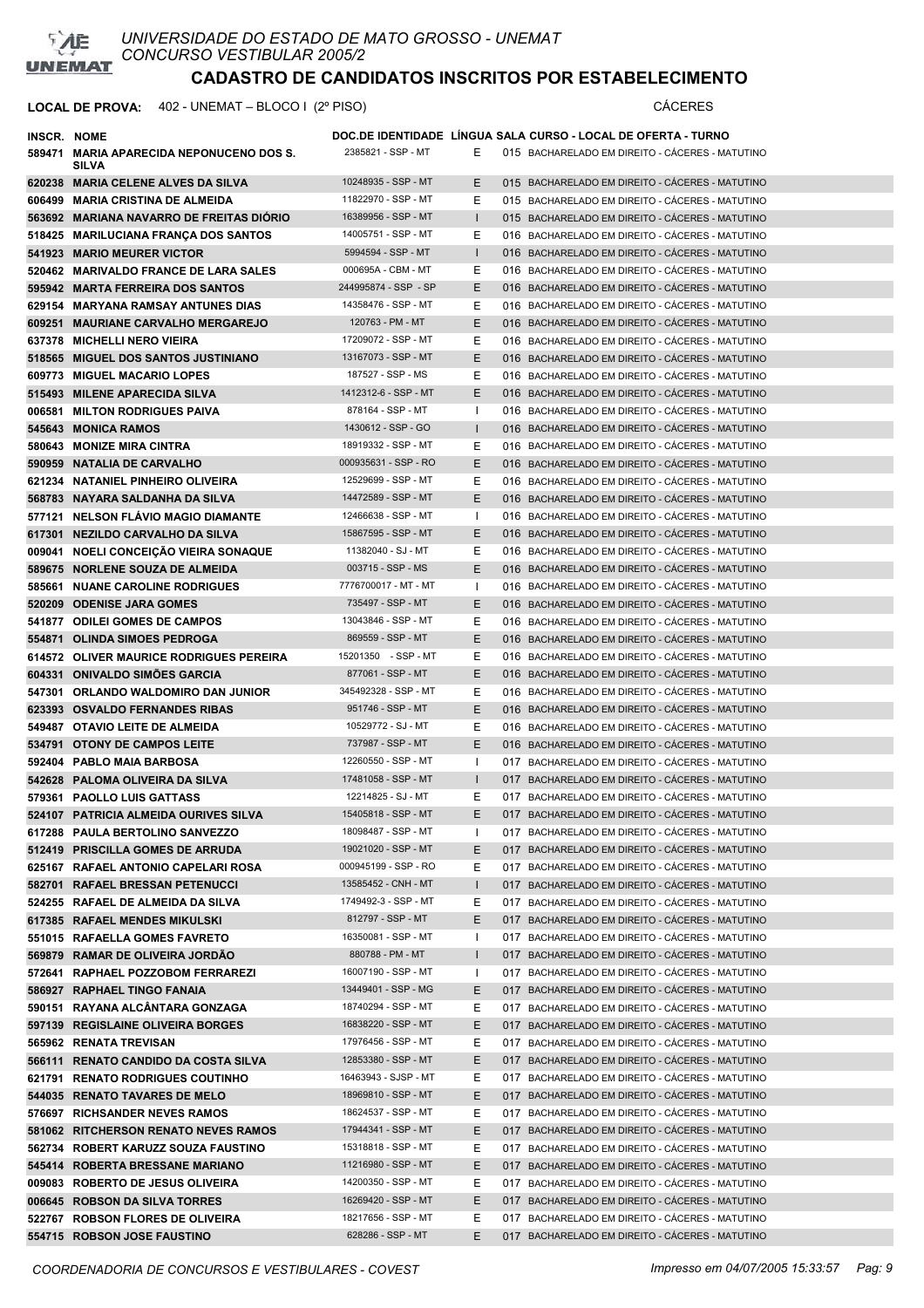

**LOCAL DE PROVA:** 402 - UNEMAT – BLOCO I (2º PISO) CÁCERES

| INSCR. NOME |                                          |                                          |              | DOC.DE IDENTIDADE LÍNGUA SALA CURSO - LOCAL DE OFERTA - TURNO |
|-------------|------------------------------------------|------------------------------------------|--------------|---------------------------------------------------------------|
|             | 589471 MARIA APARECIDA NEPONUCENO DOS S. | 2385821 - SSP - MT                       | Е            | 015 BACHARELADO EM DIREITO - CACERES - MATUTINO               |
|             | <b>SILVA</b>                             |                                          |              |                                                               |
|             | 620238 MARIA CELENE ALVES DA SILVA       | 10248935 - SSP - MT                      | E.           | 015 BACHARELADO EM DIREITO - CÁCERES - MATUTINO               |
|             | 606499 MARIA CRISTINA DE ALMEIDA         | 11822970 - SSP - MT                      | Е            | 015 BACHARELADO EM DIREITO - CÁCERES - MATUTINO               |
|             | 563692 MARIANA NAVARRO DE FREITAS DIÓRIO | 16389956 - SSP - MT                      |              | 015 BACHARELADO EM DIREITO - CÁCERES - MATUTINO               |
|             | 518425 MARILUCIANA FRANÇA DOS SANTOS     | 14005751 - SSP - MT                      | Е            | 016 BACHARELADO EM DIREITO - CÁCERES - MATUTINO               |
|             | 541923 MARIO MEURER VICTOR               | 5994594 - SSP - MT                       | $\mathbf{L}$ | 016 BACHARELADO EM DIREITO - CÁCERES - MATUTINO               |
|             | 520462 MARIVALDO FRANCE DE LARA SALES    | 000695A - CBM - MT                       | E.           | 016 BACHARELADO EM DIREITO - CÁCERES - MATUTINO               |
|             | 595942 MARTA FERREIRA DOS SANTOS         | 244995874 - SSP - SP                     | E.           | 016 BACHARELADO EM DIREITO - CÁCERES - MATUTINO               |
|             | 629154 MARYANA RAMSAY ANTUNES DIAS       | 14358476 - SSP - MT                      | Е            | 016 BACHARELADO EM DIREITO - CÁCERES - MATUTINO               |
|             | 609251 MAURIANE CARVALHO MERGAREJO       | 120763 - PM - MT                         | E.           | 016 BACHARELADO EM DIREITO - CÁCERES - MATUTINO               |
|             |                                          | 17209072 - SSP - MT                      | Е            |                                                               |
|             | 637378 MICHELLI NERO VIEIRA              |                                          |              | 016 BACHARELADO EM DIREITO - CÁCERES - MATUTINO               |
|             | 518565 MIGUEL DOS SANTOS JUSTINIANO      | 13167073 - SSP - MT<br>187527 - SSP - MS | E.           | 016 BACHARELADO EM DIREITO - CÁCERES - MATUTINO               |
|             | 609773 MIGUEL MACARIO LOPES              |                                          | Е            | 016 BACHARELADO EM DIREITO - CÁCERES - MATUTINO               |
|             | 515493 MILENE APARECIDA SILVA            | 1412312-6 - SSP - MT                     | E.           | 016 BACHARELADO EM DIREITO - CÁCERES - MATUTINO               |
|             | 006581 MILTON RODRIGUES PAIVA            | 878164 - SSP - MT                        |              | 016 BACHARELADO EM DIREITO - CÁCERES - MATUTINO               |
|             | 545643 MONICA RAMOS                      | 1430612 - SSP - GO                       | $\mathbf{L}$ | 016 BACHARELADO EM DIREITO - CÁCERES - MATUTINO               |
|             | 580643 MONIZE MIRA CINTRA                | 18919332 - SSP - MT                      | Е            | 016 BACHARELADO EM DIREITO - CÁCERES - MATUTINO               |
|             | 590959 NATALIA DE CARVALHO               | 000935631 - SSP - RO                     | E.           | 016 BACHARELADO EM DIREITO - CÁCERES - MATUTINO               |
|             | 621234 NATANIEL PINHEIRO OLIVEIRA        | 12529699 - SSP - MT                      | Е            | 016 BACHARELADO EM DIREITO - CÁCERES - MATUTINO               |
|             | 568783 NAYARA SALDANHA DA SILVA          | 14472589 - SSP - MT                      | E.           | 016 BACHARELADO EM DIREITO - CÁCERES - MATUTINO               |
|             | 577121 NELSON FLAVIO MAGIO DIAMANTE      | 12466638 - SSP - MT                      | ı.           | 016 BACHARELADO EM DIREITO - CÁCERES - MATUTINO               |
|             | 617301 NEZILDO CARVALHO DA SILVA         | 15867595 - SSP - MT                      | E.           | 016 BACHARELADO EM DIREITO - CÁCERES - MATUTINO               |
|             | 009041 NOELI CONCEIÇÃO VIEIRA SONAQUE    | 11382040 - SJ - MT                       | Е            | 016 BACHARELADO EM DIREITO - CACERES - MATUTINO               |
|             | 589675 NORLENE SOUZA DE ALMEIDA          | 003715 - SSP - MS                        | E.           | 016 BACHARELADO EM DIREITO - CÁCERES - MATUTINO               |
|             | 585661 NUANE CAROLINE RODRIGUES          | 7776700017 - MT - MT                     | Т.           | 016 BACHARELADO EM DIREITO - CACERES - MATUTINO               |
|             | 520209 ODENISE JARA GOMES                | 735497 - SSP - MT                        | E.           | 016 BACHARELADO EM DIREITO - CÁCERES - MATUTINO               |
|             | 541877 ODILEI GOMES DE CAMPOS            | 13043846 - SSP - MT                      | Е            | 016 BACHARELADO EM DIREITO - CACERES - MATUTINO               |
|             | 554871 OLINDA SIMOES PEDROGA             | 869559 - SSP - MT                        | E.           | 016 BACHARELADO EM DIREITO - CACERES - MATUTINO               |
|             | 614572 OLIVER MAURICE RODRIGUES PEREIRA  | 15201350 - SSP - MT                      | Е            | 016 BACHARELADO EM DIREITO - CACERES - MATUTINO               |
|             | 604331 ONIVALDO SIMOES GARCIA            | 877061 - SSP - MT                        | E.           | 016 BACHARELADO EM DIREITO - CÁCERES - MATUTINO               |
|             | 547301 ORLANDO WALDOMIRO DAN JUNIOR      | 345492328 - SSP - MT                     | Е            | 016 BACHARELADO EM DIREITO - CACERES - MATUTINO               |
|             | 623393 OSVALDO FERNANDES RIBAS           | 951746 - SSP - MT                        | E.           | 016 BACHARELADO EM DIREITO - CÁCERES - MATUTINO               |
|             | 549487 OTAVIO LEITE DE ALMEIDA           | 10529772 - SJ - MT                       | Е            | 016 BACHARELADO EM DIREITO - CÁCERES - MATUTINO               |
|             | 534791 OTONY DE CAMPOS LEITE             | 737987 - SSP - MT                        | E.           | 016 BACHARELADO EM DIREITO - CÁCERES - MATUTINO               |
|             | 592404 PABLO MAIA BARBOSA                | 12260550 - SSP - MT                      | ı.           | 017 BACHARELADO EM DIREITO - CACERES - MATUTINO               |
|             | 542628 PALOMA OLIVEIRA DA SILVA          | 17481058 - SSP - MT                      | $\mathbf{I}$ | 017 BACHARELADO EM DIREITO - CÁCERES - MATUTINO               |
|             | 579361 PAOLLO LUIS GATTASS               | 12214825 - SJ - MT                       | Е            | 017 BACHARELADO EM DIREITO - CÁCERES - MATUTINO               |
|             | 524107 PATRICIA ALMEIDA OURIVES SILVA    | 15405818 - SSP - MT                      | E            | 017 BACHARELADO EM DIREITO - CÁCERES - MATUTINO               |
|             | 617288 PAULA BERTOLINO SANVEZZO          | 18098487 - SSP - MT                      |              | 017 BACHARELADO EM DIREITO - CÁCERES - MATUTINO               |
|             | 512419 PRISCILLA GOMES DE ARRUDA         | 19021020 - SSP - MT                      | Е            | 017 BACHARELADO EM DIREITO - CÁCERES - MATUTINO               |
|             | 625167 RAFAEL ANTONIO CAPELARI ROSA      | 000945199 - SSP - RO                     | Е            | 017 BACHARELADO EM DIREITO - CÁCERES - MATUTINO               |
|             | 582701 RAFAEL BRESSAN PETENUCCI          | 13585452 - CNH - MT                      | L            | 017 BACHARELADO EM DIREITO - CÁCERES - MATUTINO               |
|             | 524255 RAFAEL DE ALMEIDA DA SILVA        | 1749492-3 - SSP - MT                     | Е            | 017 BACHARELADO EM DIREITO - CÁCERES - MATUTINO               |
|             | 617385 RAFAEL MENDES MIKULSKI            | 812797 - SSP - MT                        | Е            | 017 BACHARELADO EM DIREITO - CÁCERES - MATUTINO               |
|             | 551015 RAFAELLA GOMES FAVRETO            | 16350081 - SSP - MT                      | L            | 017 BACHARELADO EM DIREITO - CÁCERES - MATUTINO               |
|             | 569879 RAMAR DE OLIVEIRA JORDÃO          | 880788 - PM - MT                         | $\mathbf{I}$ | 017 BACHARELADO EM DIREITO - CÁCERES - MATUTINO               |
|             | 572641 RAPHAEL POZZOBOM FERRAREZI        | 16007190 - SSP - MT                      | I.           | 017 BACHARELADO EM DIREITO - CÁCERES - MATUTINO               |
|             | 586927 RAPHAEL TINGO FANAIA              | 13449401 - SSP - MG                      | E.           | 017 BACHARELADO EM DIREITO - CÁCERES - MATUTINO               |
|             | 590151 RAYANA ALCÂNTARA GONZAGA          | 18740294 - SSP - MT                      | Е            | 017 BACHARELADO EM DIREITO - CÁCERES - MATUTINO               |
|             | 597139 REGISLAINE OLIVEIRA BORGES        | 16838220 - SSP - MT                      | Е            | 017 BACHARELADO EM DIREITO - CÁCERES - MATUTINO               |
|             | 565962 RENATA TREVISAN                   | 17976456 - SSP - MT                      | Е            | 017 BACHARELADO EM DIREITO - CÁCERES - MATUTINO               |
|             | 566111 RENATO CANDIDO DA COSTA SILVA     | 12853380 - SSP - MT                      | E.           | 017 BACHARELADO EM DIREITO - CÁCERES - MATUTINO               |
|             | 621791 RENATO RODRIGUES COUTINHO         | 16463943 - SJSP - MT                     | Е            | 017 BACHARELADO EM DIREITO - CÁCERES - MATUTINO               |
|             | 544035 RENATO TAVARES DE MELO            | 18969810 - SSP - MT                      | E.           | 017 BACHARELADO EM DIREITO - CÁCERES - MATUTINO               |
|             | 576697 RICHSANDER NEVES RAMOS            | 18624537 - SSP - MT                      | Е            | 017 BACHARELADO EM DIREITO - CÁCERES - MATUTINO               |
|             | 581062 RITCHERSON RENATO NEVES RAMOS     | 17944341 - SSP - MT                      | E.           | 017 BACHARELADO EM DIREITO - CÁCERES - MATUTINO               |
|             | 562734 ROBERT KARUZZ SOUZA FAUSTINO      | 15318818 - SSP - MT                      | Е            | 017 BACHARELADO EM DIREITO - CACERES - MATUTINO               |
|             | 545414 ROBERTA BRESSANE MARIANO          | 11216980 - SSP - MT                      | E.           | 017 BACHARELADO EM DIREITO - CÁCERES - MATUTINO               |
|             | 009083 ROBERTO DE JESUS OLIVEIRA         | 14200350 - SSP - MT                      | Е            | 017 BACHARELADO EM DIREITO - CACERES - MATUTINO               |
|             | 006645 ROBSON DA SILVA TORRES            | 16269420 - SSP - MT                      | E.           | 017 BACHARELADO EM DIREITO - CÁCERES - MATUTINO               |
|             | 522767 ROBSON FLORES DE OLIVEIRA         | 18217656 - SSP - MT                      | Е            | 017 BACHARELADO EM DIREITO - CÁCERES - MATUTINO               |
|             | 554715 ROBSON JOSE FAUSTINO              | 628286 - SSP - MT                        | Е            | 017 BACHARELADO EM DIREITO - CÁCERES - MATUTINO               |
|             |                                          |                                          |              |                                                               |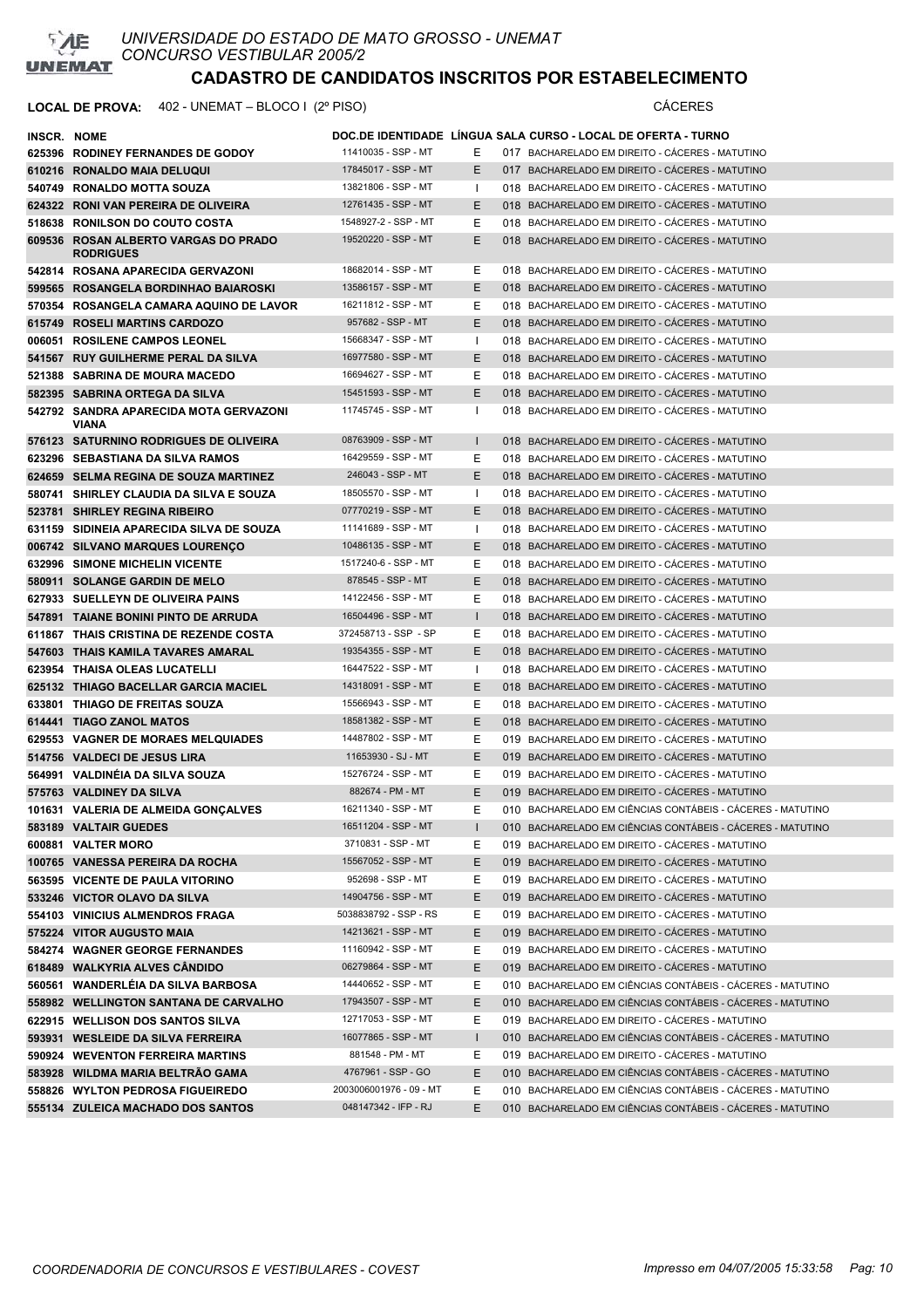

| INSCR. NOME |                                                          |                                           |              | DOC.DE IDENTIDADE LINGUA SALA CURSO - LOCAL DE OFERTA - TURNO                                                            |
|-------------|----------------------------------------------------------|-------------------------------------------|--------------|--------------------------------------------------------------------------------------------------------------------------|
|             | 625396 RODINEY FERNANDES DE GODOY                        | 11410035 - SSP - MT                       | ь.           | 017 BACHARELADO EM DIREITO - CACERES - MATUTINO                                                                          |
|             | 610216 RONALDO MAIA DELUQUI                              | 17845017 - SSP - MT                       | E            | 017 BACHARELADO EM DIREITO - CÁCERES - MATUTINO                                                                          |
|             | 540749 RONALDO MOTTA SOUZA                               | 13821806 - SSP - MT                       | $\mathbf{I}$ | 018 BACHARELADO EM DIREITO - CÁCERES - MATUTINO                                                                          |
|             | 624322 RONI VAN PEREIRA DE OLIVEIRA                      | 12761435 - SSP - MT                       | E            | 018 BACHARELADO EM DIREITO - CÁCERES - MATUTINO                                                                          |
|             | 518638 RONILSON DO COUTO COSTA                           | 1548927-2 - SSP - MT                      | Е            | 018 BACHARELADO EM DIREITO - CÁCERES - MATUTINO                                                                          |
|             | 609536 ROSAN ALBERTO VARGAS DO PRADO<br><b>RODRIGUES</b> | 19520220 - SSP - MT                       | E            | 018 BACHARELADO EM DIREITO - CÁCERES - MATUTINO                                                                          |
|             | 542814 ROSANA APARECIDA GERVAZONI                        | 18682014 - SSP - MT                       | Е            | 018 BACHARELADO EM DIREITO - CÁCERES - MATUTINO                                                                          |
|             | 599565 ROSANGELA BORDINHAO BAIAROSKI                     | 13586157 - SSP - MT                       | E            | 018 BACHARELADO EM DIREITO - CÁCERES - MATUTINO                                                                          |
|             | 570354 ROSANGELA CAMARA AQUINO DE LAVOR                  | 16211812 - SSP - MT                       | Е            | 018 BACHARELADO EM DIREITO - CÁCERES - MATUTINO                                                                          |
|             | 615749 ROSELI MARTINS CARDOZO                            | 957682 - SSP - MT                         | Е            | 018 BACHARELADO EM DIREITO - CÁCERES - MATUTINO                                                                          |
|             | 006051 ROSILENE CAMPOS LEONEL                            | 15668347 - SSP - MT                       | Ι.           | 018 BACHARELADO EM DIREITO - CÁCERES - MATUTINO                                                                          |
|             | 541567 RUY GUILHERME PERAL DA SILVA                      | 16977580 - SSP - MT                       | E            | 018 BACHARELADO EM DIREITO - CACERES - MATUTINO                                                                          |
|             | 521388 SABRINA DE MOURA MACEDO                           | 16694627 - SSP - MT                       | Е            | 018 BACHARELADO EM DIREITO - CÁCERES - MATUTINO                                                                          |
|             | 582395 SABRINA ORTEGA DA SILVA                           | 15451593 - SSP - MT                       | E            | 018 BACHARELADO EM DIREITO - CÁCERES - MATUTINO                                                                          |
|             | 542792 SANDRA APARECIDA MOTA GERVAZONI<br><b>VIANA</b>   | 11745745 - SSP - MT                       | л.           | 018 BACHARELADO EM DIREITO - CÁCERES - MATUTINO                                                                          |
|             | 576123 SATURNINO RODRIGUES DE OLIVEIRA                   | 08763909 - SSP - MT                       | $\mathbf{L}$ | 018 BACHARELADO EM DIREITO - CÁCERES - MATUTINO                                                                          |
|             | 623296 SEBASTIANA DA SILVA RAMOS                         | 16429559 - SSP - MT                       | Е            | 018 BACHARELADO EM DIREITO - CÁCERES - MATUTINO                                                                          |
|             | 624659 SELMA REGINA DE SOUZA MARTINEZ                    | 246043 - SSP - MT                         | E            | 018 BACHARELADO EM DIREITO - CÁCERES - MATUTINO                                                                          |
|             | 580741 SHIRLEY CLAUDIA DA SILVA E SOUZA                  | 18505570 - SSP - MT                       |              | 018 BACHARELADO EM DIREITO - CÁCERES - MATUTINO                                                                          |
|             | 523781 SHIRLEY REGINA RIBEIRO                            | 07770219 - SSP - MT                       | E            | 018 BACHARELADO EM DIREITO - CÁCERES - MATUTINO                                                                          |
|             | 631159 SIDINEIA APARECIDA SILVA DE SOUZA                 | 11141689 - SSP - MT                       | $\mathbf{I}$ | 018 BACHARELADO EM DIREITO - CÁCERES - MATUTINO                                                                          |
|             | 006742 SILVANO MARQUES LOURENCO                          | 10486135 - SSP - MT                       | E            | 018 BACHARELADO EM DIREITO - CÁCERES - MATUTINO                                                                          |
|             | 632996 SIMONE MICHELIN VICENTE                           | 1517240-6 - SSP - MT                      | Е            | 018 BACHARELADO EM DIREITO - CÁCERES - MATUTINO                                                                          |
|             | 580911 SOLANGE GARDIN DE MELO                            | 878545 - SSP - MT                         | E            | 018 BACHARELADO EM DIREITO - CÁCERES - MATUTINO                                                                          |
|             | 627933 SUELLEYN DE OLIVEIRA PAINS                        | 14122456 - SSP - MT                       | Е            | 018 BACHARELADO EM DIREITO - CÁCERES - MATUTINO                                                                          |
|             | 547891 TAIANE BONINI PINTO DE ARRUDA                     | 16504496 - SSP - MT                       | $\mathbf{I}$ | 018 BACHARELADO EM DIREITO - CÁCERES - MATUTINO                                                                          |
|             | 611867 THAIS CRISTINA DE REZENDE COSTA                   | 372458713 - SSP - SP                      | Е            | 018 BACHARELADO EM DIREITO - CÁCERES - MATUTINO                                                                          |
|             | 547603 THAIS KAMILA TAVARES AMARAL                       | 19354355 - SSP - MT                       | E            | 018 BACHARELADO EM DIREITO - CÁCERES - MATUTINO                                                                          |
|             | 623954 THAISA OLEAS LUCATELLI                            | 16447522 - SSP - MT                       | $\mathbf{I}$ | 018 BACHARELADO EM DIREITO - CÁCERES - MATUTINO                                                                          |
|             | 625132 THIAGO BACELLAR GARCIA MACIEL                     | 14318091 - SSP - MT                       | E            | 018 BACHARELADO EM DIREITO - CACERES - MATUTINO                                                                          |
|             | 633801 THIAGO DE FREITAS SOUZA                           | 15566943 - SSP - MT                       | Е            | 018 BACHARELADO EM DIREITO - CÁCERES - MATUTINO                                                                          |
|             | 614441 TIAGO ZANOL MATOS                                 | 18581382 - SSP - MT                       | E            | 018 BACHARELADO EM DIREITO - CACERES - MATUTINO                                                                          |
|             | 629553 VAGNER DE MORAES MELQUIADES                       | 14487802 - SSP - MT                       | Е            | 019 BACHARELADO EM DIREITO - CÁCERES - MATUTINO                                                                          |
|             | 514756 VALDECI DE JESUS LIRA                             | 11653930 - SJ - MT<br>15276724 - SSP - MT | E            | 019 BACHARELADO EM DIREITO - CÁCERES - MATUTINO                                                                          |
|             | 564991 VALDINEIA DA SILVA SOUZA                          |                                           | Е            | 019 BACHARELADO EM DIREITO - CÁCERES - MATUTINO                                                                          |
|             | 575763 VALDINEY DA SILVA                                 | 882674 - PM - MT<br>16211340 - SSP - MT   | E<br>E       | 019 BACHARELADO EM DIREITO - CÁCERES - MATUTINO                                                                          |
|             | 101631 VALERIA DE ALMEIDA GONCALVES                      | 16511204 - SSP - MT                       |              | 010 BACHARELADO EM CIÊNCIAS CONTÁBEIS - CÁCERES - MATUTINO<br>010 BACHARELADO EM CIÊNCIAS CONTÁBEIS - CÁCERES - MATUTINO |
|             | 583189 VALTAIR GUEDES<br>600881 VALTER MORO              | 3710831 - SSP - MT                        | L<br>Е       | 019 BACHARELADO EM DIREITO - CÁCERES - MATUTINO                                                                          |
|             | 100765 VANESSA PEREIRA DA ROCHA                          | 15567052 - SSP - MT                       | Е            | 019 BACHARELADO EM DIREITO - CÁCERES - MATUTINO                                                                          |
|             | 563595 VICENTE DE PAULA VITORINO                         | 952698 - SSP - MT                         | Е            | 019 BACHARELADO EM DIREITO - CÁCERES - MATUTINO                                                                          |
|             | 533246 VICTOR OLAVO DA SILVA                             | 14904756 - SSP - MT                       | Е            | 019 BACHARELADO EM DIREITO - CÁCERES - MATUTINO                                                                          |
|             | 554103 VINICIUS ALMENDROS FRAGA                          | 5038838792 - SSP - RS                     | Е            | 019 BACHARELADO EM DIREITO - CÁCERES - MATUTINO                                                                          |
|             | 575224 VITOR AUGUSTO MAIA                                | 14213621 - SSP - MT                       | E            | 019 BACHARELADO EM DIREITO - CÁCERES - MATUTINO                                                                          |
|             | 584274 WAGNER GEORGE FERNANDES                           | 11160942 - SSP - MT                       | Е            | 019 BACHARELADO EM DIREITO - CÁCERES - MATUTINO                                                                          |
|             | 618489 WALKYRIA ALVES CANDIDO                            | 06279864 - SSP - MT                       | E            | 019 BACHARELADO EM DIREITO - CÁCERES - MATUTINO                                                                          |
|             | 560561 WANDERLEIA DA SILVA BARBOSA                       | 14440652 - SSP - MT                       | Е            | 010 BACHARELADO EM CIÊNCIAS CONTÁBEIS - CÁCERES - MATUTINO                                                               |
|             | 558982 WELLINGTON SANTANA DE CARVALHO                    | 17943507 - SSP - MT                       | E            | 010 BACHARELADO EM CIÊNCIAS CONTÁBEIS - CÁCERES - MATUTINO                                                               |
|             | 622915 WELLISON DOS SANTOS SILVA                         | 12717053 - SSP - MT                       | Е            | 019 BACHARELADO EM DIREITO - CACERES - MATUTINO                                                                          |
|             | 593931 WESLEIDE DA SILVA FERREIRA                        | 16077865 - SSP - MT                       | L            | 010 BACHARELADO EM CIÊNCIAS CONTÁBEIS - CÁCERES - MATUTINO                                                               |
|             | 590924 WEVENTON FERREIRA MARTINS                         | 881548 - PM - MT                          | Е            | 019 BACHARELADO EM DIREITO - CÁCERES - MATUTINO                                                                          |
|             | 583928 WILDMA MARIA BELTRÃO GAMA                         | 4767961 - SSP - GO                        | E            | 010 BACHARELADO EM CIÊNCIAS CONTÁBEIS - CÁCERES - MATUTINO                                                               |
|             | 558826 WYLTON PEDROSA FIGUEIREDO                         | 2003006001976 - 09 - MT                   | Е            | 010 BACHARELADO EM CIÊNCIAS CONTÁBEIS - CÁCERES - MATUTINO                                                               |
|             | 555134 ZULEICA MACHADO DOS SANTOS                        | 048147342 - IFP - RJ                      | Е            | 010 BACHARELADO EM CIÊNCIAS CONTÁBEIS - CÁCERES - MATUTINO                                                               |
|             |                                                          |                                           |              |                                                                                                                          |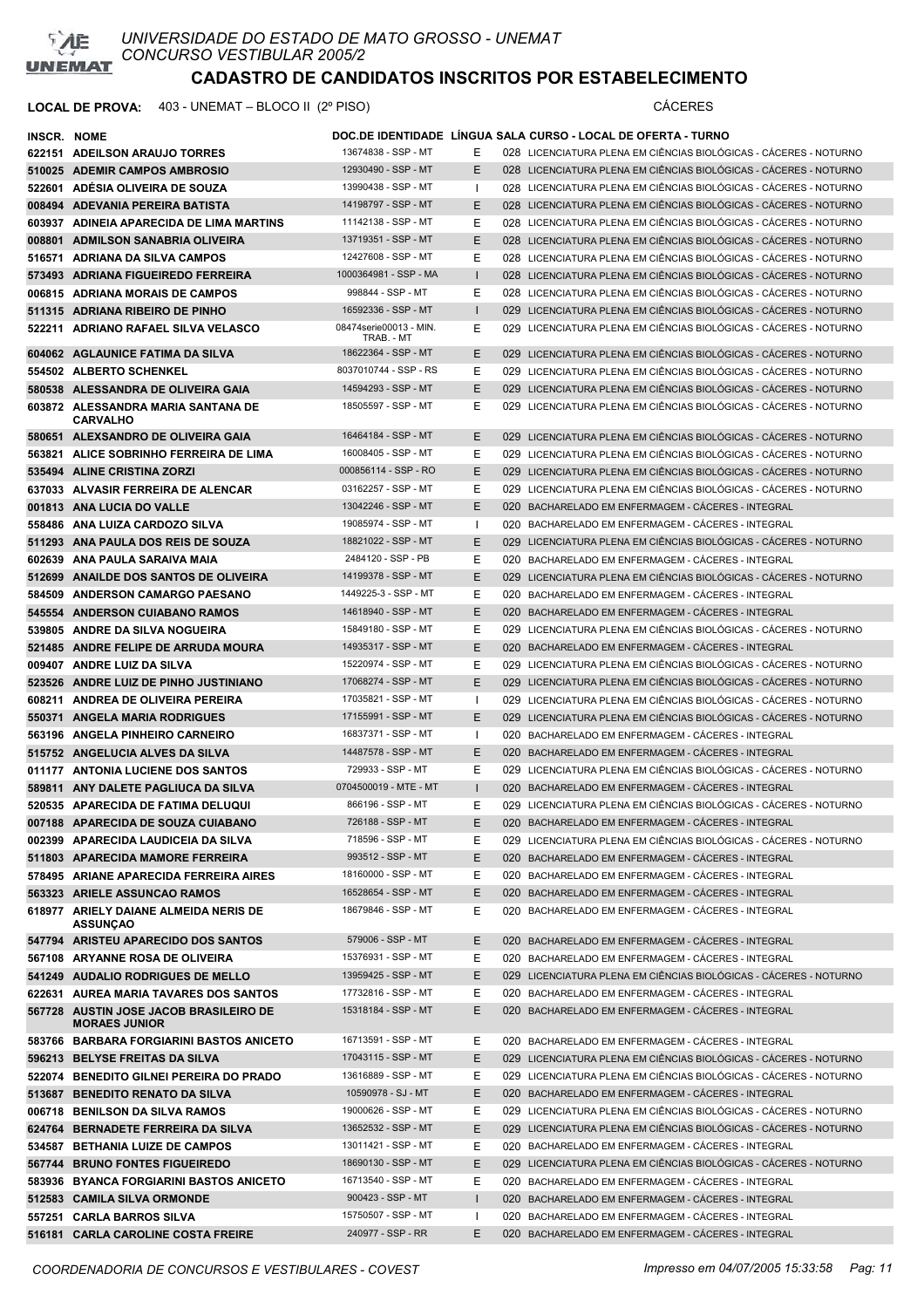

| <b>INSCR. NOME</b> |                                                                |                                          |              | DOC.DE IDENTIDADE LINGUA SALA CURSO - LOCAL DE OFERTA - TURNO                                            |
|--------------------|----------------------------------------------------------------|------------------------------------------|--------------|----------------------------------------------------------------------------------------------------------|
|                    | 622151 ADEILSON ARAUJO TORRES                                  | 13674838 - SSP - MT                      | Е            | 028 LICENCIATURA PLENA EM CIÊNCIAS BIOLÓGICAS - CÁCERES - NOTURNO                                        |
|                    | 510025 ADEMIR CAMPOS AMBROSIO                                  | 12930490 - SSP - MT                      | Е            | 028 LICENCIATURA PLENA EM CIÊNCIAS BIOLÓGICAS - CACERES - NOTURNO                                        |
|                    | 522601 ADESIA OLIVEIRA DE SOUZA                                | 13990438 - SSP - MT                      | -1           | 028 LICENCIATURA PLENA EM CIÊNCIAS BIOLÓGICAS - CÁCERES - NOTURNO                                        |
|                    | 008494 ADEVANIA PEREIRA BATISTA                                | 14198797 - SSP - MT                      | E            | 028 LICENCIATURA PLENA EM CIÊNCIAS BIOLÓGICAS - CÁCERES - NOTURNO                                        |
|                    | 603937 ADINEIA APARECIDA DE LIMA MARTINS                       | 11142138 - SSP - MT                      | Е            | 028 LICENCIATURA PLENA EM CIÊNCIAS BIOLÓGICAS - CÁCERES - NOTURNO                                        |
|                    | 008801 ADMILSON SANABRIA OLIVEIRA                              | 13719351 - SSP - MT                      | Е            | 028 LICENCIATURA PLENA EM CIÊNCIAS BIOLÓGICAS - CACERES - NOTURNO                                        |
|                    | 516571 ADRIANA DA SILVA CAMPOS                                 | 12427608 - SSP - MT                      | Е            | 028 LICENCIATURA PLENA EM CIÊNCIAS BIOLÓGICAS - CÁCERES - NOTURNO                                        |
|                    | 573493 ADRIANA FIGUEIREDO FERREIRA                             | 1000364981 - SSP - MA                    | I            | 028 LICENCIATURA PLENA EM CIÊNCIAS BIOLÓGICAS - CÁCERES - NOTURNO                                        |
|                    | 006815 ADRIANA MORAIS DE CAMPOS                                | 998844 - SSP - MT                        | Е            | 028 LICENCIATURA PLENA EM CIÊNCIAS BIOLÓGICAS - CÁCERES - NOTURNO                                        |
|                    | 511315 ADRIANA RIBEIRO DE PINHO                                | 16592336 - SSP - MT                      | ı            | 029 LICENCIATURA PLENA EM CIÊNCIAS BIOLÓGICAS - CÁCERES - NOTURNO                                        |
|                    | 522211 ADRIANO RAFAEL SILVA VELASCO                            | 08474serie00013 - MIN.                   | Ε            | 029 LICENCIATURA PLENA EM CIÊNCIAS BIOLÓGICAS - CÁCERES - NOTURNO                                        |
|                    | 604062 AGLAUNICE FATIMA DA SILVA                               | TRAB. - MT<br>18622364 - SSP - MT        | E            | 029 LICENCIATURA PLENA EM CIÊNCIAS BIOLÓGICAS - CÁCERES - NOTURNO                                        |
|                    | 554502 ALBERTO SCHENKEL                                        | 8037010744 - SSP - RS                    | Е            | 029 LICENCIATURA PLENA EM CIÊNCIAS BIOLÓGICAS - CÁCERES - NOTURNO                                        |
|                    | 580538 ALESSANDRA DE OLIVEIRA GAIA                             | 14594293 - SSP - MT                      | E            | 029 LICENCIATURA PLENA EM CIÊNCIAS BIOLÓGICAS - CACERES - NOTURNO                                        |
|                    | 603872 ALESSANDRA MARIA SANTANA DE<br><b>CARVALHO</b>          | 18505597 - SSP - MT                      | Ε            | 029 LICENCIATURA PLENA EM CIÊNCIAS BIOLÓGICAS - CÁCERES - NOTURNO                                        |
|                    | 580651 ALEXSANDRO DE OLIVEIRA GAIA                             | 16464184 - SSP - MT                      | Е            | 029 LICENCIATURA PLENA EM CIÊNCIAS BIOLÓGICAS - CÁCERES - NOTURNO                                        |
|                    | 563821 ALICE SOBRINHO FERREIRA DE LIMA                         | 16008405 - SSP - MT                      | Е            | 029 LICENCIATURA PLENA EM CIÊNCIAS BIOLÓGICAS - CÁCERES - NOTURNO                                        |
|                    | 535494 ALINE CRISTINA ZORZI                                    | 000856114 - SSP - RO                     | Е            | 029 LICENCIATURA PLENA EM CIÊNCIAS BIOLÓGICAS - CÁCERES - NOTURNO                                        |
|                    | 637033 ALVASIR FERREIRA DE ALENCAR                             | 03162257 - SSP - MT                      | Е            | 029 LICENCIATURA PLENA EM CIÊNCIAS BIOLÓGICAS - CÁCERES - NOTURNO                                        |
|                    | 001813 ANA LUCIA DO VALLE                                      | 13042246 - SSP - MT                      | Е            | 020 BACHARELADO EM ENFERMAGEM - CÁCERES - INTEGRAL                                                       |
|                    | 558486 ANA LUIZA CARDOZO SILVA                                 | 19085974 - SSP - MT                      | ш            | 020 BACHARELADO EM ENFERMAGEM - CÁCERES - INTEGRAL                                                       |
|                    | 511293 ANA PAULA DOS REIS DE SOUZA                             | 18821022 - SSP - MT                      | E            | 029 LICENCIATURA PLENA EM CIÊNCIAS BIOLÓGICAS - CÁCERES - NOTURNO                                        |
|                    | 602639 ANA PAULA SARAIVA MAIA                                  | 2484120 - SSP - PB                       | Е            | 020 BACHARELADO EM ENFERMAGEM - CÁCERES - INTEGRAL                                                       |
|                    | 512699 ANAILDE DOS SANTOS DE OLIVEIRA                          | 14199378 - SSP - MT                      | E            | 029 LICENCIATURA PLENA EM CIÊNCIAS BIOLÓGICAS - CÁCERES - NOTURNO                                        |
|                    | 584509 ANDERSON CAMARGO PAESANO                                | 1449225-3 - SSP - MT                     | Е            | 020 BACHARELADO EM ENFERMAGEM - CACERES - INTEGRAL                                                       |
|                    | 545554 ANDERSON CUIABANO RAMOS                                 | 14618940 - SSP - MT                      | E            | 020 BACHARELADO EM ENFERMAGEM - CACERES - INTEGRAL                                                       |
|                    | 539805 ANDRE DA SILVA NOGUEIRA                                 | 15849180 - SSP - MT                      | Ε            | 029 LICENCIATURA PLENA EM CIÊNCIAS BIOLÓGICAS - CÁCERES - NOTURNO                                        |
|                    | 521485 ANDRE FELIPE DE ARRUDA MOURA                            | 14935317 - SSP - MT                      | E            | 020 BACHARELADO EM ENFERMAGEM - CACERES - INTEGRAL                                                       |
|                    | 009407 ANDRE LUIZ DA SILVA                                     | 15220974 - SSP - MT                      | Е            | 029 LICENCIATURA PLENA EM CIÊNCIAS BIOLÓGICAS - CÁCERES - NOTURNO                                        |
|                    | 523526 ANDRE LUIZ DE PINHO JUSTINIANO                          | 17068274 - SSP - MT                      | E            | 029 LICENCIATURA PLENA EM CIÊNCIAS BIOLÓGICAS - CÁCERES - NOTURNO                                        |
|                    | 608211 ANDREA DE OLIVEIRA PEREIRA                              | 17035821 - SSP - MT                      |              | 029 LICENCIATURA PLENA EM CIÊNCIAS BIOLÓGICAS - CÁCERES - NOTURNO                                        |
|                    | 550371 ANGELA MARIA RODRIGUES                                  | 17155991 - SSP - MT                      | E            | 029 LICENCIATURA PLENA EM CIÊNCIAS BIOLÓGICAS - CÁCERES - NOTURNO                                        |
|                    | 563196 ANGELA PINHEIRO CARNEIRO                                | 16837371 - SSP - MT                      | $\mathbf{I}$ | 020 BACHARELADO EM ENFERMAGEM - CÁCERES - INTEGRAL                                                       |
|                    | 515752 ANGELUCIA ALVES DA SILVA                                | 14487578 - SSP - MT                      | Е            | 020 BACHARELADO EM ENFERMAGEM - CACERES - INTEGRAL                                                       |
|                    | 011177 ANTONIA LUCIENE DOS SANTOS                              | 729933 - SSP - MT                        | Е            | 029 LICENCIATURA PLENA EM CIÊNCIAS BIOLÓGICAS - CÁCERES - NOTURNO                                        |
|                    | 589811 ANY DALETE PAGLIUCA DA SILVA                            | 0704500019 - MTE - MT                    |              | 020 BACHARELADO EM ENFERMAGEM - CÁCERES - INTEGRAL                                                       |
|                    | 520535 APARECIDA DE FATIMA DELUQUI                             | 866196 - SSP - MT                        | Е            | 029 LICENCIATURA PLENA EM CIÊNCIAS BIOLÓGICAS - CÁCERES - NOTURNO                                        |
|                    | 007188 APARECIDA DE SOUZA CUIABANO                             | 726188 - SSP - MT                        | Ε            | 020 BACHARELADO EM ENFERMAGEM - CÁCERES - INTEGRAL                                                       |
|                    | 002399 APARECIDA LAUDICEIA DA SILVA                            | 718596 - SSP - MT                        | Ε            | 029 LICENCIATURA PLENA EM CIÊNCIAS BIOLÓGICAS - CÁCERES - NOTURNO                                        |
|                    | 511803 APARECIDA MAMORE FERREIRA                               | 993512 - SSP - MT                        | Е            | 020 BACHARELADO EM ENFERMAGEM - CÁCERES - INTEGRAL                                                       |
|                    | 578495 ARIANE APARECIDA FERREIRA AIRES                         | 18160000 - SSP - MT                      | Е            | 020 BACHARELADO EM ENFERMAGEM - CÁCERES - INTEGRAL                                                       |
|                    | 563323 ARIELE ASSUNCAO RAMOS                                   | 16528654 - SSP - MT                      | E.           | 020 BACHARELADO EM ENFERMAGEM - CÁCERES - INTEGRAL                                                       |
|                    | 618977 ARIELY DAIANE ALMEIDA NERIS DE<br><b>ASSUNÇAO</b>       | 18679846 - SSP - MT                      | Е            | 020 BACHARELADO EM ENFERMAGEM - CÁCERES - INTEGRAL                                                       |
|                    | 547794 ARISTEU APARECIDO DOS SANTOS                            | 579006 - SSP - MT                        | E.           | 020 BACHARELADO EM ENFERMAGEM - CÁCERES - INTEGRAL                                                       |
|                    | 567108 ARYANNE ROSA DE OLIVEIRA                                | 15376931 - SSP - MT                      | Е            | 020 BACHARELADO EM ENFERMAGEM - CÁCERES - INTEGRAL                                                       |
|                    | 541249 AUDALIO RODRIGUES DE MELLO                              | 13959425 - SSP - MT                      | Е            | 029 LICENCIATURA PLENA EM CIÊNCIAS BIOLÓGICAS - CÁCERES - NOTURNO                                        |
|                    | 622631 AUREA MARIA TAVARES DOS SANTOS                          | 17732816 - SSP - MT                      | Е            | 020 BACHARELADO EM ENFERMAGEM - CÁCERES - INTEGRAL                                                       |
|                    | 567728 AUSTIN JOSE JACOB BRASILEIRO DE<br><b>MORAES JUNIOR</b> | 15318184 - SSP - MT                      | Е            | 020 BACHARELADO EM ENFERMAGEM - CÁCERES - INTEGRAL                                                       |
|                    | 583766 BARBARA FORGIARINI BASTOS ANICETO                       | 16713591 - SSP - MT                      | Е            | 020 BACHARELADO EM ENFERMAGEM - CÁCERES - INTEGRAL                                                       |
|                    | 596213 BELYSE FREITAS DA SILVA                                 | 17043115 - SSP - MT                      | Ε            | 029 LICENCIATURA PLENA EM CIÊNCIAS BIOLÓGICAS - CÁCERES - NOTURNO                                        |
|                    | 522074 BENEDITO GILNEI PEREIRA DO PRADO                        | 13616889 - SSP - MT                      | Е            | 029 LICENCIATURA PLENA EM CIÊNCIAS BIOLÓGICAS - CÁCERES - NOTURNO                                        |
|                    | 513687 BENEDITO RENATO DA SILVA                                | 10590978 - SJ - MT                       | Е            | 020 BACHARELADO EM ENFERMAGEM - CÁCERES - INTEGRAL                                                       |
|                    | 006718 BENILSON DA SILVA RAMOS                                 | 19000626 - SSP - MT                      | Ε            | 029 LICENCIATURA PLENA EM CIÊNCIAS BIOLÓGICAS - CÁCERES - NOTURNO                                        |
|                    | 624764 BERNADETE FERREIRA DA SILVA                             | 13652532 - SSP - MT                      | Е            | 029 LICENCIATURA PLENA EM CIÊNCIAS BIOLÓGICAS - CÁCERES - NOTURNO                                        |
|                    | 534587 BETHANIA LUIZE DE CAMPOS                                | 13011421 - SSP - MT                      | Ε            | 020 BACHARELADO EM ENFERMAGEM - CÁCERES - INTEGRAL                                                       |
|                    | 567744 BRUNO FONTES FIGUEIREDO                                 | 18690130 - SSP - MT                      | E.           | 029 LICENCIATURA PLENA EM CIÊNCIAS BIOLÓGICAS - CÁCERES - NOTURNO                                        |
|                    | 583936 BYANCA FORGIARINI BASTOS ANICETO                        | 16713540 - SSP - MT<br>900423 - SSP - MT | Е            | 020 BACHARELADO EM ENFERMAGEM - CACERES - INTEGRAL                                                       |
|                    | 512583 CAMILA SILVA ORMONDE<br>557251 CARLA BARROS SILVA       | 15750507 - SSP - MT                      | ı            | 020 BACHARELADO EM ENFERMAGEM - CÁCERES - INTEGRAL<br>020 BACHARELADO EM ENFERMAGEM - CÁCERES - INTEGRAL |
|                    | 516181 CARLA CAROLINE COSTA FREIRE                             | 240977 - SSP - RR                        | Е            | 020 BACHARELADO EM ENFERMAGEM - CÁCERES - INTEGRAL                                                       |
|                    |                                                                |                                          |              |                                                                                                          |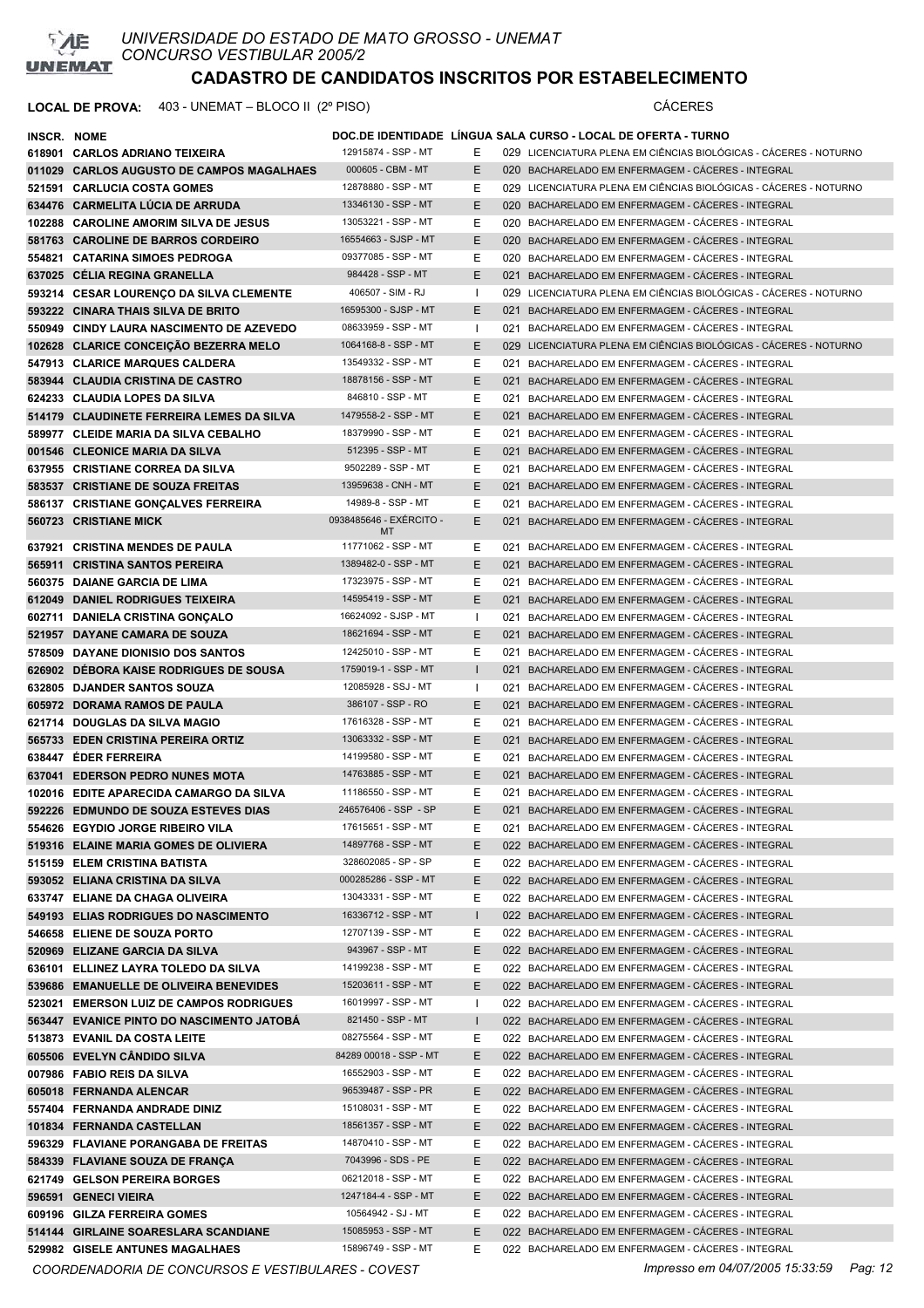

### **LOCAL DE PROVA:** 403 - UNEMAT – BLOCO II (2º PISO) CÁCERES

| INSCR. NOME |                                           |                         |              | DOC.DE IDENTIDADE LINGUA SALA CURSO - LOCAL DE OFERTA - TURNO     |
|-------------|-------------------------------------------|-------------------------|--------------|-------------------------------------------------------------------|
|             | 618901 CARLOS ADRIANO TEIXEIRA            | 12915874 - SSP - MT     | Е            | 029 LICENCIATURA PLENA EM CIÊNCIAS BIOLÓGICAS - CÁCERES - NOTURNO |
|             | 011029 CARLOS AUGUSTO DE CAMPOS MAGALHAES | 000605 - CBM - MT       | E.           | 020 BACHARELADO EM ENFERMAGEM - CÁCERES - INTEGRAL                |
|             | 521591 CARLUCIA COSTA GOMES               | 12878880 - SSP - MT     | Е            | 029 LICENCIATURA PLENA EM CIÊNCIAS BIOLÓGICAS - CÁCERES - NOTURNO |
|             | 634476 CARMELITA LÚCIA DE ARRUDA          | 13346130 - SSP - MT     | E            | 020 BACHARELADO EM ENFERMAGEM - CACERES - INTEGRAL                |
|             | 102288 CAROLINE AMORIM SILVA DE JESUS     | 13053221 - SSP - MT     | Е            | 020 BACHARELADO EM ENFERMAGEM - CÁCERES - INTEGRAL                |
|             | 581763 CAROLINE DE BARROS CORDEIRO        | 16554663 - SJSP - MT    | E.           | 020 BACHARELADO EM ENFERMAGEM - CACERES - INTEGRAL                |
|             | 554821 CATARINA SIMOES PEDROGA            | 09377085 - SSP - MT     | Е            | 020 BACHARELADO EM ENFERMAGEM - CÁCERES - INTEGRAL                |
|             | 637025 CELIA REGINA GRANELLA              | 984428 - SSP - MT       | E            | 021 BACHARELADO EM ENFERMAGEM - CACERES - INTEGRAL                |
|             | 593214 CESAR LOURENCO DA SILVA CLEMENTE   | 406507 - SIM - RJ       | -1           | 029 LICENCIATURA PLENA EM CIÊNCIAS BIOLÓGICAS - CÁCERES - NOTURNO |
|             | 593222 CINARA THAIS SILVA DE BRITO        | 16595300 - SJSP - MT    | E.           | 021 BACHARELADO EM ENFERMAGEM - CÁCERES - INTEGRAL                |
|             | 550949 CINDY LAURA NASCIMENTO DE AZEVEDO  | 08633959 - SSP - MT     | $\mathbf{I}$ | 021 BACHARELADO EM ENFERMAGEM - CÁCERES - INTEGRAL                |
|             | 102628 CLARICE CONCEICÃO BEZERRA MELO     | 1064168-8 - SSP - MT    | E.           | 029 LICENCIATURA PLENA EM CIÊNCIAS BIOLÓGICAS - CÁCERES - NOTURNO |
|             | 547913 CLARICE MARQUES CALDERA            | 13549332 - SSP - MT     | Е            | 021 BACHARELADO EM ENFERMAGEM - CÁCERES - INTEGRAL                |
|             | 583944 CLAUDIA CRISTINA DE CASTRO         | 18878156 - SSP - MT     | E.           | 021 BACHARELADO EM ENFERMAGEM - CÁCERES - INTEGRAL                |
|             | 624233 CLAUDIA LOPES DA SILVA             | 846810 - SSP - MT       | Е            | 021 BACHARELADO EM ENFERMAGEM - CÁCERES - INTEGRAL                |
|             | 514179 CLAUDINETE FERREIRA LEMES DA SILVA | 1479558-2 - SSP - MT    | E            | 021 BACHARELADO EM ENFERMAGEM - CÁCERES - INTEGRAL                |
|             | 589977 CLEIDE MARIA DA SILVA CEBALHO      | 18379990 - SSP - MT     | Е            | 021 BACHARELADO EM ENFERMAGEM - CÁCERES - INTEGRAL                |
|             | 001546 CLEONICE MARIA DA SILVA            | 512395 - SSP - MT       | E            | 021 BACHARELADO EM ENFERMAGEM - CÁCERES - INTEGRAL                |
|             | 637955 CRISTIANE CORREA DA SILVA          | 9502289 - SSP - MT      | Е            | 021 BACHARELADO EM ENFERMAGEM - CÁCERES - INTEGRAL                |
|             | 583537 CRISTIANE DE SOUZA FREITAS         | 13959638 - CNH - MT     | Е            | 021 BACHARELADO EM ENFERMAGEM - CÁCERES - INTEGRAL                |
|             | 586137 CRISTIANE GONÇALVES FERREIRA       | 14989-8 - SSP - MT      | Е            | 021 BACHARELADO EM ENFERMAGEM - CÁCERES - INTEGRAL                |
|             | 560723 CRISTIANE MICK                     | 0938485646 - EXÉRCITO - | Е            | 021 BACHARELADO EM ENFERMAGEM - CÁCERES - INTEGRAL                |
|             |                                           | MT                      |              |                                                                   |
|             | 637921 CRISTINA MENDES DE PAULA           | 11771062 - SSP - MT     | Е            | 021 BACHARELADO EM ENFERMAGEM - CÁCERES - INTEGRAL                |
|             | 565911 CRISTINA SANTOS PEREIRA            | 1389482-0 - SSP - MT    | E            | 021 BACHARELADO EM ENFERMAGEM - CACERES - INTEGRAL                |
|             | 560375 DAIANE GARCIA DE LIMA              | 17323975 - SSP - MT     | Е            | 021 BACHARELADO EM ENFERMAGEM - CÁCERES - INTEGRAL                |
|             | 612049 DANIEL RODRIGUES TEIXEIRA          | 14595419 - SSP - MT     | E            | 021 BACHARELADO EM ENFERMAGEM - CACERES - INTEGRAL                |
|             | 602711 DANIELA CRISTINA GONÇALO           | 16624092 - SJSP - MT    | Т.           | 021 BACHARELADO EM ENFERMAGEM - CÁCERES - INTEGRAL                |
|             | 521957 DAYANE CAMARA DE SOUZA             | 18621694 - SSP - MT     | Е            | 021 BACHARELADO EM ENFERMAGEM - CACERES - INTEGRAL                |
|             | 578509 DAYANE DIONISIO DOS SANTOS         | 12425010 - SSP - MT     | Е            | 021 BACHARELADO EM ENFERMAGEM - CÁCERES - INTEGRAL                |
|             | 626902 DEBORA KAISE RODRIGUES DE SOUSA    | 1759019-1 - SSP - MT    | $\mathbf{I}$ | 021 BACHARELADO EM ENFERMAGEM - CÁCERES - INTEGRAL                |
|             | 632805 DJANDER SANTOS SOUZA               | 12085928 - SSJ - MT     | $\mathbf{I}$ | 021 BACHARELADO EM ENFERMAGEM - CÁCERES - INTEGRAL                |
|             | 605972 DORAMA RAMOS DE PAULA              | 386107 - SSP - RO       | E.           | 021 BACHARELADO EM ENFERMAGEM - CÁCERES - INTEGRAL                |
|             | 621714 DOUGLAS DA SILVA MAGIO             | 17616328 - SSP - MT     | Е            | 021 BACHARELADO EM ENFERMAGEM - CACERES - INTEGRAL                |
|             | 565733 EDEN CRISTINA PEREIRA ORTIZ        | 13063332 - SSP - MT     | Е            | 021 BACHARELADO EM ENFERMAGEM - CÁCERES - INTEGRAL                |
|             | 638447 EDER FERREIRA                      | 14199580 - SSP - MT     | Е            | 021 BACHARELADO EM ENFERMAGEM - CÁCERES - INTEGRAL                |
|             | 637041 EDERSON PEDRO NUNES MOTA           | 14763885 - SSP - MT     | E.           | 021 BACHARELADO EM ENFERMAGEM - CÁCERES - INTEGRAL                |
|             | 102016 EDITE APARECIDA CAMARGO DA SILVA   | 11186550 - SSP - MT     | Е            | 021 BACHARELADO EM ENFERMAGEM - CÁCERES - INTEGRAL                |
|             | 592226 EDMUNDO DE SOUZA ESTEVES DIAS      | 246576406 - SSP - SP    | E            | 021 BACHARELADO EM ENFERMAGEM - CÁCERES - INTEGRAL                |
|             | 554626 EGYDIO JORGE RIBEIRO VILA          | 17615651 - SSP - MT     | Е            | 021 BACHARELADO EM ENFERMAGEM - CACERES - INTEGRAL                |
|             | 519316 ELAINE MARIA GOMES DE OLIVIERA     | 14897768 - SSP - MT     | E.           | 022 BACHARELADO EM ENFERMAGEM - CÁCERES - INTEGRAL                |
|             | 515159 ELEM CRISTINA BATISTA              | 328602085 - SP - SP     | Е            | 022 BACHARELADO EM ENFERMAGEM - CACERES - INTEGRAL                |
|             | 593052 ELIANA CRISTINA DA SILVA           | 000285286 - SSP - MT    | E.           | 022 BACHARELADO EM ENFERMAGEM - CÁCERES - INTEGRAL                |
|             | 633747 ELIANE DA CHAGA OLIVEIRA           | 13043331 - SSP - MT     | Е            | 022 BACHARELADO EM ENFERMAGEM - CÁCERES - INTEGRAL                |
|             | 549193 ELIAS RODRIGUES DO NASCIMENTO      | 16336712 - SSP - MT     | $\mathsf{I}$ | 022 BACHARELADO EM ENFERMAGEM - CÁCERES - INTEGRAL                |
|             | 546658 ELIENE DE SOUZA PORTO              | 12707139 - SSP - MT     | Е            | 022 BACHARELADO EM ENFERMAGEM - CÁCERES - INTEGRAL                |
|             | 520969 ELIZANE GARCIA DA SILVA            | 943967 - SSP - MT       | E.           | 022 BACHARELADO EM ENFERMAGEM - CÁCERES - INTEGRAL                |
|             | 636101 ELLINEZ LAYRA TOLEDO DA SILVA      | 14199238 - SSP - MT     | Е            | 022 BACHARELADO EM ENFERMAGEM - CÁCERES - INTEGRAL                |
|             | 539686 EMANUELLE DE OLIVEIRA BENEVIDES    | 15203611 - SSP - MT     | E.           | 022 BACHARELADO EM ENFERMAGEM - CÁCERES - INTEGRAL                |
|             | 523021 EMERSON LUIZ DE CAMPOS RODRIGUES   | 16019997 - SSP - MT     |              | 022 BACHARELADO EM ENFERMAGEM - CÁCERES - INTEGRAL                |
|             | 563447 EVANICE PINTO DO NASCIMENTO JATOBÁ | 821450 - SSP - MT       | L            | 022 BACHARELADO EM ENFERMAGEM - CÁCERES - INTEGRAL                |
|             | 513873 EVANIL DA COSTA LEITE              | 08275564 - SSP - MT     | Е            | 022 BACHARELADO EM ENFERMAGEM - CÁCERES - INTEGRAL                |
|             | 605506 EVELYN CÂNDIDO SILVA               | 84289 00018 - SSP - MT  | E.           | 022 BACHARELADO EM ENFERMAGEM - CÁCERES - INTEGRAL                |
|             | 007986 FABIO REIS DA SILVA                | 16552903 - SSP - MT     | Е            | 022 BACHARELADO EM ENFERMAGEM - CÁCERES - INTEGRAL                |
|             | 605018 FERNANDA ALENCAR                   | 96539487 - SSP - PR     | E.           | 022 BACHARELADO EM ENFERMAGEM - CÁCERES - INTEGRAL                |
|             | 557404 FERNANDA ANDRADE DINIZ             | 15108031 - SSP - MT     | Е            | 022 BACHARELADO EM ENFERMAGEM - CÁCERES - INTEGRAL                |
|             | 101834 FERNANDA CASTELLAN                 | 18561357 - SSP - MT     | E.           | 022 BACHARELADO EM ENFERMAGEM - CÁCERES - INTEGRAL                |
|             | 596329 FLAVIANE PORANGABA DE FREITAS      | 14870410 - SSP - MT     | Е            | 022 BACHARELADO EM ENFERMAGEM - CÁCERES - INTEGRAL                |
|             | 584339 FLAVIANE SOUZA DE FRANÇA           | 7043996 - SDS - PE      | Е            | 022 BACHARELADO EM ENFERMAGEM - CÁCERES - INTEGRAL                |
|             | 621749 GELSON PEREIRA BORGES              | 06212018 - SSP - MT     | Е            | 022 BACHARELADO EM ENFERMAGEM - CÁCERES - INTEGRAL                |
|             | 596591 GENECI VIEIRA                      | 1247184-4 - SSP - MT    | Е            | 022 BACHARELADO EM ENFERMAGEM - CÁCERES - INTEGRAL                |
|             | 609196 GILZA FERREIRA GOMES               | 10564942 - SJ - MT      | Е            | 022 BACHARELADO EM ENFERMAGEM - CÁCERES - INTEGRAL                |
|             | 514144 GIRLAINE SOARESLARA SCANDIANE      | 15085953 - SSP - MT     | E.           | 022 BACHARELADO EM ENFERMAGEM - CÁCERES - INTEGRAL                |
|             | 529982 GISELE ANTUNES MAGALHAES           | 15896749 - SSP - MT     | Е            | 022 BACHARELADO EM ENFERMAGEM - CÁCERES - INTEGRAL                |

*COORDENADORIA DE CONCURSOS E VESTIBULARES - COVEST Impresso em 04/07/2005 15:33:59 Pag: 12*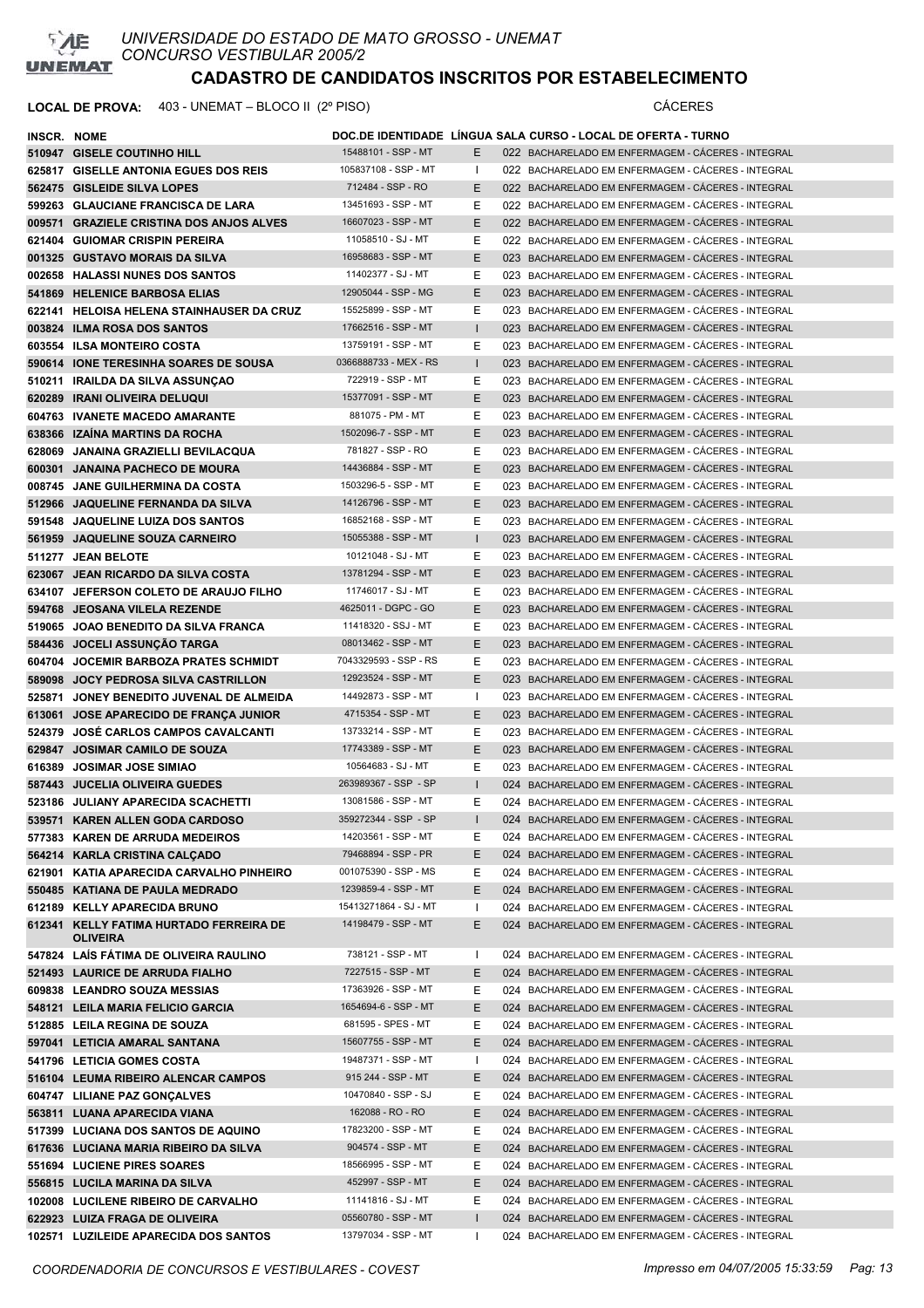

| INSCR. NOME |                                                            |                       |              | DOC.DE IDENTIDADE LINGUA SALA CURSO - LOCAL DE OFERTA - TURNO |
|-------------|------------------------------------------------------------|-----------------------|--------------|---------------------------------------------------------------|
|             | 510947 GISELE COUTINHO HILL                                | 15488101 - SSP - MT   | E.           | 022 BACHARELADO EM ENFERMAGEM - CACERES - INTEGRAL            |
|             | 625817 GISELLE ANTONIA EGUES DOS REIS                      | 105837108 - SSP - MT  | $\mathbf{I}$ | 022 BACHARELADO EM ENFERMAGEM - CACERES - INTEGRAL            |
|             | 562475 GISLEIDE SILVA LOPES                                | 712484 - SSP - RO     | E.           | 022 BACHARELADO EM ENFERMAGEM - CÁCERES - INTEGRAL            |
|             | 599263 GLAUCIANE FRANCISCA DE LARA                         | 13451693 - SSP - MT   | E.           | 022 BACHARELADO EM ENFERMAGEM - CÁCERES - INTEGRAL            |
|             | 009571 GRAZIELE CRISTINA DOS ANJOS ALVES                   | 16607023 - SSP - MT   | E.           | 022 BACHARELADO EM ENFERMAGEM - CÁCERES - INTEGRAL            |
|             | 621404 GUIOMAR CRISPIN PEREIRA                             | 11058510 - SJ - MT    | E.           | 022 BACHARELADO EM ENFERMAGEM - CÁCERES - INTEGRAL            |
|             | 001325 GUSTAVO MORAIS DA SILVA                             | 16958683 - SSP - MT   | E.           | 023 BACHARELADO EM ENFERMAGEM - CÁCERES - INTEGRAL            |
|             | 002658 HALASSI NUNES DOS SANTOS                            | 11402377 - SJ - MT    | E.           | 023 BACHARELADO EM ENFERMAGEM - CACERES - INTEGRAL            |
|             | 541869 HELENICE BARBOSA ELIAS                              | 12905044 - SSP - MG   | E.           | 023 BACHARELADO EM ENFERMAGEM - CÁCERES - INTEGRAL            |
|             | 622141 HELOISA HELENA STAINHAUSER DA CRUZ                  | 15525899 - SSP - MT   | E.           | 023 BACHARELADO EM ENFERMAGEM - CÁCERES - INTEGRAL            |
|             | 003824 ILMA ROSA DOS SANTOS                                | 17662516 - SSP - MT   | $\mathbf{I}$ | 023 BACHARELADO EM ENFERMAGEM - CÁCERES - INTEGRAL            |
|             | 603554 ILSA MONTEIRO COSTA                                 | 13759191 - SSP - MT   | E.           | 023 BACHARELADO EM ENFERMAGEM - CACERES - INTEGRAL            |
|             | 590614 IONE TERESINHA SOARES DE SOUSA                      | 0366888733 - MEX - RS | $\mathbf{I}$ | 023 BACHARELADO EM ENFERMAGEM - CÁCERES - INTEGRAL            |
|             | 510211 IRAILDA DA SILVA ASSUNÇAO                           | 722919 - SSP - MT     | E.           | 023 BACHARELADO EM ENFERMAGEM - CÁCERES - INTEGRAL            |
|             | 620289 IRANI OLIVEIRA DELUQUI                              | 15377091 - SSP - MT   | E.           | 023 BACHARELADO EM ENFERMAGEM - CACERES - INTEGRAL            |
|             | 604763 IVANETE MACEDO AMARANTE                             | 881075 - PM - MT      | E.           | 023 BACHARELADO EM ENFERMAGEM - CACERES - INTEGRAL            |
|             | 638366 IZAINA MARTINS DA ROCHA                             | 1502096-7 - SSP - MT  | E.           | 023 BACHARELADO EM ENFERMAGEM - CÁCERES - INTEGRAL            |
|             | 628069 JANAINA GRAZIELLI BEVILACQUA                        | 781827 - SSP - RO     | E.           | 023 BACHARELADO EM ENFERMAGEM - CÁCERES - INTEGRAL            |
|             | 600301 JANAINA PACHECO DE MOURA                            | 14436884 - SSP - MT   | E.           | 023 BACHARELADO EM ENFERMAGEM - CACERES - INTEGRAL            |
|             | 008745 JANE GUILHERMINA DA COSTA                           | 1503296-5 - SSP - MT  | E.           | 023 BACHARELADO EM ENFERMAGEM - CÁCERES - INTEGRAL            |
|             | 512966 JAQUELINE FERNANDA DA SILVA                         | 14126796 - SSP - MT   | E.           | 023 BACHARELADO EM ENFERMAGEM - CÁCERES - INTEGRAL            |
|             | 591548 JAQUELINE LUIZA DOS SANTOS                          | 16852168 - SSP - MT   | E.           | 023 BACHARELADO EM ENFERMAGEM - CÁCERES - INTEGRAL            |
|             | 561959 JAQUELINE SOUZA CARNEIRO                            | 15055388 - SSP - MT   | $\mathbf{I}$ | 023 BACHARELADO EM ENFERMAGEM - CACERES - INTEGRAL            |
|             | 511277 JEAN BELOTE                                         | 10121048 - SJ - MT    | E            | 023 BACHARELADO EM ENFERMAGEM - CÁCERES - INTEGRAL            |
|             | 623067 JEAN RICARDO DA SILVA COSTA                         | 13781294 - SSP - MT   | E.           | 023 BACHARELADO EM ENFERMAGEM - CACERES - INTEGRAL            |
|             | 634107 JEFERSON COLETO DE ARAUJO FILHO                     | 11746017 - SJ - MT    | E.           | 023 BACHARELADO EM ENFERMAGEM - CÁCERES - INTEGRAL            |
|             | 594768 JEOSANA VILELA REZENDE                              | 4625011 - DGPC - GO   | E.           | 023 BACHARELADO EM ENFERMAGEM - CACERES - INTEGRAL            |
|             | 519065 JOAO BENEDITO DA SILVA FRANCA                       | 11418320 - SSJ - MT   | E.           | 023 BACHARELADO EM ENFERMAGEM - CÁCERES - INTEGRAL            |
|             | 584436 JOCELI ASSUNÇÃO TARGA                               | 08013462 - SSP - MT   | E.           | 023 BACHARELADO EM ENFERMAGEM - CÁCERES - INTEGRAL            |
|             | 604704 JOCEMIR BARBOZA PRATES SCHMIDT                      | 7043329593 - SSP - RS | E.           | 023 BACHARELADO EM ENFERMAGEM - CÁCERES - INTEGRAL            |
|             | 589098 JOCY PEDROSA SILVA CASTRILLON                       | 12923524 - SSP - MT   | E.           | 023 BACHARELADO EM ENFERMAGEM - CACERES - INTEGRAL            |
|             | 525871 JONEY BENEDITO JUVENAL DE ALMEIDA                   | 14492873 - SSP - MT   | $\mathbf{I}$ | 023 BACHARELADO EM ENFERMAGEM - CACERES - INTEGRAL            |
|             | 613061 JOSE APARECIDO DE FRANÇA JUNIOR                     | 4715354 - SSP - MT    | E.           | 023 BACHARELADO EM ENFERMAGEM - CÁCERES - INTEGRAL            |
|             | 524379 JOSÉ CARLOS CAMPOS CAVALCANTI                       | 13733214 - SSP - MT   | Е            | 023 BACHARELADO EM ENFERMAGEM - CACERES - INTEGRAL            |
|             | 629847 JOSIMAR CAMILO DE SOUZA                             | 17743389 - SSP - MT   | E.           | 023 BACHARELADO EM ENFERMAGEM - CACERES - INTEGRAL            |
|             | 616389 JOSIMAR JOSE SIMIAO                                 | 10564683 - SJ - MT    | E.           | 023 BACHARELADO EM ENFERMAGEM - CACERES - INTEGRAL            |
|             | 587443 JUCELIA OLIVEIRA GUEDES                             | 263989367 - SSP - SP  | $\mathbf{I}$ | 024 BACHARELADO EM ENFERMAGEM - CÁCERES - INTEGRAL            |
|             | 523186 JULIANY APARECIDA SCACHETTI                         | 13081586 - SSP - MT   | E.           | 024 BACHARELADO EM ENFERMAGEM - CACERES - INTEGRAL            |
|             | 539571 KAREN ALLEN GODA CARDOSO                            | 359272344 - SSP - SP  |              | 024 BACHARELADO EM ENFERMAGEM - CÁCERES - INTEGRAL            |
|             | 577383 KAREN DE ARRUDA MEDEIROS                            | 14203561 - SSP - MT   | E.           | 024 BACHARELADO EM ENFERMAGEM - CÁCERES - INTEGRAL            |
|             | 564214 KARLA CRISTINA CALCADO                              | 79468894 - SSP - PR   | E.           | 024 BACHARELADO EM ENFERMAGEM - CÁCERES - INTEGRAL            |
|             | 621901 KATIA APARECIDA CARVALHO PINHEIRO                   | 001075390 - SSP - MS  | E            | 024 BACHARELADO EM ENFERMAGEM - CÁCERES - INTEGRAL            |
|             | 550485 KATIANA DE PAULA MEDRADO                            | 1239859-4 - SSP - MT  | E.           | 024 BACHARELADO EM ENFERMAGEM - CÁCERES - INTEGRAL            |
|             | 612189 KELLY APARECIDA BRUNO                               | 15413271864 - SJ - MT | $\mathbf{I}$ | 024 BACHARELADO EM ENFERMAGEM - CÁCERES - INTEGRAL            |
|             | 612341 KELLY FATIMA HURTADO FERREIRA DE<br><b>OLIVEIRA</b> | 14198479 - SSP - MT   | E.           | 024 BACHARELADO EM ENFERMAGEM - CÁCERES - INTEGRAL            |
|             | 547824 LAÍS FÁTIMA DE OLIVEIRA RAULINO                     | 738121 - SSP - MT     | $\mathbf{I}$ | 024 BACHARELADO EM ENFERMAGEM - CÁCERES - INTEGRAL            |
|             | 521493 LAURICE DE ARRUDA FIALHO                            | 7227515 - SSP - MT    | E.           | 024 BACHARELADO EM ENFERMAGEM - CÁCERES - INTEGRAL            |
|             | 609838 LEANDRO SOUZA MESSIAS                               | 17363926 - SSP - MT   | E.           | 024 BACHARELADO EM ENFERMAGEM - CÁCERES - INTEGRAL            |
|             | 548121 LEILA MARIA FELICIO GARCIA                          | 1654694-6 - SSP - MT  | E.           | 024 BACHARELADO EM ENFERMAGEM - CÁCERES - INTEGRAL            |
|             | 512885 LEILA REGINA DE SOUZA                               | 681595 - SPES - MT    | E.           | 024 BACHARELADO EM ENFERMAGEM - CÁCERES - INTEGRAL            |
|             | 597041 LETICIA AMARAL SANTANA                              | 15607755 - SSP - MT   | E.           | 024 BACHARELADO EM ENFERMAGEM - CÁCERES - INTEGRAL            |
|             | 541796 LETICIA GOMES COSTA                                 | 19487371 - SSP - MT   | $\mathbf{I}$ | 024 BACHARELADO EM ENFERMAGEM - CÁCERES - INTEGRAL            |
|             | 516104 LEUMA RIBEIRO ALENCAR CAMPOS                        | 915 244 - SSP - MT    | E.           | 024 BACHARELADO EM ENFERMAGEM - CÁCERES - INTEGRAL            |
|             | 604747 LILIANE PAZ GONÇALVES                               | 10470840 - SSP - SJ   | E.           | 024 BACHARELADO EM ENFERMAGEM - CÁCERES - INTEGRAL            |
|             | 563811 LUANA APARECIDA VIANA                               | 162088 - RO - RO      | E.           | 024 BACHARELADO EM ENFERMAGEM - CÁCERES - INTEGRAL            |
|             | 517399 LUCIANA DOS SANTOS DE AQUINO                        | 17823200 - SSP - MT   | E.           | 024 BACHARELADO EM ENFERMAGEM - CÁCERES - INTEGRAL            |
|             | 617636 LUCIANA MARIA RIBEIRO DA SILVA                      | 904574 - SSP - MT     | E.           | 024 BACHARELADO EM ENFERMAGEM - CÁCERES - INTEGRAL            |
|             | 551694 LUCIENE PIRES SOARES                                | 18566995 - SSP - MT   | E            | 024 BACHARELADO EM ENFERMAGEM - CACERES - INTEGRAL            |
|             | 556815 LUCILA MARINA DA SILVA                              | 452997 - SSP - MT     | E.           | 024 BACHARELADO EM ENFERMAGEM - CÁCERES - INTEGRAL            |
|             | 102008 LUCILENE RIBEIRO DE CARVALHO                        | 11141816 - SJ - MT    | E.           | 024 BACHARELADO EM ENFERMAGEM - CÁCERES - INTEGRAL            |
|             | 622923 LUIZA FRAGA DE OLIVEIRA                             | 05560780 - SSP - MT   | $\mathbf{I}$ | 024 BACHARELADO EM ENFERMAGEM - CÁCERES - INTEGRAL            |
|             | 102571 LUZILEIDE APARECIDA DOS SANTOS                      | 13797034 - SSP - MT   |              | 024 BACHARELADO EM ENFERMAGEM - CÁCERES - INTEGRAL            |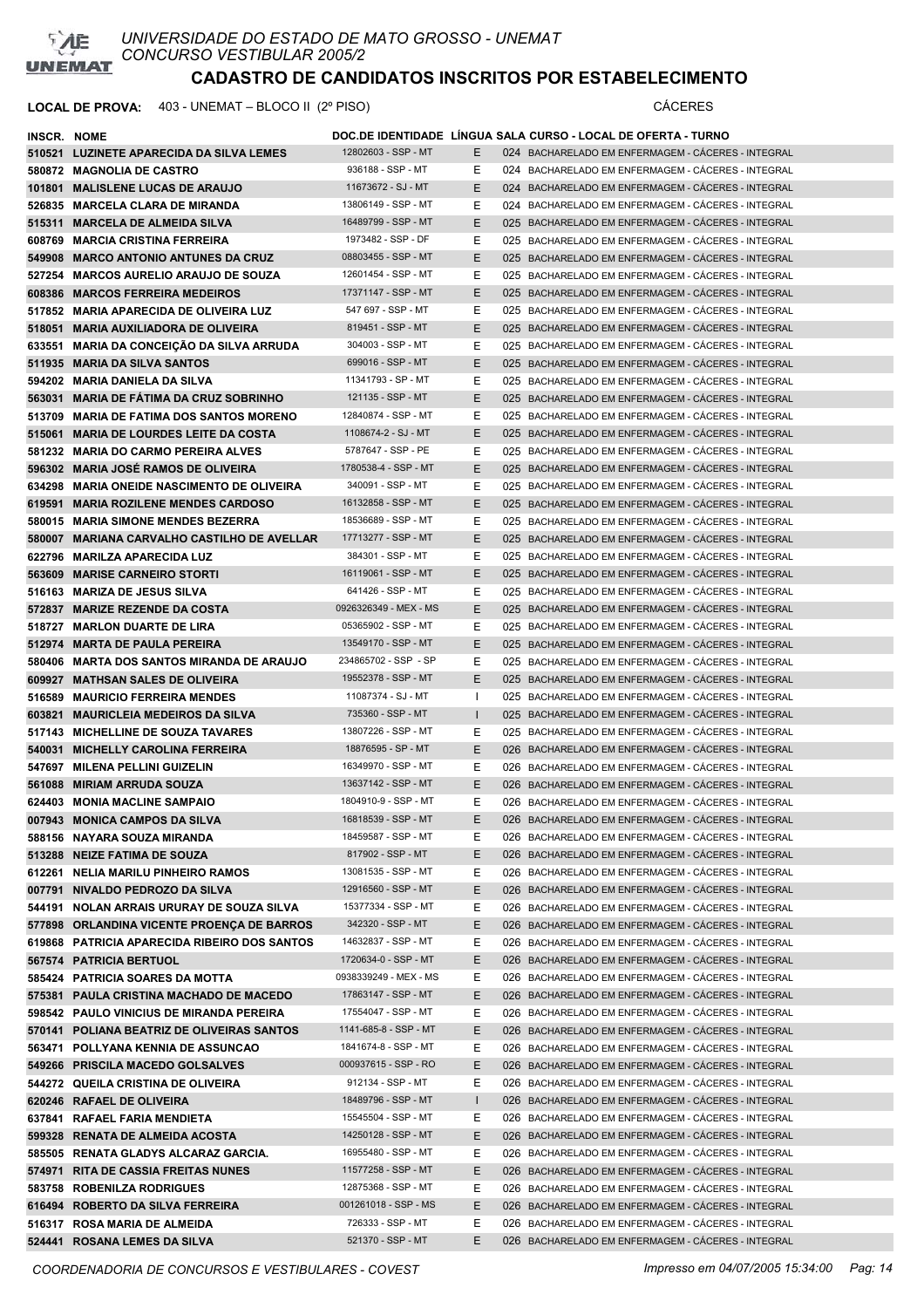

| INSCR. NOME |                                              |                       |              | DOC.DE IDENTIDADE LINGUA SALA CURSO - LOCAL DE OFERTA - TURNO |
|-------------|----------------------------------------------|-----------------------|--------------|---------------------------------------------------------------|
|             | 510521 LUZINETE APARECIDA DA SILVA LEMES     | 12802603 - SSP - MT   | E.           | 024 BACHARELADO EM ENFERMAGEM - CACERES - INTEGRAL            |
|             | 580872 MAGNOLIA DE CASTRO                    | 936188 - SSP - MT     | Е            | 024 BACHARELADO EM ENFERMAGEM - CÁCERES - INTEGRAL            |
|             | 101801 MALISLENE LUCAS DE ARAUJO             | 11673672 - SJ - MT    | E.           | 024 BACHARELADO EM ENFERMAGEM - CÁCERES - INTEGRAL            |
|             | 526835 MARCELA CLARA DE MIRANDA              | 13806149 - SSP - MT   | Е            | 024 BACHARELADO EM ENFERMAGEM - CÁCERES - INTEGRAL            |
|             | 515311 MARCELA DE ALMEIDA SILVA              | 16489799 - SSP - MT   | E.           | 025 BACHARELADO EM ENFERMAGEM - CACERES - INTEGRAL            |
|             | 608769 MARCIA CRISTINA FERREIRA              | 1973482 - SSP - DF    | E.           | 025 BACHARELADO EM ENFERMAGEM - CÁCERES - INTEGRAL            |
|             | 549908 MARCO ANTONIO ANTUNES DA CRUZ         | 08803455 - SSP - MT   | E.           | 025 BACHARELADO EM ENFERMAGEM - CÁCERES - INTEGRAL            |
|             |                                              | 12601454 - SSP - MT   |              |                                                               |
|             | 527254 MARCOS AURELIO ARAUJO DE SOUZA        |                       | Е            | 025 BACHARELADO EM ENFERMAGEM - CÁCERES - INTEGRAL            |
|             | 608386 MARCOS FERREIRA MEDEIROS              | 17371147 - SSP - MT   | E.           | 025 BACHARELADO EM ENFERMAGEM - CACERES - INTEGRAL            |
|             | 517852 MARIA APARECIDA DE OLIVEIRA LUZ       | 547 697 - SSP - MT    | E.           | 025 BACHARELADO EM ENFERMAGEM - CACERES - INTEGRAL            |
|             | 518051 MARIA AUXILIADORA DE OLIVEIRA         | 819451 - SSP - MT     | E.           | 025 BACHARELADO EM ENFERMAGEM - CÁCERES - INTEGRAL            |
|             | 633551 MARIA DA CONCEICÃO DA SILVA ARRUDA    | 304003 - SSP - MT     | Е            | 025 BACHARELADO EM ENFERMAGEM - CÁCERES - INTEGRAL            |
|             | 511935 MARIA DA SILVA SANTOS                 | 699016 - SSP - MT     | E.           | 025 BACHARELADO EM ENFERMAGEM - CÁCERES - INTEGRAL            |
|             | 594202 MARIA DANIELA DA SILVA                | 11341793 - SP - MT    | Е            | 025 BACHARELADO EM ENFERMAGEM - CÁCERES - INTEGRAL            |
|             | 563031 MARIA DE FATIMA DA CRUZ SOBRINHO      | 121135 - SSP - MT     | E.           | 025 BACHARELADO EM ENFERMAGEM - CÁCERES - INTEGRAL            |
|             | 513709 MARIA DE FATIMA DOS SANTOS MORENO     | 12840874 - SSP - MT   | Е            | 025 BACHARELADO EM ENFERMAGEM - CÁCERES - INTEGRAL            |
|             | 515061 MARIA DE LOURDES LEITE DA COSTA       | 1108674-2 - SJ - MT   | E.           | 025 BACHARELADO EM ENFERMAGEM - CACERES - INTEGRAL            |
|             | 581232 MARIA DO CARMO PEREIRA ALVES          | 5787647 - SSP - PE    | Е            | 025 BACHARELADO EM ENFERMAGEM - CÁCERES - INTEGRAL            |
|             | 596302 MARIA JOSÉ RAMOS DE OLIVEIRA          | 1780538-4 - SSP - MT  | E.           | 025 BACHARELADO EM ENFERMAGEM - CÁCERES - INTEGRAL            |
|             | 634298 MARIA ONEIDE NASCIMENTO DE OLIVEIRA   | 340091 - SSP - MT     | Е            | 025 BACHARELADO EM ENFERMAGEM - CÁCERES - INTEGRAL            |
|             | 619591 MARIA ROZILENE MENDES CARDOSO         | 16132858 - SSP - MT   | E.           | 025 BACHARELADO EM ENFERMAGEM - CÁCERES - INTEGRAL            |
|             | 580015 MARIA SIMONE MENDES BEZERRA           | 18536689 - SSP - MT   | Е.           | 025 BACHARELADO EM ENFERMAGEM - CÁCERES - INTEGRAL            |
|             | 580007 MARIANA CARVALHO CASTILHO DE AVELLAR  | 17713277 - SSP - MT   | E.           | 025 BACHARELADO EM ENFERMAGEM - CÁCERES - INTEGRAL            |
|             | 622796 MARILZA APARECIDA LUZ                 | 384301 - SSP - MT     | Е            | 025 BACHARELADO EM ENFERMAGEM - CÁCERES - INTEGRAL            |
|             | 563609 MARISE CARNEIRO STORTI                | 16119061 - SSP - MT   | E.           | 025 BACHARELADO EM ENFERMAGEM - CACERES - INTEGRAL            |
|             | 516163 MARIZA DE JESUS SILVA                 | 641426 - SSP - MT     | Е            | 025 BACHARELADO EM ENFERMAGEM - CÁCERES - INTEGRAL            |
|             |                                              | 0926326349 - MEX - MS |              |                                                               |
|             | 572837 MARIZE REZENDE DA COSTA               |                       | Е            | 025 BACHARELADO EM ENFERMAGEM - CACERES - INTEGRAL            |
|             | 518727 MARLON DUARTE DE LIRA                 | 05365902 - SSP - MT   | Е            | 025 BACHARELADO EM ENFERMAGEM - CÁCERES - INTEGRAL            |
|             | 512974 MARTA DE PAULA PEREIRA                | 13549170 - SSP - MT   | E.           | 025 BACHARELADO EM ENFERMAGEM - CACERES - INTEGRAL            |
|             | 580406 MARTA DOS SANTOS MIRANDA DE ARAUJO    | 234865702 - SSP - SP  | E.           | 025 BACHARELADO EM ENFERMAGEM - CÁCERES - INTEGRAL            |
|             | 609927 MATHSAN SALES DE OLIVEIRA             | 19552378 - SSP - MT   | E.           | 025 BACHARELADO EM ENFERMAGEM - CACERES - INTEGRAL            |
|             | 516589 MAURICIO FERREIRA MENDES              | 11087374 - SJ - MT    | Ι.           | 025 BACHARELADO EM ENFERMAGEM - CÁCERES - INTEGRAL            |
|             | 603821 MAURICLEIA MEDEIROS DA SILVA          | 735360 - SSP - MT     | $\mathbf{I}$ | 025 BACHARELADO EM ENFERMAGEM - CACERES - INTEGRAL            |
|             | 517143 MICHELLINE DE SOUZA TAVARES           | 13807226 - SSP - MT   | E.           | 025 BACHARELADO EM ENFERMAGEM - CÁCERES - INTEGRAL            |
|             | 540031 MICHELLY CAROLINA FERREIRA            | 18876595 - SP - MT    | E.           | 026 BACHARELADO EM ENFERMAGEM - CÁCERES - INTEGRAL            |
|             | 547697 MILENA PELLINI GUIZELIN               | 16349970 - SSP - MT   | Е            | 026 BACHARELADO EM ENFERMAGEM - CÁCERES - INTEGRAL            |
|             | 561088 MIRIAM ARRUDA SOUZA                   | 13637142 - SSP - MT   | E.           | 026 BACHARELADO EM ENFERMAGEM - CÁCERES - INTEGRAL            |
|             | 624403 MONIA MACLINE SAMPAIO                 | 1804910-9 - SSP - MT  | Е            | 026 BACHARELADO EM ENFERMAGEM - CÁCERES - INTEGRAL            |
|             | 007943 MONICA CAMPOS DA SILVA                | 16818539 - SSP - MT   | E            | 026 BACHARELADO EM ENFERMAGEM - CÁCERES - INTEGRAL            |
|             | 588156 NAYARA SOUZA MIRANDA                  | 18459587 - SSP - MT   | Е            | 026 BACHARELADO EM ENFERMAGEM - CACERES - INTEGRAL            |
|             | 513288 NEIZE FATIMA DE SOUZA                 | 817902 - SSP - MT     | E.           | 026 BACHARELADO EM ENFERMAGEM - CÁCERES - INTEGRAL            |
|             | 612261 NELIA MARILU PINHEIRO RAMOS           | 13081535 - SSP - MT   | Е            | 026 BACHARELADO EM ENFERMAGEM - CÁCERES - INTEGRAL            |
|             | 007791 NIVALDO PEDROZO DA SILVA              | 12916560 - SSP - MT   | E.           | 026 BACHARELADO EM ENFERMAGEM - CÁCERES - INTEGRAL            |
|             | 544191 NOLAN ARRAIS URURAY DE SOUZA SILVA    | 15377334 - SSP - MT   | E.           | 026 BACHARELADO EM ENFERMAGEM - CÁCERES - INTEGRAL            |
|             | 577898 ORLANDINA VICENTE PROENÇA DE BARROS   | 342320 - SSP - MT     | E.           | 026 BACHARELADO EM ENFERMAGEM - CÁCERES - INTEGRAL            |
|             | 619868 PATRICIA APARECIDA RIBEIRO DOS SANTOS | 14632837 - SSP - MT   | E.           | 026 BACHARELADO EM ENFERMAGEM - CÁCERES - INTEGRAL            |
|             | 567574 PATRICIA BERTUOL                      | 1720634-0 - SSP - MT  | E.           | 026 BACHARELADO EM ENFERMAGEM - CÁCERES - INTEGRAL            |
|             | 585424 PATRICIA SOARES DA MOTTA              | 0938339249 - MEX - MS | Е.           | 026 BACHARELADO EM ENFERMAGEM - CÁCERES - INTEGRAL            |
|             | 575381 PAULA CRISTINA MACHADO DE MACEDO      | 17863147 - SSP - MT   | E.           | 026 BACHARELADO EM ENFERMAGEM - CÁCERES - INTEGRAL            |
|             | 598542 PAULO VINICIUS DE MIRANDA PEREIRA     | 17554047 - SSP - MT   | E.           | 026 BACHARELADO EM ENFERMAGEM - CÁCERES - INTEGRAL            |
|             |                                              | 1141-685-8 - SSP - MT |              |                                                               |
|             | 570141 POLIANA BEATRIZ DE OLIVEIRAS SANTOS   |                       | E.           | 026 BACHARELADO EM ENFERMAGEM - CÁCERES - INTEGRAL            |
|             | 563471 POLLYANA KENNIA DE ASSUNCAO           | 1841674-8 - SSP - MT  | E.           | 026 BACHARELADO EM ENFERMAGEM - CÁCERES - INTEGRAL            |
|             | 549266 PRISCILA MACEDO GOLSALVES             | 000937615 - SSP - RO  | E.           | 026 BACHARELADO EM ENFERMAGEM - CÁCERES - INTEGRAL            |
|             | 544272 QUEILA CRISTINA DE OLIVEIRA           | 912134 - SSP - MT     | Ε            | 026 BACHARELADO EM ENFERMAGEM - CÁCERES - INTEGRAL            |
|             | 620246 RAFAEL DE OLIVEIRA                    | 18489796 - SSP - MT   | L            | 026 BACHARELADO EM ENFERMAGEM - CÁCERES - INTEGRAL            |
|             | 637841 RAFAEL FARIA MENDIETA                 | 15545504 - SSP - MT   | Е.           | 026 BACHARELADO EM ENFERMAGEM - CÁCERES - INTEGRAL            |
|             | 599328 RENATA DE ALMEIDA ACOSTA              | 14250128 - SSP - MT   | E.           | 026 BACHARELADO EM ENFERMAGEM - CÁCERES - INTEGRAL            |
|             | 585505 RENATA GLADYS ALCARAZ GARCIA.         | 16955480 - SSP - MT   | Е            | 026 BACHARELADO EM ENFERMAGEM - CÁCERES - INTEGRAL            |
|             | 574971 RITA DE CASSIA FREITAS NUNES          | 11577258 - SSP - MT   | E.           | 026 BACHARELADO EM ENFERMAGEM - CÁCERES - INTEGRAL            |
|             | 583758 ROBENILZA RODRIGUES                   | 12875368 - SSP - MT   | E            | 026 BACHARELADO EM ENFERMAGEM - CÁCERES - INTEGRAL            |
|             | 616494 ROBERTO DA SILVA FERREIRA             | 001261018 - SSP - MS  | E.           | 026 BACHARELADO EM ENFERMAGEM - CÁCERES - INTEGRAL            |
|             | 516317 ROSA MARIA DE ALMEIDA                 | 726333 - SSP - MT     | Е            | 026 BACHARELADO EM ENFERMAGEM - CÁCERES - INTEGRAL            |
|             | 524441 ROSANA LEMES DA SILVA                 | 521370 - SSP - MT     | E.           | 026 BACHARELADO EM ENFERMAGEM - CÁCERES - INTEGRAL            |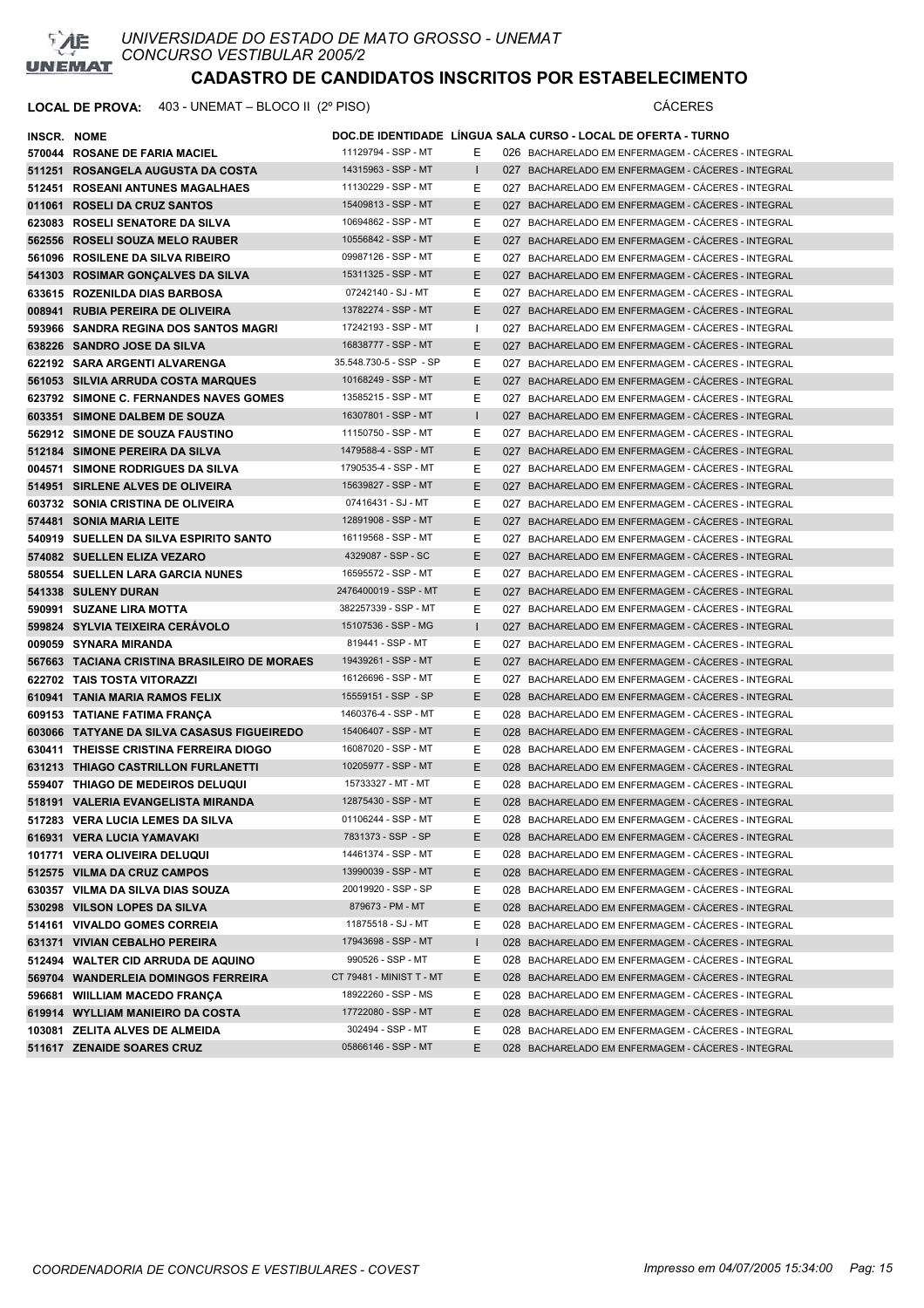

| <b>INSCR. NOME</b> |                                                              |                          |              | DOC.DE IDENTIDADE LINGUA SALA CURSO - LOCAL DE OFERTA - TURNO |
|--------------------|--------------------------------------------------------------|--------------------------|--------------|---------------------------------------------------------------|
|                    | 570044 ROSANE DE FARIA MACIEL                                | 11129794 - SSP - MT      | Е            | 026 BACHARELADO EM ENFERMAGEM - CÁCERES - INTEGRAL            |
|                    | 511251 ROSANGELA AUGUSTA DA COSTA                            | 14315963 - SSP - MT      | $\mathbf{I}$ | 027 BACHARELADO EM ENFERMAGEM - CACERES - INTEGRAL            |
|                    | 512451 ROSEANI ANTUNES MAGALHAES                             | 11130229 - SSP - MT      | Е            | 027 BACHARELADO EM ENFERMAGEM - CACERES - INTEGRAL            |
|                    | 011061 ROSELI DA CRUZ SANTOS                                 | 15409813 - SSP - MT      | E.           | 027 BACHARELADO EM ENFERMAGEM - CÁCERES - INTEGRAL            |
|                    | 623083 ROSELI SENATORE DA SILVA                              | 10694862 - SSP - MT      | Е            | 027 BACHARELADO EM ENFERMAGEM - CÁCERES - INTEGRAL            |
|                    | 562556 ROSELI SOUZA MELO RAUBER                              | 10556842 - SSP - MT      | E.           | 027 BACHARELADO EM ENFERMAGEM - CACERES - INTEGRAL            |
|                    | 561096 ROSILENE DA SILVA RIBEIRO                             | 09987126 - SSP - MT      | E.           | 027 BACHARELADO EM ENFERMAGEM - CÁCERES - INTEGRAL            |
|                    | 541303 ROSIMAR GONÇALVES DA SILVA                            | 15311325 - SSP - MT      | E.           | 027 BACHARELADO EM ENFERMAGEM - CÁCERES - INTEGRAL            |
|                    | 633615 ROZENILDA DIAS BARBOSA                                | 07242140 - SJ - MT       | E.           | 027 BACHARELADO EM ENFERMAGEM - CÁCERES - INTEGRAL            |
|                    | 008941 RUBIA PEREIRA DE OLIVEIRA                             | 13782274 - SSP - MT      | E.           | 027 BACHARELADO EM ENFERMAGEM - CÁCERES - INTEGRAL            |
|                    | 593966 SANDRA REGINA DOS SANTOS MAGRI                        | 17242193 - SSP - MT      | $\mathbf{I}$ | 027 BACHARELADO EM ENFERMAGEM - CÁCERES - INTEGRAL            |
|                    | 638226 SANDRO JOSE DA SILVA                                  | 16838777 - SSP - MT      | E.           | 027 BACHARELADO EM ENFERMAGEM - CACERES - INTEGRAL            |
|                    | 622192 SARA ARGENTI ALVARENGA                                | 35.548.730-5 - SSP - SP  | Е            | 027 BACHARELADO EM ENFERMAGEM - CÁCERES - INTEGRAL            |
|                    | 561053 SILVIA ARRUDA COSTA MARQUES                           | 10168249 - SSP - MT      | E.           | 027 BACHARELADO EM ENFERMAGEM - CACERES - INTEGRAL            |
|                    | 623792 SIMONE C. FERNANDES NAVES GOMES                       | 13585215 - SSP - MT      | E.           | 027 BACHARELADO EM ENFERMAGEM - CÁCERES - INTEGRAL            |
|                    | 603351 SIMONE DALBEM DE SOUZA                                | 16307801 - SSP - MT      | $\mathbf{L}$ | 027 BACHARELADO EM ENFERMAGEM - CÁCERES - INTEGRAL            |
|                    | 562912 SIMONE DE SOUZA FAUSTINO                              | 11150750 - SSP - MT      | E.           | 027 BACHARELADO EM ENFERMAGEM - CÁCERES - INTEGRAL            |
|                    | 512184 SIMONE PEREIRA DA SILVA                               | 1479588-4 - SSP - MT     | E.           | 027 BACHARELADO EM ENFERMAGEM - CÁCERES - INTEGRAL            |
|                    | 004571 SIMONE RODRIGUES DA SILVA                             | 1790535-4 - SSP - MT     | E.           | 027 BACHARELADO EM ENFERMAGEM - CÁCERES - INTEGRAL            |
|                    | 514951 SIRLENE ALVES DE OLIVEIRA                             | 15639827 - SSP - MT      | E.           | 027 BACHARELADO EM ENFERMAGEM - CACERES - INTEGRAL            |
|                    | 603732 SONIA CRISTINA DE OLIVEIRA                            | 07416431 - SJ - MT       | E.           | 027 BACHARELADO EM ENFERMAGEM - CÁCERES - INTEGRAL            |
|                    | 574481 SONIA MARIA LEITE                                     | 12891908 - SSP - MT      | E.           | 027 BACHARELADO EM ENFERMAGEM - CÁCERES - INTEGRAL            |
|                    | 540919 SUELLEN DA SILVA ESPIRITO SANTO                       | 16119568 - SSP - MT      | E.           | 027 BACHARELADO EM ENFERMAGEM - CÁCERES - INTEGRAL            |
|                    | 574082 SUELLEN ELIZA VEZARO                                  | 4329087 - SSP - SC       | E.           | 027 BACHARELADO EM ENFERMAGEM - CÁCERES - INTEGRAL            |
|                    | 580554 SUELLEN LARA GARCIA NUNES                             | 16595572 - SSP - MT      | E.           | 027 BACHARELADO EM ENFERMAGEM - CÁCERES - INTEGRAL            |
|                    | 541338 SULENY DURAN                                          | 2476400019 - SSP - MT    | E.           | 027 BACHARELADO EM ENFERMAGEM - CÁCERES - INTEGRAL            |
|                    | 590991 SUZANE LIRA MOTTA                                     | 382257339 - SSP - MT     | Е            | 027 BACHARELADO EM ENFERMAGEM - CACERES - INTEGRAL            |
|                    | 599824 SYLVIA TEIXEIRA CERAVOLO                              | 15107536 - SSP - MG      | $\mathbf{I}$ | 027 BACHARELADO EM ENFERMAGEM - CÁCERES - INTEGRAL            |
|                    | 009059 SYNARA MIRANDA                                        | 819441 - SSP - MT        | E.           | 027 BACHARELADO EM ENFERMAGEM - CACERES - INTEGRAL            |
|                    | 567663 TACIANA CRISTINA BRASILEIRO DE MORAES                 | 19439261 - SSP - MT      | E.           | 027 BACHARELADO EM ENFERMAGEM - CÁCERES - INTEGRAL            |
|                    | 622702 TAIS TOSTA VITORAZZI                                  | 16126696 - SSP - MT      | E.           | 027 BACHARELADO EM ENFERMAGEM - CACERES - INTEGRAL            |
|                    | 610941 TANIA MARIA RAMOS FELIX                               | 15559151 - SSP - SP      | E.           | 028 BACHARELADO EM ENFERMAGEM - CÁCERES - INTEGRAL            |
|                    | 609153 TATIANE FATIMA FRANÇA                                 | 1460376-4 - SSP - MT     | E.           | 028 BACHARELADO EM ENFERMAGEM - CACERES - INTEGRAL            |
|                    | 603066 TATYANE DA SILVA CASASUS FIGUEIREDO                   | 15406407 - SSP - MT      | E.           | 028 BACHARELADO EM ENFERMAGEM - CÁCERES - INTEGRAL            |
|                    | 630411 THEISSE CRISTINA FERREIRA DIOGO                       | 16087020 - SSP - MT      | E.           | 028 BACHARELADO EM ENFERMAGEM - CÁCERES - INTEGRAL            |
|                    | 631213 THIAGO CASTRILLON FURLANETTI                          | 10205977 - SSP - MT      | E.           | 028 BACHARELADO EM ENFERMAGEM - CÁCERES - INTEGRAL            |
|                    | 559407 THIAGO DE MEDEIROS DELUQUI                            | 15733327 - MT - MT       | Е            | 028 BACHARELADO EM ENFERMAGEM - CÁCERES - INTEGRAL            |
|                    | 518191 VALERIA EVANGELISTA MIRANDA                           | 12875430 - SSP - MT      | E.           | 028 BACHARELADO EM ENFERMAGEM - CACERES - INTEGRAL            |
|                    | 517283 VERA LUCIA LEMES DA SILVA                             | 01106244 - SSP - MT      | E.           | 028 BACHARELADO EM ENFERMAGEM - CÁCERES - INTEGRAL            |
|                    | 616931 VERA LUCIA YAMAVAKI                                   | 7831373 - SSP - SP       | E.           | 028 BACHARELADO EM ENFERMAGEM - CÁCERES - INTEGRAL            |
|                    | 101771 VERA OLIVEIRA DELUQUI                                 | 14461374 - SSP - MT      | E.           | 028 BACHARELADO EM ENFERMAGEM - CÁCERES - INTEGRAL            |
|                    | 512575 VILMA DA CRUZ CAMPOS                                  | 13990039 - SSP - MT      | E.           | 028 BACHARELADO EM ENFERMAGEM - CÁCERES - INTEGRAL            |
|                    | 630357 VILMA DA SILVA DIAS SOUZA                             | 20019920 - SSP - SP      | E.           | 028 BACHARELADO EM ENFERMAGEM - CÁCERES - INTEGRAL            |
|                    | 530298 VILSON LOPES DA SILVA                                 | 879673 - PM - MT         | E.           | 028 BACHARELADO EM ENFERMAGEM - CÁCERES - INTEGRAL            |
|                    | 514161 VIVALDO GOMES CORREIA                                 | 11875518 - SJ - MT       | E            | 028 BACHARELADO EM ENFERMAGEM - CÁCERES - INTEGRAL            |
|                    | 631371 VIVIAN CEBALHO PEREIRA                                | 17943698 - SSP - MT      |              | 028 BACHARELADO EM ENFERMAGEM - CÁCERES - INTEGRAL            |
|                    | 512494 WALTER CID ARRUDA DE AQUINO                           | 990526 - SSP - MT        | $\mathbf{I}$ | 028 BACHARELADO EM ENFERMAGEM - CÁCERES - INTEGRAL            |
|                    |                                                              | CT 79481 - MINIST T - MT | E<br>E.      | 028 BACHARELADO EM ENFERMAGEM - CÁCERES - INTEGRAL            |
|                    | 569704 WANDERLEIA DOMINGOS FERREIRA                          | 18922260 - SSP - MS      | E            | 028 BACHARELADO EM ENFERMAGEM - CÁCERES - INTEGRAL            |
|                    | 596681 WIILLIAM MACEDO FRANÇA                                | 17722080 - SSP - MT      | E.           | 028 BACHARELADO EM ENFERMAGEM - CÁCERES - INTEGRAL            |
|                    | 619914 WYLLIAM MANIEIRO DA COSTA                             | 302494 - SSP - MT        | E            | 028 BACHARELADO EM ENFERMAGEM - CÁCERES - INTEGRAL            |
|                    | 103081 ZELITA ALVES DE ALMEIDA<br>511617 ZENAIDE SOARES CRUZ | 05866146 - SSP - MT      | E.           | 028 BACHARELADO EM ENFERMAGEM - CÁCERES - INTEGRAL            |
|                    |                                                              |                          |              |                                                               |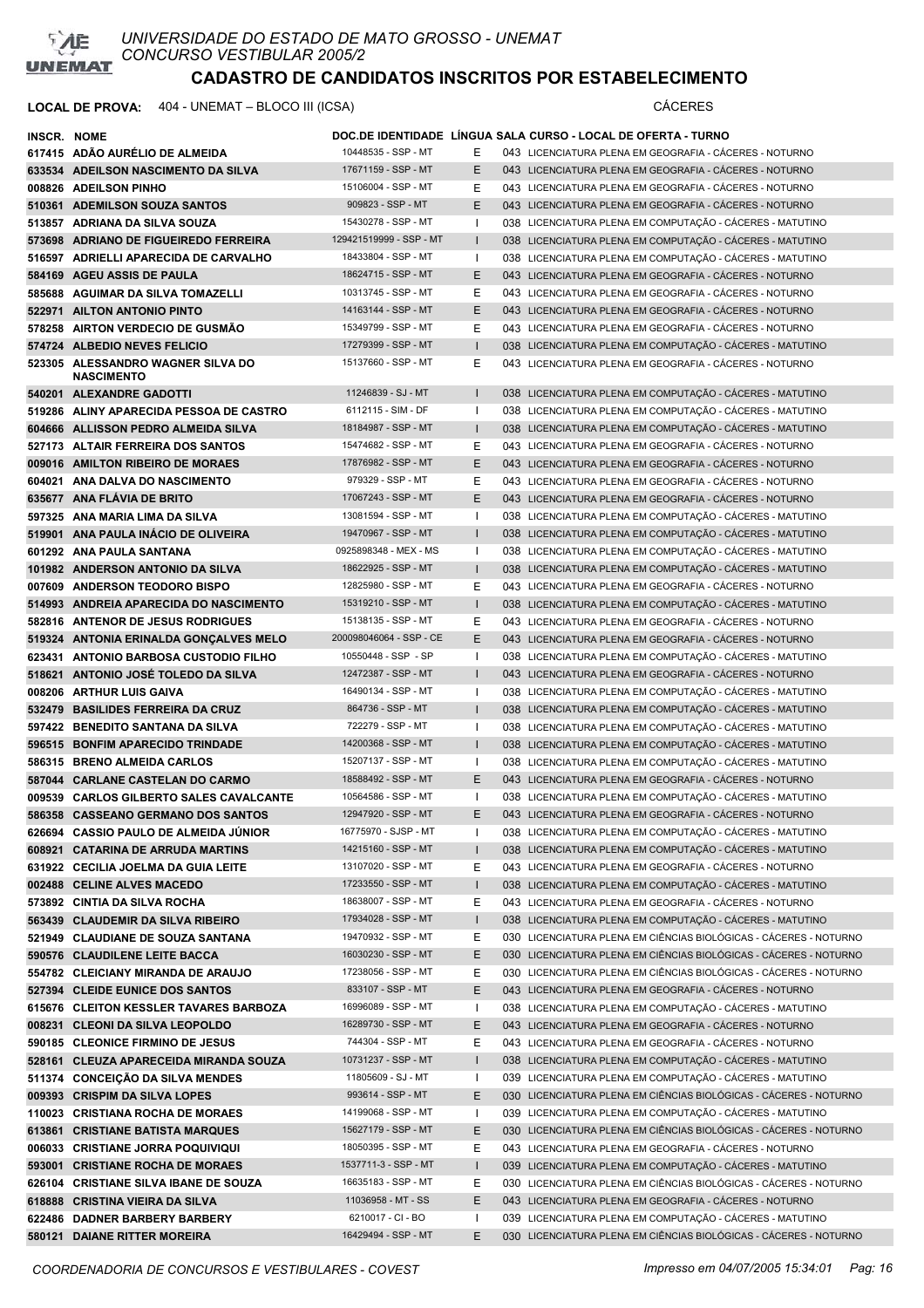

| INSCR. NOME |                                                                            |                                          |              | DOC.DE IDENTIDADE LÍNGUA SALA CURSO - LOCAL DE OFERTA - TURNO                                                                  |
|-------------|----------------------------------------------------------------------------|------------------------------------------|--------------|--------------------------------------------------------------------------------------------------------------------------------|
|             | 617415 ADÃO AURELIO DE ALMEIDA                                             | 10448535 - SSP - MT                      | Е            | 043 LICENCIATURA PLENA EM GEOGRAFIA - CÁCERES - NOTURNO                                                                        |
|             | 633534 ADEILSON NASCIMENTO DA SILVA                                        | 17671159 - SSP - MT                      | E            | 043 LICENCIATURA PLENA EM GEOGRAFIA - CÁCERES - NOTURNO                                                                        |
|             | 008826 ADEILSON PINHO                                                      | 15106004 - SSP - MT                      | Ε            | 043 LICENCIATURA PLENA EM GEOGRAFIA - CÁCERES - NOTURNO                                                                        |
|             | 510361 ADEMILSON SOUZA SANTOS                                              | 909823 - SSP - MT                        | E            | 043 LICENCIATURA PLENA EM GEOGRAFIA - CÁCERES - NOTURNO                                                                        |
|             | 513857 ADRIANA DA SILVA SOUZA                                              | 15430278 - SSP - MT                      | ı            | 038 LICENCIATURA PLENA EM COMPUTAÇÃO - CÁCERES - MATUTINO                                                                      |
|             | 573698 ADRIANO DE FIGUEIREDO FERREIRA                                      | 129421519999 - SSP - MT                  |              | 038 LICENCIATURA PLENA EM COMPUTAÇÃO - CÁCERES - MATUTINO                                                                      |
|             | 516597 ADRIELLI APARECIDA DE CARVALHO                                      | 18433804 - SSP - MT                      | $\mathbf{I}$ | 038 LICENCIATURA PLENA EM COMPUTAÇÃO - CÁCERES - MATUTINO                                                                      |
|             | 584169 AGEU ASSIS DE PAULA                                                 | 18624715 - SSP - MT                      | E            | 043 LICENCIATURA PLENA EM GEOGRAFIA - CÁCERES - NOTURNO                                                                        |
|             | 585688 AGUIMAR DA SILVA TOMAZELLI                                          | 10313745 - SSP - MT                      | Е            | 043 LICENCIATURA PLENA EM GEOGRAFIA - CÁCERES - NOTURNO                                                                        |
|             | 522971 AILTON ANTONIO PINTO                                                | 14163144 - SSP - MT                      | E            | 043 LICENCIATURA PLENA EM GEOGRAFIA - CÁCERES - NOTURNO                                                                        |
|             | 578258 AIRTON VERDECIO DE GUSMÃO                                           | 15349799 - SSP - MT                      | Ε            | 043 LICENCIATURA PLENA EM GEOGRAFIA - CÁCERES - NOTURNO                                                                        |
|             | 574724 ALBEDIO NEVES FELICIO                                               | 17279399 - SSP - MT                      |              | 038 LICENCIATURA PLENA EM COMPUTAÇÃO - CÁCERES - MATUTINO                                                                      |
|             | 523305 ALESSANDRO WAGNER SILVA DO                                          | 15137660 - SSP - MT                      | Ε            | 043 LICENCIATURA PLENA EM GEOGRAFIA - CÁCERES - NOTURNO                                                                        |
|             | <b>NASCIMENTO</b>                                                          |                                          |              |                                                                                                                                |
|             | 540201 ALEXANDRE GADOTTI                                                   | 11246839 - SJ - MT                       | $\mathbf{I}$ | 038 LICENCIATURA PLENA EM COMPUTAÇÃO - CÁCERES - MATUTINO                                                                      |
|             | 519286 ALINY APARECIDA PESSOA DE CASTRO                                    | 6112115 - SIM - DF                       | $\mathbf{I}$ | 038 LICENCIATURA PLENA EM COMPUTAÇÃO - CÁCERES - MATUTINO                                                                      |
|             | 604666 ALLISSON PEDRO ALMEIDA SILVA                                        | 18184987 - SSP - MT                      | $\mathsf{I}$ | 038 LICENCIATURA PLENA EM COMPUTAÇÃO - CÁCERES - MATUTINO                                                                      |
|             | 527173 ALTAIR FERREIRA DOS SANTOS                                          | 15474682 - SSP - MT                      | Е            | 043 LICENCIATURA PLENA EM GEOGRAFIA - CÁCERES - NOTURNO                                                                        |
|             | 009016 AMILTON RIBEIRO DE MORAES                                           | 17876982 - SSP - MT                      | Е            | 043 LICENCIATURA PLENA EM GEOGRAFIA - CÁCERES - NOTURNO                                                                        |
|             | 604021 ANA DALVA DO NASCIMENTO                                             | 979329 - SSP - MT                        | Е            | 043 LICENCIATURA PLENA EM GEOGRAFIA - CÁCERES - NOTURNO                                                                        |
|             | 635677 ANA FLAVIA DE BRITO                                                 | 17067243 - SSP - MT                      | E            | 043 LICENCIATURA PLENA EM GEOGRAFIA - CÁCERES - NOTURNO                                                                        |
|             | 597325 ANA MARIA LIMA DA SILVA                                             | 13081594 - SSP - MT                      |              | 038 LICENCIATURA PLENA EM COMPUTAÇÃO - CÁCERES - MATUTINO                                                                      |
|             | 519901 ANA PAULA INÁCIO DE OLIVEIRA                                        | 19470967 - SSP - MT                      |              | 038 LICENCIATURA PLENA EM COMPUTAÇÃO - CÁCERES - MATUTINO                                                                      |
|             | 601292 ANA PAULA SANTANA                                                   | 0925898348 - MEX - MS                    | J.           | 038 LICENCIATURA PLENA EM COMPUTAÇÃO - CÁCERES - MATUTINO                                                                      |
|             | 101982 ANDERSON ANTONIO DA SILVA                                           | 18622925 - SSP - MT                      | $\mathbf{I}$ | 038 LICENCIATURA PLENA EM COMPUTAÇÃO - CÁCERES - MATUTINO                                                                      |
|             | 007609 ANDERSON TEODORO BISPO                                              | 12825980 - SSP - MT                      | Е            | 043 LICENCIATURA PLENA EM GEOGRAFIA - CÁCERES - NOTURNO                                                                        |
|             | 514993 ANDREIA APARECIDA DO NASCIMENTO                                     | 15319210 - SSP - MT                      |              | 038 LICENCIATURA PLENA EM COMPUTAÇÃO - CÁCERES - MATUTINO                                                                      |
|             | 582816 ANTENOR DE JESUS RODRIGUES                                          | 15138135 - SSP - MT                      | Ε            | 043 LICENCIATURA PLENA EM GEOGRAFIA - CÁCERES - NOTURNO                                                                        |
|             | 519324 ANTONIA ERINALDA GONÇALVES MELO                                     | 200098046064 - SSP - CE                  | Е            | 043 LICENCIATURA PLENA EM GEOGRAFIA - CÁCERES - NOTURNO                                                                        |
|             | 623431 ANTONIO BARBOSA CUSTODIO FILHO                                      | 10550448 - SSP - SP                      | J.           | 038 LICENCIATURA PLENA EM COMPUTAÇÃO - CÁCERES - MATUTINO                                                                      |
|             | 518621 ANTONIO JOSÉ TOLEDO DA SILVA                                        | 12472387 - SSP - MT                      |              | 043 LICENCIATURA PLENA EM GEOGRAFIA - CÁCERES - NOTURNO                                                                        |
|             | 008206 ARTHUR LUIS GAIVA                                                   | 16490134 - SSP - MT                      | $\mathbf{I}$ | 038 LICENCIATURA PLENA EM COMPUTAÇÃO - CÁCERES - MATUTINO                                                                      |
|             | 532479 BASILIDES FERREIRA DA CRUZ                                          | 864736 - SSP - MT                        | $\mathbf{I}$ | 038 LICENCIATURA PLENA EM COMPUTAÇÃO - CÁCERES - MATUTINO                                                                      |
|             | 597422 BENEDITO SANTANA DA SILVA                                           | 722279 - SSP - MT                        | $\mathbf{I}$ | 038 LICENCIATURA PLENA EM COMPUTAÇÃO - CÁCERES - MATUTINO                                                                      |
|             | 596515 BONFIM APARECIDO TRINDADE                                           | 14200368 - SSP - MT                      | $\mathbf{I}$ | 038 LICENCIATURA PLENA EM COMPUTAÇÃO - CÁCERES - MATUTINO                                                                      |
|             | 586315 BRENO ALMEIDA CARLOS                                                | 15207137 - SSP - MT                      | $\mathbf{I}$ | 038 LICENCIATURA PLENA EM COMPUTAÇÃO - CÁCERES - MATUTINO                                                                      |
|             | 587044 CARLANE CASTELAN DO CARMO                                           | 18588492 - SSP - MT                      | E            | 043 LICENCIATURA PLENA EM GEOGRAFIA - CÁCERES - NOTURNO                                                                        |
|             | 009539 CARLOS GILBERTO SALES CAVALCANTE                                    | 10564586 - SSP - MT                      | J.           | 038 LICENCIATURA PLENA EM COMPUTAÇÃO - CÁCERES - MATUTINO                                                                      |
|             | 586358 CASSEANO GERMANO DOS SANTOS                                         | 12947920 - SSP - MT                      | E.           | 043 LICENCIATURA PLENA EM GEOGRAFIA - CÁCERES - NOTURNO                                                                        |
|             | 626694 CASSIO PAULO DE ALMEIDA JÚNIOR                                      | 16775970 - SJSP - MT                     |              | 038 LICENCIATURA PLENA EM COMPUTAÇÃO - CÁCERES - MATUTINO                                                                      |
|             | 608921 CATARINA DE ARRUDA MARTINS                                          | 14215160 - SSP - MT                      | $\mathbf{I}$ | 038 LICENCIATURA PLENA EM COMPUTAÇÃO - CÁCERES - MATUTINO                                                                      |
|             | 631922 CECILIA JOELMA DA GUIA LEITE                                        | 13107020 - SSP - MT                      | Е            | 043 LICENCIATURA PLENA EM GEOGRAFIA - CÁCERES - NOTURNO                                                                        |
|             | 002488 CELINE ALVES MACEDO                                                 | 17233550 - SSP - MT                      | $\mathsf{I}$ | 038 LICENCIATURA PLENA EM COMPUTAÇÃO - CÁCERES - MATUTINO                                                                      |
|             | 573892 CINTIA DA SILVA ROCHA                                               | 18638007 - SSP - MT                      | Е            | 043 LICENCIATURA PLENA EM GEOGRAFIA - CÁCERES - NOTURNO                                                                        |
|             | 563439 CLAUDEMIR DA SILVA RIBEIRO                                          | 17934028 - SSP - MT                      | $\mathbf{I}$ | 038 LICENCIATURA PLENA EM COMPUTAÇÃO - CÁCERES - MATUTINO                                                                      |
|             | 521949 CLAUDIANE DE SOUZA SANTANA                                          | 19470932 - SSP - MT                      | Е            | 030 LICENCIATURA PLENA EM CIÊNCIAS BIOLÓGICAS - CÁCERES - NOTURNO                                                              |
|             | 590576 CLAUDILENE LEITE BACCA                                              | 16030230 - SSP - MT                      | Е            | 030 LICENCIATURA PLENA EM CIÊNCIAS BIOLÓGICAS - CÁCERES - NOTURNO                                                              |
|             | 554782 CLEICIANY MIRANDA DE ARAUJO                                         | 17238056 - SSP - MT                      | Е            | 030 LICENCIATURA PLENA EM CIÊNCIAS BIOLÓGICAS - CÁCERES - NOTURNO                                                              |
|             | 527394 CLEIDE EUNICE DOS SANTOS                                            | 833107 - SSP - MT<br>16996089 - SSP - MT | E            | 043 LICENCIATURA PLENA EM GEOGRAFIA - CÁCERES - NOTURNO<br>038 LICENCIATURA PLENA EM COMPUTAÇÃO - CÁCERES - MATUTINO           |
|             | 615676 CLEITON KESSLER TAVARES BARBOZA                                     | 16289730 - SSP - MT                      | L            |                                                                                                                                |
|             | 008231 CLEONI DA SILVA LEOPOLDO                                            | 744304 - SSP - MT                        | Е            | 043 LICENCIATURA PLENA EM GEOGRAFIA - CÁCERES - NOTURNO                                                                        |
|             | 590185 CLEONICE FIRMINO DE JESUS<br>528161 CLEUZA APARECEIDA MIRANDA SOUZA | 10731237 - SSP - MT                      | Е            | 043 LICENCIATURA PLENA EM GEOGRAFIA - CÁCERES - NOTURNO<br>038 LICENCIATURA PLENA EM COMPUTAÇÃO - CÁCERES - MATUTINO           |
|             |                                                                            | 11805609 - SJ - MT                       | I.           |                                                                                                                                |
|             | 511374 CONCEIÇÃO DA SILVA MENDES<br>009393 CRISPIM DA SILVA LOPES          | 993614 - SSP - MT                        | Ε            | 039 LICENCIATURA PLENA EM COMPUTAÇÃO - CÁCERES - MATUTINO<br>030 LICENCIATURA PLENA EM CIÊNCIAS BIOLÓGICAS - CÁCERES - NOTURNO |
|             | 110023 CRISTIANA ROCHA DE MORAES                                           | 14199068 - SSP - MT                      | ı            | 039 LICENCIATURA PLENA EM COMPUTAÇÃO - CÁCERES - MATUTINO                                                                      |
|             | 613861 CRISTIANE BATISTA MARQUES                                           | 15627179 - SSP - MT                      | Ε            | 030 LICENCIATURA PLENA EM CIÊNCIAS BIOLÓGICAS - CÁCERES - NOTURNO                                                              |
|             | 006033 CRISTIANE JORRA POQUIVIQUI                                          | 18050395 - SSP - MT                      | Е            | 043 LICENCIATURA PLENA EM GEOGRAFIA - CÁCERES - NOTURNO                                                                        |
|             | 593001 CRISTIANE ROCHA DE MORAES                                           | 1537711-3 - SSP - MT                     | $\mathsf{I}$ | 039 LICENCIATURA PLENA EM COMPUTAÇÃO - CÁCERES - MATUTINO                                                                      |
|             | 626104 CRISTIANE SILVA IBANE DE SOUZA                                      | 16635183 - SSP - MT                      | Е            | 030 LICENCIATURA PLENA EM CIÊNCIAS BIOLÓGICAS - CÁCERES - NOTURNO                                                              |
|             | 618888 CRISTINA VIEIRA DA SILVA                                            | 11036958 - MT - SS                       | Е            | 043 LICENCIATURA PLENA EM GEOGRAFIA - CÁCERES - NOTURNO                                                                        |
|             | 622486 DADNER BARBERY BARBERY                                              | 6210017 - CI - BO                        |              | 039 LICENCIATURA PLENA EM COMPUTAÇÃO - CÁCERES - MATUTINO                                                                      |
|             | 580121 DAIANE RITTER MOREIRA                                               | 16429494 - SSP - MT                      | E            | 030 LICENCIATURA PLENA EM CIÊNCIAS BIOLÓGICAS - CÁCERES - NOTURNO                                                              |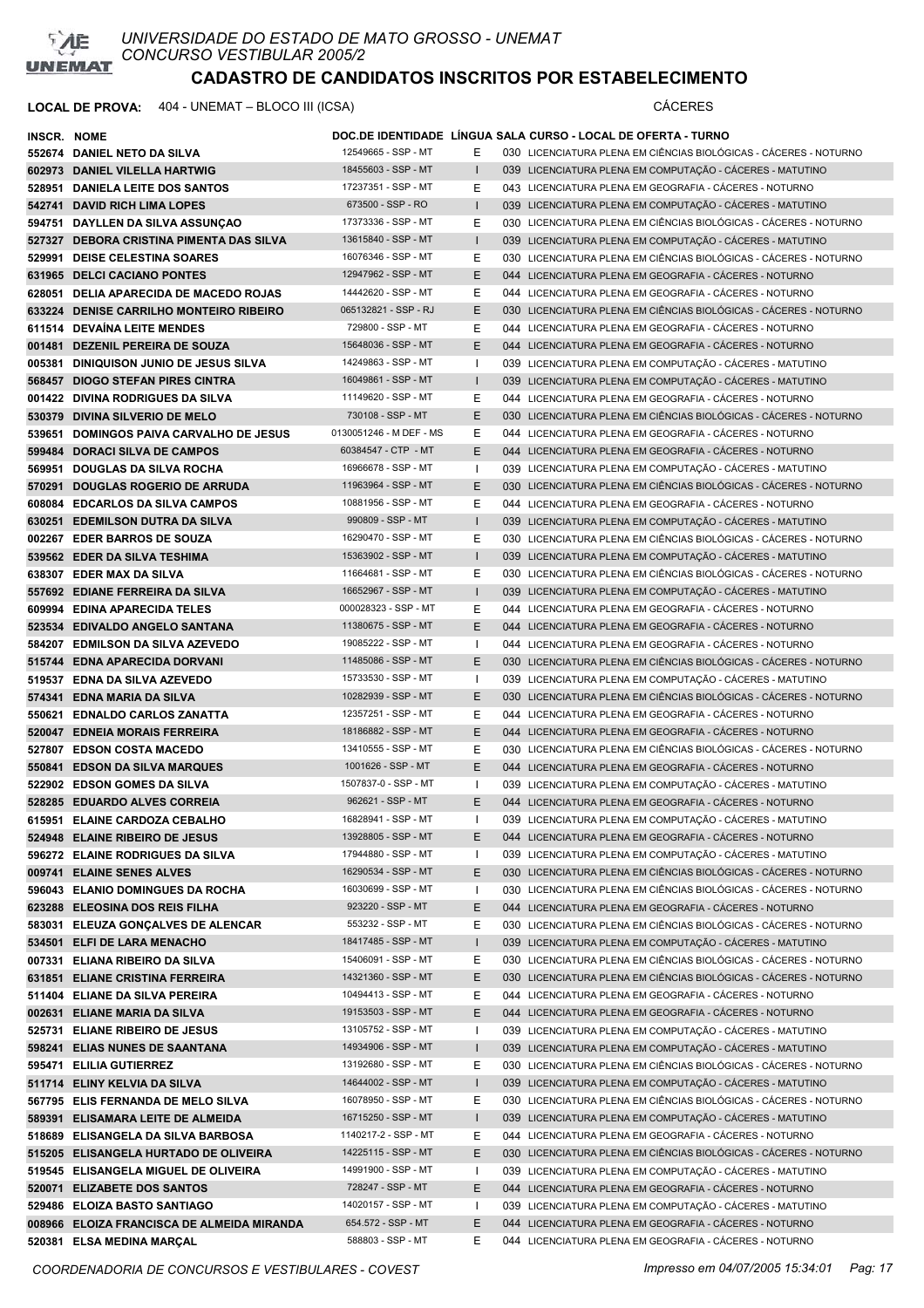

| <b>INSCR. NOME</b> |                                            |                         |              | DOC.DE IDENTIDADE LINGUA SALA CURSO - LOCAL DE OFERTA - TURNO     |
|--------------------|--------------------------------------------|-------------------------|--------------|-------------------------------------------------------------------|
|                    | 552674 DANIEL NETO DA SILVA                | 12549665 - SSP - MT     | E.           | 030 LICENCIATURA PLENA EM CIÊNCIAS BIOLÓGICAS - CÁCERES - NOTURNO |
|                    | 602973 DANIEL VILELLA HARTWIG              | 18455603 - SSP - MT     | $\mathbf{I}$ | 039 LICENCIATURA PLENA EM COMPUTAÇÃO - CÁCERES - MATUTINO         |
|                    | 528951 DANIELA LEITE DOS SANTOS            | 17237351 - SSP - MT     | E            | 043 LICENCIATURA PLENA EM GEOGRAFIA - CÁCERES - NOTURNO           |
|                    | 542741 DAVID RICH LIMA LOPES               | 673500 - SSP - RO       |              | 039 LICENCIATURA PLENA EM COMPUTAÇÃO - CÁCERES - MATUTINO         |
|                    | 594751 DAYLLEN DA SILVA ASSUNÇAO           | 17373336 - SSP - MT     | Е            | 030 LICENCIATURA PLENA EM CIÊNCIAS BIOLÓGICAS - CÁCERES - NOTURNO |
|                    | 527327 DEBORA CRISTINA PIMENTA DAS SILVA   | 13615840 - SSP - MT     |              | 039 LICENCIATURA PLENA EM COMPUTAÇÃO - CÁCERES - MATUTINO         |
|                    | 529991 DEISE CELESTINA SOARES              | 16076346 - SSP - MT     | Е            | 030 LICENCIATURA PLENA EM CIÊNCIAS BIOLÓGICAS - CÁCERES - NOTURNO |
|                    | 631965 DELCI CACIANO PONTES                | 12947962 - SSP - MT     | E            | 044 LICENCIATURA PLENA EM GEOGRAFIA - CÁCERES - NOTURNO           |
|                    | 628051 DELIA APARECIDA DE MACEDO ROJAS     | 14442620 - SSP - MT     | E.           | 044 LICENCIATURA PLENA EM GEOGRAFIA - CÁCERES - NOTURNO           |
|                    | 633224 DENISE CARRILHO MONTEIRO RIBEIRO    | 065132821 - SSP - RJ    | E.           | 030 LICENCIATURA PLENA EM CIÊNCIAS BIOLÓGICAS - CÁCERES - NOTURNO |
|                    | 611514 DEVAÍNA LEITE MENDES                | 729800 - SSP - MT       | Е            | 044 LICENCIATURA PLENA EM GEOGRAFIA - CÁCERES - NOTURNO           |
|                    | 001481 DEZENIL PEREIRA DE SOUZA            | 15648036 - SSP - MT     | E.           | 044 LICENCIATURA PLENA EM GEOGRAFIA - CACERES - NOTURNO           |
|                    | 005381 DINIQUISON JUNIO DE JESUS SILVA     | 14249863 - SSP - MT     | л.           | 039 LICENCIATURA PLENA EM COMPUTAÇÃO - CÁCERES - MATUTINO         |
|                    | 568457 DIOGO STEFAN PIRES CINTRA           | 16049861 - SSP - MT     |              | 039 LICENCIATURA PLENA EM COMPUTAÇÃO - CÁCERES - MATUTINO         |
|                    | 001422 DIVINA RODRIGUES DA SILVA           | 11149620 - SSP - MT     | Е            | 044 LICENCIATURA PLENA EM GEOGRAFIA - CÁCERES - NOTURNO           |
|                    | 530379 DIVINA SILVERIO DE MELO             | 730108 - SSP - MT       | E            | 030 LICENCIATURA PLENA EM CIÊNCIAS BIOLÓGICAS - CÁCERES - NOTURNO |
|                    | 539651 DOMINGOS PAIVA CARVALHO DE JESUS    | 0130051246 - M DEF - MS | Е            | 044 LICENCIATURA PLENA EM GEOGRAFIA - CACERES - NOTURNO           |
|                    | 599484 DORACI SILVA DE CAMPOS              | 60384547 - CTP - MT     | E.           | 044 LICENCIATURA PLENA EM GEOGRAFIA - CÁCERES - NOTURNO           |
|                    |                                            | 16966678 - SSP - MT     |              |                                                                   |
|                    | 569951 DOUGLAS DA SILVA ROCHA              |                         | I.           | 039 LICENCIATURA PLENA EM COMPUTAÇÃO - CÁCERES - MATUTINO         |
|                    | 570291 DOUGLAS ROGERIO DE ARRUDA           | 11963964 - SSP - MT     | Е            | 030 LICENCIATURA PLENA EM CIÊNCIAS BIOLÓGICAS - CÁCERES - NOTURNO |
|                    | 608084 EDCARLOS DA SILVA CAMPOS            | 10881956 - SSP - MT     | E.           | 044 LICENCIATURA PLENA EM GEOGRAFIA - CÁCERES - NOTURNO           |
|                    | 630251 EDEMILSON DUTRA DA SILVA            | 990809 - SSP - MT       | $\mathbf{I}$ | 039 LICENCIATURA PLENA EM COMPUTAÇÃO - CÁCERES - MATUTINO         |
|                    | 002267 EDER BARROS DE SOUZA                | 16290470 - SSP - MT     | Е            | 030 LICENCIATURA PLENA EM CIÊNCIAS BIOLÓGICAS - CÁCERES - NOTURNO |
|                    | 539562 EDER DA SILVA TESHIMA               | 15363902 - SSP - MT     | $\mathbf{I}$ | 039 LICENCIATURA PLENA EM COMPUTAÇÃO - CÁCERES - MATUTINO         |
|                    | 638307 EDER MAX DA SILVA                   | 11664681 - SSP - MT     | Е            | 030 LICENCIATURA PLENA EM CIÊNCIAS BIOLÓGICAS - CÁCERES - NOTURNO |
|                    | 557692 EDIANE FERREIRA DA SILVA            | 16652967 - SSP - MT     | $\mathbf{I}$ | 039 LICENCIATURA PLENA EM COMPUTAÇÃO - CÁCERES - MATUTINO         |
|                    | 609994 EDINA APARECIDA TELES               | 000028323 - SSP - MT    | Е            | 044 LICENCIATURA PLENA EM GEOGRAFIA - CÁCERES - NOTURNO           |
|                    | 523534 EDIVALDO ANGELO SANTANA             | 11380675 - SSP - MT     | E.           | 044 LICENCIATURA PLENA EM GEOGRAFIA - CACERES - NOTURNO           |
|                    | 584207 EDMILSON DA SILVA AZEVEDO           | 19085222 - SSP - MT     | I.           | 044 LICENCIATURA PLENA EM GEOGRAFIA - CÁCERES - NOTURNO           |
|                    | 515744 EDNA APARECIDA DORVANI              | 11485086 - SSP - MT     | Е            | 030 LICENCIATURA PLENA EM CIÊNCIAS BIOLÓGICAS - CÁCERES - NOTURNO |
|                    | 519537 EDNA DA SILVA AZEVEDO               | 15733530 - SSP - MT     | Ι.           | 039 LICENCIATURA PLENA EM COMPUTAÇÃO - CÁCERES - MATUTINO         |
|                    | 574341 EDNA MARIA DA SILVA                 | 10282939 - SSP - MT     | E.           | 030 LICENCIATURA PLENA EM CIÊNCIAS BIOLÓGICAS - CÁCERES - NOTURNO |
|                    | 550621 EDNALDO CARLOS ZANATTA              | 12357251 - SSP - MT     | Е            | 044 LICENCIATURA PLENA EM GEOGRAFIA - CÁCERES - NOTURNO           |
|                    | 520047 EDNEIA MORAIS FERREIRA              | 18186882 - SSP - MT     | E            | 044 LICENCIATURA PLENA EM GEOGRAFIA - CACERES - NOTURNO           |
|                    | 527807 EDSON COSTA MACEDO                  | 13410555 - SSP - MT     | Е            | 030 LICENCIATURA PLENA EM CIÊNCIAS BIOLÓGICAS - CÁCERES - NOTURNO |
|                    | 550841 EDSON DA SILVA MARQUES              | 1001626 - SSP - MT      | E            | 044 LICENCIATURA PLENA EM GEOGRAFIA - CÁCERES - NOTURNO           |
|                    | 522902 EDSON GOMES DA SILVA                | 1507837-0 - SSP - MT    | I.           | 039 LICENCIATURA PLENA EM COMPUTAÇÃO - CÁCERES - MATUTINO         |
|                    | 528285 EDUARDO ALVES CORREIA               | 962621 - SSP - MT       | E.           | 044 LICENCIATURA PLENA EM GEOGRAFIA - CÁCERES - NOTURNO           |
|                    | 615951 ELAINE CARDOZA CEBALHO              | 16828941 - SSP - MT     |              | 039 LICENCIATURA PLENA EM COMPUTAÇÃO - CÁCERES - MATUTINO         |
|                    | 524948 ELAINE RIBEIRO DE JESUS             | 13928805 - SSP - MT     | Ε            | 044 LICENCIATURA PLENA EM GEOGRAFIA - CÁCERES - NOTURNO           |
|                    | 596272 ELAINE RODRIGUES DA SILVA           | 17944880 - SSP - MT     |              | 039 LICENCIATURA PLENA EM COMPUTAÇÃO - CÁCERES - MATUTINO         |
|                    | 009741 ELAINE SENES ALVES                  | 16290534 - SSP - MT     | Ε            | 030 LICENCIATURA PLENA EM CIÊNCIAS BIOLÓGICAS - CÁCERES - NOTURNO |
|                    | 596043 ELANIO DOMINGUES DA ROCHA           | 16030699 - SSP - MT     | T            | 030 LICENCIATURA PLENA EM CIÊNCIAS BIOLÓGICAS - CÁCERES - NOTURNO |
|                    | 623288 ELEOSINA DOS REIS FILHA             | 923220 - SSP - MT       | Ε            | 044 LICENCIATURA PLENA EM GEOGRAFIA - CÁCERES - NOTURNO           |
|                    | 583031 ELEUZA GONCALVES DE ALENCAR         | 553232 - SSP - MT       | E            | 030 LICENCIATURA PLENA EM CIÊNCIAS BIOLÓGICAS - CÁCERES - NOTURNO |
|                    | 534501 ELFI DE LARA MENACHO                | 18417485 - SSP - MT     |              | 039 LICENCIATURA PLENA EM COMPUTAÇÃO - CÁCERES - MATUTINO         |
|                    | 007331 ELIANA RIBEIRO DA SILVA             | 15406091 - SSP - MT     | Е            | 030 LICENCIATURA PLENA EM CIÊNCIAS BIOLÓGICAS - CÁCERES - NOTURNO |
|                    | 631851 ELIANE CRISTINA FERREIRA            | 14321360 - SSP - MT     | Ε            | 030 LICENCIATURA PLENA EM CIÊNCIAS BIOLÓGICAS - CÁCERES - NOTURNO |
|                    | 511404 ELIANE DA SILVA PEREIRA             | 10494413 - SSP - MT     | Е            | 044 LICENCIATURA PLENA EM GEOGRAFIA - CÁCERES - NOTURNO           |
|                    | 002631 ELIANE MARIA DA SILVA               | 19153503 - SSP - MT     | E            | 044 LICENCIATURA PLENA EM GEOGRAFIA - CÁCERES - NOTURNO           |
|                    | 525731 ELIANE RIBEIRO DE JESUS             | 13105752 - SSP - MT     |              | 039 LICENCIATURA PLENA EM COMPUTAÇÃO - CÁCERES - MATUTINO         |
|                    | 598241 ELIAS NUNES DE SAANTANA             | 14934906 - SSP - MT     |              | 039 LICENCIATURA PLENA EM COMPUTAÇÃO - CÁCERES - MATUTINO         |
|                    | 595471 ELILIA GUTIERREZ                    | 13192680 - SSP - MT     | Е            | 030 LICENCIATURA PLENA EM CIÊNCIAS BIOLÓGICAS - CÁCERES - NOTURNO |
|                    | 511714 ELINY KELVIA DA SILVA               | 14644002 - SSP - MT     |              | 039 LICENCIATURA PLENA EM COMPUTAÇÃO - CÁCERES - MATUTINO         |
|                    | 567795 ELIS FERNANDA DE MELO SILVA         | 16078950 - SSP - MT     | Ε            | 030 LICENCIATURA PLENA EM CIÊNCIAS BIOLÓGICAS - CÁCERES - NOTURNO |
|                    | 589391 ELISAMARA LEITE DE ALMEIDA          | 16715250 - SSP - MT     |              | 039 LICENCIATURA PLENA EM COMPUTAÇÃO - CÁCERES - MATUTINO         |
|                    | 518689 ELISANGELA DA SILVA BARBOSA         | 1140217-2 - SSP - MT    | Е            | 044 LICENCIATURA PLENA EM GEOGRAFIA - CÁCERES - NOTURNO           |
|                    | 515205 ELISANGELA HURTADO DE OLIVEIRA      | 14225115 - SSP - MT     | E            | 030 LICENCIATURA PLENA EM CIÊNCIAS BIOLÓGICAS - CÁCERES - NOTURNO |
|                    | 519545 ELISANGELA MIGUEL DE OLIVEIRA       | 14991900 - SSP - MT     | ı            | 039 LICENCIATURA PLENA EM COMPUTAÇÃO - CÁCERES - MATUTINO         |
|                    | 520071 ELIZABETE DOS SANTOS                | 728247 - SSP - MT       | E            | 044 LICENCIATURA PLENA EM GEOGRAFIA - CÁCERES - NOTURNO           |
|                    | 529486 ELOIZA BASTO SANTIAGO               | 14020157 - SSP - MT     | T            | 039 LICENCIATURA PLENA EM COMPUTAÇÃO - CÁCERES - MATUTINO         |
|                    | 008966 ELOIZA FRANCISCA DE ALMEIDA MIRANDA | 654.572 - SSP - MT      | Е            | 044 LICENCIATURA PLENA EM GEOGRAFIA - CÁCERES - NOTURNO           |
|                    | 520381 ELSA MEDINA MARÇAL                  | 588803 - SSP - MT       | E            | 044 LICENCIATURA PLENA EM GEOGRAFIA - CÁCERES - NOTURNO           |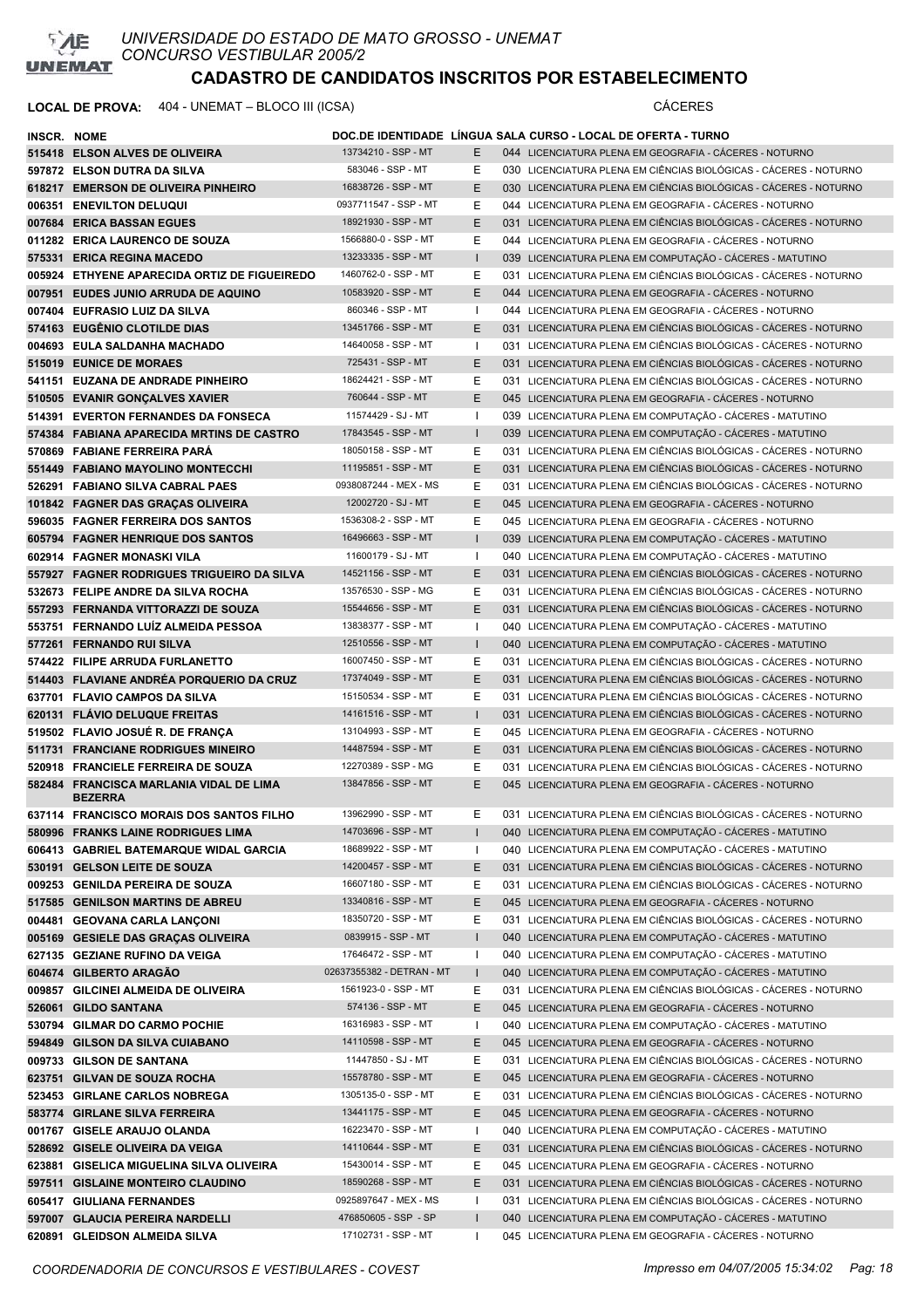

| <b>INSCR. NOME</b> |                                                           |                           |              | DOC.DE IDENTIDADE LÍNGUA SALA CURSO - LOCAL DE OFERTA - TURNO     |
|--------------------|-----------------------------------------------------------|---------------------------|--------------|-------------------------------------------------------------------|
|                    | 515418 ELSON ALVES DE OLIVEIRA                            | 13734210 - SSP - MT       | E            | 044 LICENCIATURA PLENA EM GEOGRAFIA - CÁCERES - NOTURNO           |
|                    | 597872 ELSON DUTRA DA SILVA                               | 583046 - SSP - MT         | Е            | 030 LICENCIATURA PLENA EM CIÊNCIAS BIOLÓGICAS - CÁCERES - NOTURNO |
|                    | 618217 EMERSON DE OLIVEIRA PINHEIRO                       | 16838726 - SSP - MT       | E.           | 030 LICENCIATURA PLENA EM CIÊNCIAS BIOLÓGICAS - CÁCERES - NOTURNO |
|                    | 006351 ENEVILTON DELUQUI                                  | 0937711547 - SSP - MT     | Е            | 044 LICENCIATURA PLENA EM GEOGRAFIA - CÁCERES - NOTURNO           |
|                    | 007684 ERICA BASSAN EGUES                                 | 18921930 - SSP - MT       | E            | 031 LICENCIATURA PLENA EM CIÊNCIAS BIOLÓGICAS - CÁCERES - NOTURNO |
|                    | 011282 ERICA LAURENCO DE SOUZA                            | 1566880-0 - SSP - MT      | Е            | 044 LICENCIATURA PLENA EM GEOGRAFIA - CÁCERES - NOTURNO           |
|                    | 575331 ERICA REGINA MACEDO                                | 13233335 - SSP - MT       | $\mathbf{I}$ | 039 LICENCIATURA PLENA EM COMPUTAÇÃO - CÁCERES - MATUTINO         |
|                    | 005924 ETHYENE APARECIDA ORTIZ DE FIGUEIREDO              | 1460762-0 - SSP - MT      | Е            | 031 LICENCIATURA PLENA EM CIÊNCIAS BIOLÓGICAS - CÁCERES - NOTURNO |
|                    | 007951 EUDES JUNIO ARRUDA DE AQUINO                       | 10583920 - SSP - MT       | E.           | 044 LICENCIATURA PLENA EM GEOGRAFIA - CÁCERES - NOTURNO           |
|                    | 007404 EUFRASIO LUIZ DA SILVA                             | 860346 - SSP - MT         | Ι.           | 044 LICENCIATURA PLENA EM GEOGRAFIA - CÁCERES - NOTURNO           |
|                    | 574163 EUGENIO CLOTILDE DIAS                              | 13451766 - SSP - MT       | E.           | 031 LICENCIATURA PLENA EM CIÊNCIAS BIOLÓGICAS - CÁCERES - NOTURNO |
|                    | 004693 EULA SALDANHA MACHADO                              | 14640058 - SSP - MT       | Ι.           | 031 LICENCIATURA PLENA EM CIÊNCIAS BIOLÓGICAS - CÁCERES - NOTURNO |
|                    | 515019 EUNICE DE MORAES                                   | 725431 - SSP - MT         | E            | 031 LICENCIATURA PLENA EM CIÊNCIAS BIOLÓGICAS - CÁCERES - NOTURNO |
|                    | 541151 EUZANA DE ANDRADE PINHEIRO                         | 18624421 - SSP - MT       | Е            | 031 LICENCIATURA PLENA EM CIÊNCIAS BIOLÓGICAS - CÁCERES - NOTURNO |
|                    | 510505 EVANIR GONCALVES XAVIER                            | 760644 - SSP - MT         | E            | 045 LICENCIATURA PLENA EM GEOGRAFIA - CÁCERES - NOTURNO           |
|                    | 514391 EVERTON FERNANDES DA FONSECA                       | 11574429 - SJ - MT        | $\mathbf{I}$ | 039 LICENCIATURA PLENA EM COMPUTAÇÃO - CÁCERES - MATUTINO         |
|                    | 574384 FABIANA APARECIDA MRTINS DE CASTRO                 | 17843545 - SSP - MT       | $\mathbf{I}$ | 039 LICENCIATURA PLENA EM COMPUTAÇÃO - CÁCERES - MATUTINO         |
|                    | 570869 FABIANE FERREIRA PARA                              | 18050158 - SSP - MT       | E            | 031 LICENCIATURA PLENA EM CIÊNCIAS BIOLÓGICAS - CÁCERES - NOTURNO |
|                    | 551449 FABIANO MAYOLINO MONTECCHI                         | 11195851 - SSP - MT       | E.           | 031 LICENCIATURA PLENA EM CIÊNCIAS BIOLÓGICAS - CÁCERES - NOTURNO |
|                    | 526291 FABIANO SILVA CABRAL PAES                          | 0938087244 - MEX - MS     | E.           | 031 LICENCIATURA PLENA EM CIÊNCIAS BIOLÓGICAS - CÁCERES - NOTURNO |
|                    | 101842 FAGNER DAS GRAÇAS OLIVEIRA                         | 12002720 - SJ - MT        | E            | 045 LICENCIATURA PLENA EM GEOGRAFIA - CÁCERES - NOTURNO           |
|                    | 596035 FAGNER FERREIRA DOS SANTOS                         | 1536308-2 - SSP - MT      | Е            | 045 LICENCIATURA PLENA EM GEOGRAFIA - CÁCERES - NOTURNO           |
|                    | 605794 FAGNER HENRIQUE DOS SANTOS                         | 16496663 - SSP - MT       |              | 039 LICENCIATURA PLENA EM COMPUTAÇÃO - CÁCERES - MATUTINO         |
|                    | 602914 FAGNER MONASKI VILA                                | 11600179 - SJ - MT        | $\mathbf{I}$ | 040 LICENCIATURA PLENA EM COMPUTAÇÃO - CÁCERES - MATUTINO         |
|                    | 557927 FAGNER RODRIGUES TRIGUEIRO DA SILVA                | 14521156 - SSP - MT       | E.           | 031 LICENCIATURA PLENA EM CIÊNCIAS BIOLÓGICAS - CÁCERES - NOTURNO |
|                    | 532673 FELIPE ANDRE DA SILVA ROCHA                        | 13576530 - SSP - MG       | Е            | 031 LICENCIATURA PLENA EM CIÊNCIAS BIOLÓGICAS - CÁCERES - NOTURNO |
|                    | 557293 FERNANDA VITTORAZZI DE SOUZA                       | 15544656 - SSP - MT       | E            | 031 LICENCIATURA PLENA EM CIÊNCIAS BIOLÓGICAS - CÁCERES - NOTURNO |
|                    | 553751 FERNANDO LUÍZ ALMEIDA PESSOA                       | 13838377 - SSP - MT       |              | 040 LICENCIATURA PLENA EM COMPUTAÇÃO - CÁCERES - MATUTINO         |
|                    | 577261 FERNANDO RUI SILVA                                 | 12510556 - SSP - MT       |              | 040 LICENCIATURA PLENA EM COMPUTAÇÃO - CÁCERES - MATUTINO         |
|                    | 574422 FILIPE ARRUDA FURLANETTO                           | 16007450 - SSP - MT       | Е            | 031 LICENCIATURA PLENA EM CIÊNCIAS BIOLÓGICAS - CÁCERES - NOTURNO |
|                    | 514403 FLAVIANE ANDREA PORQUERIO DA CRUZ                  | 17374049 - SSP - MT       | E            | 031 LICENCIATURA PLENA EM CIÊNCIAS BIOLÓGICAS - CÁCERES - NOTURNO |
|                    | 637701 FLAVIO CAMPOS DA SILVA                             | 15150534 - SSP - MT       | Е            | 031 LICENCIATURA PLENA EM CIÊNCIAS BIOLÓGICAS - CÁCERES - NOTURNO |
|                    | 620131 FLAVIO DELUQUE FREITAS                             | 14161516 - SSP - MT       | $\mathbf{I}$ | 031 LICENCIATURA PLENA EM CIÊNCIAS BIOLÓGICAS - CÁCERES - NOTURNO |
|                    | 519502 FLAVIO JOSUE R. DE FRANÇA                          | 13104993 - SSP - MT       | Е            | 045 LICENCIATURA PLENA EM GEOGRAFIA - CÁCERES - NOTURNO           |
|                    | 511731 FRANCIANE RODRIGUES MINEIRO                        | 14487594 - SSP - MT       | E.           | 031 LICENCIATURA PLENA EM CIÊNCIAS BIOLÓGICAS - CÁCERES - NOTURNO |
|                    | 520918 FRANCIELE FERREIRA DE SOUZA                        | 12270389 - SSP - MG       | Е            | 031 LICENCIATURA PLENA EM CIÊNCIAS BIOLÓGICAS - CÁCERES - NOTURNO |
|                    | 582484 FRANCISCA MARLANIA VIDAL DE LIMA<br><b>BEZERRA</b> | 13847856 - SSP - MT       | E            | 045 LICENCIATURA PLENA EM GEOGRAFIA - CÁCERES - NOTURNO           |
|                    | 637114 FRANCISCO MORAIS DOS SANTOS FILHO                  | 13962990 - SSP - MT       | E.           | 031 LICENCIATURA PLENA EM CIÊNCIAS BIOLÓGICAS - CÁCERES - NOTURNO |
|                    | 580996 FRANKS LAINE RODRIGUES LIMA                        | 14703696 - SSP - MT       |              | 040 LICENCIATURA PLENA EM COMPUTAÇÃO - CÁCERES - MATUTINO         |
|                    | 606413 GABRIEL BATEMARQUE WIDAL GARCIA                    | 18689922 - SSP - MT       |              | 040 LICENCIATURA PLENA EM COMPUTAÇÃO - CÁCERES - MATUTINO         |
|                    | 530191 GELSON LEITE DE SOUZA                              | 14200457 - SSP - MT       | Ε            | 031 LICENCIATURA PLENA EM CIÊNCIAS BIOLÓGICAS - CÁCERES - NOTURNO |
|                    | 009253 GENILDA PEREIRA DE SOUZA                           | 16607180 - SSP - MT       | Е            | 031 LICENCIATURA PLENA EM CIÊNCIAS BIOLÓGICAS - CÁCERES - NOTURNO |
|                    | 517585 GENILSON MARTINS DE ABREU                          | 13340816 - SSP - MT       | E            | 045 LICENCIATURA PLENA EM GEOGRAFIA - CÁCERES - NOTURNO           |
|                    | 004481 GEOVANA CARLA LANÇONI                              | 18350720 - SSP - MT       | Ε            | 031 LICENCIATURA PLENA EM CIÊNCIAS BIOLÓGICAS - CÁCERES - NOTURNO |
|                    | 005169 GESIELE DAS GRAÇAS OLIVEIRA                        | 0839915 - SSP - MT        |              | 040 LICENCIATURA PLENA EM COMPUTAÇÃO - CÁCERES - MATUTINO         |
|                    | 627135 GEZIANE RUFINO DA VEIGA                            | 17646472 - SSP - MT       |              | 040 LICENCIATURA PLENA EM COMPUTAÇÃO - CÁCERES - MATUTINO         |
|                    | 604674 GILBERTO ARAGÃO                                    | 02637355382 - DETRAN - MT |              | 040 LICENCIATURA PLENA EM COMPUTAÇÃO - CÁCERES - MATUTINO         |
|                    | 009857 GILCINEI ALMEIDA DE OLIVEIRA                       | 1561923-0 - SSP - MT      | Е            | 031 LICENCIATURA PLENA EM CIÊNCIAS BIOLÓGICAS - CÁCERES - NOTURNO |
|                    | 526061 GILDO SANTANA                                      | 574136 - SSP - MT         | E.           | 045 LICENCIATURA PLENA EM GEOGRAFIA - CÁCERES - NOTURNO           |
|                    | 530794 GILMAR DO CARMO POCHIE                             | 16316983 - SSP - MT       |              | 040 LICENCIATURA PLENA EM COMPUTAÇÃO - CÁCERES - MATUTINO         |
|                    | 594849 GILSON DA SILVA CUIABANO                           | 14110598 - SSP - MT       | E            | 045 LICENCIATURA PLENA EM GEOGRAFIA - CÁCERES - NOTURNO           |
|                    | 009733 GILSON DE SANTANA                                  | 11447850 - SJ - MT        | Е            | 031 LICENCIATURA PLENA EM CIÊNCIAS BIOLÓGICAS - CÁCERES - NOTURNO |
|                    | 623751 GILVAN DE SOUZA ROCHA                              | 15578780 - SSP - MT       | E            | 045 LICENCIATURA PLENA EM GEOGRAFIA - CÁCERES - NOTURNO           |
|                    | 523453 GIRLANE CARLOS NOBREGA                             | 1305135-0 - SSP - MT      | Е            | 031 LICENCIATURA PLENA EM CIÊNCIAS BIOLÓGICAS - CÁCERES - NOTURNO |
|                    | 583774 GIRLANE SILVA FERREIRA                             | 13441175 - SSP - MT       | E            | 045 LICENCIATURA PLENA EM GEOGRAFIA - CÁCERES - NOTURNO           |
|                    | 001767 GISELE ARAUJO OLANDA                               | 16223470 - SSP - MT       |              | 040 LICENCIATURA PLENA EM COMPUTAÇÃO - CÁCERES - MATUTINO         |
|                    | 528692 GISELE OLIVEIRA DA VEIGA                           | 14110644 - SSP - MT       | E            | 031 LICENCIATURA PLENA EM CIÊNCIAS BIOLÓGICAS - CÁCERES - NOTURNO |
|                    | 623881 GISELICA MIGUELINA SILVA OLIVEIRA                  | 15430014 - SSP - MT       | Е            | 045 LICENCIATURA PLENA EM GEOGRAFIA - CÁCERES - NOTURNO           |
|                    | 597511 GISLAINE MONTEIRO CLAUDINO                         | 18590268 - SSP - MT       | Ε            | 031 LICENCIATURA PLENA EM CIÊNCIAS BIOLÓGICAS - CÁCERES - NOTURNO |
|                    | 605417 GIULIANA FERNANDES                                 | 0925897647 - MEX - MS     |              | 031 LICENCIATURA PLENA EM CIÊNCIAS BIOLÓGICAS - CÁCERES - NOTURNO |
|                    | 597007 GLAUCIA PEREIRA NARDELLI                           | 476850605 - SSP - SP      | $\mathbf{I}$ | 040 LICENCIATURA PLENA EM COMPUTAÇÃO - CÁCERES - MATUTINO         |
|                    | 620891 GLEIDSON ALMEIDA SILVA                             | 17102731 - SSP - MT       |              | 045 LICENCIATURA PLENA EM GEOGRAFIA - CÁCERES - NOTURNO           |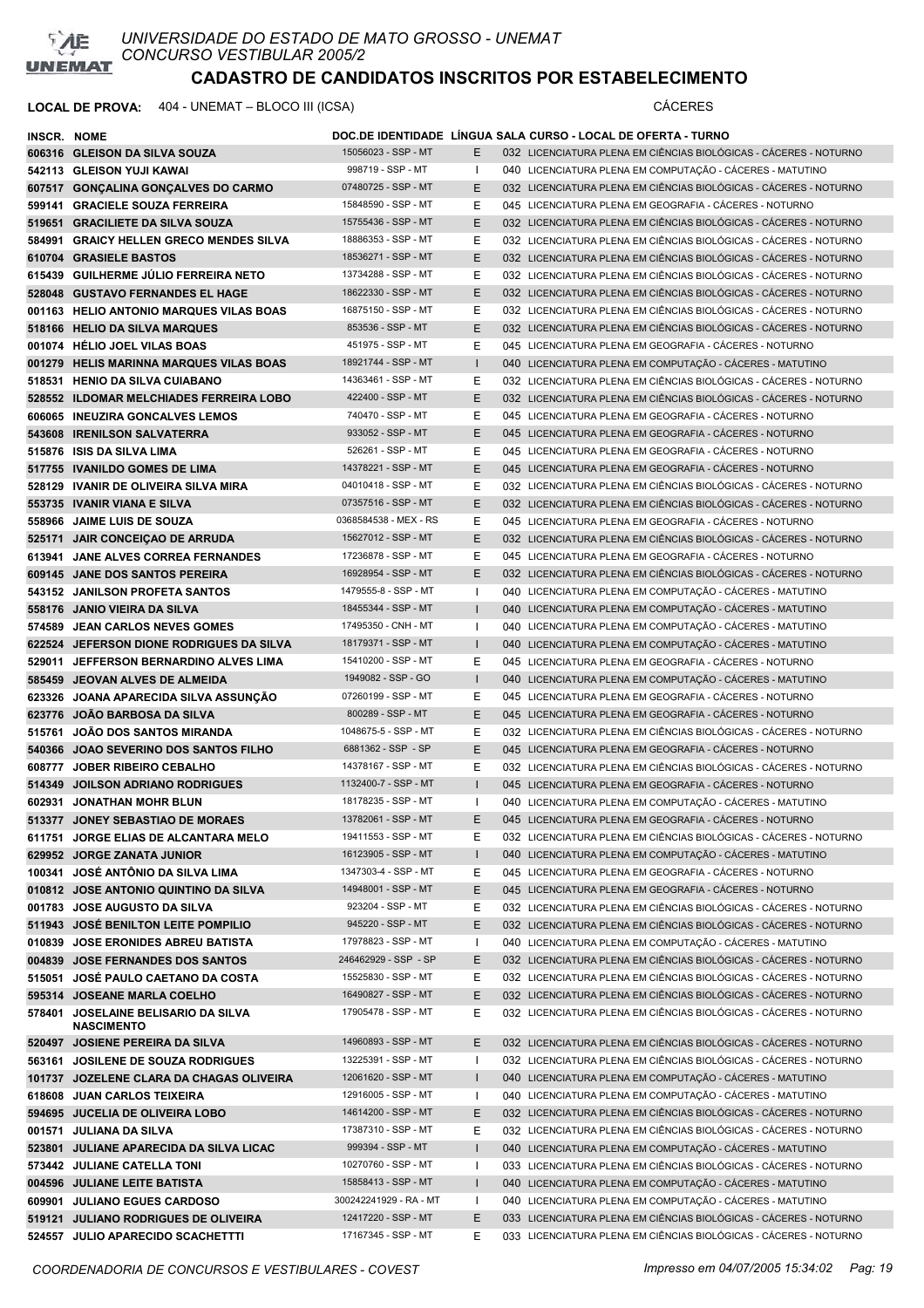

| <b>INSCR. NOME</b> |                                                          |                                            |              | DOC.DE IDENTIDADE LÍNGUA SALA CURSO - LOCAL DE OFERTA - TURNO     |
|--------------------|----------------------------------------------------------|--------------------------------------------|--------------|-------------------------------------------------------------------|
|                    | 606316 GLEISON DA SILVA SOUZA                            | 15056023 - SSP - MT                        | E.           | 032 LICENCIATURA PLENA EM CIÊNCIAS BIOLÓGICAS - CÁCERES - NOTURNO |
|                    | 542113 GLEISON YUJI KAWAI                                | 998719 - SSP - MT                          | $\mathbf{I}$ | 040 LICENCIATURA PLENA EM COMPUTAÇÃO - CÁCERES - MATUTINO         |
|                    | 607517 GONÇALINA GONÇALVES DO CARMO                      | 07480725 - SSP - MT                        | E            | 032 LICENCIATURA PLENA EM CIÊNCIAS BIOLÓGICAS - CÁCERES - NOTURNO |
|                    | 599141 GRACIELE SOUZA FERREIRA                           | 15848590 - SSP - MT                        | Е            | 045 LICENCIATURA PLENA EM GEOGRAFIA - CÁCERES - NOTURNO           |
|                    | 519651 GRACILIETE DA SILVA SOUZA                         | 15755436 - SSP - MT                        | E            | 032 LICENCIATURA PLENA EM CIÊNCIAS BIOLÓGICAS - CÁCERES - NOTURNO |
|                    | 584991 GRAICY HELLEN GRECO MENDES SILVA                  | 18886353 - SSP - MT                        | Е            | 032 LICENCIATURA PLENA EM CIÊNCIAS BIOLÓGICAS - CÁCERES - NOTURNO |
|                    | 610704 GRASIELE BASTOS                                   | 18536271 - SSP - MT                        | E            | 032 LICENCIATURA PLENA EM CIÊNCIAS BIOLÓGICAS - CÁCERES - NOTURNO |
|                    | 615439 GUILHERME JULIO FERREIRA NETO                     | 13734288 - SSP - MT                        | Е            | 032 LICENCIATURA PLENA EM CIÊNCIAS BIOLÓGICAS - CÁCERES - NOTURNO |
|                    | 528048 GUSTAVO FERNANDES EL HAGE                         | 18622330 - SSP - MT                        | E            | 032 LICENCIATURA PLENA EM CIÊNCIAS BIOLÓGICAS - CÁCERES - NOTURNO |
|                    | 001163 HELIO ANTONIO MARQUES VILAS BOAS                  | 16875150 - SSP - MT                        | Е            | 032 LICENCIATURA PLENA EM CIÊNCIAS BIOLÓGICAS - CÁCERES - NOTURNO |
|                    | 518166 HELIO DA SILVA MARQUES                            | 853536 - SSP - MT                          | E            | 032 LICENCIATURA PLENA EM CIÊNCIAS BIOLÓGICAS - CÁCERES - NOTURNO |
|                    | 001074 HELIO JOEL VILAS BOAS                             | 451975 - SSP - MT                          | Е            | 045 LICENCIATURA PLENA EM GEOGRAFIA - CÁCERES - NOTURNO           |
|                    | 001279 HELIS MARINNA MARQUES VILAS BOAS                  | 18921744 - SSP - MT                        | $\mathbf{I}$ | 040 LICENCIATURA PLENA EM COMPUTAÇÃO - CÁCERES - MATUTINO         |
|                    | 518531 HENIO DA SILVA CUIABANO                           | 14363461 - SSP - MT                        | Е            | 032 LICENCIATURA PLENA EM CIÊNCIAS BIOLÓGICAS - CÁCERES - NOTURNO |
|                    | 528552 ILDOMAR MELCHIADES FERREIRA LOBO                  | 422400 - SSP - MT                          | E            | 032 LICENCIATURA PLENA EM CIÊNCIAS BIOLÓGICAS - CÁCERES - NOTURNO |
|                    | 606065 INEUZIRA GONCALVES LEMOS                          | 740470 - SSP - MT                          | Е            | 045 LICENCIATURA PLENA EM GEOGRAFIA - CÁCERES - NOTURNO           |
|                    | 543608 IRENILSON SALVATERRA                              | 933052 - SSP - MT                          | E            | 045 LICENCIATURA PLENA EM GEOGRAFIA - CÁCERES - NOTURNO           |
|                    | 515876 ISIS DA SILVA LIMA                                | 526261 - SSP - MT                          | Е            | 045 LICENCIATURA PLENA EM GEOGRAFIA - CÁCERES - NOTURNO           |
|                    | 517755 IVANILDO GOMES DE LIMA                            | 14378221 - SSP - MT                        | E            | 045 LICENCIATURA PLENA EM GEOGRAFIA - CÁCERES - NOTURNO           |
|                    | 528129 IVANIR DE OLIVEIRA SILVA MIRA                     | 04010418 - SSP - MT                        | Е            | 032 LICENCIATURA PLENA EM CIÊNCIAS BIOLÓGICAS - CÁCERES - NOTURNO |
|                    | 553735 IVANIR VIANA E SILVA                              | 07357516 - SSP - MT                        | E            | 032 LICENCIATURA PLENA EM CIÊNCIAS BIOLÓGICAS - CÁCERES - NOTURNO |
|                    | 558966 JAIME LUIS DE SOUZA                               | 0368584538 - MEX - RS                      | Е            | 045 LICENCIATURA PLENA EM GEOGRAFIA - CÁCERES - NOTURNO           |
|                    | 525171 JAIR CONCEIÇAO DE ARRUDA                          | 15627012 - SSP - MT                        | E            | 032 LICENCIATURA PLENA EM CIÊNCIAS BIOLÓGICAS - CÁCERES - NOTURNO |
|                    | 613941 JANE ALVES CORREA FERNANDES                       | 17236878 - SSP - MT                        | Е            | 045 LICENCIATURA PLENA EM GEOGRAFIA - CÁCERES - NOTURNO           |
|                    | 609145 JANE DOS SANTOS PEREIRA                           | 16928954 - SSP - MT                        | E            | 032 LICENCIATURA PLENA EM CIÊNCIAS BIOLÓGICAS - CÁCERES - NOTURNO |
|                    | 543152 JANILSON PROFETA SANTOS                           | 1479555-8 - SSP - MT                       | $\mathbf{I}$ | 040 LICENCIATURA PLENA EM COMPUTAÇÃO - CÁCERES - MATUTINO         |
|                    | 558176 JANIO VIEIRA DA SILVA                             | 18455344 - SSP - MT                        | $\mathbf{I}$ | 040 LICENCIATURA PLENA EM COMPUTAÇÃO - CÁCERES - MATUTINO         |
|                    | 574589 JEAN CARLOS NEVES GOMES                           | 17495350 - CNH - MT                        | $\mathbf{I}$ | 040 LICENCIATURA PLENA EM COMPUTAÇÃO - CÁCERES - MATUTINO         |
|                    | 622524 JEFERSON DIONE RODRIGUES DA SILVA                 | 18179371 - SSP - MT                        | $\mathbf{I}$ | 040 LICENCIATURA PLENA EM COMPUTAÇÃO - CÁCERES - MATUTINO         |
|                    | 529011 JEFFERSON BERNARDINO ALVES LIMA                   | 15410200 - SSP - MT                        | Е            | 045 LICENCIATURA PLENA EM GEOGRAFIA - CÁCERES - NOTURNO           |
|                    | 585459 JEOVAN ALVES DE ALMEIDA                           | 1949082 - SSP - GO                         | $\mathbf{I}$ | 040 LICENCIATURA PLENA EM COMPUTAÇÃO - CÁCERES - MATUTINO         |
|                    | 623326 JOANA APARECIDA SILVA ASSUNÇÃO                    | 07260199 - SSP - MT                        | Е            | 045 LICENCIATURA PLENA EM GEOGRAFIA - CACERES - NOTURNO           |
|                    | 623776 JOAO BARBOSA DA SILVA                             | 800289 - SSP - MT                          | E            | 045 LICENCIATURA PLENA EM GEOGRAFIA - CÁCERES - NOTURNO           |
|                    | 515761 JOÃO DOS SANTOS MIRANDA                           | 1048675-5 - SSP - MT                       | Е            | 032 LICENCIATURA PLENA EM CIÊNCIAS BIOLÓGICAS - CÁCERES - NOTURNO |
|                    | 540366 JOAO SEVERINO DOS SANTOS FILHO                    | 6881362 - SSP - SP                         | E            | 045 LICENCIATURA PLENA EM GEOGRAFIA - CÁCERES - NOTURNO           |
|                    | 608777 JOBER RIBEIRO CEBALHO                             | 14378167 - SSP - MT                        | Е            | 032 LICENCIATURA PLENA EM CIÊNCIAS BIOLÓGICAS - CÁCERES - NOTURNO |
|                    | 514349 JOILSON ADRIANO RODRIGUES                         | 1132400-7 - SSP - MT                       | $\mathbf{I}$ | 045 LICENCIATURA PLENA EM GEOGRAFIA - CÁCERES - NOTURNO           |
|                    | 602931 JONATHAN MOHR BLUN                                | 18178235 - SSP - MT                        | $\mathbf{I}$ | 040 LICENCIATURA PLENA EM COMPUTAÇÃO - CÁCERES - MATUTINO         |
|                    | 513377 JONEY SEBASTIAO DE MORAES                         | 13782061 - SSP - MT                        | E            | 045 LICENCIATURA PLENA EM GEOGRAFIA - CÁCERES - NOTURNO           |
|                    | 611751 JORGE ELIAS DE ALCANTARA MELO                     | 19411553 - SSP - MT                        | Е            | 032 LICENCIATURA PLENA EM CIÊNCIAS BIOLÓGICAS - CÁCERES - NOTURNO |
|                    | 629952 JORGE ZANATA JUNIOR                               | 16123905 - SSP - MT                        | $\mathbf{I}$ | 040 LICENCIATURA PLENA EM COMPUTAÇÃO - CÁCERES - MATUTINO         |
|                    | 100341 JOSÉ ANTÔNIO DA SILVA LIMA                        | 1347303-4 - SSP - MT                       | Е            | 045 LICENCIATURA PLENA EM GEOGRAFIA - CÁCERES - NOTURNO           |
|                    | 010812 JOSE ANTONIO QUINTINO DA SILVA                    | 14948001 - SSP - MT                        | E            | 045 LICENCIATURA PLENA EM GEOGRAFIA - CÁCERES - NOTURNO           |
|                    | 001783 JOSE AUGUSTO DA SILVA                             | 923204 - SSP - MT                          | Е            | 032 LICENCIATURA PLENA EM CIÊNCIAS BIOLÓGICAS - CÁCERES - NOTURNO |
|                    | 511943 JOSÉ BENILTON LEITE POMPILIO                      | 945220 - SSP - MT                          | E            | 032 LICENCIATURA PLENA EM CIÊNCIAS BIOLÓGICAS - CÁCERES - NOTURNO |
|                    | 010839 JOSE ERONIDES ABREU BATISTA                       | 17978823 - SSP - MT                        | $\mathbf{I}$ | 040 LICENCIATURA PLENA EM COMPUTAÇÃO - CÁCERES - MATUTINO         |
|                    | 004839 JOSE FERNANDES DOS SANTOS                         | 246462929 - SSP - SP                       | E            | 032 LICENCIATURA PLENA EM CIÊNCIAS BIOLÓGICAS - CÁCERES - NOTURNO |
|                    | 515051 JOSÉ PAULO CAETANO DA COSTA                       | 15525830 - SSP - MT<br>16490827 - SSP - MT | Е            | 032 LICENCIATURA PLENA EM CIÊNCIAS BIOLÓGICAS - CÁCERES - NOTURNO |
|                    | 595314 JOSEANE MARLA COELHO                              |                                            | E            | 032 LICENCIATURA PLENA EM CIÊNCIAS BIOLÓGICAS - CÁCERES - NOTURNO |
|                    | 578401 JOSELAINE BELISARIO DA SILVA<br><b>NASCIMENTO</b> | 17905478 - SSP - MT                        | Е            | 032 LICENCIATURA PLENA EM CIÊNCIAS BIOLÓGICAS - CÁCERES - NOTURNO |
|                    | 520497 JOSIENE PEREIRA DA SILVA                          | 14960893 - SSP - MT                        | Е            | 032 LICENCIATURA PLENA EM CIÊNCIAS BIOLÓGICAS - CÁCERES - NOTURNO |
|                    | 563161 JOSILENE DE SOUZA RODRIGUES                       | 13225391 - SSP - MT                        | $\mathbf{I}$ | 032 LICENCIATURA PLENA EM CIÊNCIAS BIOLÓGICAS - CÁCERES - NOTURNO |
|                    | 101737 JOZELENE CLARA DA CHAGAS OLIVEIRA                 | 12061620 - SSP - MT                        | $\mathbf{I}$ | 040 LICENCIATURA PLENA EM COMPUTAÇÃO - CÁCERES - MATUTINO         |
|                    | 618608 JUAN CARLOS TEIXEIRA                              | 12916005 - SSP - MT                        | $\mathbf{I}$ | 040 LICENCIATURA PLENA EM COMPUTAÇÃO - CÁCERES - MATUTINO         |
|                    | 594695 JUCELIA DE OLIVEIRA LOBO                          | 14614200 - SSP - MT                        | Е            | 032 LICENCIATURA PLENA EM CIÊNCIAS BIOLÓGICAS - CÁCERES - NOTURNO |
|                    | 001571 JULIANA DA SILVA                                  | 17387310 - SSP - MT                        | Е            | 032 LICENCIATURA PLENA EM CIÊNCIAS BIOLÓGICAS - CÁCERES - NOTURNO |
|                    | 523801 JULIANE APARECIDA DA SILVA LICAC                  | 999394 - SSP - MT                          | L            | 040 LICENCIATURA PLENA EM COMPUTAÇÃO - CÁCERES - MATUTINO         |
|                    | 573442 JULIANE CATELLA TONI                              | 10270760 - SSP - MT                        | $\mathbf{I}$ | 033 LICENCIATURA PLENA EM CIÊNCIAS BIOLÓGICAS - CÁCERES - NOTURNO |
|                    | 004596 JULIANE LEITE BATISTA                             | 15858413 - SSP - MT                        | $\mathsf{L}$ | 040 LICENCIATURA PLENA EM COMPUTAÇÃO - CÁCERES - MATUTINO         |
|                    | 609901 JULIANO EGUES CARDOSO                             | 300242241929 - RA - MT                     | $\mathbf{I}$ | 040 LICENCIATURA PLENA EM COMPUTAÇÃO - CÁCERES - MATUTINO         |
|                    | 519121 JULIANO RODRIGUES DE OLIVEIRA                     | 12417220 - SSP - MT                        | E            | 033 LICENCIATURA PLENA EM CIÊNCIAS BIOLÓGICAS - CÁCERES - NOTURNO |
|                    | 524557 JULIO APARECIDO SCACHETTTI                        | 17167345 - SSP - MT                        | Е            | 033 LICENCIATURA PLENA EM CIÊNCIAS BIOLÓGICAS - CÁCERES - NOTURNO |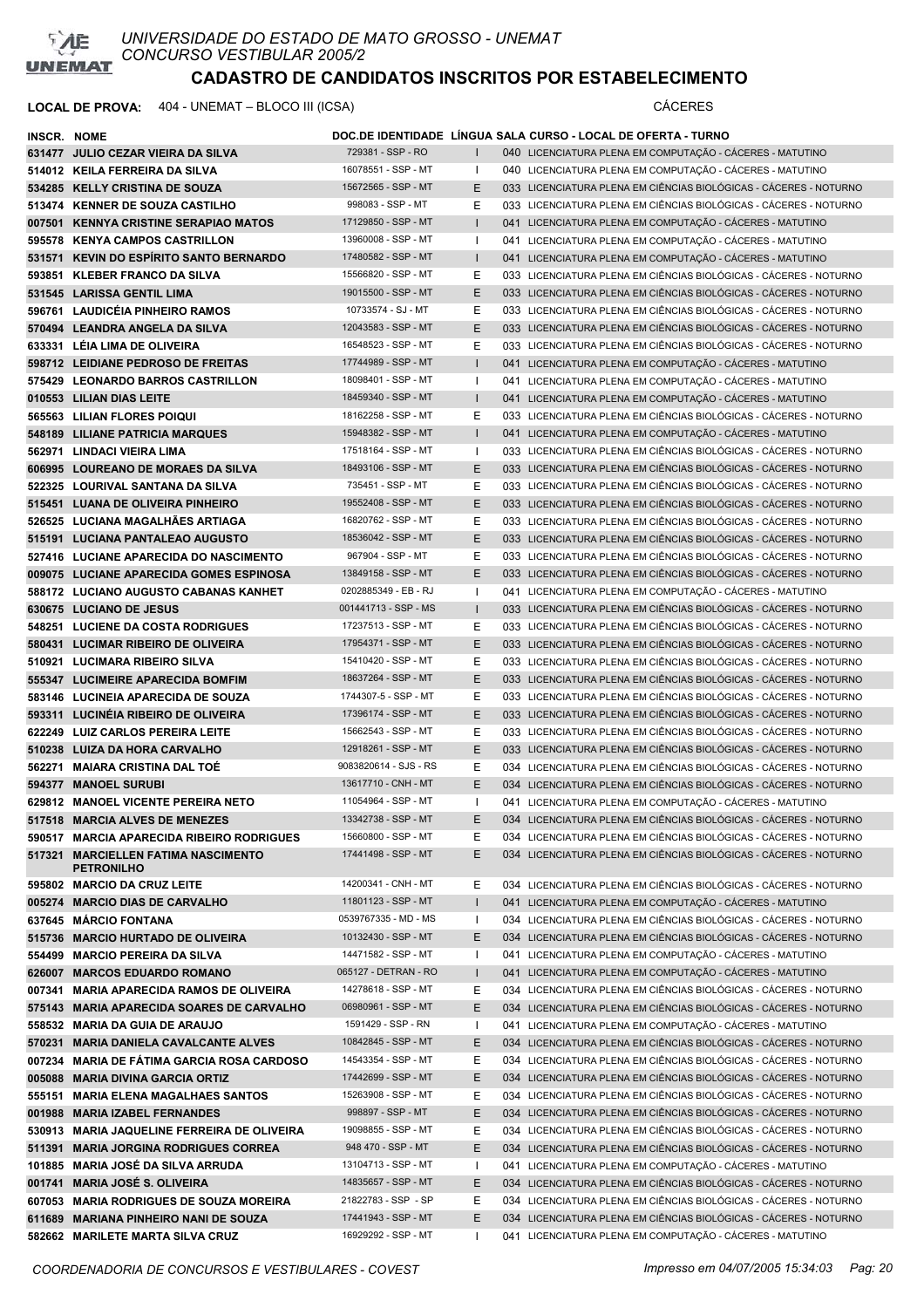

| <b>INSCR. NOME</b> |                                                          |                       |              | DOC.DE IDENTIDADE LINGUA SALA CURSO - LOCAL DE OFERTA - TURNO     |
|--------------------|----------------------------------------------------------|-----------------------|--------------|-------------------------------------------------------------------|
|                    | 631477 JULIO CEZAR VIEIRA DA SILVA                       | 729381 - SSP - RO     | $\mathbf{I}$ | 040 LICENCIATURA PLENA EM COMPUTAÇÃO - CÁCERES - MATUTINO         |
|                    | 514012 KEILA FERREIRA DA SILVA                           | 16078551 - SSP - MT   | $\mathbf{I}$ | 040 LICENCIATURA PLENA EM COMPUTAÇÃO - CÁCERES - MATUTINO         |
|                    | 534285 KELLY CRISTINA DE SOUZA                           | 15672565 - SSP - MT   | E.           | 033 LICENCIATURA PLENA EM CIÊNCIAS BIOLÓGICAS - CÁCERES - NOTURNO |
|                    | 513474 KENNER DE SOUZA CASTILHO                          | 998083 - SSP - MT     | Е            | 033 LICENCIATURA PLENA EM CIÊNCIAS BIOLÓGICAS - CÁCERES - NOTURNO |
|                    | 007501 KENNYA CRISTINE SERAPIAO MATOS                    | 17129850 - SSP - MT   |              | 041 LICENCIATURA PLENA EM COMPUTAÇÃO - CÁCERES - MATUTINO         |
|                    | 595578 KENYA CAMPOS CASTRILLON                           | 13960008 - SSP - MT   | $\mathbf{I}$ | 041 LICENCIATURA PLENA EM COMPUTAÇÃO - CÁCERES - MATUTINO         |
|                    | 531571 KEVIN DO ESPÍRITO SANTO BERNARDO                  | 17480582 - SSP - MT   |              | 041 LICENCIATURA PLENA EM COMPUTAÇÃO - CÁCERES - MATUTINO         |
|                    | 593851 KLEBER FRANCO DA SILVA                            | 15566820 - SSP - MT   | Ε            | 033 LICENCIATURA PLENA EM CIÊNCIAS BIOLÓGICAS - CÁCERES - NOTURNO |
|                    | 531545 LARISSA GENTIL LIMA                               | 19015500 - SSP - MT   | E            | 033 LICENCIATURA PLENA EM CIÊNCIAS BIOLÓGICAS - CÁCERES - NOTURNO |
|                    | 596761 LAUDICEIA PINHEIRO RAMOS                          | 10733574 - SJ - MT    | Е            | 033 LICENCIATURA PLENA EM CIÊNCIAS BIOLÓGICAS - CÁCERES - NOTURNO |
|                    | 570494 LEANDRA ANGELA DA SILVA                           | 12043583 - SSP - MT   | E            | 033 LICENCIATURA PLENA EM CIÊNCIAS BIOLÓGICAS - CÁCERES - NOTURNO |
|                    | 633331 LÉIA LIMA DE OLIVEIRA                             | 16548523 - SSP - MT   | Е            | 033 LICENCIATURA PLENA EM CIÊNCIAS BIOLÓGICAS - CÁCERES - NOTURNO |
|                    | 598712 LEIDIANE PEDROSO DE FREITAS                       | 17744989 - SSP - MT   |              | 041 LICENCIATURA PLENA EM COMPUTAÇÃO - CÁCERES - MATUTINO         |
|                    | 575429 LEONARDO BARROS CASTRILLON                        | 18098401 - SSP - MT   | Ι.           | 041 LICENCIATURA PLENA EM COMPUTAÇÃO - CÁCERES - MATUTINO         |
|                    | 010553 LILIAN DIAS LEITE                                 | 18459340 - SSP - MT   | $\mathbf{L}$ | 041 LICENCIATURA PLENA EM COMPUTAÇÃO - CÁCERES - MATUTINO         |
|                    | 565563 LILIAN FLORES POIQUI                              | 18162258 - SSP - MT   | Е            | 033 LICENCIATURA PLENA EM CIÊNCIAS BIOLÓGICAS - CÁCERES - NOTURNO |
|                    | 548189 LILIANE PATRICIA MARQUES                          | 15948382 - SSP - MT   | $\mathbf{I}$ | 041 LICENCIATURA PLENA EM COMPUTAÇÃO - CÁCERES - MATUTINO         |
|                    | 562971 LINDACI VIEIRA LIMA                               | 17518164 - SSP - MT   | $\mathbf{I}$ | 033 LICENCIATURA PLENA EM CIÊNCIAS BIOLÓGICAS - CÁCERES - NOTURNO |
|                    | 606995 LOUREANO DE MORAES DA SILVA                       | 18493106 - SSP - MT   | E            | 033 LICENCIATURA PLENA EM CIÊNCIAS BIOLÓGICAS - CÁCERES - NOTURNO |
|                    | 522325 LOURIVAL SANTANA DA SILVA                         | 735451 - SSP - MT     | Ε            | 033 LICENCIATURA PLENA EM CIÊNCIAS BIOLÓGICAS - CÁCERES - NOTURNO |
|                    | 515451 LUANA DE OLIVEIRA PINHEIRO                        | 19552408 - SSP - MT   | E            | 033 LICENCIATURA PLENA EM CIÊNCIAS BIOLÓGICAS - CÁCERES - NOTURNO |
|                    | 526525 LUCIANA MAGALHÃES ARTIAGA                         | 16820762 - SSP - MT   | Ε            | 033 LICENCIATURA PLENA EM CIÊNCIAS BIOLÓGICAS - CÁCERES - NOTURNO |
|                    | 515191 LUCIANA PANTALEAO AUGUSTO                         | 18536042 - SSP - MT   | E            | 033 LICENCIATURA PLENA EM CIÊNCIAS BIOLÓGICAS - CÁCERES - NOTURNO |
|                    | 527416 LUCIANE APARECIDA DO NASCIMENTO                   | 967904 - SSP - MT     | Ε            | 033 LICENCIATURA PLENA EM CIÊNCIAS BIOLÓGICAS - CÁCERES - NOTURNO |
|                    | 009075 LUCIANE APARECIDA GOMES ESPINOSA                  | 13849158 - SSP - MT   | E            | 033 LICENCIATURA PLENA EM CIÊNCIAS BIOLÓGICAS - CÁCERES - NOTURNO |
|                    | 588172 LUCIANO AUGUSTO CABANAS KANHET                    | 0202885349 - EB - RJ  | -1           | 041 LICENCIATURA PLENA EM COMPUTAÇÃO - CÁCERES - MATUTINO         |
|                    | 630675 LUCIANO DE JESUS                                  | 001441713 - SSP - MS  | $\mathbf{I}$ | 033 LICENCIATURA PLENA EM CIÊNCIAS BIOLÓGICAS - CÁCERES - NOTURNO |
|                    | 548251 LUCIENE DA COSTA RODRIGUES                        | 17237513 - SSP - MT   | Е            | 033 LICENCIATURA PLENA EM CIÊNCIAS BIOLÓGICAS - CÁCERES - NOTURNO |
|                    | 580431 LUCIMAR RIBEIRO DE OLIVEIRA                       | 17954371 - SSP - MT   | E            | 033 LICENCIATURA PLENA EM CIÊNCIAS BIOLÓGICAS - CÁCERES - NOTURNO |
|                    | 510921 LUCIMARA RIBEIRO SILVA                            | 15410420 - SSP - MT   | Е            | 033 LICENCIATURA PLENA EM CIÊNCIAS BIOLÓGICAS - CÁCERES - NOTURNO |
|                    | 555347 LUCIMEIRE APARECIDA BOMFIM                        | 18637264 - SSP - MT   | E            | 033 LICENCIATURA PLENA EM CIÊNCIAS BIOLÓGICAS - CÁCERES - NOTURNO |
|                    | 583146 LUCINEIA APARECIDA DE SOUZA                       | 1744307-5 - SSP - MT  | Е            | 033 LICENCIATURA PLENA EM CIÊNCIAS BIOLÓGICAS - CÁCERES - NOTURNO |
|                    | 593311 LUCINEIA RIBEIRO DE OLIVEIRA                      | 17396174 - SSP - MT   | E            | 033 LICENCIATURA PLENA EM CIÊNCIAS BIOLÓGICAS - CÁCERES - NOTURNO |
|                    | 622249 LUIZ CARLOS PEREIRA LEITE                         | 15662543 - SSP - MT   | Ε            | 033 LICENCIATURA PLENA EM CIÊNCIAS BIOLÓGICAS - CÁCERES - NOTURNO |
|                    | 510238 LUIZA DA HORA CARVALHO                            | 12918261 - SSP - MT   | E.           | 033 LICENCIATURA PLENA EM CIÊNCIAS BIOLÓGICAS - CÁCERES - NOTURNO |
|                    | 562271 MAIARA CRISTINA DAL TOÉ                           | 9083820614 - SJS - RS | Е            | 034 LICENCIATURA PLENA EM CIÊNCIAS BIOLÓGICAS - CÁCERES - NOTURNO |
|                    | 594377 MANOEL SURUBI                                     | 13617710 - CNH - MT   | E            | 034 LICENCIATURA PLENA EM CIÊNCIAS BIOLÓGICAS - CÁCERES - NOTURNO |
|                    | 629812 MANOEL VICENTE PEREIRA NETO                       | 11054964 - SSP - MT   | $\mathbf{I}$ | 041 LICENCIATURA PLENA EM COMPUTAÇÃO - CÁCERES - MATUTINO         |
|                    | 517518 MARCIA ALVES DE MENEZES                           | 13342738 - SSP - MT   | E.           | 034 LICENCIATURA PLENA EM CIÊNCIAS BIOLÓGICAS - CÁCERES - NOTURNO |
|                    | 590517 MARCIA APARECIDA RIBEIRO RODRIGUES                | 15660800 - SSP - MT   | Е            | 034 LICENCIATURA PLENA EM CIÊNCIAS BIOLÓGICAS - CÁCERES - NOTURNO |
|                    | 517321 MARCIELLEN FATIMA NASCIMENTO<br><b>PETRONILHO</b> | 17441498 - SSP - MT   | E.           | 034 LICENCIATURA PLENA EM CIÊNCIAS BIOLÓGICAS - CÁCERES - NOTURNO |
|                    | 595802 MARCIO DA CRUZ LEITE                              | 14200341 - CNH - MT   | Е            | 034 LICENCIATURA PLENA EM CIÊNCIAS BIOLÓGICAS - CÁCERES - NOTURNO |
|                    | 005274 MARCIO DIAS DE CARVALHO                           | 11801123 - SSP - MT   |              | 041 LICENCIATURA PLENA EM COMPUTAÇÃO - CÁCERES - MATUTINO         |
|                    | 637645 MÁRCIO FONTANA                                    | 0539767335 - MD - MS  | $\mathbf{I}$ | 034 LICENCIATURA PLENA EM CIÊNCIAS BIOLÓGICAS - CÁCERES - NOTURNO |
|                    | 515736 MARCIO HURTADO DE OLIVEIRA                        | 10132430 - SSP - MT   | E            | 034 LICENCIATURA PLENA EM CIÊNCIAS BIOLÓGICAS - CÁCERES - NOTURNO |
|                    | 554499 MARCIO PEREIRA DA SILVA                           | 14471582 - SSP - MT   | -1           | 041 LICENCIATURA PLENA EM COMPUTAÇÃO - CÁCERES - MATUTINO         |
|                    | 626007 MARCOS EDUARDO ROMANO                             | 065127 - DETRAN - RO  | $\mathbf{I}$ | 041 LICENCIATURA PLENA EM COMPUTAÇÃO - CÁCERES - MATUTINO         |
|                    | 007341 MARIA APARECIDA RAMOS DE OLIVEIRA                 | 14278618 - SSP - MT   | Е            | 034 LICENCIATURA PLENA EM CIÊNCIAS BIOLÓGICAS - CÁCERES - NOTURNO |
|                    | 575143 MARIA APARECIDA SOARES DE CARVALHO                | 06980961 - SSP - MT   | E.           | 034 LICENCIATURA PLENA EM CIÊNCIAS BIOLÓGICAS - CÁCERES - NOTURNO |
|                    | 558532 MARIA DA GUIA DE ARAUJO                           | 1591429 - SSP - RN    | Ι.           | 041 LICENCIATURA PLENA EM COMPUTAÇÃO - CÁCERES - MATUTINO         |
|                    | 570231 MARIA DANIELA CAVALCANTE ALVES                    | 10842845 - SSP - MT   | Е            | 034 LICENCIATURA PLENA EM CIÊNCIAS BIOLÓGICAS - CÁCERES - NOTURNO |
|                    | 007234 MARIA DE FÁTIMA GARCIA ROSA CARDOSO               | 14543354 - SSP - MT   | Е            | 034 LICENCIATURA PLENA EM CIÊNCIAS BIOLÓGICAS - CÁCERES - NOTURNO |
|                    | 005088 MARIA DIVINA GARCIA ORTIZ                         | 17442699 - SSP - MT   | Е            | 034 LICENCIATURA PLENA EM CIÊNCIAS BIOLÓGICAS - CÁCERES - NOTURNO |
|                    | 555151 MARIA ELENA MAGALHAES SANTOS                      | 15263908 - SSP - MT   | Е            | 034 LICENCIATURA PLENA EM CIÊNCIAS BIOLÓGICAS - CÁCERES - NOTURNO |
|                    | 001988 MARIA IZABEL FERNANDES                            | 998897 - SSP - MT     | E            | 034 LICENCIATURA PLENA EM CIÊNCIAS BIOLÓGICAS - CÁCERES - NOTURNO |
|                    | 530913 MARIA JAQUELINE FERREIRA DE OLIVEIRA              | 19098855 - SSP - MT   | Е            | 034 LICENCIATURA PLENA EM CIÊNCIAS BIOLÓGICAS - CÁCERES - NOTURNO |
|                    | 511391 MARIA JORGINA RODRIGUES CORREA                    | 948 470 - SSP - MT    | E.           | 034 LICENCIATURA PLENA EM CIÊNCIAS BIOLÓGICAS - CÁCERES - NOTURNO |
|                    | 101885 MARIA JOSÉ DA SILVA ARRUDA                        | 13104713 - SSP - MT   | -1           | 041 LICENCIATURA PLENA EM COMPUTAÇÃO - CÁCERES - MATUTINO         |
|                    | 001741 MARIA JOSÉ S. OLIVEIRA                            | 14835657 - SSP - MT   | Е            | 034 LICENCIATURA PLENA EM CIÊNCIAS BIOLÓGICAS - CÁCERES - NOTURNO |
|                    | 607053 MARIA RODRIGUES DE SOUZA MOREIRA                  | 21822783 - SSP - SP   | Е            | 034 LICENCIATURA PLENA EM CIÊNCIAS BIOLÓGICAS - CÁCERES - NOTURNO |
|                    | 611689 MARIANA PINHEIRO NANI DE SOUZA                    | 17441943 - SSP - MT   | Е            | 034 LICENCIATURA PLENA EM CIÊNCIAS BIOLÓGICAS - CÁCERES - NOTURNO |
|                    | 582662 MARILETE MARTA SILVA CRUZ                         | 16929292 - SSP - MT   |              | 041 LICENCIATURA PLENA EM COMPUTAÇÃO - CÁCERES - MATUTINO         |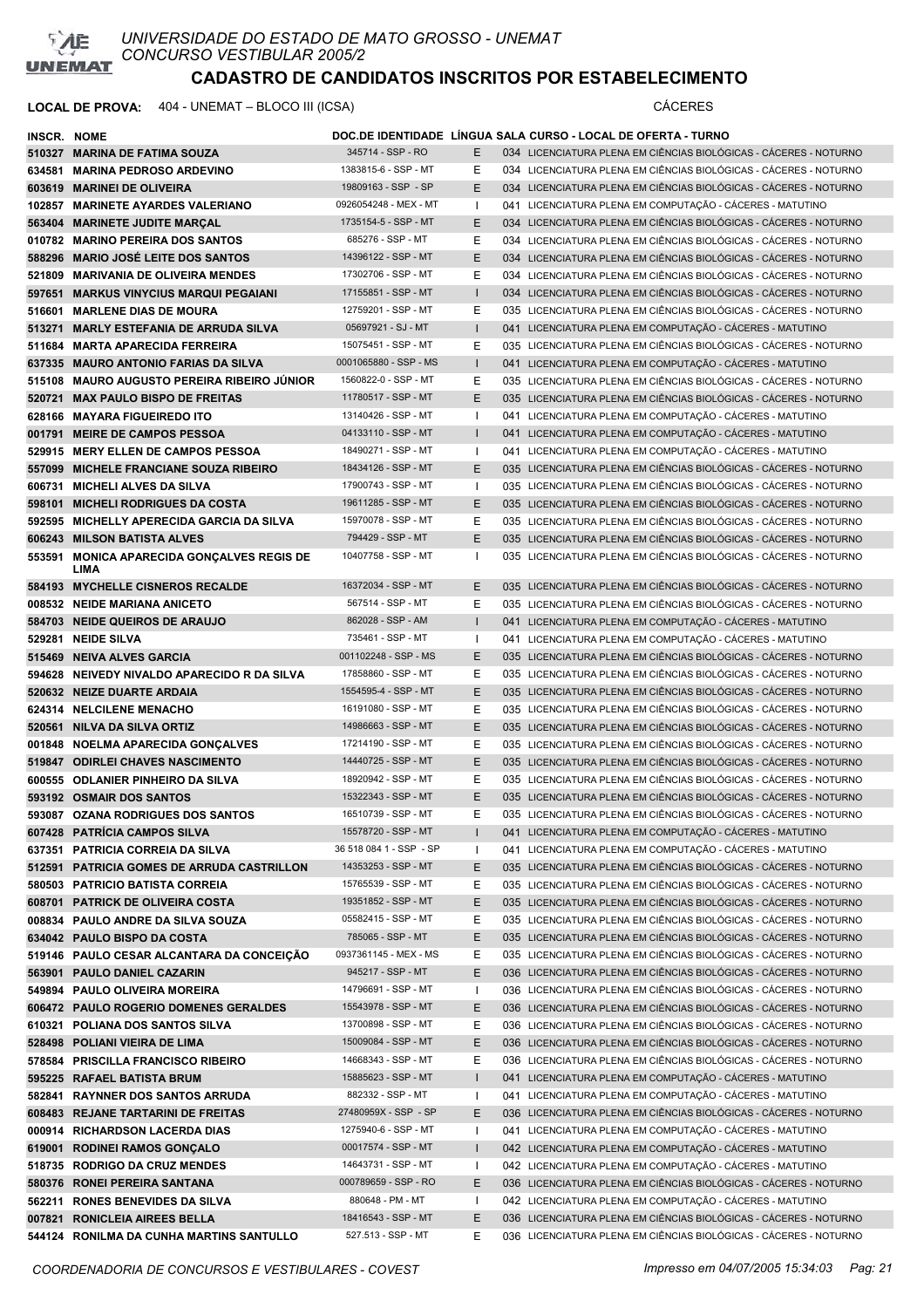

| INSCR. NOME |                                                    |                         |              | DOC.DE IDENTIDADE LINGUA SALA CURSO - LOCAL DE OFERTA - TURNO     |
|-------------|----------------------------------------------------|-------------------------|--------------|-------------------------------------------------------------------|
|             | 510327 MARINA DE FATIMA SOUZA                      | 345714 - SSP - RO       | E            | 034 LICENCIATURA PLENA EM CIÊNCIAS BIOLÓGICAS - CÁCERES - NOTURNO |
|             | 634581 MARINA PEDROSO ARDEVINO                     | 1383815-6 - SSP - MT    | Е            | 034 LICENCIATURA PLENA EM CIÊNCIAS BIOLÓGICAS - CÁCERES - NOTURNO |
|             | 603619 MARINEI DE OLIVEIRA                         | 19809163 - SSP - SP     | E            | 034 LICENCIATURA PLENA EM CIÊNCIAS BIOLÓGICAS - CÁCERES - NOTURNO |
|             | 102857 MARINETE AYARDES VALERIANO                  | 0926054248 - MEX - MT   | $\mathbf{I}$ | 041 LICENCIATURA PLENA EM COMPUTAÇÃO - CÁCERES - MATUTINO         |
|             | 563404 MARINETE JUDITE MARCAL                      | 1735154-5 - SSP - MT    | E            | 034 LICENCIATURA PLENA EM CIÊNCIAS BIOLÓGICAS - CÁCERES - NOTURNO |
|             | 010782 MARINO PEREIRA DOS SANTOS                   | 685276 - SSP - MT       | Е            | 034 LICENCIATURA PLENA EM CIÊNCIAS BIOLÓGICAS - CÁCERES - NOTURNO |
|             | 588296 MARIO JOSÉ LEITE DOS SANTOS                 | 14396122 - SSP - MT     | E            | 034 LICENCIATURA PLENA EM CIÊNCIAS BIOLÓGICAS - CÁCERES - NOTURNO |
|             | 521809 MARIVANIA DE OLIVEIRA MENDES                | 17302706 - SSP - MT     | Е            | 034 LICENCIATURA PLENA EM CIÊNCIAS BIOLÓGICAS - CÁCERES - NOTURNO |
|             | 597651 MARKUS VINYCIUS MARQUI PEGAIANI             | 17155851 - SSP - MT     |              | 034 LICENCIATURA PLENA EM CIÊNCIAS BIOLÓGICAS - CÁCERES - NOTURNO |
|             | 516601 MARLENE DIAS DE MOURA                       | 12759201 - SSP - MT     | Ε            | 035 LICENCIATURA PLENA EM CIÊNCIAS BIOLÓGICAS - CÁCERES - NOTURNO |
|             | 513271 MARLY ESTEFANIA DE ARRUDA SILVA             | 05697921 - SJ - MT      |              | 041 LICENCIATURA PLENA EM COMPUTAÇÃO - CÁCERES - MATUTINO         |
|             | 511684 MARTA APARECIDA FERREIRA                    | 15075451 - SSP - MT     | Е            | 035 LICENCIATURA PLENA EM CIÊNCIAS BIOLÓGICAS - CÁCERES - NOTURNO |
|             | 637335 MAURO ANTONIO FARIAS DA SILVA               | 0001065880 - SSP - MS   | $\mathsf{I}$ | 041 LICENCIATURA PLENA EM COMPUTAÇÃO - CÁCERES - MATUTINO         |
|             | 515108 MAURO AUGUSTO PEREIRA RIBEIRO JUNIOR        | 1560822-0 - SSP - MT    | Е            | 035 LICENCIATURA PLENA EM CIÊNCIAS BIOLÓGICAS - CÁCERES - NOTURNO |
|             | 520721 MAX PAULO BISPO DE FREITAS                  | 11780517 - SSP - MT     | E            | 035 LICENCIATURA PLENA EM CIÊNCIAS BIOLÓGICAS - CÁCERES - NOTURNO |
|             | 628166 MAYARA FIGUEIREDO ITO                       | 13140426 - SSP - MT     | ı            | 041 LICENCIATURA PLENA EM COMPUTAÇÃO - CÁCERES - MATUTINO         |
|             | 001791 MEIRE DE CAMPOS PESSOA                      | 04133110 - SSP - MT     | $\mathbf{I}$ | 041 LICENCIATURA PLENA EM COMPUTAÇÃO - CÁCERES - MATUTINO         |
|             | 529915 MERY ELLEN DE CAMPOS PESSOA                 | 18490271 - SSP - MT     | $\mathbf{I}$ | 041 LICENCIATURA PLENA EM COMPUTAÇÃO - CÁCERES - MATUTINO         |
|             | 557099 MICHELE FRANCIANE SOUZA RIBEIRO             | 18434126 - SSP - MT     | E            | 035 LICENCIATURA PLENA EM CIÊNCIAS BIOLÓGICAS - CÁCERES - NOTURNO |
|             | 606731 MICHELI ALVES DA SILVA                      | 17900743 - SSP - MT     | $\mathbf{I}$ | 035 LICENCIATURA PLENA EM CIÊNCIAS BIOLÓGICAS - CÁCERES - NOTURNO |
|             |                                                    | 19611285 - SSP - MT     | E            |                                                                   |
|             | 598101 MICHELI RODRIGUES DA COSTA                  |                         |              | 035 LICENCIATURA PLENA EM CIÊNCIAS BIOLÓGICAS - CÁCERES - NOTURNO |
|             | 592595 MICHELLY APERECIDA GARCIA DA SILVA          | 15970078 - SSP - MT     | Е            | 035 LICENCIATURA PLENA EM CIÊNCIAS BIOLÓGICAS - CÁCERES - NOTURNO |
|             | 606243 MILSON BATISTA ALVES                        | 794429 - SSP - MT       | E            | 035 LICENCIATURA PLENA EM CIÊNCIAS BIOLÓGICAS - CÁCERES - NOTURNO |
|             | 553591 MONICA APARECIDA GONÇALVES REGIS DE<br>LIMA | 10407758 - SSP - MT     | 1            | 035 LICENCIATURA PLENA EM CIÊNCIAS BIOLÓGICAS - CÁCERES - NOTURNO |
|             | 584193 MYCHELLE CISNEROS RECALDE                   | 16372034 - SSP - MT     | E.           | 035 LICENCIATURA PLENA EM CIÊNCIAS BIOLÓGICAS - CÁCERES - NOTURNO |
|             | 008532 NEIDE MARIANA ANICETO                       | 567514 - SSP - MT       | Е            | 035 LICENCIATURA PLENA EM CIÊNCIAS BIOLÓGICAS - CÁCERES - NOTURNO |
|             | 584703 NEIDE QUEIROS DE ARAUJO                     | 862028 - SSP - AM       | $\mathbf{I}$ | 041 LICENCIATURA PLENA EM COMPUTAÇÃO - CÁCERES - MATUTINO         |
|             | 529281 NEIDE SILVA                                 | 735461 - SSP - MT       | $\mathbf{I}$ | 041 LICENCIATURA PLENA EM COMPUTAÇÃO - CÁCERES - MATUTINO         |
|             | 515469 NEIVA ALVES GARCIA                          | 001102248 - SSP - MS    | Е            | 035 LICENCIATURA PLENA EM CIÊNCIAS BIOLÓGICAS - CÁCERES - NOTURNO |
|             | 594628 NEIVEDY NIVALDO APARECIDO R DA SILVA        | 17858860 - SSP - MT     | Е            | 035 LICENCIATURA PLENA EM CIÊNCIAS BIOLÓGICAS - CÁCERES - NOTURNO |
|             |                                                    | 1554595-4 - SSP - MT    |              |                                                                   |
|             | 520632 NEIZE DUARTE ARDAIA                         | 16191080 - SSP - MT     | E            | 035 LICENCIATURA PLENA EM CIÊNCIAS BIOLÓGICAS - CÁCERES - NOTURNO |
|             | 624314 NELCILENE MENACHO                           |                         | Е            | 035 LICENCIATURA PLENA EM CIÊNCIAS BIOLÓGICAS - CÁCERES - NOTURNO |
|             | 520561 NILVA DA SILVA ORTIZ                        | 14986663 - SSP - MT     | Е            | 035 LICENCIATURA PLENA EM CIÊNCIAS BIOLÓGICAS - CÁCERES - NOTURNO |
|             | 001848 NOELMA APARECIDA GONÇALVES                  | 17214190 - SSP - MT     | Е            | 035 LICENCIATURA PLENA EM CIÊNCIAS BIOLÓGICAS - CÁCERES - NOTURNO |
|             | 519847 ODIRLEI CHAVES NASCIMENTO                   | 14440725 - SSP - MT     | E            | 035 LICENCIATURA PLENA EM CIÊNCIAS BIOLÓGICAS - CÁCERES - NOTURNO |
|             | 600555 ODLANIER PINHEIRO DA SILVA                  | 18920942 - SSP - MT     | Е            | 035 LICENCIATURA PLENA EM CIÊNCIAS BIOLÓGICAS - CÁCERES - NOTURNO |
|             | 593192 OSMAIR DOS SANTOS                           | 15322343 - SSP - MT     | E            | 035 LICENCIATURA PLENA EM CIÊNCIAS BIOLÓGICAS - CÁCERES - NOTURNO |
|             | 593087 OZANA RODRIGUES DOS SANTOS                  | 16510739 - SSP - MT     | Е            | 035 LICENCIATURA PLENA EM CIÊNCIAS BIOLÓGICAS - CÁCERES - NOTURNO |
|             | 607428 PATRICIA CAMPOS SILVA                       | 15578720 - SSP - MT     |              | 041 LICENCIATURA PLENA EM COMPUTAÇÃO - CÁCERES - MATUTINO         |
|             | 637351 PATRICIA CORREIA DA SILVA                   | 36 518 084 1 - SSP - SP | J.           | 041 LICENCIATURA PLENA EM COMPUTAÇÃO - CÁCERES - MATUTINO         |
|             | 512591 PATRICIA GOMES DE ARRUDA CASTRILLON         | 14353253 - SSP - MT     | Е            | 035 LICENCIATURA PLENA EM CIÊNCIAS BIOLÓGICAS - CÁCERES - NOTURNO |
|             | 580503 PATRICIO BATISTA CORREIA                    | 15765539 - SSP - MT     | Е            | 035 LICENCIATURA PLENA EM CIÊNCIAS BIOLÓGICAS - CÁCERES - NOTURNO |
|             | 608701 PATRICK DE OLIVEIRA COSTA                   | 19351852 - SSP - MT     | Е            | 035 LICENCIATURA PLENA EM CIÊNCIAS BIOLÓGICAS - CÁCERES - NOTURNO |
|             | 008834 PAULO ANDRE DA SILVA SOUZA                  | 05582415 - SSP - MT     | Е            | 035 LICENCIATURA PLENA EM CIÊNCIAS BIOLÓGICAS - CÁCERES - NOTURNO |
|             | 634042 PAULO BISPO DA COSTA                        | 785065 - SSP - MT       | Ε            | 035 LICENCIATURA PLENA EM CIÊNCIAS BIOLÓGICAS - CÁCERES - NOTURNO |
|             | 519146 PAULO CESAR ALCANTARA DA CONCEIÇÃO          | 0937361145 - MEX - MS   | Ε            | 035 LICENCIATURA PLENA EM CIÊNCIAS BIOLÓGICAS - CÁCERES - NOTURNO |
|             | 563901 PAULO DANIEL CAZARIN                        | 945217 - SSP - MT       | Е            | 036 LICENCIATURA PLENA EM CIÊNCIAS BIOLÓGICAS - CÁCERES - NOTURNO |
|             | 549894 PAULO OLIVEIRA MOREIRA                      | 14796691 - SSP - MT     | $\mathbf{I}$ | 036 LICENCIATURA PLENA EM CIÊNCIAS BIOLÓGICAS - CÁCERES - NOTURNO |
|             | 606472 PAULO ROGERIO DOMENES GERALDES              | 15543978 - SSP - MT     | Ε            | 036 LICENCIATURA PLENA EM CIÊNCIAS BIOLÓGICAS - CÁCERES - NOTURNO |
|             | 610321 POLIANA DOS SANTOS SILVA                    | 13700898 - SSP - MT     | Е            | 036 LICENCIATURA PLENA EM CIÊNCIAS BIOLÓGICAS - CÁCERES - NOTURNO |
|             | 528498 POLIANI VIEIRA DE LIMA                      | 15009084 - SSP - MT     | Ε            | 036 LICENCIATURA PLENA EM CIÊNCIAS BIOLÓGICAS - CÁCERES - NOTURNO |
|             | 578584 PRISCILLA FRANCISCO RIBEIRO                 | 14668343 - SSP - MT     | Е            | 036 LICENCIATURA PLENA EM CIÊNCIAS BIOLÓGICAS - CÁCERES - NOTURNO |
|             | 595225 RAFAEL BATISTA BRUM                         | 15885623 - SSP - MT     |              | 041 LICENCIATURA PLENA EM COMPUTAÇÃO - CÁCERES - MATUTINO         |
|             | 582841 RAYNNER DOS SANTOS ARRUDA                   | 882332 - SSP - MT       | ı            | 041 LICENCIATURA PLENA EM COMPUTAÇÃO - CÁCERES - MATUTINO         |
|             | 608483 REJANE TARTARINI DE FREITAS                 | 27480959X - SSP - SP    | Е            | 036 LICENCIATURA PLENA EM CIÊNCIAS BIOLÓGICAS - CÁCERES - NOTURNO |
|             | 000914 RICHARDSON LACERDA DIAS                     | 1275940-6 - SSP - MT    | I.           | 041 LICENCIATURA PLENA EM COMPUTAÇÃO - CÁCERES - MATUTINO         |
|             | 619001 RODINEI RAMOS GONÇALO                       | 00017574 - SSP - MT     |              | 042 LICENCIATURA PLENA EM COMPUTAÇÃO - CÁCERES - MATUTINO         |
|             | 518735 RODRIGO DA CRUZ MENDES                      | 14643731 - SSP - MT     | $\mathbf{I}$ | 042 LICENCIATURA PLENA EM COMPUTAÇÃO - CÁCERES - MATUTINO         |
|             | 580376 RONEI PEREIRA SANTANA                       | 000789659 - SSP - RO    | Е            | 036 LICENCIATURA PLENA EM CIÊNCIAS BIOLÓGICAS - CÁCERES - NOTURNO |
|             | 562211 RONES BENEVIDES DA SILVA                    | 880648 - PM - MT        | $\mathbf{I}$ | 042 LICENCIATURA PLENA EM COMPUTAÇÃO - CÁCERES - MATUTINO         |
|             | 007821 RONICLEIA AIREES BELLA                      | 18416543 - SSP - MT     | Е            | 036 LICENCIATURA PLENA EM CIÊNCIAS BIOLÓGICAS - CÁCERES - NOTURNO |
|             | 544124 RONILMA DA CUNHA MARTINS SANTULLO           | 527.513 - SSP - MT      | Е            | 036 LICENCIATURA PLENA EM CIÊNCIAS BIOLÓGICAS - CÁCERES - NOTURNO |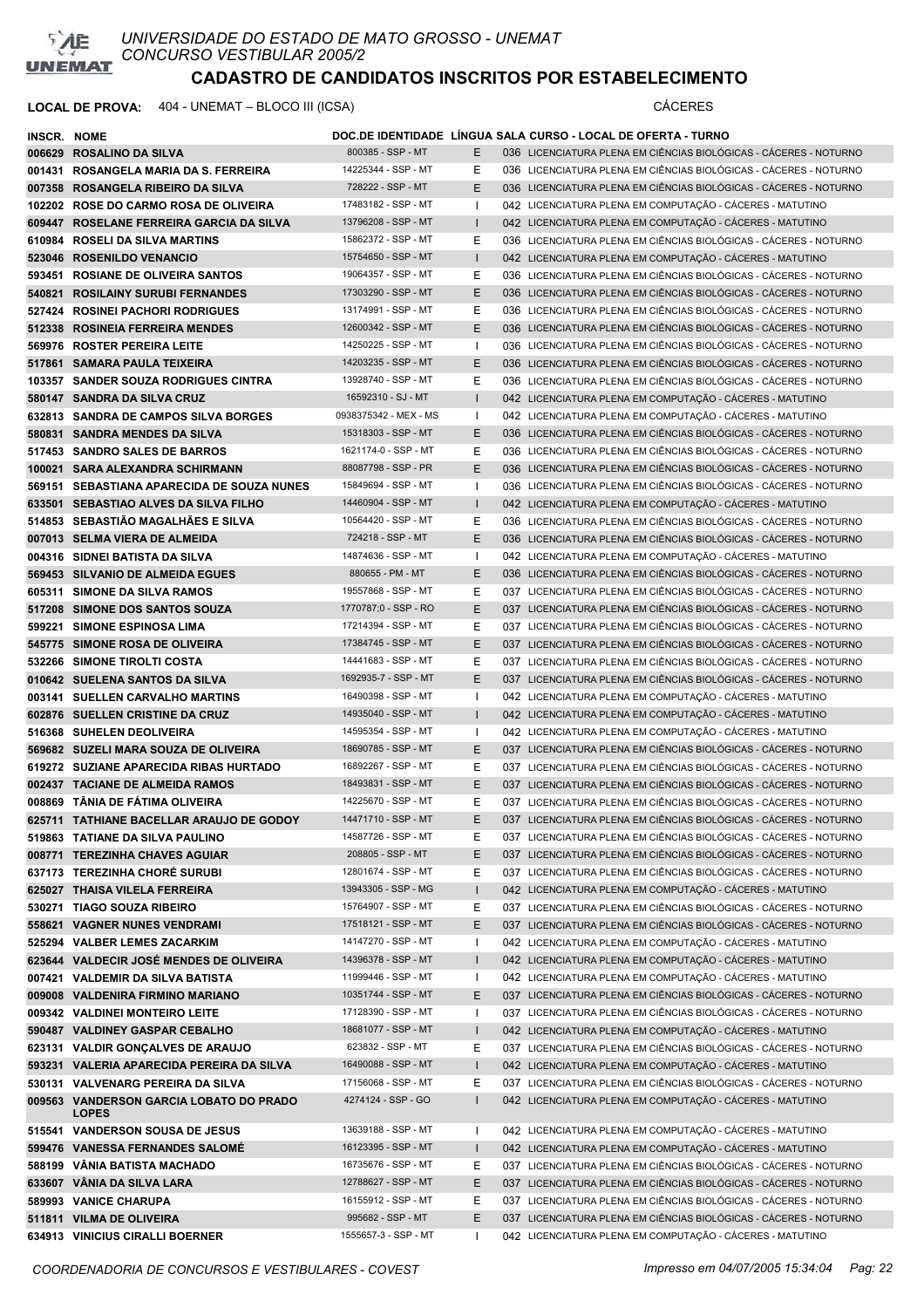

| INSCR. NOME |                                                         |                       |              | DOC.DE IDENTIDADE LÍNGUA SALA CURSO - LOCAL DE OFERTA - TURNO     |
|-------------|---------------------------------------------------------|-----------------------|--------------|-------------------------------------------------------------------|
|             | 006629 ROSALINO DA SILVA                                | 800385 - SSP - MT     | E.           | 036 LICENCIATURA PLENA EM CIÊNCIAS BIOLÓGICAS - CÁCERES - NOTURNO |
|             | 001431 ROSANGELA MARIA DA S. FERREIRA                   | 14225344 - SSP - MT   | Ε            | 036 LICENCIATURA PLENA EM CIÊNCIAS BIOLÓGICAS - CÁCERES - NOTURNO |
|             | 007358 ROSANGELA RIBEIRO DA SILVA                       | 728222 - SSP - MT     | E            | 036 LICENCIATURA PLENA EM CIÊNCIAS BIOLÓGICAS - CÁCERES - NOTURNO |
|             | 102202 ROSE DO CARMO ROSA DE OLIVEIRA                   | 17483182 - SSP - MT   | -1           | 042 LICENCIATURA PLENA EM COMPUTAÇÃO - CÁCERES - MATUTINO         |
|             | 609447 ROSELANE FERREIRA GARCIA DA SILVA                | 13796208 - SSP - MT   |              | 042 LICENCIATURA PLENA EM COMPUTAÇÃO - CÁCERES - MATUTINO         |
|             | 610984 ROSELI DA SILVA MARTINS                          | 15862372 - SSP - MT   | Е            | 036 LICENCIATURA PLENA EM CIÊNCIAS BIOLÓGICAS - CÁCERES - NOTURNO |
|             | 523046 ROSENILDO VENANCIO                               | 15754650 - SSP - MT   | $\mathsf{I}$ | 042 LICENCIATURA PLENA EM COMPUTAÇÃO - CÁCERES - MATUTINO         |
|             | 593451 ROSIANE DE OLIVEIRA SANTOS                       | 19064357 - SSP - MT   | Ε            | 036 LICENCIATURA PLENA EM CIÊNCIAS BIOLÓGICAS - CÁCERES - NOTURNO |
|             | 540821 ROSILAINY SURUBI FERNANDES                       | 17303290 - SSP - MT   | E            | 036 LICENCIATURA PLENA EM CIÊNCIAS BIOLÓGICAS - CÁCERES - NOTURNO |
|             | 527424 ROSINEI PACHORI RODRIGUES                        | 13174991 - SSP - MT   | Ε            | 036 LICENCIATURA PLENA EM CIÊNCIAS BIOLÓGICAS - CÁCERES - NOTURNO |
|             | 512338 ROSINEIA FERREIRA MENDES                         | 12600342 - SSP - MT   | E            | 036 LICENCIATURA PLENA EM CIÊNCIAS BIOLÓGICAS - CÁCERES - NOTURNO |
|             | 569976 ROSTER PEREIRA LEITE                             | 14250225 - SSP - MT   | $\mathbf{I}$ | 036 LICENCIATURA PLENA EM CIÊNCIAS BIOLÓGICAS - CÁCERES - NOTURNO |
|             | 517861 SAMARA PAULA TEIXEIRA                            | 14203235 - SSP - MT   | E            | 036 LICENCIATURA PLENA EM CIÊNCIAS BIOLÓGICAS - CÁCERES - NOTURNO |
|             | 103357 SANDER SOUZA RODRIGUES CINTRA                    | 13928740 - SSP - MT   | Ε            | 036 LICENCIATURA PLENA EM CIÊNCIAS BIOLÓGICAS - CÁCERES - NOTURNO |
|             | 580147 SANDRA DA SILVA CRUZ                             | 16592310 - SJ - MT    | $\mathbf{I}$ | 042 LICENCIATURA PLENA EM COMPUTAÇÃO - CÁCERES - MATUTINO         |
|             | 632813 SANDRA DE CAMPOS SILVA BORGES                    | 0938375342 - MEX - MS | $\mathbf{I}$ | 042 LICENCIATURA PLENA EM COMPUTAÇÃO - CÁCERES - MATUTINO         |
|             | 580831 SANDRA MENDES DA SILVA                           | 15318303 - SSP - MT   | E            | 036 LICENCIATURA PLENA EM CIÊNCIAS BIOLÓGICAS - CÁCERES - NOTURNO |
|             | 517453 SANDRO SALES DE BARROS                           | 1621174-0 - SSP - MT  | Ε            | 036 LICENCIATURA PLENA EM CIÊNCIAS BIOLÓGICAS - CÁCERES - NOTURNO |
|             | 100021 SARA ALEXANDRA SCHIRMANN                         | 88087798 - SSP - PR   | E            | 036 LICENCIATURA PLENA EM CIÊNCIAS BIOLÓGICAS - CÁCERES - NOTURNO |
|             | 569151 SEBASTIANA APARECIDA DE SOUZA NUNES              | 15849694 - SSP - MT   | -1           | 036 LICENCIATURA PLENA EM CIÊNCIAS BIOLÓGICAS - CÁCERES - NOTURNO |
|             | 633501 SEBASTIAO ALVES DA SILVA FILHO                   | 14460904 - SSP - MT   | $\mathbf{I}$ | 042 LICENCIATURA PLENA EM COMPUTAÇÃO - CÁCERES - MATUTINO         |
|             | 514853 SEBASTIÃO MAGALHÃES E SILVA                      | 10564420 - SSP - MT   | Ε            | 036 LICENCIATURA PLENA EM CIÊNCIAS BIOLÓGICAS - CÁCERES - NOTURNO |
|             | 007013 SELMA VIERA DE ALMEIDA                           | 724218 - SSP - MT     | E            | 036 LICENCIATURA PLENA EM CIÊNCIAS BIOLÓGICAS - CÁCERES - NOTURNO |
|             | 004316 SIDNEI BATISTA DA SILVA                          | 14874636 - SSP - MT   | -1           | 042 LICENCIATURA PLENA EM COMPUTAÇÃO - CÁCERES - MATUTINO         |
|             | 569453 SILVANIO DE ALMEIDA EGUES                        | 880655 - PM - MT      | E            | 036 LICENCIATURA PLENA EM CIÊNCIAS BIOLÓGICAS - CÁCERES - NOTURNO |
|             | 605311 SIMONE DA SILVA RAMOS                            | 19557868 - SSP - MT   | Ε            | 037 LICENCIATURA PLENA EM CIÊNCIAS BIOLÓGICAS - CÁCERES - NOTURNO |
|             | 517208 SIMONE DOS SANTOS SOUZA                          | 1770787;0 - SSP - RO  | E            | 037 LICENCIATURA PLENA EM CIÊNCIAS BIOLÓGICAS - CÁCERES - NOTURNO |
|             | 599221 SIMONE ESPINOSA LIMA                             | 17214394 - SSP - MT   | Ε            | 037 LICENCIATURA PLENA EM CIÊNCIAS BIOLÓGICAS - CÁCERES - NOTURNO |
|             | 545775 SIMONE ROSA DE OLIVEIRA                          | 17384745 - SSP - MT   | E            | 037 LICENCIATURA PLENA EM CIÊNCIAS BIOLÓGICAS - CÁCERES - NOTURNO |
|             | 532266 SIMONE TIROLTI COSTA                             | 14441683 - SSP - MT   | Е            | 037 LICENCIATURA PLENA EM CIÊNCIAS BIOLÓGICAS - CÁCERES - NOTURNO |
|             | 010642 SUELENA SANTOS DA SILVA                          | 1692935-7 - SSP - MT  | E            | 037 LICENCIATURA PLENA EM CIÊNCIAS BIOLÓGICAS - CÁCERES - NOTURNO |
|             | 003141 SUELLEN CARVALHO MARTINS                         | 16490398 - SSP - MT   | $\mathbf{I}$ | 042 LICENCIATURA PLENA EM COMPUTAÇÃO - CÁCERES - MATUTINO         |
|             | 602876 SUELLEN CRISTINE DA CRUZ                         | 14935040 - SSP - MT   | $\mathbf{I}$ | 042 LICENCIATURA PLENA EM COMPUTAÇÃO - CÁCERES - MATUTINO         |
|             | 516368 SUHELEN DEOLIVEIRA                               | 14595354 - SSP - MT   | $\mathbf{I}$ | 042 LICENCIATURA PLENA EM COMPUTAÇÃO - CÁCERES - MATUTINO         |
|             | 569682 SUZELI MARA SOUZA DE OLIVEIRA                    | 18690785 - SSP - MT   | E            | 037 LICENCIATURA PLENA EM CIÊNCIAS BIOLÓGICAS - CÁCERES - NOTURNO |
|             | 619272 SUZIANE APARECIDA RIBAS HURTADO                  | 16892267 - SSP - MT   | Ε            | 037 LICENCIATURA PLENA EM CIÊNCIAS BIOLÓGICAS - CÁCERES - NOTURNO |
|             | 002437 TACIANE DE ALMEIDA RAMOS                         | 18493831 - SSP - MT   | E            | 037 LICENCIATURA PLENA EM CIÊNCIAS BIOLÓGICAS - CÁCERES - NOTURNO |
|             | 008869 TÂNIA DE FÁTIMA OLIVEIRA                         | 14225670 - SSP - MT   | Ε            | 037 LICENCIATURA PLENA EM CIÊNCIAS BIOLÓGICAS - CÁCERES - NOTURNO |
|             | 625711 TATHIANE BACELLAR ARAUJO DE GODOY                | 14471710 - SSP - MT   | E            | 037 LICENCIATURA PLENA EM CIÊNCIAS BIOLÓGICAS - CÁCERES - NOTURNO |
|             | 519863 TATIANE DA SILVA PAULINO                         | 14587726 - SSP - MT   | Ε            | 037 LICENCIATURA PLENA EM CIÊNCIAS BIOLÓGICAS - CÁCERES - NOTURNO |
|             | 008771 TEREZINHA CHAVES AGUIAR                          | 208805 - SSP - MT     | E            | 037 LICENCIATURA PLENA EM CIÊNCIAS BIOLÓGICAS - CÁCERES - NOTURNO |
|             | 637173 TEREZINHA CHORÉ SURUBI                           | 12801674 - SSP - MT   | Е            | 037 LICENCIATURA PLENA EM CIÊNCIAS BIOLÓGICAS - CÁCERES - NOTURNO |
|             | 625027 THAISA VILELA FERREIRA                           | 13943305 - SSP - MG   | L            | 042 LICENCIATURA PLENA EM COMPUTAÇÃO - CÁCERES - MATUTINO         |
|             | 530271 TIAGO SOUZA RIBEIRO                              | 15764907 - SSP - MT   | Е            | 037 LICENCIATURA PLENA EM CIÊNCIAS BIOLÓGICAS - CÁCERES - NOTURNO |
|             | 558621 VAGNER NUNES VENDRAMI                            | 17518121 - SSP - MT   | Ε            | 037 LICENCIATURA PLENA EM CIÊNCIAS BIOLÓGICAS - CÁCERES - NOTURNO |
|             | 525294 VALBER LEMES ZACARKIM                            | 14147270 - SSP - MT   | H            | 042 LICENCIATURA PLENA EM COMPUTAÇÃO - CÁCERES - MATUTINO         |
|             | 623644 VALDECIR JOSÉ MENDES DE OLIVEIRA                 | 14396378 - SSP - MT   |              | 042 LICENCIATURA PLENA EM COMPUTAÇÃO - CÁCERES - MATUTINO         |
|             | 007421 VALDEMIR DA SILVA BATISTA                        | 11999446 - SSP - MT   | $\mathbf{I}$ | 042 LICENCIATURA PLENA EM COMPUTAÇÃO - CÁCERES - MATUTINO         |
|             | 009008 VALDENIRA FIRMINO MARIANO                        | 10351744 - SSP - MT   | Ε            | 037 LICENCIATURA PLENA EM CIÊNCIAS BIOLÓGICAS - CÁCERES - NOTURNO |
|             | 009342 VALDINEI MONTEIRO LEITE                          | 17128390 - SSP - MT   | H            | 037 LICENCIATURA PLENA EM CIÊNCIAS BIOLÓGICAS - CÁCERES - NOTURNO |
|             | 590487 VALDINEY GASPAR CEBALHO                          | 18681077 - SSP - MT   | T            | 042 LICENCIATURA PLENA EM COMPUTAÇÃO - CÁCERES - MATUTINO         |
|             | 623131 VALDIR GONÇALVES DE ARAUJO                       | 623832 - SSP - MT     | Е            | 037 LICENCIATURA PLENA EM CIÊNCIAS BIOLÓGICAS - CÁCERES - NOTURNO |
|             | 593231 VALERIA APARECIDA PEREIRA DA SILVA               | 16490088 - SSP - MT   |              | 042 LICENCIATURA PLENA EM COMPUTAÇÃO - CÁCERES - MATUTINO         |
|             | 530131 VALVENARG PEREIRA DA SILVA                       | 17156068 - SSP - MT   | Е            | 037 LICENCIATURA PLENA EM CIÊNCIAS BIOLÓGICAS - CÁCERES - NOTURNO |
|             | 009563 VANDERSON GARCIA LOBATO DO PRADO<br><b>LOPES</b> | 4274124 - SSP - GO    |              | 042 LICENCIATURA PLENA EM COMPUTAÇÃO - CÁCERES - MATUTINO         |
|             | 515541 VANDERSON SOUSA DE JESUS                         | 13639188 - SSP - MT   | H            | 042 LICENCIATURA PLENA EM COMPUTAÇÃO - CÁCERES - MATUTINO         |
|             | 599476 VANESSA FERNANDES SALOMÉ                         | 16123395 - SSP - MT   | L            | 042 LICENCIATURA PLENA EM COMPUTAÇÃO - CÁCERES - MATUTINO         |
|             | 588199 VÂNIA BATISTA MACHADO                            | 16735676 - SSP - MT   | Е            | 037 LICENCIATURA PLENA EM CIÊNCIAS BIOLÓGICAS - CÁCERES - NOTURNO |
|             | 633607 VÄNIA DA SILVA LARA                              | 12788627 - SSP - MT   | Е            | 037 LICENCIATURA PLENA EM CIÊNCIAS BIOLÓGICAS - CÁCERES - NOTURNO |
|             | 589993 VANICE CHARUPA                                   | 16155912 - SSP - MT   | Ε            | 037 LICENCIATURA PLENA EM CIÊNCIAS BIOLÓGICAS - CÁCERES - NOTURNO |
|             | 511811 VILMA DE OLIVEIRA                                | 995682 - SSP - MT     | E            | 037 LICENCIATURA PLENA EM CIÊNCIAS BIOLÓGICAS - CÁCERES - NOTURNO |
|             | 634913 VINICIUS CIRALLI BOERNER                         | 1555657-3 - SSP - MT  |              | 042 LICENCIATURA PLENA EM COMPUTAÇÃO - CÁCERES - MATUTINO         |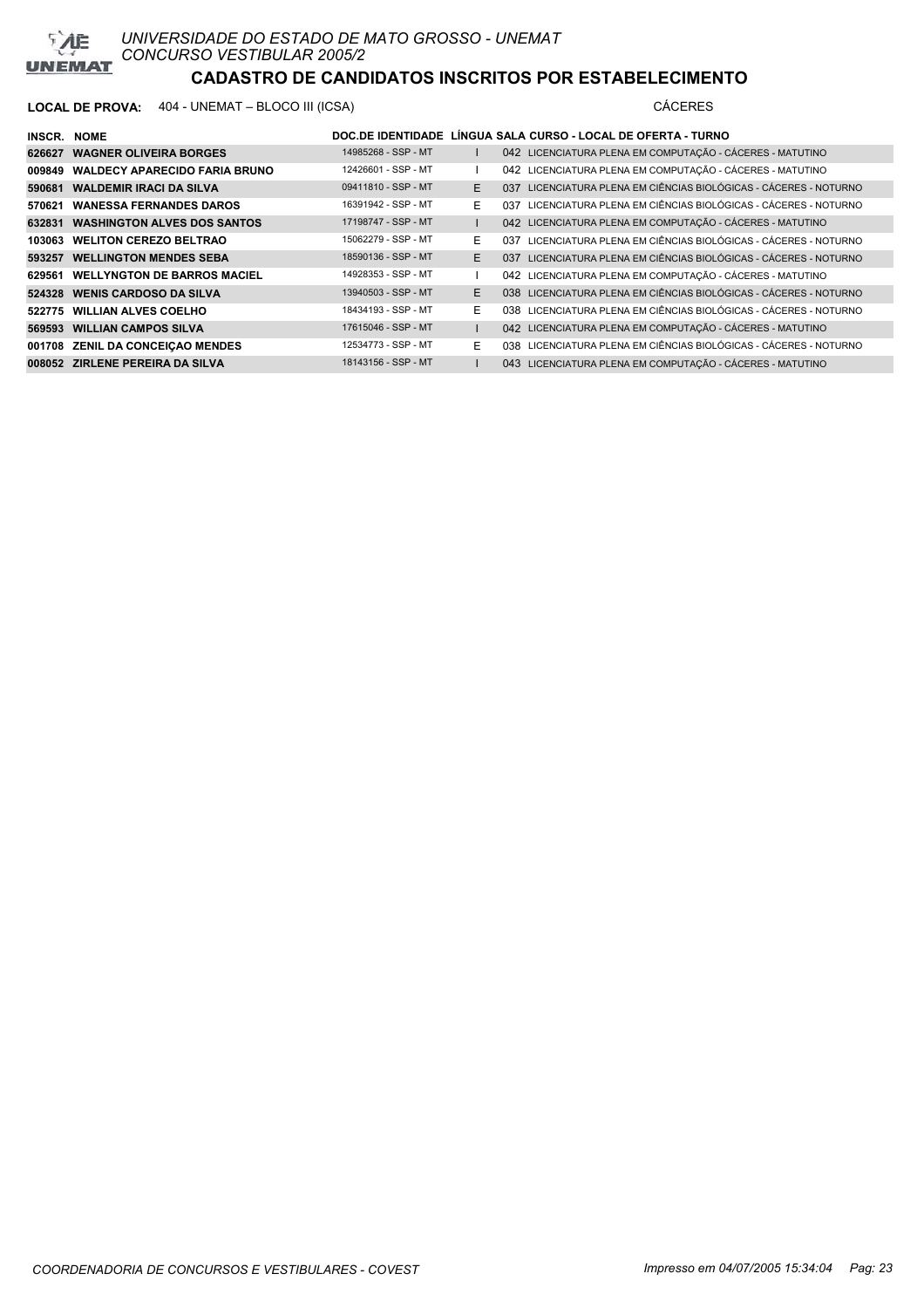

### **LOCAL DE PROVA:** 404 - UNEMAT – BLOCO III (ICSA) CÁCERES

| INSCR. NOME |                                           |                     |    | DOC.DE IDENTIDADE LÍNGUA SALA CURSO - LOCAL DE OFERTA - TURNO     |
|-------------|-------------------------------------------|---------------------|----|-------------------------------------------------------------------|
|             | 626627 WAGNER OLIVEIRA BORGES             | 14985268 - SSP - MT |    | 042 LICENCIATURA PLENA EM COMPUTAÇÃO - CÁCERES - MATUTINO         |
|             | 009849 WALDECY APARECIDO FARIA BRUNO      | 12426601 - SSP - MT |    | 042 LICENCIATURA PLENA EM COMPUTAÇÃO - CÁCERES - MATUTINO         |
|             | 590681 WALDEMIR IRACI DA SILVA            | 09411810 - SSP - MT | E  | 037 LICENCIATURA PLENA EM CIÊNCIAS BIOLÓGICAS - CÁCERES - NOTURNO |
|             | 570621 WANESSA FERNANDES DAROS            | 16391942 - SSP - MT | E. | 037 LICENCIATURA PLENA EM CIÊNCIAS BIOLÓGICAS - CÁCERES - NOTURNO |
|             | <b>632831 WASHINGTON ALVES DOS SANTOS</b> | 17198747 - SSP - MT |    | 042 LICENCIATURA PLENA EM COMPUTAÇÃO - CÁCERES - MATUTINO         |
|             | 103063 WELITON CEREZO BELTRAO             | 15062279 - SSP - MT | E. | 037 LICENCIATURA PLENA EM CIÊNCIAS BIOLÓGICAS - CÁCERES - NOTURNO |
|             | 593257 WELLINGTON MENDES SEBA             | 18590136 - SSP - MT | E  | 037 LICENCIATURA PLENA EM CIÊNCIAS BIOLÓGICAS - CÁCERES - NOTURNO |
|             | 629561 WELLYNGTON DE BARROS MACIEL        | 14928353 - SSP - MT |    | 042 LICENCIATURA PLENA EM COMPUTAÇÃO - CÁCERES - MATUTINO         |
|             | 524328 WENIS CARDOSO DA SILVA             | 13940503 - SSP - MT | E  | 038 LICENCIATURA PLENA EM CIÊNCIAS BIOLÓGICAS - CÁCERES - NOTURNO |
|             | 522775 WILLIAN ALVES COELHO               | 18434193 - SSP - MT | E  | 038 LICENCIATURA PLENA EM CIÊNCIAS BIOLÓGICAS - CÁCERES - NOTURNO |
|             | 569593 WILLIAN CAMPOS SILVA               | 17615046 - SSP - MT |    | 042 LICENCIATURA PLENA EM COMPUTAÇÃO - CÁCERES - MATUTINO         |
|             | 001708 ZENIL DA CONCEIÇAO MENDES          | 12534773 - SSP - MT | E. | 038 LICENCIATURA PLENA EM CIÊNCIAS BIOLÓGICAS - CÁCERES - NOTURNO |

**ZIRLENE PEREIRA DA SILVA** 18143156 - SSP - MT I 043 LICENCIATURA PLENA EM COMPUTAÇÃO - CÁCERES - MATUTINO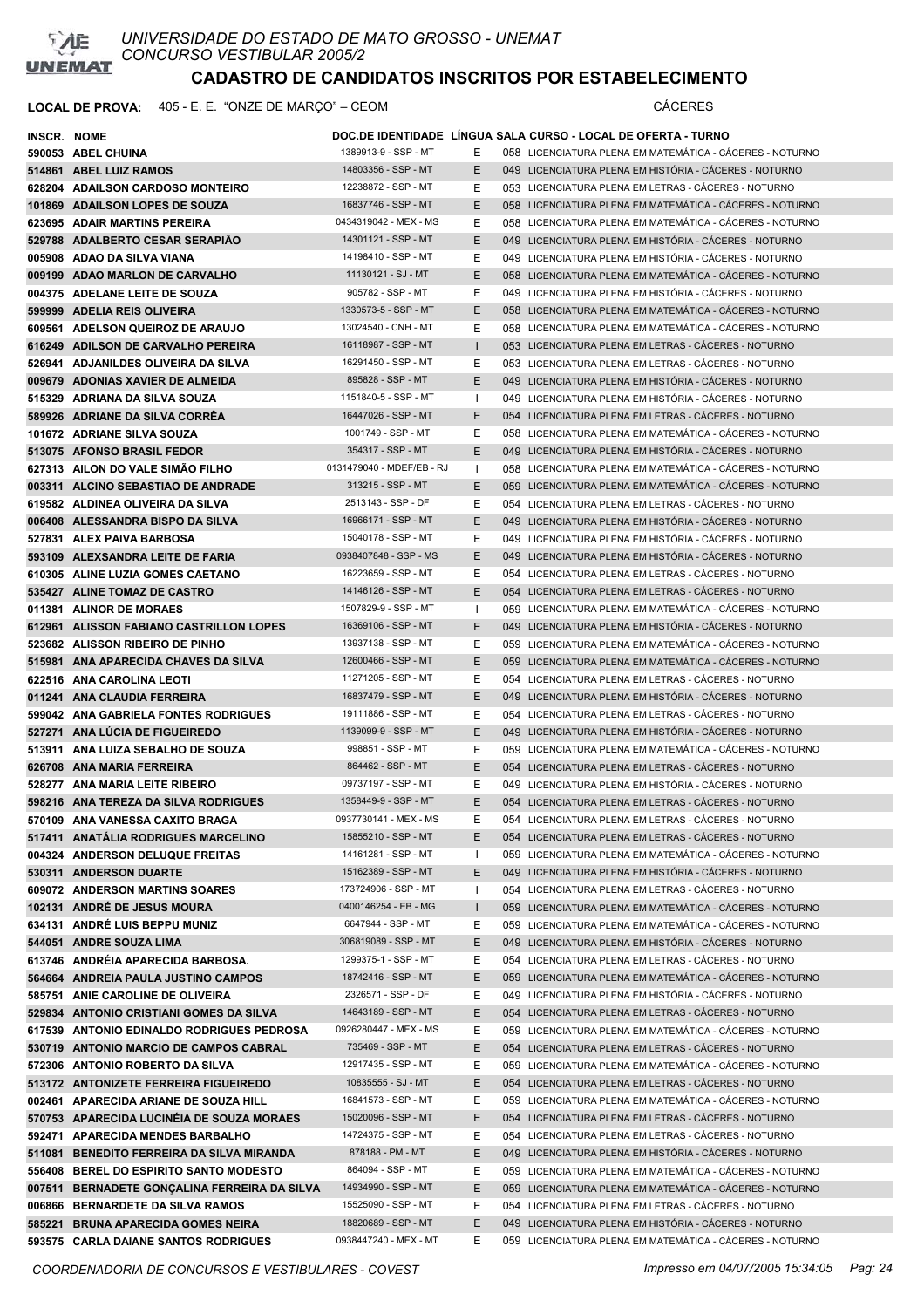

| INSCR. NOME |                                                              |                                            |              | DOC.DE IDENTIDADE LINGUA SALA CURSO - LOCAL DE OFERTA - TURNO                                                  |
|-------------|--------------------------------------------------------------|--------------------------------------------|--------------|----------------------------------------------------------------------------------------------------------------|
|             | 590053 ABEL CHUINA                                           | 1389913-9 - SSP - MT                       | Е            | 058 LICENCIATURA PLENA EM MATEMÁTICA - CÁCERES - NOTURNO                                                       |
|             | 514861 ABEL LUIZ RAMOS                                       | 14803356 - SSP - MT                        | E.           | 049 LICENCIATURA PLENA EM HISTÓRIA - CÁCERES - NOTURNO                                                         |
|             | 628204 ADAILSON CARDOSO MONTEIRO                             | 12238872 - SSP - MT                        | Е            | 053 LICENCIATURA PLENA EM LETRAS - CÁCERES - NOTURNO                                                           |
|             | 101869 ADAILSON LOPES DE SOUZA                               | 16837746 - SSP - MT                        | Е            | 058 LICENCIATURA PLENA EM MATEMÁTICA - CÁCERES - NOTURNO                                                       |
|             | 623695 ADAIR MARTINS PEREIRA                                 | 0434319042 - MEX - MS                      | Е            | 058 LICENCIATURA PLENA EM MATEMÁTICA - CÁCERES - NOTURNO                                                       |
|             | 529788 ADALBERTO CESAR SERAPIAO                              | 14301121 - SSP - MT                        | Е            | 049 LICENCIATURA PLENA EM HISTÓRIA - CÁCERES - NOTURNO                                                         |
|             | 005908 ADAO DA SILVA VIANA                                   | 14198410 - SSP - MT                        | Ε            | 049 LICENCIATURA PLENA EM HISTÓRIA - CÁCERES - NOTURNO                                                         |
|             | 009199 ADAO MARLON DE CARVALHO                               | 11130121 - SJ - MT                         | E            | 058 LICENCIATURA PLENA EM MATEMÁTICA - CÁCERES - NOTURNO                                                       |
|             | 004375 ADELANE LEITE DE SOUZA                                | 905782 - SSP - MT                          | Е            | 049 LICENCIATURA PLENA EM HISTÓRIA - CÁCERES - NOTURNO                                                         |
|             | 599999 ADELIA REIS OLIVEIRA                                  | 1330573-5 - SSP - MT                       | Е            | 058 LICENCIATURA PLENA EM MATEMÁTICA - CÁCERES - NOTURNO                                                       |
|             | 609561 ADELSON QUEIROZ DE ARAUJO                             | 13024540 - CNH - MT                        | Е            | 058 LICENCIATURA PLENA EM MATEMÁTICA - CÁCERES - NOTURNO                                                       |
|             | 616249 ADILSON DE CARVALHO PEREIRA                           | 16118987 - SSP - MT                        | $\mathbf{I}$ | 053 LICENCIATURA PLENA EM LETRAS - CÁCERES - NOTURNO                                                           |
|             | 526941 ADJANILDES OLIVEIRA DA SILVA                          | 16291450 - SSP - MT                        | Ε            | 053 LICENCIATURA PLENA EM LETRAS - CÁCERES - NOTURNO                                                           |
|             | 009679 ADONIAS XAVIER DE ALMEIDA                             | 895828 - SSP - MT                          | E.           | 049 LICENCIATURA PLENA EM HISTÓRIA - CÁCERES - NOTURNO                                                         |
|             | 515329 ADRIANA DA SILVA SOUZA                                | 1151840-5 - SSP - MT                       | Т.           | 049 LICENCIATURA PLENA EM HISTÓRIA - CÁCERES - NOTURNO                                                         |
|             | 589926 ADRIANE DA SILVA CORRÊA                               | 16447026 - SSP - MT                        | E.           | 054 LICENCIATURA PLENA EM LETRAS - CÁCERES - NOTURNO                                                           |
|             | 101672 ADRIANE SILVA SOUZA                                   | 1001749 - SSP - MT                         | Е            | 058 LICENCIATURA PLENA EM MATEMÁTICA - CÁCERES - NOTURNO                                                       |
|             | 513075 AFONSO BRASIL FEDOR                                   | 354317 - SSP - MT                          | E            | 049 LICENCIATURA PLENA EM HISTÓRIA - CÁCERES - NOTURNO                                                         |
|             | 627313 AILON DO VALE SIMÃO FILHO                             | 0131479040 - MDEF/EB - RJ                  | $\mathbf{I}$ | 058 LICENCIATURA PLENA EM MATEMÁTICA - CÁCERES - NOTURNO                                                       |
|             | 003311 ALCINO SEBASTIAO DE ANDRADE                           | 313215 - SSP - MT                          | E            | 059 LICENCIATURA PLENA EM MATEMÁTICA - CÁCERES - NOTURNO                                                       |
|             | 619582 ALDINEA OLIVEIRA DA SILVA                             | 2513143 - SSP - DF                         | Ε            | 054 LICENCIATURA PLENA EM LETRAS - CÁCERES - NOTURNO                                                           |
|             | 006408 ALESSANDRA BISPO DA SILVA                             | 16966171 - SSP - MT                        | E            | 049 LICENCIATURA PLENA EM HISTÓRIA - CÁCERES - NOTURNO                                                         |
|             | 527831 ALEX PAIVA BARBOSA                                    | 15040178 - SSP - MT                        | Е            | 049 LICENCIATURA PLENA EM HISTÓRIA - CÁCERES - NOTURNO                                                         |
|             | 593109 ALEXSANDRA LEITE DE FARIA                             | 0938407848 - SSP - MS                      | E.           | 049 LICENCIATURA PLENA EM HISTÓRIA - CÁCERES - NOTURNO                                                         |
|             | 610305 ALINE LUZIA GOMES CAETANO                             | 16223659 - SSP - MT                        | Е            | 054 LICENCIATURA PLENA EM LETRAS - CACERES - NOTURNO                                                           |
|             | 535427 ALINE TOMAZ DE CASTRO                                 | 14146126 - SSP - MT                        | E            | 054 LICENCIATURA PLENA EM LETRAS - CACERES - NOTURNO                                                           |
|             | 011381 ALINOR DE MORAES                                      | 1507829-9 - SSP - MT                       | Ι.           | 059 LICENCIATURA PLENA EM MATEMÁTICA - CÁCERES - NOTURNO                                                       |
|             | 612961 ALISSON FABIANO CASTRILLON LOPES                      | 16369106 - SSP - MT                        | E            | 049 LICENCIATURA PLENA EM HISTÓRIA - CÁCERES - NOTURNO                                                         |
|             | 523682 ALISSON RIBEIRO DE PINHO                              | 13937138 - SSP - MT                        | Е            | 059 LICENCIATURA PLENA EM MATEMÁTICA - CÁCERES - NOTURNO                                                       |
|             | 515981 ANA APARECIDA CHAVES DA SILVA                         | 12600466 - SSP - MT                        | E.           | 059 LICENCIATURA PLENA EM MATEMÁTICA - CÁCERES - NOTURNO                                                       |
|             | 622516 ANA CAROLINA LEOTI                                    | 11271205 - SSP - MT                        | Е.           | 054 LICENCIATURA PLENA EM LETRAS - CÁCERES - NOTURNO                                                           |
|             | 011241 ANA CLAUDIA FERREIRA                                  | 16837479 - SSP - MT                        | Е            | 049 LICENCIATURA PLENA EM HISTÓRIA - CÁCERES - NOTURNO                                                         |
|             | 599042 ANA GABRIELA FONTES RODRIGUES                         | 19111886 - SSP - MT                        | Ε            | 054 LICENCIATURA PLENA EM LETRAS - CÁCERES - NOTURNO                                                           |
|             | 527271 ANA LUCIA DE FIGUEIREDO                               | 1139099-9 - SSP - MT                       | E            | 049 LICENCIATURA PLENA EM HISTÓRIA - CÁCERES - NOTURNO                                                         |
|             | 513911 ANA LUIZA SEBALHO DE SOUZA                            | 998851 - SSP - MT                          | Е            | 059 LICENCIATURA PLENA EM MATEMÁTICA - CÁCERES - NOTURNO                                                       |
|             | 626708 ANA MARIA FERREIRA                                    | 864462 - SSP - MT                          | Е            | 054 LICENCIATURA PLENA EM LETRAS - CACERES - NOTURNO                                                           |
|             | 528277 ANA MARIA LEITE RIBEIRO                               | 09737197 - SSP - MT                        | Е            | 049 LICENCIATURA PLENA EM HISTÓRIA - CÁCERES - NOTURNO                                                         |
|             | 598216 ANA TEREZA DA SILVA RODRIGUES                         | 1358449-9 - SSP - MT                       | Е            | 054 LICENCIATURA PLENA EM LETRAS - CÁCERES - NOTURNO                                                           |
|             | 570109 ANA VANESSA CAXITO BRAGA                              | 0937730141 - MEX - MS                      | F.           | 054 LICENCIATURA PLENA EM LETRAS - CÁCERES - NOTURNO                                                           |
|             | 517411 ANATALIA RODRIGUES MARCELINO                          | 15855210 - SSP - MT                        | E.           | 054 LICENCIATURA PLENA EM LETRAS - CÁCERES - NOTURNO                                                           |
|             | 004324 ANDERSON DELUQUE FREITAS                              | 14161281 - SSP - MT                        | I.           | 059 LICENCIATURA PLENA EM MATEMÁTICA - CÁCERES - NOTURNO                                                       |
|             | 530311 ANDERSON DUARTE                                       | 15162389 - SSP - MT                        | E.           | 049 LICENCIATURA PLENA EM HISTÓRIA - CÁCERES - NOTURNO                                                         |
|             | 609072 ANDERSON MARTINS SOARES                               | 173724906 - SSP - MT                       | J.           | 054 LICENCIATURA PLENA EM LETRAS - CÁCERES - NOTURNO                                                           |
|             | 102131 ANDRÉ DE JESUS MOURA                                  | 0400146254 - EB - MG<br>6647944 - SSP - MT | $\mathbf{I}$ | 059 LICENCIATURA PLENA EM MATEMÁTICA - CÁCERES - NOTURNO                                                       |
|             | 634131 ANDRÉ LUIS BEPPU MUNIZ                                | 306819089 - SSP - MT                       | Е            | 059 LICENCIATURA PLENA EM MATEMÁTICA - CÁCERES - NOTURNO                                                       |
|             | 544051 ANDRE SOUZA LIMA<br>613746 ANDRÉIA APARECIDA BARBOSA. | 1299375-1 - SSP - MT                       | E            | 049 LICENCIATURA PLENA EM HISTÓRIA - CÁCERES - NOTURNO<br>054 LICENCIATURA PLENA EM LETRAS - CÁCERES - NOTURNO |
|             | 564664 ANDREIA PAULA JUSTINO CAMPOS                          | 18742416 - SSP - MT                        | Е<br>Е       | 059 LICENCIATURA PLENA EM MATEMÁTICA - CÁCERES - NOTURNO                                                       |
|             | 585751 ANIE CAROLINE DE OLIVEIRA                             | 2326571 - SSP - DF                         | Е            | 049 LICENCIATURA PLENA EM HISTÓRIA - CÁCERES - NOTURNO                                                         |
|             | 529834 ANTONIO CRISTIANI GOMES DA SILVA                      | 14643189 - SSP - MT                        | Е            | 054 LICENCIATURA PLENA EM LETRAS - CÁCERES - NOTURNO                                                           |
|             | 617539 ANTONIO EDINALDO RODRIGUES PEDROSA                    | 0926280447 - MEX - MS                      | Е            | 059 LICENCIATURA PLENA EM MATEMÁTICA - CÁCERES - NOTURNO                                                       |
|             | 530719 ANTONIO MARCIO DE CAMPOS CABRAL                       | 735469 - SSP - MT                          | E            | 054 LICENCIATURA PLENA EM LETRAS - CÁCERES - NOTURNO                                                           |
|             | 572306 ANTONIO ROBERTO DA SILVA                              | 12917435 - SSP - MT                        | Е            | 059 LICENCIATURA PLENA EM MATEMÁTICA - CÁCERES - NOTURNO                                                       |
|             | 513172 ANTONIZETE FERREIRA FIGUEIREDO                        | 10835555 - SJ - MT                         | Е            | 054 LICENCIATURA PLENA EM LETRAS - CÁCERES - NOTURNO                                                           |
|             | 002461 APARECIDA ARIANE DE SOUZA HILL                        | 16841573 - SSP - MT                        | Е            | 059 LICENCIATURA PLENA EM MATEMÁTICA - CÁCERES - NOTURNO                                                       |
|             | 570753 APARECIDA LUCINEIA DE SOUZA MORAES                    | 15020096 - SSP - MT                        | Е            | 054 LICENCIATURA PLENA EM LETRAS - CÁCERES - NOTURNO                                                           |
|             | 592471 APARECIDA MENDES BARBALHO                             | 14724375 - SSP - MT                        | Е            | 054 LICENCIATURA PLENA EM LETRAS - CÁCERES - NOTURNO                                                           |
|             | 511081 BENEDITO FERREIRA DA SILVA MIRANDA                    | 878188 - PM - MT                           | Е            | 049 LICENCIATURA PLENA EM HISTÓRIA - CÁCERES - NOTURNO                                                         |
|             | 556408 BEREL DO ESPIRITO SANTO MODESTO                       | 864094 - SSP - MT                          | Е            | 059 LICENCIATURA PLENA EM MATEMÁTICA - CÁCERES - NOTURNO                                                       |
|             | 007511 BERNADETE GONÇALINA FERREIRA DA SILVA                 | 14934990 - SSP - MT                        | Ε            | 059 LICENCIATURA PLENA EM MATEMÁTICA - CÁCERES - NOTURNO                                                       |
|             | 006866 BERNARDETE DA SILVA RAMOS                             | 15525090 - SSP - MT                        | Е            | 054 LICENCIATURA PLENA EM LETRAS - CÁCERES - NOTURNO                                                           |
|             | 585221 BRUNA APARECIDA GOMES NEIRA                           | 18820689 - SSP - MT                        | Ε            | 049 LICENCIATURA PLENA EM HISTÓRIA - CÁCERES - NOTURNO                                                         |
|             | 593575 CARLA DAIANE SANTOS RODRIGUES                         | 0938447240 - MEX - MT                      | Е            | 059 LICENCIATURA PLENA EM MATEMÁTICA - CÁCERES - NOTURNO                                                       |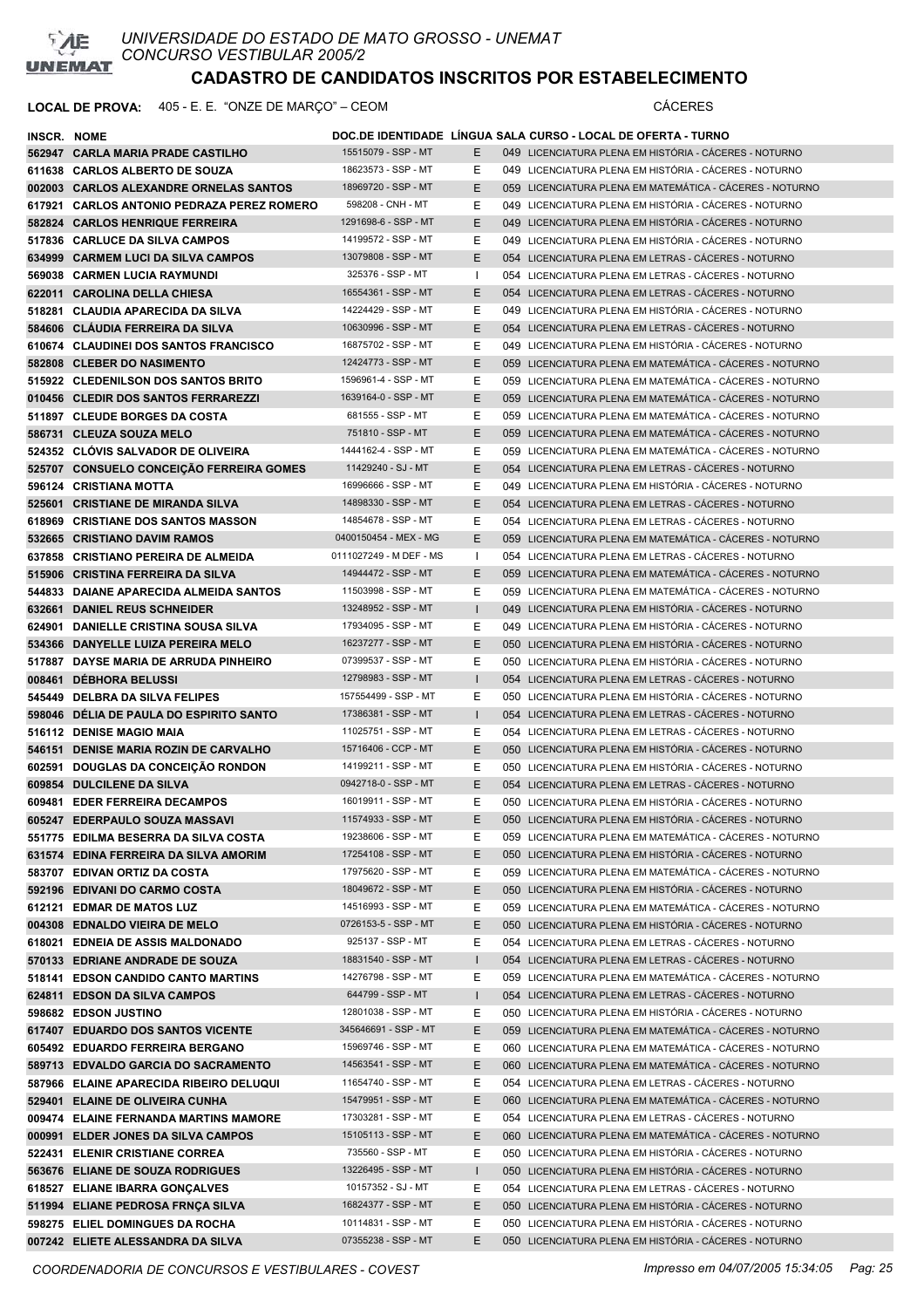

| INSCR. NOME |                                            |                         |              | DOC.DE IDENTIDADE LINGUA SALA CURSO - LOCAL DE OFERTA - TURNO |
|-------------|--------------------------------------------|-------------------------|--------------|---------------------------------------------------------------|
|             | 562947 CARLA MARIA PRADE CASTILHO          | 15515079 - SSP - MT     | E.           | 049 LICENCIATURA PLENA EM HISTÓRIA - CÁCERES - NOTURNO        |
|             | 611638 CARLOS ALBERTO DE SOUZA             | 18623573 - SSP - MT     | Е.           | 049 LICENCIATURA PLENA EM HISTÓRIA - CÁCERES - NOTURNO        |
|             | 002003 CARLOS ALEXANDRE ORNELAS SANTOS     | 18969720 - SSP - MT     | E            | 059 LICENCIATURA PLENA EM MATEMÁTICA - CÁCERES - NOTURNO      |
|             | 617921 CARLOS ANTONIO PEDRAZA PEREZ ROMERO | 598208 - CNH - MT       | Е            | 049 LICENCIATURA PLENA EM HISTÓRIA - CÁCERES - NOTURNO        |
|             | 582824 CARLOS HENRIQUE FERREIRA            | 1291698-6 - SSP - MT    | E            | 049 LICENCIATURA PLENA EM HISTÓRIA - CÁCERES - NOTURNO        |
|             | 517836 CARLUCE DA SILVA CAMPOS             | 14199572 - SSP - MT     | Е            | 049 LICENCIATURA PLENA EM HISTÓRIA - CÁCERES - NOTURNO        |
|             | 634999 CARMEM LUCI DA SILVA CAMPOS         | 13079808 - SSP - MT     | E            | 054 LICENCIATURA PLENA EM LETRAS - CACERES - NOTURNO          |
|             | 569038 CARMEN LUCIA RAYMUNDI               | 325376 - SSP - MT       | Ι.           | 054 LICENCIATURA PLENA EM LETRAS - CÁCERES - NOTURNO          |
|             | 622011 CAROLINA DELLA CHIESA               | 16554361 - SSP - MT     | E            | 054 LICENCIATURA PLENA EM LETRAS - CACERES - NOTURNO          |
|             | 518281 CLAUDIA APARECIDA DA SILVA          | 14224429 - SSP - MT     | Е            | 049 LICENCIATURA PLENA EM HISTÓRIA - CÁCERES - NOTURNO        |
|             | 584606 CLAUDIA FERREIRA DA SILVA           | 10630996 - SSP - MT     | E.           | 054 LICENCIATURA PLENA EM LETRAS - CACERES - NOTURNO          |
|             | 610674 CLAUDINEI DOS SANTOS FRANCISCO      | 16875702 - SSP - MT     | Е            | 049 LICENCIATURA PLENA EM HISTÓRIA - CÁCERES - NOTURNO        |
|             | 582808 CLEBER DO NASIMENTO                 | 12424773 - SSP - MT     | E.           | 059 LICENCIATURA PLENA EM MATEMÁTICA - CÁCERES - NOTURNO      |
|             | 515922 CLEDENILSON DOS SANTOS BRITO        | 1596961-4 - SSP - MT    | E.           | 059 LICENCIATURA PLENA EM MATEMÁTICA - CÁCERES - NOTURNO      |
|             | 010456 CLEDIR DOS SANTOS FERRAREZZI        | 1639164-0 - SSP - MT    | E.           | 059 LICENCIATURA PLENA EM MATEMÁTICA - CÁCERES - NOTURNO      |
|             | 511897 CLEUDE BORGES DA COSTA              | 681555 - SSP - MT       | Е            | 059 LICENCIATURA PLENA EM MATEMÁTICA - CÁCERES - NOTURNO      |
|             | 586731 CLEUZA SOUZA MELO                   | 751810 - SSP - MT       | E.           | 059 LICENCIATURA PLENA EM MATEMÁTICA - CÁCERES - NOTURNO      |
|             | 524352 CLOVIS SALVADOR DE OLIVEIRA         | 1444162-4 - SSP - MT    | Е            | 059 LICENCIATURA PLENA EM MATEMÁTICA - CÁCERES - NOTURNO      |
|             | 525707 CONSUELO CONCEIÇÃO FERREIRA GOMES   | 11429240 - SJ - MT      | E.           | 054 LICENCIATURA PLENA EM LETRAS - CÁCERES - NOTURNO          |
|             | 596124 CRISTIANA MOTTA                     | 16996666 - SSP - MT     | Е            | 049 LICENCIATURA PLENA EM HISTÓRIA - CÁCERES - NOTURNO        |
|             | 525601 CRISTIANE DE MIRANDA SILVA          | 14898330 - SSP - MT     | E            | 054 LICENCIATURA PLENA EM LETRAS - CÁCERES - NOTURNO          |
|             | 618969 CRISTIANE DOS SANTOS MASSON         | 14854678 - SSP - MT     | Е            | 054 LICENCIATURA PLENA EM LETRAS - CACERES - NOTURNO          |
|             | 532665 CRISTIANO DAVIM RAMOS               | 0400150454 - MEX - MG   | E.           | 059 LICENCIATURA PLENA EM MATEMÁTICA - CÁCERES - NOTURNO      |
|             | 637858 CRISTIANO PEREIRA DE ALMEIDA        | 0111027249 - M DEF - MS | Ι.           | 054 LICENCIATURA PLENA EM LETRAS - CÁCERES - NOTURNO          |
|             | 515906 CRISTINA FERREIRA DA SILVA          | 14944472 - SSP - MT     | E            | 059 LICENCIATURA PLENA EM MATEMÁTICA - CÁCERES - NOTURNO      |
|             | 544833 DAIANE APARECIDA ALMEIDA SANTOS     | 11503998 - SSP - MT     | Е            | 059 LICENCIATURA PLENA EM MATEMÁTICA - CÁCERES - NOTURNO      |
|             | 632661 DANIEL REUS SCHNEIDER               | 13248952 - SSP - MT     | $\mathbf{L}$ | 049 LICENCIATURA PLENA EM HISTÓRIA - CÁCERES - NOTURNO        |
|             | 624901 DANIELLE CRISTINA SOUSA SILVA       | 17934095 - SSP - MT     | E.           | 049 LICENCIATURA PLENA EM HISTÓRIA - CÁCERES - NOTURNO        |
|             | 534366 DANYELLE LUIZA PEREIRA MELO         | 16237277 - SSP - MT     | E.           | 050 LICENCIATURA PLENA EM HISTÓRIA - CÁCERES - NOTURNO        |
|             | 517887 DAYSE MARIA DE ARRUDA PINHEIRO      | 07399537 - SSP - MT     | Е            | 050 LICENCIATURA PLENA EM HISTÓRIA - CÁCERES - NOTURNO        |
|             | 008461 DEBHORA BELUSSI                     | 12798983 - SSP - MT     | $\mathbf{L}$ | 054 LICENCIATURA PLENA EM LETRAS - CACERES - NOTURNO          |
|             | 545449 DELBRA DA SILVA FELIPES             | 157554499 - SSP - MT    | Е            | 050 LICENCIATURA PLENA EM HISTÓRIA - CÁCERES - NOTURNO        |
|             | 598046 DÉLIA DE PAULA DO ESPIRITO SANTO    | 17386381 - SSP - MT     | $\mathbf{I}$ | 054 LICENCIATURA PLENA EM LETRAS - CACERES - NOTURNO          |
|             | 516112 DENISE MAGIO MAIA                   | 11025751 - SSP - MT     | Е            | 054 LICENCIATURA PLENA EM LETRAS - CÁCERES - NOTURNO          |
|             | 546151 DENISE MARIA ROZIN DE CARVALHO      | 15716406 - CCP - MT     | E            | 050 LICENCIATURA PLENA EM HISTÓRIA - CÁCERES - NOTURNO        |
|             | 602591 DOUGLAS DA CONCEICÃO RONDON         | 14199211 - SSP - MT     | Е            | 050 LICENCIATURA PLENA EM HISTÓRIA - CÁCERES - NOTURNO        |
|             | 609854 DULCILENE DA SILVA                  | 0942718-0 - SSP - MT    | E            | 054 LICENCIATURA PLENA EM LETRAS - CACERES - NOTURNO          |
|             | 609481 EDER FERREIRA DECAMPOS              | 16019911 - SSP - MT     | Е            | 050 LICENCIATURA PLENA EM HISTÓRIA - CÁCERES - NOTURNO        |
|             | 605247 EDERPAULO SOUZA MASSAVI             | 11574933 - SSP - MT     | E.           | 050 LICENCIATURA PLENA EM HISTÓRIA - CÁCERES - NOTURNO        |
|             | 551775 EDILMA BESERRA DA SILVA COSTA       | 19238606 - SSP - MT     | Е            | 059 LICENCIATURA PLENA EM MATEMÁTICA - CÁCERES - NOTURNO      |
|             | 631574 EDINA FERREIRA DA SILVA AMORIM      | 17254108 - SSP - MT     | E.           | 050 LICENCIATURA PLENA EM HISTÓRIA - CÁCERES - NOTURNO        |
|             | 583707 EDIVAN ORTIZ DA COSTA               | 17975620 - SSP - MT     | Е            | 059 LICENCIATURA PLENA EM MATEMÁTICA - CÁCERES - NOTURNO      |
|             | 592196 EDIVANI DO CARMO COSTA              | 18049672 - SSP - MT     | E.           | 050 LICENCIATURA PLENA EM HISTÓRIA - CÁCERES - NOTURNO        |
|             | 612121 EDMAR DE MATOS LUZ                  | 14516993 - SSP - MT     | Е            | 059 LICENCIATURA PLENA EM MATEMÁTICA - CÁCERES - NOTURNO      |
|             | 004308 EDNALDO VIEIRA DE MELO              | 0726153-5 - SSP - MT    | E.           | 050 LICENCIATURA PLENA EM HISTÓRIA - CÁCERES - NOTURNO        |
|             | 618021 EDNEIA DE ASSIS MALDONADO           | 925137 - SSP - MT       | Е            | 054 LICENCIATURA PLENA EM LETRAS - CÁCERES - NOTURNO          |
|             | 570133 EDRIANE ANDRADE DE SOUZA            | 18831540 - SSP - MT     | $\mathbf{I}$ | 054 LICENCIATURA PLENA EM LETRAS - CÁCERES - NOTURNO          |
|             | 518141 EDSON CANDIDO CANTO MARTINS         | 14276798 - SSP - MT     | Е            | 059 LICENCIATURA PLENA EM MATEMÁTICA - CÁCERES - NOTURNO      |
|             | 624811 EDSON DA SILVA CAMPOS               | 644799 - SSP - MT       | L            | 054 LICENCIATURA PLENA EM LETRAS - CÁCERES - NOTURNO          |
|             | 598682 EDSON JUSTINO                       | 12801038 - SSP - MT     | Е            | 050 LICENCIATURA PLENA EM HISTÓRIA - CÁCERES - NOTURNO        |
|             | 617407 EDUARDO DOS SANTOS VICENTE          | 345646691 - SSP - MT    | Е            | 059 LICENCIATURA PLENA EM MATEMÁTICA - CÁCERES - NOTURNO      |
|             | 605492 EDUARDO FERREIRA BERGANO            | 15969746 - SSP - MT     | Е            | 060 LICENCIATURA PLENA EM MATEMÁTICA - CÁCERES - NOTURNO      |
|             | 589713 EDVALDO GARCIA DO SACRAMENTO        | 14563541 - SSP - MT     | E            | 060 LICENCIATURA PLENA EM MATEMÁTICA - CÁCERES - NOTURNO      |
|             | 587966 ELAINE APARECIDA RIBEIRO DELUQUI    | 11654740 - SSP - MT     | E.           | 054 LICENCIATURA PLENA EM LETRAS - CACERES - NOTURNO          |
|             | 529401 ELAINE DE OLIVEIRA CUNHA            | 15479951 - SSP - MT     | E.           | 060 LICENCIATURA PLENA EM MATEMÁTICA - CÁCERES - NOTURNO      |
|             | 009474 ELAINE FERNANDA MARTINS MAMORE      | 17303281 - SSP - MT     | Е            | 054 LICENCIATURA PLENA EM LETRAS - CÁCERES - NOTURNO          |
|             | 000991 ELDER JONES DA SILVA CAMPOS         | 15105113 - SSP - MT     | E.           | 060 LICENCIATURA PLENA EM MATEMÁTICA - CÁCERES - NOTURNO      |
|             | 522431 ELENIR CRISTIANE CORREA             | 735560 - SSP - MT       | E.           | 050 LICENCIATURA PLENA EM HISTÓRIA - CÁCERES - NOTURNO        |
|             | 563676 ELIANE DE SOUZA RODRIGUES           | 13226495 - SSP - MT     | L            | 050 LICENCIATURA PLENA EM HISTÓRIA - CÁCERES - NOTURNO        |
|             | 618527 ELIANE IBARRA GONÇALVES             | 10157352 - SJ - MT      | Е            | 054 LICENCIATURA PLENA EM LETRAS - CÁCERES - NOTURNO          |
|             | 511994 ELIANE PEDROSA FRNÇA SILVA          | 16824377 - SSP - MT     | E.           | 050 LICENCIATURA PLENA EM HISTÓRIA - CÁCERES - NOTURNO        |
|             | 598275 ELIEL DOMINGUES DA ROCHA            | 10114831 - SSP - MT     | Е            | 050 LICENCIATURA PLENA EM HISTÓRIA - CÁCERES - NOTURNO        |
|             | 007242 ELIETE ALESSANDRA DA SILVA          | 07355238 - SSP - MT     | E.           | 050 LICENCIATURA PLENA EM HISTÓRIA - CÁCERES - NOTURNO        |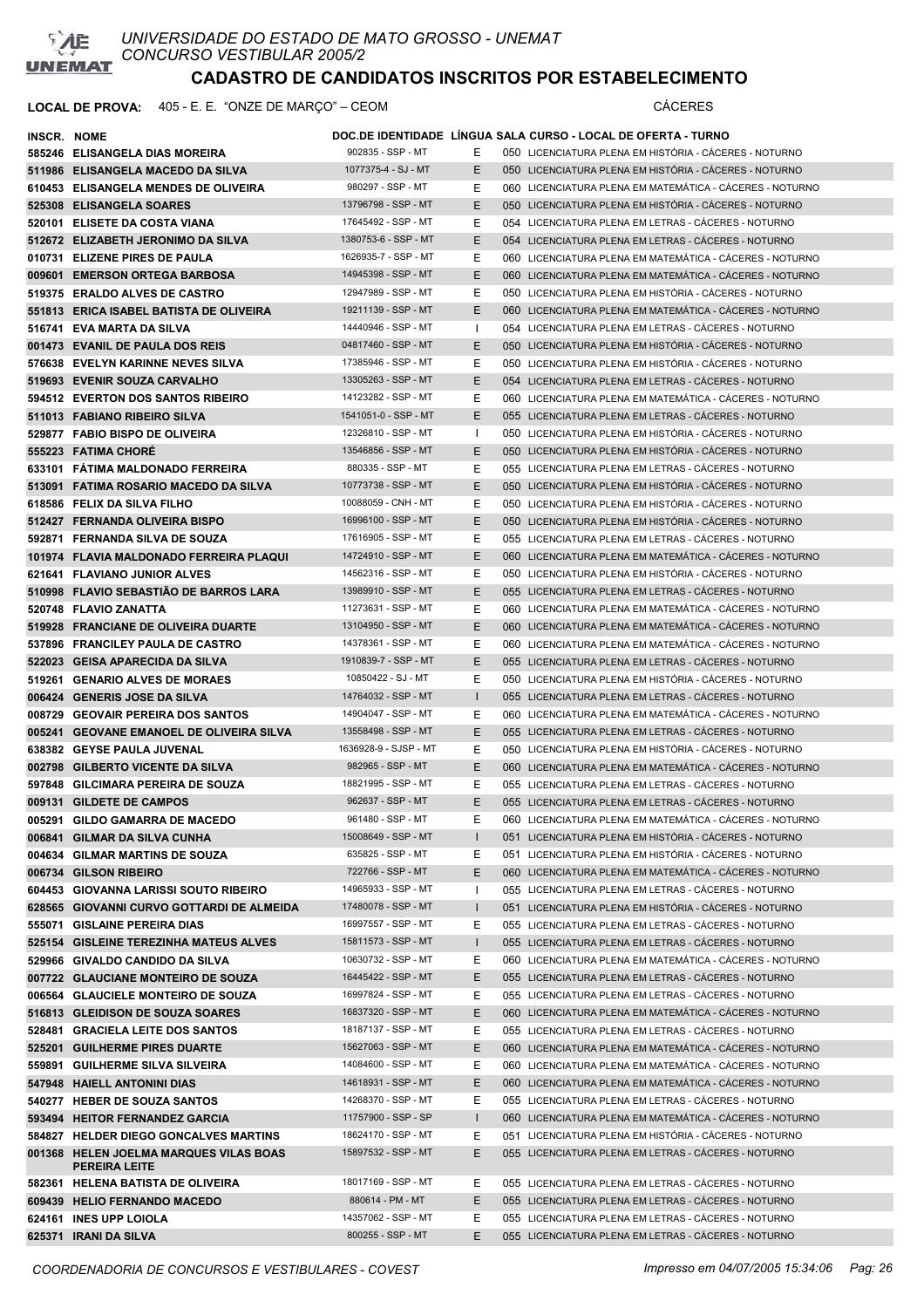

| INSCR. NOME |                                                 |                                         |              | DOC.DE IDENTIDADE LINGUA SALA CURSO - LOCAL DE OFERTA - TURNO                                                |
|-------------|-------------------------------------------------|-----------------------------------------|--------------|--------------------------------------------------------------------------------------------------------------|
|             | 585246 ELISANGELA DIAS MOREIRA                  | 902835 - SSP - MT                       | Е            | 050 LICENCIATURA PLENA EM HISTÓRIA - CÁCERES - NOTURNO                                                       |
|             | 511986 ELISANGELA MACEDO DA SILVA               | 1077375-4 - SJ - MT                     | E.           | 050 LICENCIATURA PLENA EM HISTÓRIA - CÁCERES - NOTURNO                                                       |
|             | 610453 ELISANGELA MENDES DE OLIVEIRA            | 980297 - SSP - MT                       | Ε            | 060 LICENCIATURA PLENA EM MATEMÁTICA - CÁCERES - NOTURNO                                                     |
|             | 525308 ELISANGELA SOARES                        | 13796798 - SSP - MT                     | E            | 050 LICENCIATURA PLENA EM HISTÓRIA - CÁCERES - NOTURNO                                                       |
|             | 520101 ELISETE DA COSTA VIANA                   | 17645492 - SSP - MT                     | Ε            | 054 LICENCIATURA PLENA EM LETRAS - CÁCERES - NOTURNO                                                         |
|             | 512672 ELIZABETH JERONIMO DA SILVA              | 1380753-6 - SSP - MT                    | E            | 054 LICENCIATURA PLENA EM LETRAS - CACERES - NOTURNO                                                         |
|             | 010731 ELIZENE PIRES DE PAULA                   | 1626935-7 - SSP - MT                    | Ε            | 060 LICENCIATURA PLENA EM MATEMÁTICA - CÁCERES - NOTURNO                                                     |
|             | 009601 EMERSON ORTEGA BARBOSA                   | 14945398 - SSP - MT                     | E            | 060 LICENCIATURA PLENA EM MATEMÁTICA - CÁCERES - NOTURNO                                                     |
|             | 519375 ERALDO ALVES DE CASTRO                   | 12947989 - SSP - MT                     | Ε            | 050 LICENCIATURA PLENA EM HISTÓRIA - CÁCERES - NOTURNO                                                       |
|             | 551813 ERICA ISABEL BATISTA DE OLIVEIRA         | 19211139 - SSP - MT                     | E            | 060 LICENCIATURA PLENA EM MATEMÁTICA - CÁCERES - NOTURNO                                                     |
|             | 516741 EVA MARTA DA SILVA                       | 14440946 - SSP - MT                     | Т.           | 054 LICENCIATURA PLENA EM LETRAS - CÁCERES - NOTURNO                                                         |
|             | 001473 EVANIL DE PAULA DOS REIS                 | 04817460 - SSP - MT                     | E            | 050 LICENCIATURA PLENA EM HISTÓRIA - CÁCERES - NOTURNO                                                       |
|             | 576638 EVELYN KARINNE NEVES SILVA               | 17385946 - SSP - MT                     | Ε            | 050 LICENCIATURA PLENA EM HISTÓRIA - CÁCERES - NOTURNO                                                       |
|             | 519693 EVENIR SOUZA CARVALHO                    | 13305263 - SSP - MT                     | E            | 054 LICENCIATURA PLENA EM LETRAS - CÁCERES - NOTURNO                                                         |
|             | 594512 EVERTON DOS SANTOS RIBEIRO               | 14123282 - SSP - MT                     | Ε            | 060 LICENCIATURA PLENA EM MATEMÁTICA - CÁCERES - NOTURNO                                                     |
|             | 511013 FABIANO RIBEIRO SILVA                    | 1541051-0 - SSP - MT                    | E            | 055 LICENCIATURA PLENA EM LETRAS - CACERES - NOTURNO                                                         |
|             | 529877 FABIO BISPO DE OLIVEIRA                  | 12326810 - SSP - MT                     | $\mathbf{I}$ | 050 LICENCIATURA PLENA EM HISTÓRIA - CÁCERES - NOTURNO                                                       |
|             | 555223 FATIMA CHORE                             | 13546856 - SSP - MT                     | Е            | 050 LICENCIATURA PLENA EM HISTÓRIA - CÁCERES - NOTURNO                                                       |
|             | 633101 FATIMA MALDONADO FERREIRA                | 880335 - SSP - MT                       | Ε            | 055 LICENCIATURA PLENA EM LETRAS - CÁCERES - NOTURNO                                                         |
|             | 513091 FATIMA ROSARIO MACEDO DA SILVA           | 10773738 - SSP - MT                     | E.           | 050 LICENCIATURA PLENA EM HISTÓRIA - CÁCERES - NOTURNO                                                       |
|             | 618586 FELIX DA SILVA FILHO                     | 10088059 - CNH - MT                     | Ε            | 050 LICENCIATURA PLENA EM HISTÓRIA - CÁCERES - NOTURNO                                                       |
|             | 512427 FERNANDA OLIVEIRA BISPO                  | 16996100 - SSP - MT                     | Ε            | 050 LICENCIATURA PLENA EM HISTÓRIA - CÁCERES - NOTURNO                                                       |
|             | 592871 FERNANDA SILVA DE SOUZA                  | 17616905 - SSP - MT                     | Е            | 055 LICENCIATURA PLENA EM LETRAS - CACERES - NOTURNO                                                         |
|             | 101974 FLAVIA MALDONADO FERREIRA PLAQUI         | 14724910 - SSP - MT                     | Е            | 060 LICENCIATURA PLENA EM MATEMÁTICA - CÁCERES - NOTURNO                                                     |
|             | 621641 FLAVIANO JUNIOR ALVES                    | 14562316 - SSP - MT                     | Ε            | 050 LICENCIATURA PLENA EM HISTÓRIA - CÁCERES - NOTURNO                                                       |
|             | 510998 FLAVIO SEBASTIÃO DE BARROS LARA          | 13989910 - SSP - MT                     | Е            | 055 LICENCIATURA PLENA EM LETRAS - CÁCERES - NOTURNO                                                         |
|             | 520748 FLAVIO ZANATTA                           | 11273631 - SSP - MT                     | Е            | 060 LICENCIATURA PLENA EM MATEMÁTICA - CÁCERES - NOTURNO                                                     |
|             | 519928 FRANCIANE DE OLIVEIRA DUARTE             | 13104950 - SSP - MT                     | E            | 060 LICENCIATURA PLENA EM MATEMÁTICA - CÁCERES - NOTURNO                                                     |
|             | 537896 FRANCILEY PAULA DE CASTRO                | 14378361 - SSP - MT                     | Е            | 060 LICENCIATURA PLENA EM MATEMÁTICA - CÁCERES - NOTURNO                                                     |
|             | 522023 GEISA APARECIDA DA SILVA                 | 1910839-7 - SSP - MT                    | Е            | 055 LICENCIATURA PLENA EM LETRAS - CACERES - NOTURNO                                                         |
|             | 519261 GENARIO ALVES DE MORAES                  | 10850422 - SJ - MT                      | Ε            | 050 LICENCIATURA PLENA EM HISTÓRIA - CÁCERES - NOTURNO                                                       |
|             | 006424 GENERIS JOSE DA SILVA                    | 14764032 - SSP - MT                     | $\mathbf{I}$ | 055 LICENCIATURA PLENA EM LETRAS - CACERES - NOTURNO                                                         |
|             | 008729 GEOVAIR PEREIRA DOS SANTOS               | 14904047 - SSP - MT                     | Ε            | 060 LICENCIATURA PLENA EM MATEMÁTICA - CÁCERES - NOTURNO                                                     |
|             | 005241 GEOVANE EMANOEL DE OLIVEIRA SILVA        | 13558498 - SSP - MT                     | Е            | 055 LICENCIATURA PLENA EM LETRAS - CÁCERES - NOTURNO                                                         |
|             | 638382 GEYSE PAULA JUVENAL                      | 1636928-9 - SJSP - MT                   | Е            | 050 LICENCIATURA PLENA EM HISTÓRIA - CÁCERES - NOTURNO                                                       |
|             | 002798 GILBERTO VICENTE DA SILVA                | 982965 - SSP - MT                       | E            | 060 LICENCIATURA PLENA EM MATEMÁTICA - CÁCERES - NOTURNO                                                     |
|             | 597848 GILCIMARA PEREIRA DE SOUZA               | 18821995 - SSP - MT                     | Е            | 055 LICENCIATURA PLENA EM LETRAS - CÁCERES - NOTURNO                                                         |
|             | 009131 GILDETE DE CAMPOS                        | 962637 - SSP - MT                       | E            | 055 LICENCIATURA PLENA EM LETRAS - CACERES - NOTURNO                                                         |
|             | 005291 GILDO GAMARRA DE MACEDO                  | 961480 - SSP - MT                       | E.           | 060 LICENCIATURA PLENA EM MATEMÁTICA - CÁCERES - NOTURNO                                                     |
|             | 006841 GILMAR DA SILVA CUNHA                    | 15008649 - SSP - MT                     | L            | 051 LICENCIATURA PLENA EM HISTÓRIA - CÁCERES - NOTURNO                                                       |
|             | 004634 GILMAR MARTINS DE SOUZA                  | 635825 - SSP - MT                       | Ε            | 051 LICENCIATURA PLENA EM HISTÓRIA - CÁCERES - NOTURNO                                                       |
|             | 006734 GILSON RIBEIRO                           | 722766 - SSP - MT                       | Ε            | 060 LICENCIATURA PLENA EM MATEMÁTICA - CÁCERES - NOTURNO                                                     |
|             | 604453 GIOVANNA LARISSI SOUTO RIBEIRO           | 14965933 - SSP - MT                     | I.           | 055 LICENCIATURA PLENA EM LETRAS - CÁCERES - NOTURNO                                                         |
|             | 628565 GIOVANNI CURVO GOTTARDI DE ALMEIDA       | 17480078 - SSP - MT                     | L            | 051 LICENCIATURA PLENA EM HISTÓRIA - CÁCERES - NOTURNO                                                       |
|             | 555071 GISLAINE PEREIRA DIAS                    | 16997557 - SSP - MT                     | Ε            | 055 LICENCIATURA PLENA EM LETRAS - CÁCERES - NOTURNO                                                         |
|             | 525154 GISLEINE TEREZINHA MATEUS ALVES          | 15811573 - SSP - MT                     | $\mathbf{I}$ | 055 LICENCIATURA PLENA EM LETRAS - CÁCERES - NOTURNO                                                         |
|             | 529966 GIVALDO CANDIDO DA SILVA                 | 10630732 - SSP - MT                     | Е            | 060 LICENCIATURA PLENA EM MATEMÁTICA - CÁCERES - NOTURNO                                                     |
|             | 007722 GLAUCIANE MONTEIRO DE SOUZA              | 16445422 - SSP - MT                     | Е            | 055 LICENCIATURA PLENA EM LETRAS - CÁCERES - NOTURNO                                                         |
|             | 006564 GLAUCIELE MONTEIRO DE SOUZA              | 16997824 - SSP - MT                     | Е            | 055 LICENCIATURA PLENA EM LETRAS - CÁCERES - NOTURNO                                                         |
|             | 516813 GLEIDISON DE SOUZA SOARES                | 16837320 - SSP - MT                     | Ε            | 060 LICENCIATURA PLENA EM MATEMÁTICA - CÁCERES - NOTURNO                                                     |
|             | 528481 GRACIELA LEITE DOS SANTOS                | 18187137 - SSP - MT                     | Е            | 055 LICENCIATURA PLENA EM LETRAS - CÁCERES - NOTURNO                                                         |
|             | 525201 GUILHERME PIRES DUARTE                   | 15627063 - SSP - MT                     | Е            | 060 LICENCIATURA PLENA EM MATEMÁTICA - CÁCERES - NOTURNO                                                     |
|             | 559891 GUILHERME SILVA SILVEIRA                 | 14084600 - SSP - MT                     | Е            | 060 LICENCIATURA PLENA EM MATEMÁTICA - CÁCERES - NOTURNO                                                     |
|             | 547948 HAIELL ANTONINI DIAS                     | 14618931 - SSP - MT                     | E            | 060 LICENCIATURA PLENA EM MATEMÁTICA - CÁCERES - NOTURNO                                                     |
|             | 540277 HEBER DE SOUZA SANTOS                    | 14268370 - SSP - MT                     | Ε            | 055 LICENCIATURA PLENA EM LETRAS - CACERES - NOTURNO                                                         |
|             | 593494 HEITOR FERNANDEZ GARCIA                  | 11757900 - SSP - SP                     | L            | 060 LICENCIATURA PLENA EM MATEMÁTICA - CÁCERES - NOTURNO                                                     |
|             | 584827 HELDER DIEGO GONCALVES MARTINS           | 18624170 - SSP - MT                     | Ε            | 051 LICENCIATURA PLENA EM HISTÓRIA - CÁCERES - NOTURNO                                                       |
|             | 001368 HELEN JOELMA MARQUES VILAS BOAS          | 15897532 - SSP - MT                     | Е            | 055 LICENCIATURA PLENA EM LETRAS - CÁCERES - NOTURNO                                                         |
|             | <b>PEREIRA LEITE</b>                            |                                         |              |                                                                                                              |
|             | 582361 HELENA BATISTA DE OLIVEIRA               | 18017169 - SSP - MT                     | Е            | 055 LICENCIATURA PLENA EM LETRAS - CÁCERES - NOTURNO                                                         |
|             | 609439 HELIO FERNANDO MACEDO                    | 880614 - PM - MT<br>14357062 - SSP - MT | Ε<br>Е       | 055 LICENCIATURA PLENA EM LETRAS - CÁCERES - NOTURNO                                                         |
|             | 624161 INES UPP LOIOLA<br>625371 IRANI DA SILVA | 800255 - SSP - MT                       | E.           | 055 LICENCIATURA PLENA EM LETRAS - CÁCERES - NOTURNO<br>055 LICENCIATURA PLENA EM LETRAS - CÁCERES - NOTURNO |
|             |                                                 |                                         |              |                                                                                                              |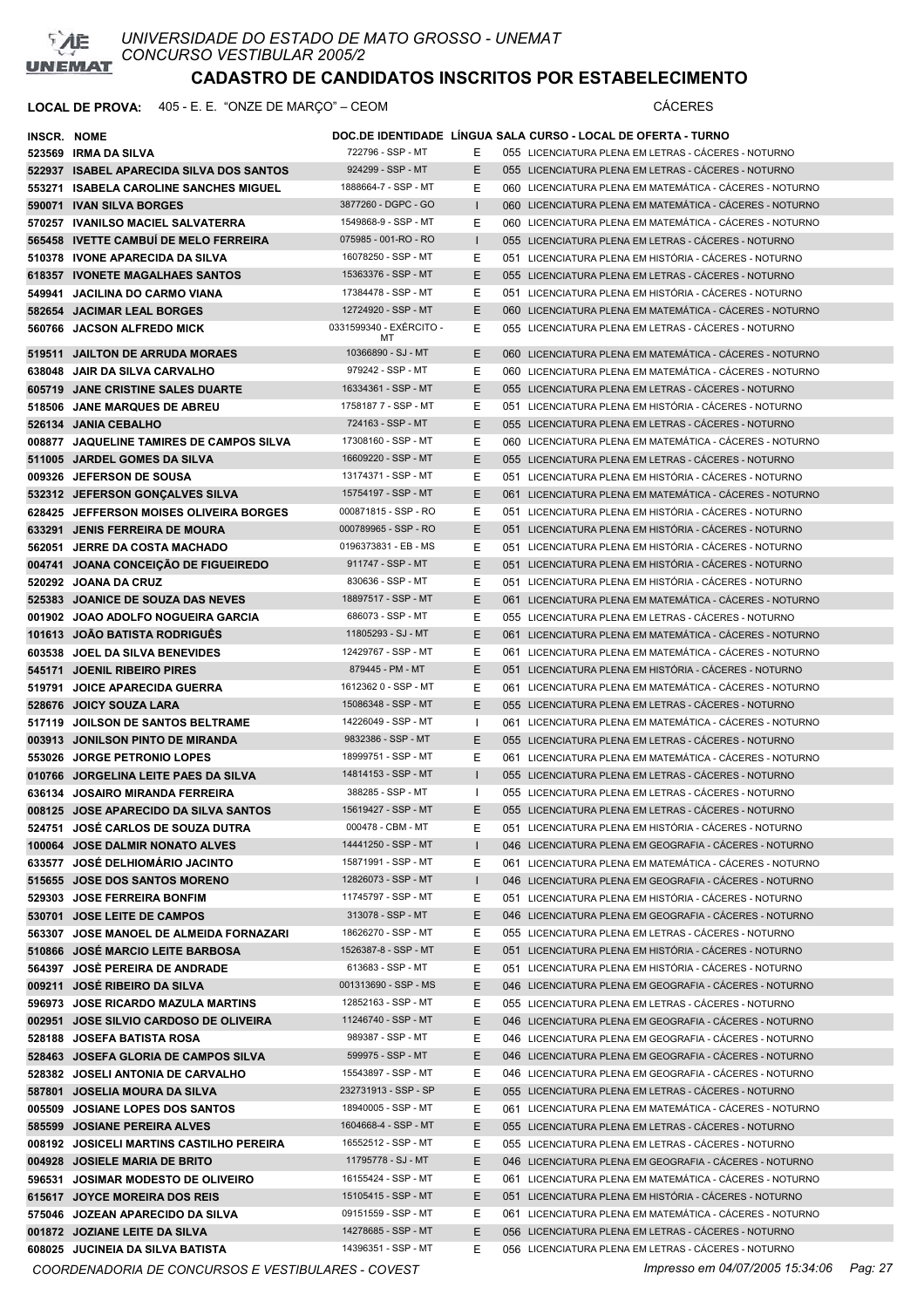

### LOCAL DE PROVA: 405 - E. E. "ONZE DE MARÇO" – CEOM **CÁCERES**

| <b>INSCR. NOME</b> |                                          |                         |              | DOC.DE IDENTIDADE LINGUA SALA CURSO - LOCAL DE OFERTA - TURNO |
|--------------------|------------------------------------------|-------------------------|--------------|---------------------------------------------------------------|
|                    | 523569 IRMA DA SILVA                     | 722796 - SSP - MT       | Е            | 055 LICENCIATURA PLENA EM LETRAS - CACERES - NOTURNO          |
|                    | 522937 ISABEL APARECIDA SILVA DOS SANTOS | 924299 - SSP - MT       | Е            | 055 LICENCIATURA PLENA EM LETRAS - CACERES - NOTURNO          |
|                    | 553271 ISABELA CAROLINE SANCHES MIGUEL   | 1888664-7 - SSP - MT    | Е            | 060 LICENCIATURA PLENA EM MATEMÁTICA - CÁCERES - NOTURNO      |
|                    | 590071 IVAN SILVA BORGES                 | 3877260 - DGPC - GO     |              | 060 LICENCIATURA PLENA EM MATEMÁTICA - CÁCERES - NOTURNO      |
|                    | 570257 IVANILSO MACIEL SALVATERRA        | 1549868-9 - SSP - MT    | Е            | 060 LICENCIATURA PLENA EM MATEMÁTICA - CÁCERES - NOTURNO      |
|                    | 565458 IVETTE CAMBUI DE MELO FERREIRA    | 075985 - 001-RO - RO    | $\mathbf{I}$ | 055 LICENCIATURA PLENA EM LETRAS - CACERES - NOTURNO          |
|                    | 510378 IVONE APARECIDA DA SILVA          | 16078250 - SSP - MT     | Е            | 051 LICENCIATURA PLENA EM HISTÓRIA - CÁCERES - NOTURNO        |
|                    | 618357 IVONETE MAGALHAES SANTOS          | 15363376 - SSP - MT     | E            | 055 LICENCIATURA PLENA EM LETRAS - CÁCERES - NOTURNO          |
|                    | 549941 JACILINA DO CARMO VIANA           | 17384478 - SSP - MT     | Е            | 051 LICENCIATURA PLENA EM HISTÓRIA - CÁCERES - NOTURNO        |
|                    | 582654 JACIMAR LEAL BORGES               | 12724920 - SSP - MT     | E            | 060 LICENCIATURA PLENA EM MATEMÁTICA - CÁCERES - NOTURNO      |
|                    | 560766 JACSON ALFREDO MICK               | 0331599340 - EXÉRCITO - | Е            | 055 LICENCIATURA PLENA EM LETRAS - CÁCERES - NOTURNO          |
|                    |                                          | МT                      |              |                                                               |
|                    | 519511 JAILTON DE ARRUDA MORAES          | 10366890 - SJ - MT      | E            | 060 LICENCIATURA PLENA EM MATEMÁTICA - CÁCERES - NOTURNO      |
|                    | 638048 JAIR DA SILVA CARVALHO            | 979242 - SSP - MT       | Ε            | 060 LICENCIATURA PLENA EM MATEMÁTICA - CÁCERES - NOTURNO      |
|                    | 605719 JANE CRISTINE SALES DUARTE        | 16334361 - SSP - MT     | E            | 055 LICENCIATURA PLENA EM LETRAS - CÁCERES - NOTURNO          |
|                    | 518506 JANE MARQUES DE ABREU             | 1758187 7 - SSP - MT    | Е            | 051 LICENCIATURA PLENA EM HISTÓRIA - CÁCERES - NOTURNO        |
|                    | 526134 JANIA CEBALHO                     | 724163 - SSP - MT       | E            | 055 LICENCIATURA PLENA EM LETRAS - CACERES - NOTURNO          |
|                    | 008877 JAQUELINE TAMIRES DE CAMPOS SILVA | 17308160 - SSP - MT     | Е            | 060 LICENCIATURA PLENA EM MATEMÁTICA - CÁCERES - NOTURNO      |
|                    | 511005 JARDEL GOMES DA SILVA             | 16609220 - SSP - MT     | E            | 055 LICENCIATURA PLENA EM LETRAS - CACERES - NOTURNO          |
|                    | 009326 JEFERSON DE SOUSA                 | 13174371 - SSP - MT     | Е            | 051 LICENCIATURA PLENA EM HISTÓRIA - CÁCERES - NOTURNO        |
|                    | 532312 JEFERSON GONCALVES SILVA          | 15754197 - SSP - MT     | E            | 061 LICENCIATURA PLENA EM MATEMÁTICA - CACERES - NOTURNO      |
|                    | 628425 JEFFERSON MOISES OLIVEIRA BORGES  | 000871815 - SSP - RO    | Е            | 051 LICENCIATURA PLENA EM HISTÓRIA - CÁCERES - NOTURNO        |
|                    | 633291 JENIS FERREIRA DE MOURA           | 000789965 - SSP - RO    | E            | 051 LICENCIATURA PLENA EM HISTÓRIA - CÁCERES - NOTURNO        |
|                    | 562051 JERRE DA COSTA MACHADO            | 0196373831 - EB - MS    | Е            | 051 LICENCIATURA PLENA EM HISTÓRIA - CÁCERES - NOTURNO        |
|                    | 004741 JOANA CONCEIÇÃO DE FIGUEIREDO     | 911747 - SSP - MT       | Е            | 051 LICENCIATURA PLENA EM HISTÓRIA - CÁCERES - NOTURNO        |
|                    | 520292 JOANA DA CRUZ                     | 830636 - SSP - MT       | Е            | 051 LICENCIATURA PLENA EM HISTÓRIA - CÁCERES - NOTURNO        |
|                    | 525383 JOANICE DE SOUZA DAS NEVES        | 18897517 - SSP - MT     | Е            | 061 LICENCIATURA PLENA EM MATEMÁTICA - CÁCERES - NOTURNO      |
|                    | 001902 JOAO ADOLFO NOGUEIRA GARCIA       | 686073 - SSP - MT       | Е            | 055 LICENCIATURA PLENA EM LETRAS - CÁCERES - NOTURNO          |
|                    | 101613 JOAO BATISTA RODRIGUËS            | 11805293 - SJ - MT      | E            | 061 LICENCIATURA PLENA EM MATEMÁTICA - CÁCERES - NOTURNO      |
|                    | 603538 JOEL DA SILVA BENEVIDES           | 12429767 - SSP - MT     | Ε            | 061 LICENCIATURA PLENA EM MATEMÁTICA - CÁCERES - NOTURNO      |
|                    | 545171 JOENIL RIBEIRO PIRES              | 879445 - PM - MT        | E            | 051 LICENCIATURA PLENA EM HISTÓRIA - CÁCERES - NOTURNO        |
|                    | 519791 JOICE APARECIDA GUERRA            | 1612362 0 - SSP - MT    | Е            | 061 LICENCIATURA PLENA EM MATEMÁTICA - CÁCERES - NOTURNO      |
|                    | 528676 JOICY SOUZA LARA                  | 15086348 - SSP - MT     | E            | 055 LICENCIATURA PLENA EM LETRAS - CÁCERES - NOTURNO          |
|                    | 517119 JOILSON DE SANTOS BELTRAME        | 14226049 - SSP - MT     |              | 061 LICENCIATURA PLENA EM MATEMÁTICA - CÁCERES - NOTURNO      |
|                    | 003913 JONILSON PINTO DE MIRANDA         | 9832386 - SSP - MT      | Е            | 055 LICENCIATURA PLENA EM LETRAS - CÁCERES - NOTURNO          |
|                    | 553026 JORGE PETRONIO LOPES              | 18999751 - SSP - MT     | Е            | 061 LICENCIATURA PLENA EM MATEMÁTICA - CÁCERES - NOTURNO      |
|                    | 010766 JORGELINA LEITE PAES DA SILVA     | 14814153 - SSP - MT     | L            | 055 LICENCIATURA PLENA EM LETRAS - CÁCERES - NOTURNO          |
|                    | 636134 JOSAIRO MIRANDA FERREIRA          | 388285 - SSP - MT       |              | 055 LICENCIATURA PLENA EM LETRAS - CÁCERES - NOTURNO          |
|                    | 008125 JOSE APARECIDO DA SILVA SANTOS    | 15619427 - SSP - MT     | E            | 055 LICENCIATURA PLENA EM LETRAS - CÁCERES - NOTURNO          |
|                    | 524751 JOSÉ CARLOS DE SOUZA DUTRA        | 000478 - CBM - MT       | Ε            | 051 LICENCIATURA PLENA EM HISTÓRIA - CÁCERES - NOTURNO        |
|                    | 100064 JOSE DALMIR NONATO ALVES          | 14441250 - SSP - MT     |              | 046 LICENCIATURA PLENA EM GEOGRAFIA - CÁCERES - NOTURNO       |
|                    | 633577 JOSÉ DELHIOMARIO JACINTO          | 15871991 - SSP - MT     | Е            | 061 LICENCIATURA PLENA EM MATEMÁTICA - CÁCERES - NOTURNO      |
|                    | 515655 JOSE DOS SANTOS MORENO            | 12826073 - SSP - MT     | L            | 046 LICENCIATURA PLENA EM GEOGRAFIA - CÁCERES - NOTURNO       |
|                    | 529303 JOSE FERREIRA BONFIM              | 11745797 - SSP - MT     | Е            | 051 LICENCIATURA PLENA EM HISTÓRIA - CÁCERES - NOTURNO        |
|                    | 530701 JOSE LEITE DE CAMPOS              | 313078 - SSP - MT       | Ε            | 046 LICENCIATURA PLENA EM GEOGRAFIA - CÁCERES - NOTURNO       |
|                    | 563307 JOSE MANOEL DE ALMEIDA FORNAZARI  | 18626270 - SSP - MT     | Ε            | 055 LICENCIATURA PLENA EM LETRAS - CÁCERES - NOTURNO          |
|                    | 510866 JOSÉ MARCIO LEITE BARBOSA         | 1526387-8 - SSP - MT    | Е            | 051 LICENCIATURA PLENA EM HISTÓRIA - CÁCERES - NOTURNO        |
|                    | 564397 JOSÈ PEREIRA DE ANDRADE           | 613683 - SSP - MT       | Е            | 051 LICENCIATURA PLENA EM HISTÓRIA - CÁCERES - NOTURNO        |
|                    | 009211 JOSÉ RIBEIRO DA SILVA             | 001313690 - SSP - MS    | Е            | 046 LICENCIATURA PLENA EM GEOGRAFIA - CÁCERES - NOTURNO       |
|                    | 596973 JOSE RICARDO MAZULA MARTINS       | 12852163 - SSP - MT     | Е            | 055 LICENCIATURA PLENA EM LETRAS - CÁCERES - NOTURNO          |
|                    | 002951 JOSE SILVIO CARDOSO DE OLIVEIRA   | 11246740 - SSP - MT     | Е            | 046 LICENCIATURA PLENA EM GEOGRAFIA - CÁCERES - NOTURNO       |
|                    | 528188 JOSEFA BATISTA ROSA               | 989387 - SSP - MT       | Е            | 046 LICENCIATURA PLENA EM GEOGRAFIA - CÁCERES - NOTURNO       |
|                    | 528463 JOSEFA GLORIA DE CAMPOS SILVA     | 599975 - SSP - MT       | E.           | 046 LICENCIATURA PLENA EM GEOGRAFIA - CÁCERES - NOTURNO       |
|                    | 528382 JOSELI ANTONIA DE CARVALHO        | 15543897 - SSP - MT     | Е            | 046 LICENCIATURA PLENA EM GEOGRAFIA - CÁCERES - NOTURNO       |
|                    | 587801 JOSELIA MOURA DA SILVA            | 232731913 - SSP - SP    | Е            | 055 LICENCIATURA PLENA EM LETRAS - CÁCERES - NOTURNO          |
|                    | 005509 JOSIANE LOPES DOS SANTOS          | 18940005 - SSP - MT     | Е            | 061 LICENCIATURA PLENA EM MATEMÁTICA - CÁCERES - NOTURNO      |
|                    | 585599 JOSIANE PEREIRA ALVES             | 1604668-4 - SSP - MT    | Е            | 055 LICENCIATURA PLENA EM LETRAS - CÁCERES - NOTURNO          |
|                    | 008192 JOSICELI MARTINS CASTILHO PEREIRA | 16552512 - SSP - MT     | Е            | 055 LICENCIATURA PLENA EM LETRAS - CÁCERES - NOTURNO          |
|                    | 004928 JOSIELE MARIA DE BRITO            | 11795778 - SJ - MT      | Е            | 046 LICENCIATURA PLENA EM GEOGRAFIA - CÁCERES - NOTURNO       |
|                    | 596531 JOSIMAR MODESTO DE OLIVEIRO       | 16155424 - SSP - MT     | Е            | 061 LICENCIATURA PLENA EM MATEMÁTICA - CÁCERES - NOTURNO      |
|                    | 615617 JOYCE MOREIRA DOS REIS            | 15105415 - SSP - MT     | Е            | 051 LICENCIATURA PLENA EM HISTÓRIA - CÁCERES - NOTURNO        |
|                    | 575046 JOZEAN APARECIDO DA SILVA         | 09151559 - SSP - MT     | Ε            | 061 LICENCIATURA PLENA EM MATEMÁTICA - CÁCERES - NOTURNO      |
|                    | 001872 JOZIANE LEITE DA SILVA            | 14278685 - SSP - MT     | Е            | 056 LICENCIATURA PLENA EM LETRAS - CÁCERES - NOTURNO          |
|                    | 608025 JUCINEIA DA SILVA BATISTA         | 14396351 - SSP - MT     | Е            | 056 LICENCIATURA PLENA EM LETRAS - CÁCERES - NOTURNO          |

*COORDENADORIA DE CONCURSOS E VESTIBULARES - COVEST Impresso em 04/07/2005 15:34:06 Pag: 27*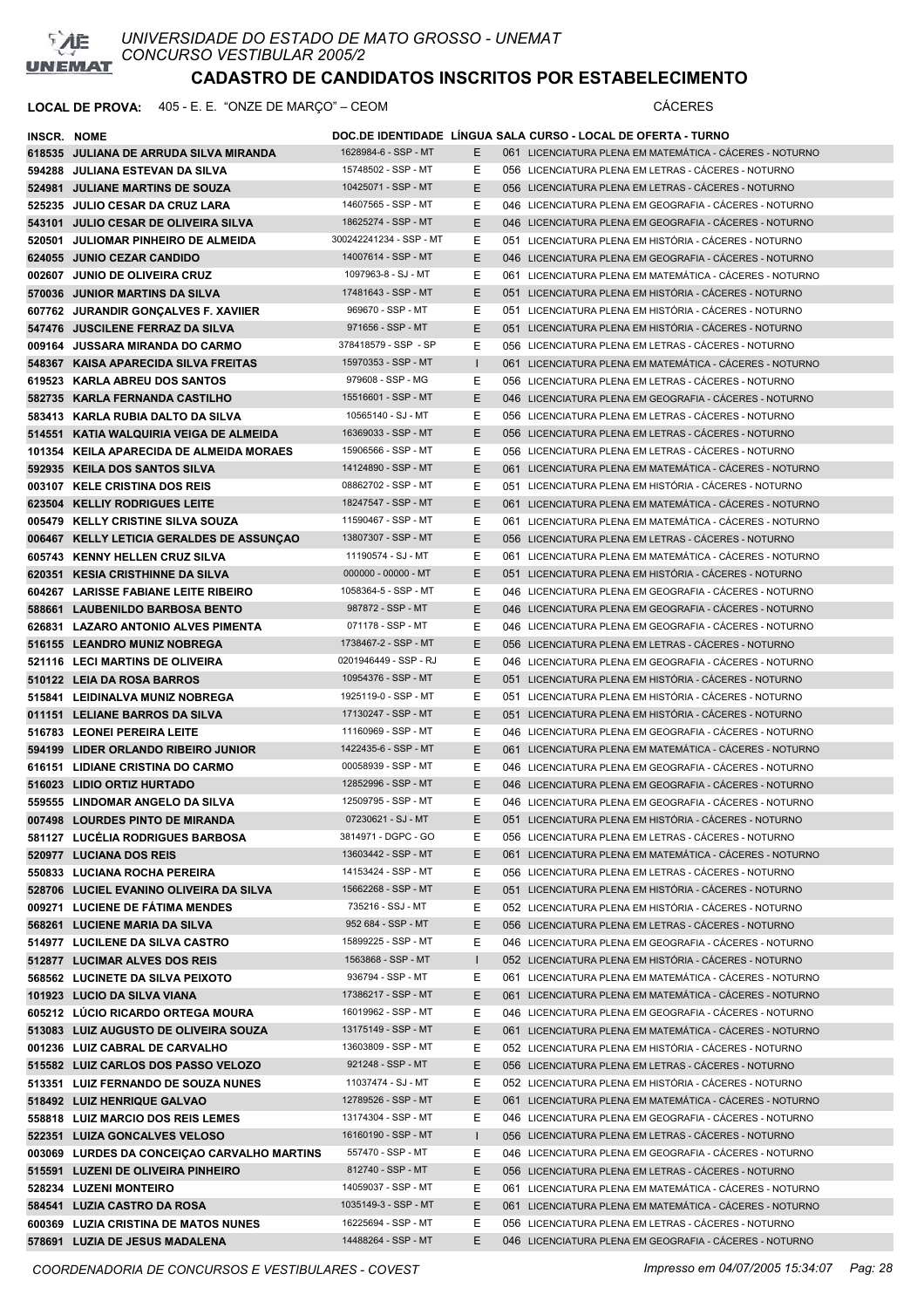

| INSCR. NOME |                                             |                         |              | DOC.DE IDENTIDADE LINGUA SALA CURSO - LOCAL DE OFERTA - TURNO |
|-------------|---------------------------------------------|-------------------------|--------------|---------------------------------------------------------------|
|             | 618535 JULIANA DE ARRUDA SILVA MIRANDA      | 1628984-6 - SSP - MT    | E.           | 061 LICENCIATURA PLENA EM MATEMÁTICA - CÁCERES - NOTURNO      |
|             | 594288 JULIANA ESTEVAN DA SILVA             | 15748502 - SSP - MT     | Е            | 056 LICENCIATURA PLENA EM LETRAS - CÁCERES - NOTURNO          |
|             | 524981 JULIANE MARTINS DE SOUZA             | 10425071 - SSP - MT     | E            | 056 LICENCIATURA PLENA EM LETRAS - CÁCERES - NOTURNO          |
|             | 525235 JULIO CESAR DA CRUZ LARA             | 14607565 - SSP - MT     | Е            | 046 LICENCIATURA PLENA EM GEOGRAFIA - CÁCERES - NOTURNO       |
|             | 543101 JULIO CESAR DE OLIVEIRA SILVA        | 18625274 - SSP - MT     | E.           | 046 LICENCIATURA PLENA EM GEOGRAFIA - CÁCERES - NOTURNO       |
|             | 520501 JULIOMAR PINHEIRO DE ALMEIDA         | 300242241234 - SSP - MT | Е            | 051 LICENCIATURA PLENA EM HISTÓRIA - CÁCERES - NOTURNO        |
|             | 624055 JUNIO CEZAR CANDIDO                  | 14007614 - SSP - MT     | E            | 046 LICENCIATURA PLENA EM GEOGRAFIA - CÁCERES - NOTURNO       |
|             | 002607 JUNIO DE OLIVEIRA CRUZ               | 1097963-8 - SJ - MT     | Ε            | 061 LICENCIATURA PLENA EM MATEMÁTICA - CÁCERES - NOTURNO      |
|             | 570036 JUNIOR MARTINS DA SILVA              | 17481643 - SSP - MT     | E.           | 051 LICENCIATURA PLENA EM HISTÓRIA - CÁCERES - NOTURNO        |
|             | 607762 JURANDIR GONCALVES F. XAVIIER        | 969670 - SSP - MT       | Е.           | 051 LICENCIATURA PLENA EM HISTÓRIA - CÁCERES - NOTURNO        |
|             | 547476 JUSCILENE FERRAZ DA SILVA            | 971656 - SSP - MT       | E            | 051 LICENCIATURA PLENA EM HISTÓRIA - CÁCERES - NOTURNO        |
|             | 009164 JUSSARA MIRANDA DO CARMO             | 378418579 - SSP - SP    | Е            | 056 LICENCIATURA PLENA EM LETRAS - CACERES - NOTURNO          |
|             | 548367 KAISA APARECIDA SILVA FREITAS        | 15970353 - SSP - MT     | $\mathbf{I}$ | 061 LICENCIATURA PLENA EM MATEMÁTICA - CÁCERES - NOTURNO      |
|             | 619523 KARLA ABREU DOS SANTOS               | 979608 - SSP - MG       | Е            | 056 LICENCIATURA PLENA EM LETRAS - CÁCERES - NOTURNO          |
|             | 582735 KARLA FERNANDA CASTILHO              | 15516601 - SSP - MT     | E            | 046 LICENCIATURA PLENA EM GEOGRAFIA - CÁCERES - NOTURNO       |
|             | 583413 KARLA RUBIA DALTO DA SILVA           | 10565140 - SJ - MT      | E.           | 056 LICENCIATURA PLENA EM LETRAS - CÁCERES - NOTURNO          |
|             | 514551 KATIA WALQUIRIA VEIGA DE ALMEIDA     | 16369033 - SSP - MT     | E.           | 056 LICENCIATURA PLENA EM LETRAS - CÁCERES - NOTURNO          |
|             | 101354 KEILA APARECIDA DE ALMEIDA MORAES    | 15906566 - SSP - MT     | E.           | 056 LICENCIATURA PLENA EM LETRAS - CÁCERES - NOTURNO          |
|             | 592935 KEILA DOS SANTOS SILVA               | 14124890 - SSP - MT     | Е            | 061 LICENCIATURA PLENA EM MATEMÁTICA - CÁCERES - NOTURNO      |
|             | 003107 KELE CRISTINA DOS REIS               | 08862702 - SSP - MT     | Ε            | 051 LICENCIATURA PLENA EM HISTÓRIA - CÁCERES - NOTURNO        |
|             | 623504 KELLIY RODRIGUES LEITE               | 18247547 - SSP - MT     | E            | 061 LICENCIATURA PLENA EM MATEMÁTICA - CÁCERES - NOTURNO      |
|             | 005479 KELLY CRISTINE SILVA SOUZA           | 11590467 - SSP - MT     | E.           | 061 LICENCIATURA PLENA EM MATEMÁTICA - CÁCERES - NOTURNO      |
|             |                                             | 13807307 - SSP - MT     | E            | 056 LICENCIATURA PLENA EM LETRAS - CÁCERES - NOTURNO          |
|             | 006467 KELLY LETICIA GERALDES DE ASSUNÇÃO   | 11190574 - SJ - MT      |              | 061 LICENCIATURA PLENA EM MATEMÁTICA - CÁCERES - NOTURNO      |
|             | 605743 KENNY HELLEN CRUZ SILVA              | 000000 - 00000 - MT     | Ε            |                                                               |
|             | 620351 KESIA CRISTHINNE DA SILVA            | 1058364-5 - SSP - MT    | E.           | 051 LICENCIATURA PLENA EM HISTÓRIA - CÁCERES - NOTURNO        |
|             | 604267 LARISSE FABIANE LEITE RIBEIRO        | 987872 - SSP - MT       | Е            | 046 LICENCIATURA PLENA EM GEOGRAFIA - CÁCERES - NOTURNO       |
|             | 588661 LAUBENILDO BARBOSA BENTO             | 071178 - SSP - MT       | E.           | 046 LICENCIATURA PLENA EM GEOGRAFIA - CÁCERES - NOTURNO       |
|             | 626831 LAZARO ANTONIO ALVES PIMENTA         |                         | Е            | 046 LICENCIATURA PLENA EM GEOGRAFIA - CÁCERES - NOTURNO       |
|             | 516155 LEANDRO MUNIZ NOBREGA                | 1738467-2 - SSP - MT    | E            | 056 LICENCIATURA PLENA EM LETRAS - CÁCERES - NOTURNO          |
|             | 521116 LECI MARTINS DE OLIVEIRA             | 0201946449 - SSP - RJ   | Е            | 046 LICENCIATURA PLENA EM GEOGRAFIA - CACERES - NOTURNO       |
|             | 510122 LEIA DA ROSA BARROS                  | 10954376 - SSP - MT     | E.           | 051 LICENCIATURA PLENA EM HISTÓRIA - CÁCERES - NOTURNO        |
|             | 515841 LEIDINALVA MUNIZ NOBREGA             | 1925119-0 - SSP - MT    | Ε            | 051 LICENCIATURA PLENA EM HISTÓRIA - CÁCERES - NOTURNO        |
|             | 011151 LELIANE BARROS DA SILVA              | 17130247 - SSP - MT     | E            | 051 LICENCIATURA PLENA EM HISTÓRIA - CÁCERES - NOTURNO        |
|             | 516783 LEONEI PEREIRA LEITE                 | 11160969 - SSP - MT     | Е            | 046 LICENCIATURA PLENA EM GEOGRAFIA - CÁCERES - NOTURNO       |
|             | 594199 LIDER ORLANDO RIBEIRO JUNIOR         | 1422435-6 - SSP - MT    | E.           | 061 LICENCIATURA PLENA EM MATEMÁTICA - CÁCERES - NOTURNO      |
|             | 616151 LIDIANE CRISTINA DO CARMO            | 00058939 - SSP - MT     | Е            | 046 LICENCIATURA PLENA EM GEOGRAFIA - CÁCERES - NOTURNO       |
|             | 516023 LIDIO ORTIZ HURTADO                  | 12852996 - SSP - MT     | Е            | 046 LICENCIATURA PLENA EM GEOGRAFIA - CÁCERES - NOTURNO       |
|             | 559555 LINDOMAR ANGELO DA SILVA             | 12509795 - SSP - MT     | Е            | 046 LICENCIATURA PLENA EM GEOGRAFIA - CACERES - NOTURNO       |
|             | 007498 LOURDES PINTO DE MIRANDA             | 07230621 - SJ - MT      | E            | 051 LICENCIATURA PLENA EM HISTÓRIA - CÁCERES - NOTURNO        |
|             | 581127 LUCELIA RODRIGUES BARBOSA            | 3814971 - DGPC - GO     | E.           | 056 LICENCIATURA PLENA EM LETRAS - CACERES - NOTURNO          |
|             | 520977 LUCIANA DOS REIS                     | 13603442 - SSP - MT     | E.           | 061 LICENCIATURA PLENA EM MATEMÁTICA - CÁCERES - NOTURNO      |
|             | 550833 LUCIANA ROCHA PEREIRA                | 14153424 - SSP - MT     | Е            | 056 LICENCIATURA PLENA EM LETRAS - CÁCERES - NOTURNO          |
|             | 528706 LUCIEL EVANINO OLIVEIRA DA SILVA     | 15662268 - SSP - MT     | E.           | 051 LICENCIATURA PLENA EM HISTÓRIA - CÁCERES - NOTURNO        |
|             | 009271 LUCIENE DE FÁTIMA MENDES             | 735216 - SSJ - MT       | E.           | 052 LICENCIATURA PLENA EM HISTÓRIA - CÁCERES - NOTURNO        |
|             | 568261 LUCIENE MARIA DA SILVA               | 952 684 - SSP - MT      | Е            | 056 LICENCIATURA PLENA EM LETRAS - CÁCERES - NOTURNO          |
|             | 514977 LUCILENE DA SILVA CASTRO             | 15899225 - SSP - MT     | Е            | 046 LICENCIATURA PLENA EM GEOGRAFIA - CÁCERES - NOTURNO       |
|             | 512877 LUCIMAR ALVES DOS REIS               | 1563868 - SSP - MT      | L            | 052 LICENCIATURA PLENA EM HISTÓRIA - CÁCERES - NOTURNO        |
|             | 568562 LUCINETE DA SILVA PEIXOTO            | 936794 - SSP - MT       | Е            | 061 LICENCIATURA PLENA EM MATEMÁTICA - CÁCERES - NOTURNO      |
|             | 101923 LUCIO DA SILVA VIANA                 | 17386217 - SSP - MT     | Е            | 061 LICENCIATURA PLENA EM MATEMÁTICA - CÁCERES - NOTURNO      |
|             | 605212 LUCIO RICARDO ORTEGA MOURA           | 16019962 - SSP - MT     | Е            | 046 LICENCIATURA PLENA EM GEOGRAFIA - CÁCERES - NOTURNO       |
|             | 513083 LUIZ AUGUSTO DE OLIVEIRA SOUZA       | 13175149 - SSP - MT     | E.           | 061 LICENCIATURA PLENA EM MATEMÁTICA - CÁCERES - NOTURNO      |
|             | 001236 LUIZ CABRAL DE CARVALHO              | 13603809 - SSP - MT     | E.           | 052 LICENCIATURA PLENA EM HISTÓRIA - CÁCERES - NOTURNO        |
|             | 515582 LUIZ CARLOS DOS PASSO VELOZO         | 921248 - SSP - MT       | E.           | 056 LICENCIATURA PLENA EM LETRAS - CÁCERES - NOTURNO          |
|             | 513351 LUIZ FERNANDO DE SOUZA NUNES         | 11037474 - SJ - MT      | Е            | 052 LICENCIATURA PLENA EM HISTÓRIA - CÁCERES - NOTURNO        |
|             | 518492 LUIZ HENRIQUE GALVAO                 | 12789526 - SSP - MT     | E.           | 061 LICENCIATURA PLENA EM MATEMÁTICA - CÁCERES - NOTURNO      |
|             | 558818 LUIZ MARCIO DOS REIS LEMES           | 13174304 - SSP - MT     | Е            | 046 LICENCIATURA PLENA EM GEOGRAFIA - CÁCERES - NOTURNO       |
|             | 522351 LUIZA GONCALVES VELOSO               | 16160190 - SSP - MT     | L            | 056 LICENCIATURA PLENA EM LETRAS - CÁCERES - NOTURNO          |
|             | 003069 LURDES DA CONCEIÇÃO CARVALHO MARTINS | 557470 - SSP - MT       | Е            | 046 LICENCIATURA PLENA EM GEOGRAFIA - CÁCERES - NOTURNO       |
|             | 515591 LUZENI DE OLIVEIRA PINHEIRO          | 812740 - SSP - MT       | E.           | 056 LICENCIATURA PLENA EM LETRAS - CÁCERES - NOTURNO          |
|             | 528234 LUZENI MONTEIRO                      | 14059037 - SSP - MT     | Е            | 061 LICENCIATURA PLENA EM MATEMÁTICA - CÁCERES - NOTURNO      |
|             | 584541 LUZIA CASTRO DA ROSA                 | 1035149-3 - SSP - MT    | E.           | 061 LICENCIATURA PLENA EM MATEMÁTICA - CÁCERES - NOTURNO      |
|             | 600369 LUZIA CRISTINA DE MATOS NUNES        | 16225694 - SSP - MT     | Ε            | 056 LICENCIATURA PLENA EM LETRAS - CÁCERES - NOTURNO          |
|             | 578691 LUZIA DE JESUS MADALENA              | 14488264 - SSP - MT     | E            | 046 LICENCIATURA PLENA EM GEOGRAFIA - CÁCERES - NOTURNO       |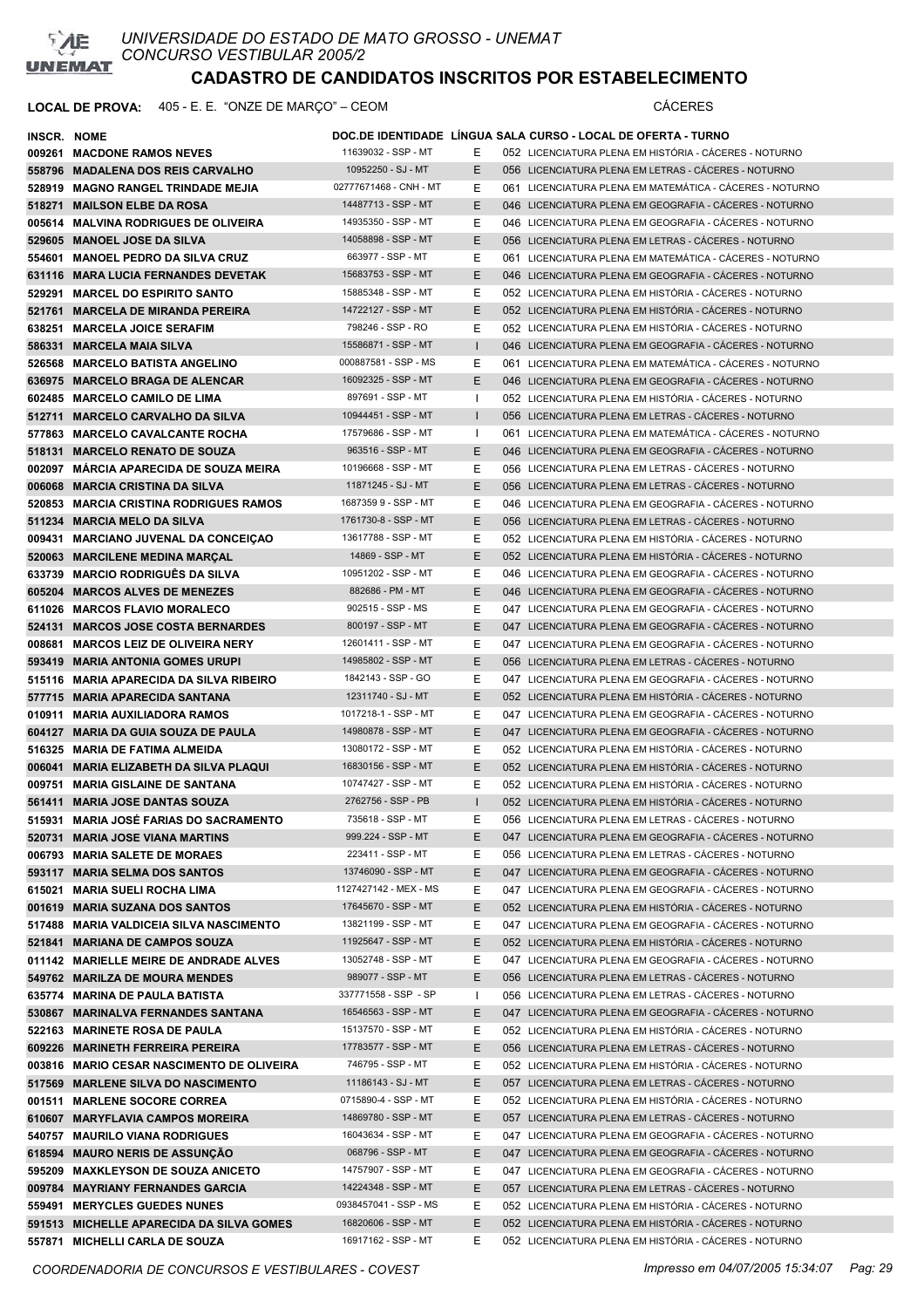

| INSCR. NOME |                                           |                        |              | DOC.DE IDENTIDADE LÍNGUA SALA CURSO - LOCAL DE OFERTA - TURNO |
|-------------|-------------------------------------------|------------------------|--------------|---------------------------------------------------------------|
|             | 009261 MACDONE RAMOS NEVES                | 11639032 - SSP - MT    | Е            | 052 LICENCIATURA PLENA EM HISTÓRIA - CÁCERES - NOTURNO        |
|             | 558796 MADALENA DOS REIS CARVALHO         | 10952250 - SJ - MT     | E.           | 056 LICENCIATURA PLENA EM LETRAS - CÁCERES - NOTURNO          |
|             | 528919 MAGNO RANGEL TRINDADE MEJIA        | 02777671468 - CNH - MT | Ε            | 061 LICENCIATURA PLENA EM MATEMÁTICA - CÁCERES - NOTURNO      |
|             | 518271 MAILSON ELBE DA ROSA               | 14487713 - SSP - MT    | Ε            | 046 LICENCIATURA PLENA EM GEOGRAFIA - CÁCERES - NOTURNO       |
|             | 005614 MALVINA RODRIGUES DE OLIVEIRA      | 14935350 - SSP - MT    | Ε            | 046 LICENCIATURA PLENA EM GEOGRAFIA - CACERES - NOTURNO       |
|             | 529605 MANOEL JOSE DA SILVA               | 14058898 - SSP - MT    | E            | 056 LICENCIATURA PLENA EM LETRAS - CÁCERES - NOTURNO          |
|             | 554601 MANOEL PEDRO DA SILVA CRUZ         | 663977 - SSP - MT      | Ε            | 061 LICENCIATURA PLENA EM MATEMÁTICA - CÁCERES - NOTURNO      |
|             | 631116 MARA LUCIA FERNANDES DEVETAK       | 15683753 - SSP - MT    | E.           | 046 LICENCIATURA PLENA EM GEOGRAFIA - CACERES - NOTURNO       |
|             | 529291 MARCEL DO ESPIRITO SANTO           | 15885348 - SSP - MT    | Ε            | 052 LICENCIATURA PLENA EM HISTÓRIA - CÁCERES - NOTURNO        |
|             | 521761 MARCELA DE MIRANDA PEREIRA         | 14722127 - SSP - MT    | Ε            | 052 LICENCIATURA PLENA EM HISTÓRIA - CÁCERES - NOTURNO        |
|             |                                           | 798246 - SSP - RO      |              | 052 LICENCIATURA PLENA EM HISTÓRIA - CÁCERES - NOTURNO        |
|             | 638251 MARCELA JOICE SERAFIM              |                        | Ε            |                                                               |
|             | 586331 MARCELA MAIA SILVA                 | 15586871 - SSP - MT    |              | 046 LICENCIATURA PLENA EM GEOGRAFIA - CÁCERES - NOTURNO       |
|             | 526568 MARCELO BATISTA ANGELINO           | 000887581 - SSP - MS   | Ε            | 061 LICENCIATURA PLENA EM MATEMÁTICA - CÁCERES - NOTURNO      |
|             | 636975 MARCELO BRAGA DE ALENCAR           | 16092325 - SSP - MT    | Е            | 046 LICENCIATURA PLENA EM GEOGRAFIA - CÁCERES - NOTURNO       |
|             | 602485 MARCELO CAMILO DE LIMA             | 897691 - SSP - MT      | ı            | 052 LICENCIATURA PLENA EM HISTÓRIA - CÁCERES - NOTURNO        |
|             | 512711 MARCELO CARVALHO DA SILVA          | 10944451 - SSP - MT    | $\mathbf{I}$ | 056 LICENCIATURA PLENA EM LETRAS - CÁCERES - NOTURNO          |
|             | 577863 MARCELO CAVALCANTE ROCHA           | 17579686 - SSP - MT    | Ι.           | 061 LICENCIATURA PLENA EM MATEMÁTICA - CÁCERES - NOTURNO      |
|             | 518131 MARCELO RENATO DE SOUZA            | 963516 - SSP - MT      | E.           | 046 LICENCIATURA PLENA EM GEOGRAFIA - CÁCERES - NOTURNO       |
|             | 002097 MARCIA APARECIDA DE SOUZA MEIRA    | 10196668 - SSP - MT    | Е            | 056 LICENCIATURA PLENA EM LETRAS - CÁCERES - NOTURNO          |
|             | 006068 MARCIA CRISTINA DA SILVA           | 11871245 - SJ - MT     | Ε            | 056 LICENCIATURA PLENA EM LETRAS - CACERES - NOTURNO          |
|             | 520853 MARCIA CRISTINA RODRIGUES RAMOS    | 16873599 - SSP - MT    | Ε            | 046 LICENCIATURA PLENA EM GEOGRAFIA - CÁCERES - NOTURNO       |
|             | 511234 MARCIA MELO DA SILVA               | 1761730-8 - SSP - MT   | Ε            | 056 LICENCIATURA PLENA EM LETRAS - CÁCERES - NOTURNO          |
|             | 009431 MARCIANO JUVENAL DA CONCEIÇAO      | 13617788 - SSP - MT    | Ε            | 052 LICENCIATURA PLENA EM HISTÓRIA - CÁCERES - NOTURNO        |
|             | 520063 MARCILENE MEDINA MARCAL            | 14869 - SSP - MT       | E.           | 052 LICENCIATURA PLENA EM HISTÓRIA - CÁCERES - NOTURNO        |
|             | 633739 MARCIO RODRIGUÊS DA SILVA          | 10951202 - SSP - MT    | Е            | 046 LICENCIATURA PLENA EM GEOGRAFIA - CACERES - NOTURNO       |
|             | 605204 MARCOS ALVES DE MENEZES            | 882686 - PM - MT       | E.           | 046 LICENCIATURA PLENA EM GEOGRAFIA - CÁCERES - NOTURNO       |
|             | 611026 MARCOS FLAVIO MORALECO             | 902515 - SSP - MS      | Ε            | 047 LICENCIATURA PLENA EM GEOGRAFIA - CACERES - NOTURNO       |
|             | 524131 MARCOS JOSE COSTA BERNARDES        | 800197 - SSP - MT      | E.           | 047 LICENCIATURA PLENA EM GEOGRAFIA - CACERES - NOTURNO       |
|             | 008681 MARCOS LEIZ DE OLIVEIRA NERY       | 12601411 - SSP - MT    | E.           | 047 LICENCIATURA PLENA EM GEOGRAFIA - CÁCERES - NOTURNO       |
|             | 593419 MARIA ANTONIA GOMES URUPI          | 14985802 - SSP - MT    | E            | 056 LICENCIATURA PLENA EM LETRAS - CACERES - NOTURNO          |
|             |                                           | 1842143 - SSP - GO     |              |                                                               |
|             | 515116 MARIA APARECIDA DA SILVA RIBEIRO   | 12311740 - SJ - MT     | Ε            | 047 LICENCIATURA PLENA EM GEOGRAFIA - CACERES - NOTURNO       |
|             | 577715 MARIA APARECIDA SANTANA            |                        | E.           | 052 LICENCIATURA PLENA EM HISTÓRIA - CÁCERES - NOTURNO        |
|             | 010911 MARIA AUXILIADORA RAMOS            | 1017218-1 - SSP - MT   | Ε            | 047 LICENCIATURA PLENA EM GEOGRAFIA - CACERES - NOTURNO       |
|             | 604127 MARIA DA GUIA SOUZA DE PAULA       | 14980878 - SSP - MT    | Е            | 047 LICENCIATURA PLENA EM GEOGRAFIA - CACERES - NOTURNO       |
|             | 516325 MARIA DE FATIMA ALMEIDA            | 13080172 - SSP - MT    | Ε            | 052 LICENCIATURA PLENA EM HISTÓRIA - CÁCERES - NOTURNO        |
|             | 006041 MARIA ELIZABETH DA SILVA PLAQUI    | 16830156 - SSP - MT    | Е            | 052 LICENCIATURA PLENA EM HISTÓRIA - CÁCERES - NOTURNO        |
|             | 009751 MARIA GISLAINE DE SANTANA          | 10747427 - SSP - MT    | Ε            | 052 LICENCIATURA PLENA EM HISTÓRIA - CÁCERES - NOTURNO        |
|             | 561411 MARIA JOSE DANTAS SOUZA            | 2762756 - SSP - PB     |              | 052 LICENCIATURA PLENA EM HISTÓRIA - CÁCERES - NOTURNO        |
|             | 515931 MARIA JOSÉ FARIAS DO SACRAMENTO    | 735618 - SSP - MT      | Е            | 056 LICENCIATURA PLENA EM LETRAS - CÁCERES - NOTURNO          |
|             | 520731 MARIA JOSE VIANA MARTINS           | 999.224 - SSP - MT     | E.           | 047 LICENCIATURA PLENA EM GEOGRAFIA - CÁCERES - NOTURNO       |
|             | 006793 MARIA SALETE DE MORAES             | 223411 - SSP - MT      | Е            | 056 LICENCIATURA PLENA EM LETRAS - CÁCERES - NOTURNO          |
|             | 593117 MARIA SELMA DOS SANTOS             | 13746090 - SSP - MT    | E.           | 047 LICENCIATURA PLENA EM GEOGRAFIA - CÁCERES - NOTURNO       |
|             | 615021 MARIA SUELI ROCHA LIMA             | 1127427142 - MEX - MS  | Е            | 047 LICENCIATURA PLENA EM GEOGRAFIA - CÁCERES - NOTURNO       |
|             | 001619 MARIA SUZANA DOS SANTOS            | 17645670 - SSP - MT    | E.           | 052 LICENCIATURA PLENA EM HISTÓRIA - CÁCERES - NOTURNO        |
|             | 517488 MARIA VALDICEIA SILVA NASCIMENTO   | 13821199 - SSP - MT    | Ε            | 047 LICENCIATURA PLENA EM GEOGRAFIA - CÁCERES - NOTURNO       |
|             | 521841 MARIANA DE CAMPOS SOUZA            | 11925647 - SSP - MT    | E.           | 052 LICENCIATURA PLENA EM HISTÓRIA - CÁCERES - NOTURNO        |
|             | 011142 MARIELLE MEIRE DE ANDRADE ALVES    | 13052748 - SSP - MT    | Ε            | 047 LICENCIATURA PLENA EM GEOGRAFIA - CÁCERES - NOTURNO       |
|             | 549762 MARILZA DE MOURA MENDES            | 989077 - SSP - MT      | Ε            | 056 LICENCIATURA PLENA EM LETRAS - CÁCERES - NOTURNO          |
|             | 635774 MARINA DE PAULA BATISTA            | 337771558 - SSP - SP   | H            | 056 LICENCIATURA PLENA EM LETRAS - CÁCERES - NOTURNO          |
|             | 530867 MARINALVA FERNANDES SANTANA        | 16546563 - SSP - MT    | E.           | 047 LICENCIATURA PLENA EM GEOGRAFIA - CÁCERES - NOTURNO       |
|             | 522163 MARINETE ROSA DE PAULA             | 15137570 - SSP - MT    | Е            | 052 LICENCIATURA PLENA EM HISTÓRIA - CÁCERES - NOTURNO        |
|             | 609226 MARINETH FERREIRA PEREIRA          | 17783577 - SSP - MT    | E.           | 056 LICENCIATURA PLENA EM LETRAS - CÁCERES - NOTURNO          |
|             | 003816 MARIO CESAR NASCIMENTO DE OLIVEIRA | 746795 - SSP - MT      | E            | 052 LICENCIATURA PLENA EM HISTÓRIA - CÁCERES - NOTURNO        |
|             |                                           | 11186143 - SJ - MT     |              | 057 LICENCIATURA PLENA EM LETRAS - CÁCERES - NOTURNO          |
|             | 517569 MARLENE SILVA DO NASCIMENTO        | 0715890-4 - SSP - MT   | E.           |                                                               |
|             | 001511 MARLENE SOCORE CORREA              |                        | E.           | 052 LICENCIATURA PLENA EM HISTÓRIA - CÁCERES - NOTURNO        |
|             | 610607 MARYFLAVIA CAMPOS MOREIRA          | 14869780 - SSP - MT    | Ε            | 057 LICENCIATURA PLENA EM LETRAS - CÁCERES - NOTURNO          |
|             | 540757 MAURILO VIANA RODRIGUES            | 16043634 - SSP - MT    | Е            | 047 LICENCIATURA PLENA EM GEOGRAFIA - CÁCERES - NOTURNO       |
|             | 618594 MAURO NERIS DE ASSUNÇÃO            | 068796 - SSP - MT      | E            | 047 LICENCIATURA PLENA EM GEOGRAFIA - CÁCERES - NOTURNO       |
|             | 595209 MAXKLEYSON DE SOUZA ANICETO        | 14757907 - SSP - MT    | E.           | 047 LICENCIATURA PLENA EM GEOGRAFIA - CÁCERES - NOTURNO       |
|             | 009784 MAYRIANY FERNANDES GARCIA          | 14224348 - SSP - MT    | E.           | 057 LICENCIATURA PLENA EM LETRAS - CÁCERES - NOTURNO          |
|             | 559491 MERYCLES GUEDES NUNES              | 0938457041 - SSP - MS  | Е            | 052 LICENCIATURA PLENA EM HISTÓRIA - CÁCERES - NOTURNO        |
|             | 591513 MICHELLE APARECIDA DA SILVA GOMES  | 16820606 - SSP - MT    | E            | 052 LICENCIATURA PLENA EM HISTÓRIA - CÁCERES - NOTURNO        |
|             | 557871 MICHELLI CARLA DE SOUZA            | 16917162 - SSP - MT    | Е            | 052 LICENCIATURA PLENA EM HISTÓRIA - CÁCERES - NOTURNO        |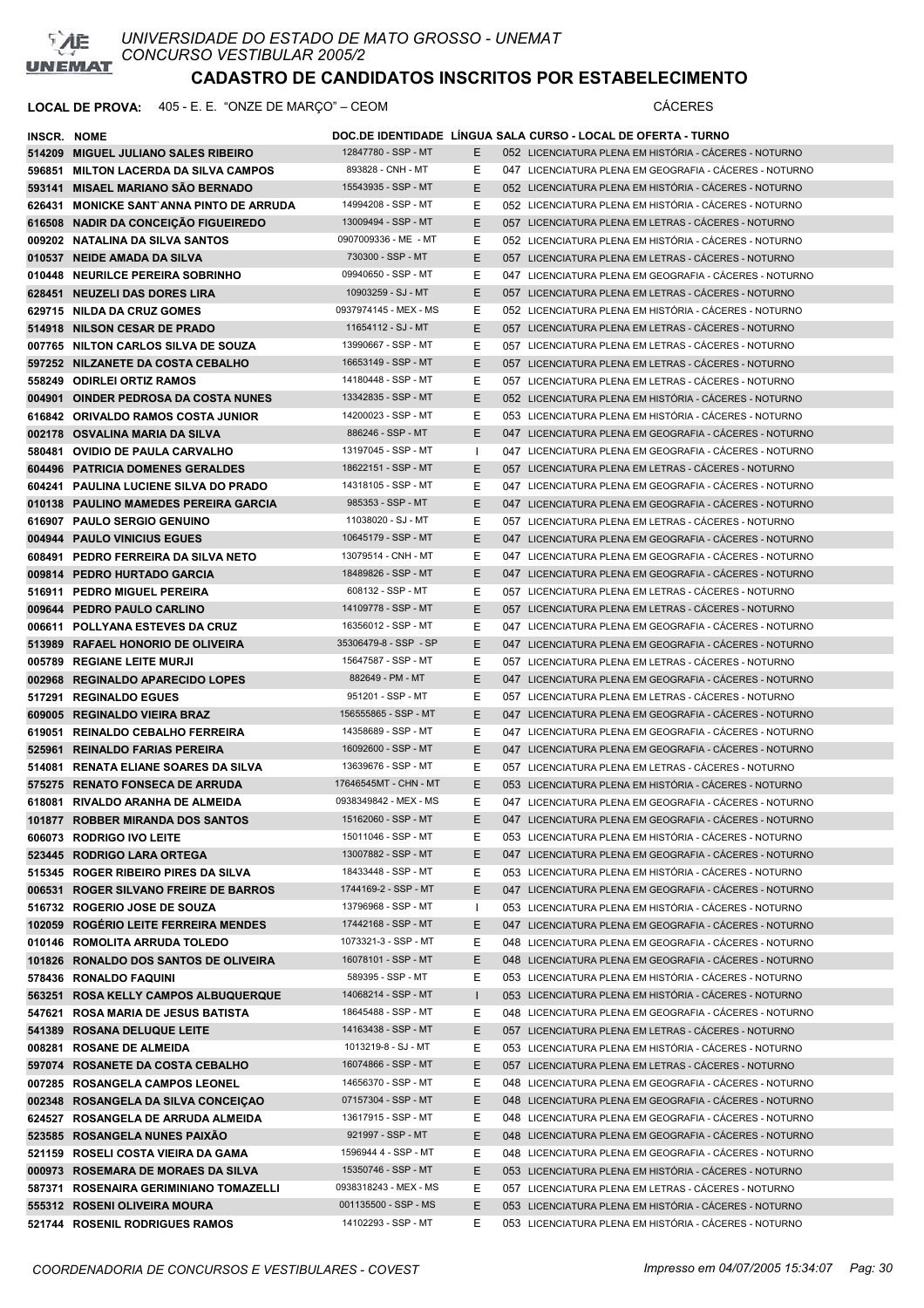

| <b>INSCR. NOME</b> |                                          |                       |    | DOC.DE IDENTIDADE LÍNGUA SALA CURSO - LOCAL DE OFERTA - TURNO |
|--------------------|------------------------------------------|-----------------------|----|---------------------------------------------------------------|
|                    | 514209 MIGUEL JULIANO SALES RIBEIRO      | 12847780 - SSP - MT   | E. | 052 LICENCIATURA PLENA EM HISTÓRIA - CÁCERES - NOTURNO        |
|                    | 596851 MILTON LACERDA DA SILVA CAMPOS    | 893828 - CNH - MT     | Ε  | 047 LICENCIATURA PLENA EM GEOGRAFIA - CÁCERES - NOTURNO       |
|                    | 593141 MISAEL MARIANO SÃO BERNADO        | 15543935 - SSP - MT   | E. | 052 LICENCIATURA PLENA EM HISTÓRIA - CÁCERES - NOTURNO        |
|                    | 626431 MONICKE SANT ANNA PINTO DE ARRUDA | 14994208 - SSP - MT   | Ε  | 052 LICENCIATURA PLENA EM HISTÓRIA - CÁCERES - NOTURNO        |
|                    | 616508 NADIR DA CONCEIÇÃO FIGUEIREDO     | 13009494 - SSP - MT   | E  | 057 LICENCIATURA PLENA EM LETRAS - CACERES - NOTURNO          |
|                    | 009202 NATALINA DA SILVA SANTOS          | 0907009336 - ME - MT  | Е  | 052 LICENCIATURA PLENA EM HISTÓRIA - CÁCERES - NOTURNO        |
|                    | 010537 NEIDE AMADA DA SILVA              | 730300 - SSP - MT     | Е  | 057 LICENCIATURA PLENA EM LETRAS - CÁCERES - NOTURNO          |
|                    | 010448 NEURILCE PEREIRA SOBRINHO         | 09940650 - SSP - MT   | Е  | 047 LICENCIATURA PLENA EM GEOGRAFIA - CÁCERES - NOTURNO       |
|                    | 628451 NEUZELI DAS DORES LIRA            | 10903259 - SJ - MT    | E. | 057 LICENCIATURA PLENA EM LETRAS - CÁCERES - NOTURNO          |
|                    | 629715 NILDA DA CRUZ GOMES               | 0937974145 - MEX - MS | Е  | 052 LICENCIATURA PLENA EM HISTÓRIA - CÁCERES - NOTURNO        |
|                    | 514918 NILSON CESAR DE PRADO             | 11654112 - SJ - MT    | Е  | 057 LICENCIATURA PLENA EM LETRAS - CÁCERES - NOTURNO          |
|                    | 007765 NILTON CARLOS SILVA DE SOUZA      | 13990667 - SSP - MT   | Ε  | 057 LICENCIATURA PLENA EM LETRAS - CÁCERES - NOTURNO          |
|                    | 597252 NILZANETE DA COSTA CEBALHO        | 16653149 - SSP - MT   | Ε  | 057 LICENCIATURA PLENA EM LETRAS - CACERES - NOTURNO          |
|                    | 558249 ODIRLEI ORTIZ RAMOS               | 14180448 - SSP - MT   | Е  | 057 LICENCIATURA PLENA EM LETRAS - CÁCERES - NOTURNO          |
|                    | 004901 OINDER PEDROSA DA COSTA NUNES     | 13342835 - SSP - MT   | Е  | 052 LICENCIATURA PLENA EM HISTÓRIA - CÁCERES - NOTURNO        |
|                    | 616842 ORIVALDO RAMOS COSTA JUNIOR       | 14200023 - SSP - MT   | Е  | 053 LICENCIATURA PLENA EM HISTÓRIA - CÁCERES - NOTURNO        |
|                    | 002178 OSVALINA MARIA DA SILVA           | 886246 - SSP - MT     | E. | 047 LICENCIATURA PLENA EM GEOGRAFIA - CÁCERES - NOTURNO       |
|                    | 580481 OVIDIO DE PAULA CARVALHO          | 13197045 - SSP - MT   | Ι. | 047 LICENCIATURA PLENA EM GEOGRAFIA - CÁCERES - NOTURNO       |
|                    | 604496 PATRICIA DOMENES GERALDES         | 18622151 - SSP - MT   | E. | 057 LICENCIATURA PLENA EM LETRAS - CÁCERES - NOTURNO          |
|                    | 604241 PAULINA LUCIENE SILVA DO PRADO    | 14318105 - SSP - MT   | Е  | 047 LICENCIATURA PLENA EM GEOGRAFIA - CÁCERES - NOTURNO       |
|                    | 010138 PAULINO MAMEDES PEREIRA GARCIA    | 985353 - SSP - MT     | Ε  | 047 LICENCIATURA PLENA EM GEOGRAFIA - CÁCERES - NOTURNO       |
|                    | 616907 PAULO SERGIO GENUINO              | 11038020 - SJ - MT    | Е  | 057 LICENCIATURA PLENA EM LETRAS - CÁCERES - NOTURNO          |
|                    | 004944 PAULO VINICIUS EGUES              | 10645179 - SSP - MT   | Е  | 047 LICENCIATURA PLENA EM GEOGRAFIA - CÁCERES - NOTURNO       |
|                    | 608491 PEDRO FERREIRA DA SILVA NETO      | 13079514 - CNH - MT   | Е  | 047 LICENCIATURA PLENA EM GEOGRAFIA - CÁCERES - NOTURNO       |
|                    | 009814 PEDRO HURTADO GARCIA              | 18489826 - SSP - MT   | Е  | 047 LICENCIATURA PLENA EM GEOGRAFIA - CÁCERES - NOTURNO       |
|                    | 516911 PEDRO MIGUEL PEREIRA              | 608132 - SSP - MT     | Е  | 057 LICENCIATURA PLENA EM LETRAS - CACERES - NOTURNO          |
|                    | 009644 PEDRO PAULO CARLINO               | 14109778 - SSP - MT   | Е  | 057 LICENCIATURA PLENA EM LETRAS - CACERES - NOTURNO          |
|                    | 006611 POLLYANA ESTEVES DA CRUZ          | 16356012 - SSP - MT   | Ε  | 047 LICENCIATURA PLENA EM GEOGRAFIA - CÁCERES - NOTURNO       |
|                    | 513989 RAFAEL HONORIO DE OLIVEIRA        | 35306479-8 - SSP - SP | Е  | 047 LICENCIATURA PLENA EM GEOGRAFIA - CÁCERES - NOTURNO       |
|                    | 005789 REGIANE LEITE MURJI               | 15647587 - SSP - MT   | Е  | 057 LICENCIATURA PLENA EM LETRAS - CÁCERES - NOTURNO          |
|                    | 002968 REGINALDO APARECIDO LOPES         | 882649 - PM - MT      | Е  | 047 LICENCIATURA PLENA EM GEOGRAFIA - CÁCERES - NOTURNO       |
|                    | 517291 REGINALDO EGUES                   | 951201 - SSP - MT     | Е  | 057 LICENCIATURA PLENA EM LETRAS - CÁCERES - NOTURNO          |
|                    | 609005 REGINALDO VIEIRA BRAZ             | 156555865 - SSP - MT  | E  | 047 LICENCIATURA PLENA EM GEOGRAFIA - CÁCERES - NOTURNO       |
|                    | 619051 REINALDO CEBALHO FERREIRA         | 14358689 - SSP - MT   | Е  | 047 LICENCIATURA PLENA EM GEOGRAFIA - CÁCERES - NOTURNO       |
|                    | 525961 REINALDO FARIAS PEREIRA           | 16092600 - SSP - MT   | E  | 047 LICENCIATURA PLENA EM GEOGRAFIA - CÁCERES - NOTURNO       |
|                    | 514081 RENATA ELIANE SOARES DA SILVA     | 13639676 - SSP - MT   | Ε  | 057 LICENCIATURA PLENA EM LETRAS - CÁCERES - NOTURNO          |
|                    | 575275 RENATO FONSECA DE ARRUDA          | 17646545MT - CHN - MT | E  | 053 LICENCIATURA PLENA EM HISTÓRIA - CÁCERES - NOTURNO        |
|                    | 618081 RIVALDO ARANHA DE ALMEIDA         | 0938349842 - MEX - MS | Е  | 047 LICENCIATURA PLENA EM GEOGRAFIA - CÁCERES - NOTURNO       |
|                    | 101877 ROBBER MIRANDA DOS SANTOS         | 15162060 - SSP - MT   | Ε  | 047 LICENCIATURA PLENA EM GEOGRAFIA - CÁCERES - NOTURNO       |
|                    | 606073 RODRIGO IVO LEITE                 | 15011046 - SSP - MT   | Е  | 053 LICENCIATURA PLENA EM HISTÓRIA - CÁCERES - NOTURNO        |
|                    | 523445 RODRIGO LARA ORTEGA               | 13007882 - SSP - MT   | Е  | 047 LICENCIATURA PLENA EM GEOGRAFIA - CÁCERES - NOTURNO       |
|                    | 515345 ROGER RIBEIRO PIRES DA SILVA      | 18433448 - SSP - MT   | Ε  | 053 LICENCIATURA PLENA EM HISTÓRIA - CÁCERES - NOTURNO        |
|                    | 006531 ROGER SILVANO FREIRE DE BARROS    | 1744169-2 - SSP - MT  | E  | 047 LICENCIATURA PLENA EM GEOGRAFIA - CÁCERES - NOTURNO       |
|                    | 516732 ROGERIO JOSE DE SOUZA             | 13796968 - SSP - MT   | Ι. | 053 LICENCIATURA PLENA EM HISTÓRIA - CÁCERES - NOTURNO        |
|                    | 102059 ROGÉRIO LEITE FERREIRA MENDES     | 17442168 - SSP - MT   | E  | 047 LICENCIATURA PLENA EM GEOGRAFIA - CÁCERES - NOTURNO       |
|                    | 010146 ROMOLITA ARRUDA TOLEDO            | 1073321-3 - SSP - MT  | Е  | 048 LICENCIATURA PLENA EM GEOGRAFIA - CÁCERES - NOTURNO       |
|                    | 101826 RONALDO DOS SANTOS DE OLIVEIRA    | 16078101 - SSP - MT   | Е  | 048 LICENCIATURA PLENA EM GEOGRAFIA - CÁCERES - NOTURNO       |
|                    | 578436 RONALDO FAQUINI                   | 589395 - SSP - MT     | Ε  | 053 LICENCIATURA PLENA EM HISTÓRIA - CÁCERES - NOTURNO        |
|                    | 563251 ROSA KELLY CAMPOS ALBUQUERQUE     | 14068214 - SSP - MT   | L  | 053 LICENCIATURA PLENA EM HISTÓRIA - CÁCERES - NOTURNO        |
|                    | 547621 ROSA MARIA DE JESUS BATISTA       | 18645488 - SSP - MT   | Ε  | 048 LICENCIATURA PLENA EM GEOGRAFIA - CÁCERES - NOTURNO       |
|                    | 541389 ROSANA DELUQUE LEITE              | 14163438 - SSP - MT   | E. | 057 LICENCIATURA PLENA EM LETRAS - CÁCERES - NOTURNO          |
|                    | 008281 ROSANE DE ALMEIDA                 | 1013219-8 - SJ - MT   | Е  | 053 LICENCIATURA PLENA EM HISTÓRIA - CÁCERES - NOTURNO        |
|                    | 597074 ROSANETE DA COSTA CEBALHO         | 16074866 - SSP - MT   | Е  | 057 LICENCIATURA PLENA EM LETRAS - CÁCERES - NOTURNO          |
|                    | 007285 ROSANGELA CAMPOS LEONEL           | 14656370 - SSP - MT   | Е  | 048 LICENCIATURA PLENA EM GEOGRAFIA - CÁCERES - NOTURNO       |
|                    | 002348 ROSANGELA DA SILVA CONCEIÇAO      | 07157304 - SSP - MT   | Е  | 048 LICENCIATURA PLENA EM GEOGRAFIA - CÁCERES - NOTURNO       |
|                    | 624527 ROSANGELA DE ARRUDA ALMEIDA       | 13617915 - SSP - MT   | Ε  | 048 LICENCIATURA PLENA EM GEOGRAFIA - CÁCERES - NOTURNO       |
|                    | 523585 ROSANGELA NUNES PAIXÃO            | 921997 - SSP - MT     | Е  | 048 LICENCIATURA PLENA EM GEOGRAFIA - CÁCERES - NOTURNO       |
|                    | 521159 ROSELI COSTA VIEIRA DA GAMA       | 1596944 4 - SSP - MT  | Ε  | 048 LICENCIATURA PLENA EM GEOGRAFIA - CÁCERES - NOTURNO       |
|                    | 000973 ROSEMARA DE MORAES DA SILVA       | 15350746 - SSP - MT   | Е  | 053 LICENCIATURA PLENA EM HISTÓRIA - CÁCERES - NOTURNO        |
|                    | 587371 ROSENAIRA GERIMINIANO TOMAZELLI   | 0938318243 - MEX - MS | Е  | 057 LICENCIATURA PLENA EM LETRAS - CÁCERES - NOTURNO          |
|                    | 555312 ROSENI OLIVEIRA MOURA             | 001135500 - SSP - MS  | E  | 053 LICENCIATURA PLENA EM HISTÓRIA - CÁCERES - NOTURNO        |
|                    | 521744 ROSENIL RODRIGUES RAMOS           | 14102293 - SSP - MT   | Е  | 053 LICENCIATURA PLENA EM HISTÓRIA - CÁCERES - NOTURNO        |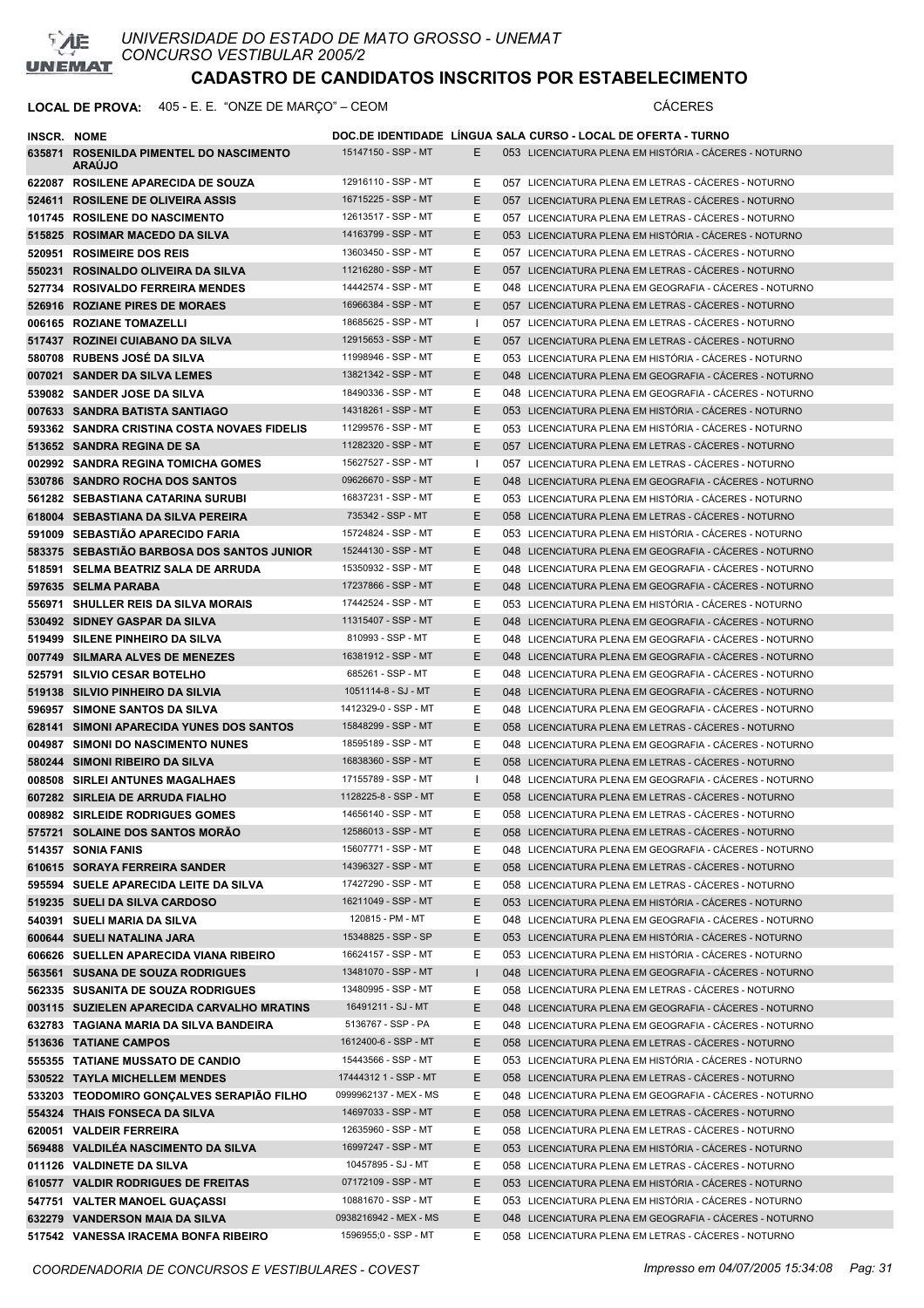

*UNIVERSIDADE DO ESTADO DE MATO GROSSO - UNEMAT CONCURSO VESTIBULAR 2005/2*

# **CADASTRO DE CANDIDATOS INSCRITOS POR ESTABELECIMENTO**

| INSCR. NOME |                                                          |                       |              | DOC.DE IDENTIDADE LINGUA SALA CURSO - LOCAL DE OFERTA - TURNO |
|-------------|----------------------------------------------------------|-----------------------|--------------|---------------------------------------------------------------|
|             | 635871 ROSENILDA PIMENTEL DO NASCIMENTO<br><b>ARAUJO</b> | 15147150 - SSP - MT   | E.           | 053 LICENCIATURA PLENA EM HISTÓRIA - CÁCERES - NOTURNO        |
|             | 622087 ROSILENE APARECIDA DE SOUZA                       | 12916110 - SSP - MT   | Е            | 057 LICENCIATURA PLENA EM LETRAS - CACERES - NOTURNO          |
|             | 524611 ROSILENE DE OLIVEIRA ASSIS                        | 16715225 - SSP - MT   | E.           | 057 LICENCIATURA PLENA EM LETRAS - CACERES - NOTURNO          |
|             | 101745 ROSILENE DO NASCIMENTO                            | 12613517 - SSP - MT   | Е            | 057 LICENCIATURA PLENA EM LETRAS - CÁCERES - NOTURNO          |
|             | 515825 ROSIMAR MACEDO DA SILVA                           | 14163799 - SSP - MT   | E.           | 053 LICENCIATURA PLENA EM HISTÓRIA - CÁCERES - NOTURNO        |
|             | 520951 ROSIMEIRE DOS REIS                                | 13603450 - SSP - MT   | E.           | 057 LICENCIATURA PLENA EM LETRAS - CÁCERES - NOTURNO          |
|             | 550231 ROSINALDO OLIVEIRA DA SILVA                       | 11216280 - SSP - MT   | E.           | 057 LICENCIATURA PLENA EM LETRAS - CACERES - NOTURNO          |
|             | 527734 ROSIVALDO FERREIRA MENDES                         | 14442574 - SSP - MT   | E.           | 048 LICENCIATURA PLENA EM GEOGRAFIA - CÁCERES - NOTURNO       |
|             | 526916 ROZIANE PIRES DE MORAES                           | 16966384 - SSP - MT   | E.           | 057 LICENCIATURA PLENA EM LETRAS - CÁCERES - NOTURNO          |
|             | 006165 ROZIANE TOMAZELLI                                 | 18685625 - SSP - MT   | $\mathbf{I}$ | 057 LICENCIATURA PLENA EM LETRAS - CÁCERES - NOTURNO          |
|             | 517437 ROZINEI CUIABANO DA SILVA                         | 12915653 - SSP - MT   | E            | 057 LICENCIATURA PLENA EM LETRAS - CÁCERES - NOTURNO          |
|             | 580708 RUBENS JOSÉ DA SILVA                              | 11998946 - SSP - MT   | Е            | 053 LICENCIATURA PLENA EM HISTÓRIA - CÁCERES - NOTURNO        |
|             | 007021 SANDER DA SILVA LEMES                             | 13821342 - SSP - MT   | E            | 048 LICENCIATURA PLENA EM GEOGRAFIA - CACERES - NOTURNO       |
|             | 539082 SANDER JOSE DA SILVA                              | 18490336 - SSP - MT   | Е            | 048 LICENCIATURA PLENA EM GEOGRAFIA - CÁCERES - NOTURNO       |
|             | 007633 SANDRA BATISTA SANTIAGO                           | 14318261 - SSP - MT   | E.           | 053 LICENCIATURA PLENA EM HISTÓRIA - CÁCERES - NOTURNO        |
|             | 593362 SANDRA CRISTINA COSTA NOVAES FIDELIS              | 11299576 - SSP - MT   | Е            | 053 LICENCIATURA PLENA EM HISTÓRIA - CÁCERES - NOTURNO        |
|             | 513652 SANDRA REGINA DE SA                               | 11282320 - SSP - MT   | E.           | 057 LICENCIATURA PLENA EM LETRAS - CACERES - NOTURNO          |
|             | 002992 SANDRA REGINA TOMICHA GOMES                       | 15627527 - SSP - MT   | $\mathbf{I}$ | 057 LICENCIATURA PLENA EM LETRAS - CÁCERES - NOTURNO          |
|             | 530786 SANDRO ROCHA DOS SANTOS                           | 09626670 - SSP - MT   | E            | 048 LICENCIATURA PLENA EM GEOGRAFIA - CÁCERES - NOTURNO       |
|             | 561282 SEBASTIANA CATARINA SURUBI                        | 16837231 - SSP - MT   | Е            | 053 LICENCIATURA PLENA EM HISTÓRIA - CÁCERES - NOTURNO        |
|             | 618004 SEBASTIANA DA SILVA PEREIRA                       | 735342 - SSP - MT     | E.           | 058 LICENCIATURA PLENA EM LETRAS - CÁCERES - NOTURNO          |
|             | 591009 SEBASTIÃO APARECIDO FARIA                         | 15724824 - SSP - MT   | Е            | 053 LICENCIATURA PLENA EM HISTÓRIA - CÁCERES - NOTURNO        |
|             | 583375 SEBASTIÃO BARBOSA DOS SANTOS JUNIOR               | 15244130 - SSP - MT   | E.           | 048 LICENCIATURA PLENA EM GEOGRAFIA - CÁCERES - NOTURNO       |
|             | 518591 SELMA BEATRIZ SALA DE ARRUDA                      | 15350932 - SSP - MT   | Е            | 048 LICENCIATURA PLENA EM GEOGRAFIA - CÁCERES - NOTURNO       |
|             | 597635 SELMA PARABA                                      | 17237866 - SSP - MT   | E.           | 048 LICENCIATURA PLENA EM GEOGRAFIA - CÁCERES - NOTURNO       |
|             | 556971 SHULLER REIS DA SILVA MORAIS                      | 17442524 - SSP - MT   | E.           | 053 LICENCIATURA PLENA EM HISTÓRIA - CÁCERES - NOTURNO        |
|             | 530492 SIDNEY GASPAR DA SILVA                            | 11315407 - SSP - MT   | E.           | 048 LICENCIATURA PLENA EM GEOGRAFIA - CÁCERES - NOTURNO       |
|             | 519499 SILENE PINHEIRO DA SILVA                          | 810993 - SSP - MT     | Е            | 048 LICENCIATURA PLENA EM GEOGRAFIA - CACERES - NOTURNO       |
|             | 007749 SILMARA ALVES DE MENEZES                          | 16381912 - SSP - MT   | E.           | 048 LICENCIATURA PLENA EM GEOGRAFIA - CÁCERES - NOTURNO       |
|             | 525791 SILVIO CESAR BOTELHO                              | 685261 - SSP - MT     | Е            | 048 LICENCIATURA PLENA EM GEOGRAFIA - CÁCERES - NOTURNO       |
|             | 519138 SILVIO PINHEIRO DA SILVIA                         | 1051114-8 - SJ - MT   | E.           | 048 LICENCIATURA PLENA EM GEOGRAFIA - CÁCERES - NOTURNO       |
|             | 596957 SIMONE SANTOS DA SILVA                            | 1412329-0 - SSP - MT  | Е            | 048 LICENCIATURA PLENA EM GEOGRAFIA - CÁCERES - NOTURNO       |
|             | 628141 SIMONI APARECIDA YUNES DOS SANTOS                 | 15848299 - SSP - MT   | E.           | 058 LICENCIATURA PLENA EM LETRAS - CÁCERES - NOTURNO          |
|             | 004987 SIMONI DO NASCIMENTO NUNES                        | 18595189 - SSP - MT   | E.           | 048 LICENCIATURA PLENA EM GEOGRAFIA - CÁCERES - NOTURNO       |
|             | 580244 SIMONI RIBEIRO DA SILVA                           | 16838360 - SSP - MT   | E.           | 058 LICENCIATURA PLENA EM LETRAS - CÁCERES - NOTURNO          |
|             | 008508 SIRLEI ANTUNES MAGALHAES                          | 17155789 - SSP - MT   | I.           | 048 LICENCIATURA PLENA EM GEOGRAFIA - CÁCERES - NOTURNO       |
|             | 607282 SIRLEIA DE ARRUDA FIALHO                          | 1128225-8 - SSP - MT  | E            | 058 LICENCIATURA PLENA EM LETRAS - CÁCERES - NOTURNO          |
|             | 008982 SIRLEIDE RODRIGUES GOMES                          | 14656140 - SSP - MT   | E            | 058 LICENCIATURA PLENA EM LETRAS - CÁCERES - NOTURNO          |
|             | 575721 SOLAINE DOS SANTOS MORÃO                          | 12586013 - SSP - MT   | Е            | 058 LICENCIATURA PLENA EM LETRAS - CÁCERES - NOTURNO          |
|             | 514357 SONIA FANIS                                       | 15607771 - SSP - MT   | Е            | 048 LICENCIATURA PLENA EM GEOGRAFIA - CÁCERES - NOTURNO       |
|             | 610615 SORAYA FERREIRA SANDER                            | 14396327 - SSP - MT   | E.           | 058 LICENCIATURA PLENA EM LETRAS - CÁCERES - NOTURNO          |
|             | 595594 SUELE APARECIDA LEITE DA SILVA                    | 17427290 - SSP - MT   | E            | 058 LICENCIATURA PLENA EM LETRAS - CÁCERES - NOTURNO          |
|             | 519235 SUELI DA SILVA CARDOSO                            | 16211049 - SSP - MT   | E.           | 053 LICENCIATURA PLENA EM HISTÓRIA - CÁCERES - NOTURNO        |
|             | 540391 SUELI MARIA DA SILVA                              | 120815 - PM - MT      | Е            | 048 LICENCIATURA PLENA EM GEOGRAFIA - CÁCERES - NOTURNO       |
|             | 600644 SUELI NATALINA JARA                               | 15348825 - SSP - SP   | E            | 053 LICENCIATURA PLENA EM HISTÓRIA - CÁCERES - NOTURNO        |
|             | 606626 SUELLEN APARECIDA VIANA RIBEIRO                   | 16624157 - SSP - MT   | E            | 053 LICENCIATURA PLENA EM HISTÓRIA - CÁCERES - NOTURNO        |
|             | 563561 SUSANA DE SOUZA RODRIGUES                         | 13481070 - SSP - MT   | $\mathsf{L}$ | 048 LICENCIATURA PLENA EM GEOGRAFIA - CÁCERES - NOTURNO       |
|             | 562335 SUSANITA DE SOUZA RODRIGUES                       | 13480995 - SSP - MT   | Е            | 058 LICENCIATURA PLENA EM LETRAS - CÁCERES - NOTURNO          |
|             | 003115 SUZIELEN APARECIDA CARVALHO MRATINS               | 16491211 - SJ - MT    | E.           | 048 LICENCIATURA PLENA EM GEOGRAFIA - CÁCERES - NOTURNO       |
|             | 632783 TAGIANA MARIA DA SILVA BANDEIRA                   | 5136767 - SSP - PA    | E            | 048 LICENCIATURA PLENA EM GEOGRAFIA - CÁCERES - NOTURNO       |
|             | 513636 TATIANE CAMPOS                                    | 1612400-6 - SSP - MT  | E.           | 058 LICENCIATURA PLENA EM LETRAS - CÁCERES - NOTURNO          |
|             | 555355 TATIANE MUSSATO DE CANDIO                         | 15443566 - SSP - MT   | E            | 053 LICENCIATURA PLENA EM HISTÓRIA - CÁCERES - NOTURNO        |
|             | 530522 TAYLA MICHELLEM MENDES                            | 17444312 1 - SSP - MT | E.           | 058 LICENCIATURA PLENA EM LETRAS - CÁCERES - NOTURNO          |
|             | 533203 TEODOMIRO GONÇALVES SERAPIÃO FILHO                | 0999962137 - MEX - MS | Е            | 048 LICENCIATURA PLENA EM GEOGRAFIA - CÁCERES - NOTURNO       |
|             | 554324 THAIS FONSECA DA SILVA                            | 14697033 - SSP - MT   | E            | 058 LICENCIATURA PLENA EM LETRAS - CÁCERES - NOTURNO          |
|             | 620051 VALDEIR FERREIRA                                  | 12635960 - SSP - MT   | Е            | 058 LICENCIATURA PLENA EM LETRAS - CÁCERES - NOTURNO          |
|             | 569488 VALDILÉA NASCIMENTO DA SILVA                      | 16997247 - SSP - MT   | E.           | 053 LICENCIATURA PLENA EM HISTÓRIA - CÁCERES - NOTURNO        |
|             | 011126 VALDINETE DA SILVA                                | 10457895 - SJ - MT    | Е            | 058 LICENCIATURA PLENA EM LETRAS - CÁCERES - NOTURNO          |
|             | 610577 VALDIR RODRIGUES DE FREITAS                       | 07172109 - SSP - MT   | E.           | 053 LICENCIATURA PLENA EM HISTÓRIA - CÁCERES - NOTURNO        |
|             | 547751 VALTER MANOEL GUAÇASSI                            | 10881670 - SSP - MT   | E.           | 053 LICENCIATURA PLENA EM HISTÓRIA - CÁCERES - NOTURNO        |
|             | 632279 VANDERSON MAIA DA SILVA                           | 0938216942 - MEX - MS | E.           | 048 LICENCIATURA PLENA EM GEOGRAFIA - CÁCERES - NOTURNO       |
|             | 517542 VANESSA IRACEMA BONFA RIBEIRO                     | 1596955;0 - SSP - MT  | Е            | 058 LICENCIATURA PLENA EM LETRAS - CÁCERES - NOTURNO          |
|             |                                                          |                       |              |                                                               |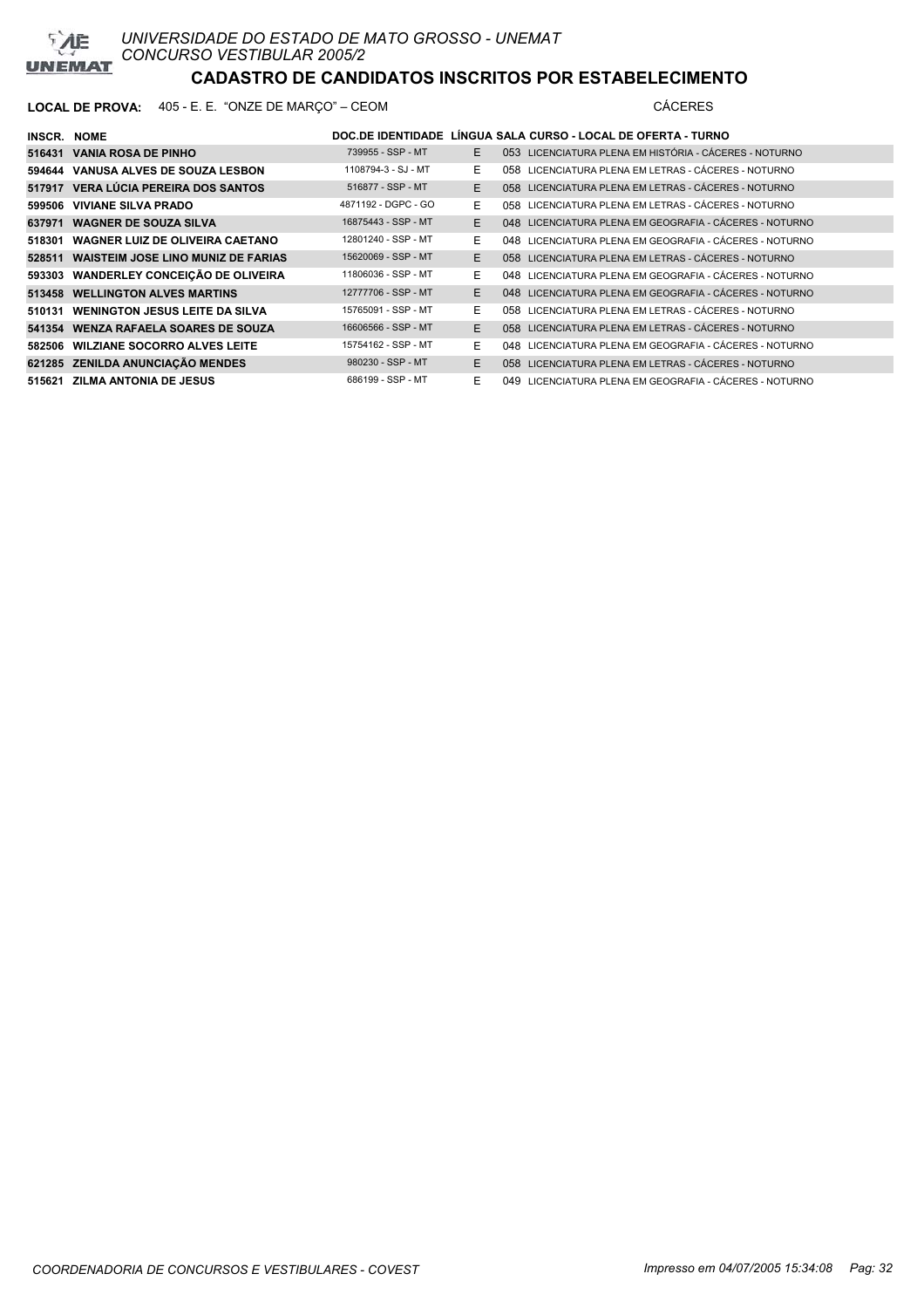

| <b>INSCR. NOME</b> |                                           |                     |    | DOC.DE IDENTIDADE LÍNGUA SALA CURSO - LOCAL DE OFERTA - TURNO |
|--------------------|-------------------------------------------|---------------------|----|---------------------------------------------------------------|
|                    | 516431 VANIA ROSA DE PINHO                | 739955 - SSP - MT   | E  | 053 LICENCIATURA PLENA EM HISTÓRIA - CÁCERES - NOTURNO        |
|                    | 594644 VANUSA ALVES DE SOUZA LESBON       | 1108794-3 - SJ - MT | E. | 058 LICENCIATURA PLENA EM LETRAS - CÁCERES - NOTURNO          |
|                    | 517917 VERA LÚCIA PEREIRA DOS SANTOS      | 516877 - SSP - MT   | E. | 058 LICENCIATURA PLENA EM LETRAS - CÁCERES - NOTURNO          |
|                    | 599506 VIVIANE SILVA PRADO                | 4871192 - DGPC - GO | E. | 058 LICENCIATURA PLENA EM LETRAS - CÁCERES - NOTURNO          |
|                    | 637971 WAGNER DE SOUZA SILVA              | 16875443 - SSP - MT | E. | 048 LICENCIATURA PLENA EM GEOGRAFIA - CÁCERES - NOTURNO       |
| 518301             | <b>WAGNER LUIZ DE OLIVEIRA CAETANO</b>    | 12801240 - SSP - MT | E. | 048 LICENCIATURA PLENA EM GEOGRAFIA - CÁCERES - NOTURNO       |
|                    | 528511 WAISTEIM JOSE LINO MUNIZ DE FARIAS | 15620069 - SSP - MT | E. | 058 LICENCIATURA PLENA EM LETRAS - CÁCERES - NOTURNO          |
|                    | 593303 WANDERLEY CONCEIÇÃO DE OLIVEIRA    | 11806036 - SSP - MT | E. | 048 LICENCIATURA PLENA EM GEOGRAFIA - CÁCERES - NOTURNO       |
|                    | 513458 WELLINGTON ALVES MARTINS           | 12777706 - SSP - MT | E. | 048 LICENCIATURA PLENA EM GEOGRAFIA - CÁCERES - NOTURNO       |
|                    | 510131 WENINGTON JESUS LEITE DA SILVA     | 15765091 - SSP - MT | E. | 058 LICENCIATURA PLENA EM LETRAS - CÁCERES - NOTURNO          |
|                    | 541354 WENZA RAFAELA SOARES DE SOUZA      | 16606566 - SSP - MT | E. | 058 LICENCIATURA PLENA EM LETRAS - CÁCERES - NOTURNO          |
|                    | 582506 WILZIANE SOCORRO ALVES LEITE       | 15754162 - SSP - MT | E. | 048 LICENCIATURA PLENA EM GEOGRAFIA - CÁCERES - NOTURNO       |
|                    | 621285 ZENILDA ANUNCIAÇÃO MENDES          | 980230 - SSP - MT   | E. | 058 LICENCIATURA PLENA EM LETRAS - CÁCERES - NOTURNO          |
|                    | 515621 ZILMA ANTONIA DE JESUS             | 686199 - SSP - MT   | E. | 049 LICENCIATURA PLENA EM GEOGRAFIA - CÁCERES - NOTURNO       |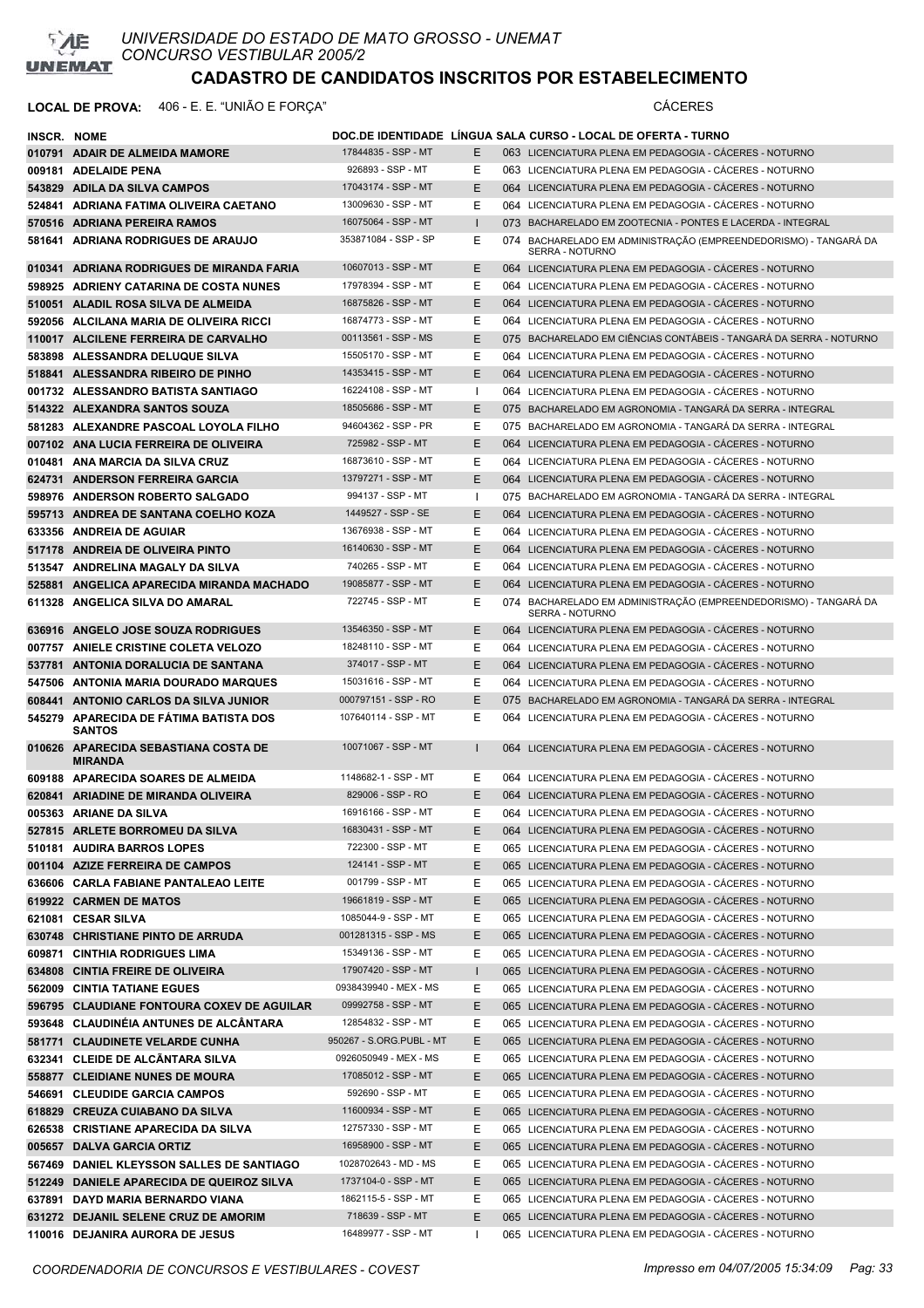

### **LOCAL DE PROVA:** 406 - E. E. "UNIÃO E FORÇA" CÁCERES

| <b>INSCR. NOME</b> |                                                |                          |              | DOC.DE IDENTIDADE LINGUA SALA CURSO - LOCAL DE OFERTA - TURNO                              |
|--------------------|------------------------------------------------|--------------------------|--------------|--------------------------------------------------------------------------------------------|
|                    | 010791 ADAIR DE ALMEIDA MAMORE                 | 17844835 - SSP - MT      | Е            | 063 LICENCIATURA PLENA EM PEDAGOGIA - CACERES - NOTURNO                                    |
|                    | 009181 ADELAIDE PENA                           | 926893 - SSP - MT        | Ε            | 063 LICENCIATURA PLENA EM PEDAGOGIA - CACERES - NOTURNO                                    |
|                    | 543829 ADILA DA SILVA CAMPOS                   | 17043174 - SSP - MT      | E            | 064 LICENCIATURA PLENA EM PEDAGOGIA - CACERES - NOTURNO                                    |
|                    | 524841 ADRIANA FATIMA OLIVEIRA CAETANO         | 13009630 - SSP - MT      | Е            | 064 LICENCIATURA PLENA EM PEDAGOGIA - CACERES - NOTURNO                                    |
|                    | 570516 ADRIANA PEREIRA RAMOS                   | 16075064 - SSP - MT      |              | 073 BACHARELADO EM ZOOTECNIA - PONTES E LACERDA - INTEGRAL                                 |
|                    | 581641 ADRIANA RODRIGUES DE ARAUJO             | 353871084 - SSP - SP     | Е            | 074 BACHARELADO EM ADMINISTRAÇÃO (EMPREENDEDORISMO) - TANGARA DA<br><b>SERRA - NOTURNO</b> |
|                    | 010341 ADRIANA RODRIGUES DE MIRANDA FARIA      | 10607013 - SSP - MT      | E.           | 064 LICENCIATURA PLENA EM PEDAGOGIA - CACERES - NOTURNO                                    |
|                    | 598925 ADRIENY CATARINA DE COSTA NUNES         | 17978394 - SSP - MT      | Е            | 064 LICENCIATURA PLENA EM PEDAGOGIA - CÁCERES - NOTURNO                                    |
|                    | 510051 ALADIL ROSA SILVA DE ALMEIDA            | 16875826 - SSP - MT      | Ε            | 064 LICENCIATURA PLENA EM PEDAGOGIA - CACERES - NOTURNO                                    |
|                    | 592056 ALCILANA MARIA DE OLIVEIRA RICCI        | 16874773 - SSP - MT      | Ε            | 064 LICENCIATURA PLENA EM PEDAGOGIA - CACERES - NOTURNO                                    |
|                    | 110017 ALCILENE FERREIRA DE CARVALHO           | 00113561 - SSP - MS      | Е            | 075 BACHARELADO EM CIÊNCIAS CONTÁBEIS - TANGARÁ DA SERRA - NOTURNO                         |
|                    | 583898 ALESSANDRA DELUQUE SILVA                | 15505170 - SSP - MT      | Е            | 064 LICENCIATURA PLENA EM PEDAGOGIA - CÁCERES - NOTURNO                                    |
|                    | 518841 ALESSANDRA RIBEIRO DE PINHO             | 14353415 - SSP - MT      | E            | 064 LICENCIATURA PLENA EM PEDAGOGIA - CACERES - NOTURNO                                    |
|                    | 001732 ALESSANDRO BATISTA SANTIAGO             | 16224108 - SSP - MT      | $\mathbf{I}$ | 064 LICENCIATURA PLENA EM PEDAGOGIA - CÁCERES - NOTURNO                                    |
|                    | 514322 ALEXANDRA SANTOS SOUZA                  | 18505686 - SSP - MT      | E            | 075 BACHARELADO EM AGRONOMIA - TANGARÀ DA SERRA - INTEGRAL                                 |
|                    | 581283 ALEXANDRE PASCOAL LOYOLA FILHO          | 94604362 - SSP - PR      | Е            | 075 BACHARELADO EM AGRONOMIA - TANGARÁ DA SERRA - INTEGRAL                                 |
|                    | 007102 ANA LUCIA FERREIRA DE OLIVEIRA          | 725982 - SSP - MT        | E            | 064 LICENCIATURA PLENA EM PEDAGOGIA - CÁCERES - NOTURNO                                    |
|                    | 010481 ANA MARCIA DA SILVA CRUZ                | 16873610 - SSP - MT      | Е            | 064 LICENCIATURA PLENA EM PEDAGOGIA - CACERES - NOTURNO                                    |
|                    | 624731 ANDERSON FERREIRA GARCIA                | 13797271 - SSP - MT      | E            | 064 LICENCIATURA PLENA EM PEDAGOGIA - CACERES - NOTURNO                                    |
|                    | 598976 ANDERSON ROBERTO SALGADO                | 994137 - SSP - MT        |              | 075 BACHARELADO EM AGRONOMIA - TANGARÀ DA SERRA - INTEGRAL                                 |
|                    | 595713 ANDREA DE SANTANA COELHO KOZA           | 1449527 - SSP - SE       | E            | 064 LICENCIATURA PLENA EM PEDAGOGIA - CACERES - NOTURNO                                    |
|                    | 633356 ANDREIA DE AGUIAR                       | 13676938 - SSP - MT      | Ε            | 064 LICENCIATURA PLENA EM PEDAGOGIA - CÁCERES - NOTURNO                                    |
|                    | 517178 ANDREIA DE OLIVEIRA PINTO               | 16140630 - SSP - MT      | E            | 064 LICENCIATURA PLENA EM PEDAGOGIA - CACERES - NOTURNO                                    |
|                    | 513547 ANDRELINA MAGALY DA SILVA               | 740265 - SSP - MT        | Ε            | 064 LICENCIATURA PLENA EM PEDAGOGIA - CÁCERES - NOTURNO                                    |
|                    | 525881 ANGELICA APARECIDA MIRANDA MACHADO      | 19085877 - SSP - MT      | Е            | 064 LICENCIATURA PLENA EM PEDAGOGIA - CACERES - NOTURNO                                    |
|                    | 611328 ANGELICA SILVA DO AMARAL                | 722745 - SSP - MT        | Е            | 074 BACHARELADO EM ADMINISTRAÇÃO (EMPREENDEDORISMO) - TANGARÁ DA<br>SERRA - NOTURNO        |
|                    | 636916 ANGELO JOSE SOUZA RODRIGUES             | 13546350 - SSP - MT      | Е            | 064 LICENCIATURA PLENA EM PEDAGOGIA - CACERES - NOTURNO                                    |
|                    | 007757 ANIELE CRISTINE COLETA VELOZO           | 18248110 - SSP - MT      | Ε            | 064 LICENCIATURA PLENA EM PEDAGOGIA - CACERES - NOTURNO                                    |
|                    | 537781 ANTONIA DORALUCIA DE SANTANA            | 374017 - SSP - MT        | Е            | 064 LICENCIATURA PLENA EM PEDAGOGIA - CACERES - NOTURNO                                    |
|                    | 547506 ANTONIA MARIA DOURADO MARQUES           | 15031616 - SSP - MT      | Ε            | 064 LICENCIATURA PLENA EM PEDAGOGIA - CACERES - NOTURNO                                    |
|                    | 608441 ANTONIO CARLOS DA SILVA JUNIOR          | 000797151 - SSP - RO     | E            | 075 BACHARELADO EM AGRONOMIA - TANGARÀ DA SERRA - INTEGRAL                                 |
|                    | 545279 APARECIDA DE FATIMA BATISTA DOS         | 107640114 - SSP - MT     | Ε            | 064 LICENCIATURA PLENA EM PEDAGOGIA - CÁCERES - NOTURNO                                    |
|                    | SANTOS<br>010626 APARECIDA SEBASTIANA COSTA DE | 10071067 - SSP - MT      |              | 064 LICENCIATURA PLENA EM PEDAGOGIA - CÁCERES - NOTURNO                                    |
|                    | MIRANDA<br>609188 APARECIDA SOARES DE ALMEIDA  | 1148682-1 - SSP - MT     | Е            | 064 LICENCIATURA PLENA EM PEDAGOGIA - CÁCERES - NOTURNO                                    |
|                    | 620841 ARIADINE DE MIRANDA OLIVEIRA            | 829006 - SSP - RO        | Е            | 064 LICENCIATURA PLENA EM PEDAGOGIA - CACERES - NOTURNO                                    |
|                    | 005363 ARIANE DA SILVA                         | 16916166 - SSP - MT      | E            | 064 LICENCIATURA PLENA EM PEDAGOGIA - CÁCERES - NOTURNO                                    |
|                    | 527815 ARLETE BORROMEU DA SILVA                | 16830431 - SSP - MT      | Е            | 064 LICENCIATURA PLENA EM PEDAGOGIA - CÁCERES - NOTURNO                                    |
|                    | 510181 AUDIRA BARROS LOPES                     | 722300 - SSP - MT        | Е            | 065 LICENCIATURA PLENA EM PEDAGOGIA - CÁCERES - NOTURNO                                    |
|                    | 001104 AZIZE FERREIRA DE CAMPOS                | 124141 - SSP - MT        | Е            | 065 LICENCIATURA PLENA EM PEDAGOGIA - CÁCERES - NOTURNO                                    |
|                    | 636606 CARLA FABIANE PANTALEAO LEITE           | 001799 - SSP - MT        | Е            | 065 LICENCIATURA PLENA EM PEDAGOGIA - CÁCERES - NOTURNO                                    |
|                    | 619922 CARMEN DE MATOS                         | 19661819 - SSP - MT      | Ε            | 065 LICENCIATURA PLENA EM PEDAGOGIA - CÁCERES - NOTURNO                                    |
|                    | 621081 CESAR SILVA                             | 1085044-9 - SSP - MT     | Е            | 065 LICENCIATURA PLENA EM PEDAGOGIA - CÁCERES - NOTURNO                                    |
|                    | 630748 CHRISTIANE PINTO DE ARRUDA              | 001281315 - SSP - MS     | Е            | 065 LICENCIATURA PLENA EM PEDAGOGIA - CÁCERES - NOTURNO                                    |
|                    | 609871 CINTHIA RODRIGUES LIMA                  | 15349136 - SSP - MT      | Ε            | 065 LICENCIATURA PLENA EM PEDAGOGIA - CÁCERES - NOTURNO                                    |
|                    | 634808 CINTIA FREIRE DE OLIVEIRA               | 17907420 - SSP - MT      | L            | 065 LICENCIATURA PLENA EM PEDAGOGIA - CÁCERES - NOTURNO                                    |
|                    | 562009 CINTIA TATIANE EGUES                    | 0938439940 - MEX - MS    | Е            | 065 LICENCIATURA PLENA EM PEDAGOGIA - CÁCERES - NOTURNO                                    |
|                    | 596795 CLAUDIANE FONTOURA COXEV DE AGUILAR     | 09992758 - SSP - MT      | E            | 065 LICENCIATURA PLENA EM PEDAGOGIA - CÁCERES - NOTURNO                                    |
|                    | 593648 CLAUDINÉIA ANTUNES DE ALCANTARA         | 12854832 - SSP - MT      | Е            | 065 LICENCIATURA PLENA EM PEDAGOGIA - CÁCERES - NOTURNO                                    |
|                    | 581771 CLAUDINETE VELARDE CUNHA                | 950267 - S.ORG.PUBL - MT | Е            | 065 LICENCIATURA PLENA EM PEDAGOGIA - CÁCERES - NOTURNO                                    |
|                    | 632341 CLEIDE DE ALCÃNTARA SILVA               | 0926050949 - MEX - MS    | Е            | 065 LICENCIATURA PLENA EM PEDAGOGIA - CÁCERES - NOTURNO                                    |
|                    | 558877 CLEIDIANE NUNES DE MOURA                | 17085012 - SSP - MT      | Е            | 065 LICENCIATURA PLENA EM PEDAGOGIA - CÁCERES - NOTURNO                                    |
|                    | 546691 CLEUDIDE GARCIA CAMPOS                  | 592690 - SSP - MT        | Е            | 065 LICENCIATURA PLENA EM PEDAGOGIA - CÁCERES - NOTURNO                                    |
|                    | 618829 CREUZA CUIABANO DA SILVA                | 11600934 - SSP - MT      | Е            | 065 LICENCIATURA PLENA EM PEDAGOGIA - CÁCERES - NOTURNO                                    |
|                    | 626538 CRISTIANE APARECIDA DA SILVA            | 12757330 - SSP - MT      | Е            | 065 LICENCIATURA PLENA EM PEDAGOGIA - CÁCERES - NOTURNO                                    |
|                    | 005657 DALVA GARCIA ORTIZ                      | 16958900 - SSP - MT      | E            | 065 LICENCIATURA PLENA EM PEDAGOGIA - CÁCERES - NOTURNO                                    |
|                    | 567469 DANIEL KLEYSSON SALLES DE SANTIAGO      | 1028702643 - MD - MS     | Е            | 065 LICENCIATURA PLENA EM PEDAGOGIA - CÁCERES - NOTURNO                                    |
|                    | 512249 DANIELE APARECIDA DE QUEIROZ SILVA      | 1737104-0 - SSP - MT     | Е            | 065 LICENCIATURA PLENA EM PEDAGOGIA - CÁCERES - NOTURNO                                    |
|                    | 637891 DAYD MARIA BERNARDO VIANA               | 1862115-5 - SSP - MT     | Е            | 065 LICENCIATURA PLENA EM PEDAGOGIA - CÁCERES - NOTURNO                                    |
|                    | 631272 DEJANIL SELENE CRUZ DE AMORIM           | 718639 - SSP - MT        | Е            | 065 LICENCIATURA PLENA EM PEDAGOGIA - CÁCERES - NOTURNO                                    |
|                    | 110016 DEJANIRA AURORA DE JESUS                | 16489977 - SSP - MT      |              | 065 LICENCIATURA PLENA EM PEDAGOGIA - CÁCERES - NOTURNO                                    |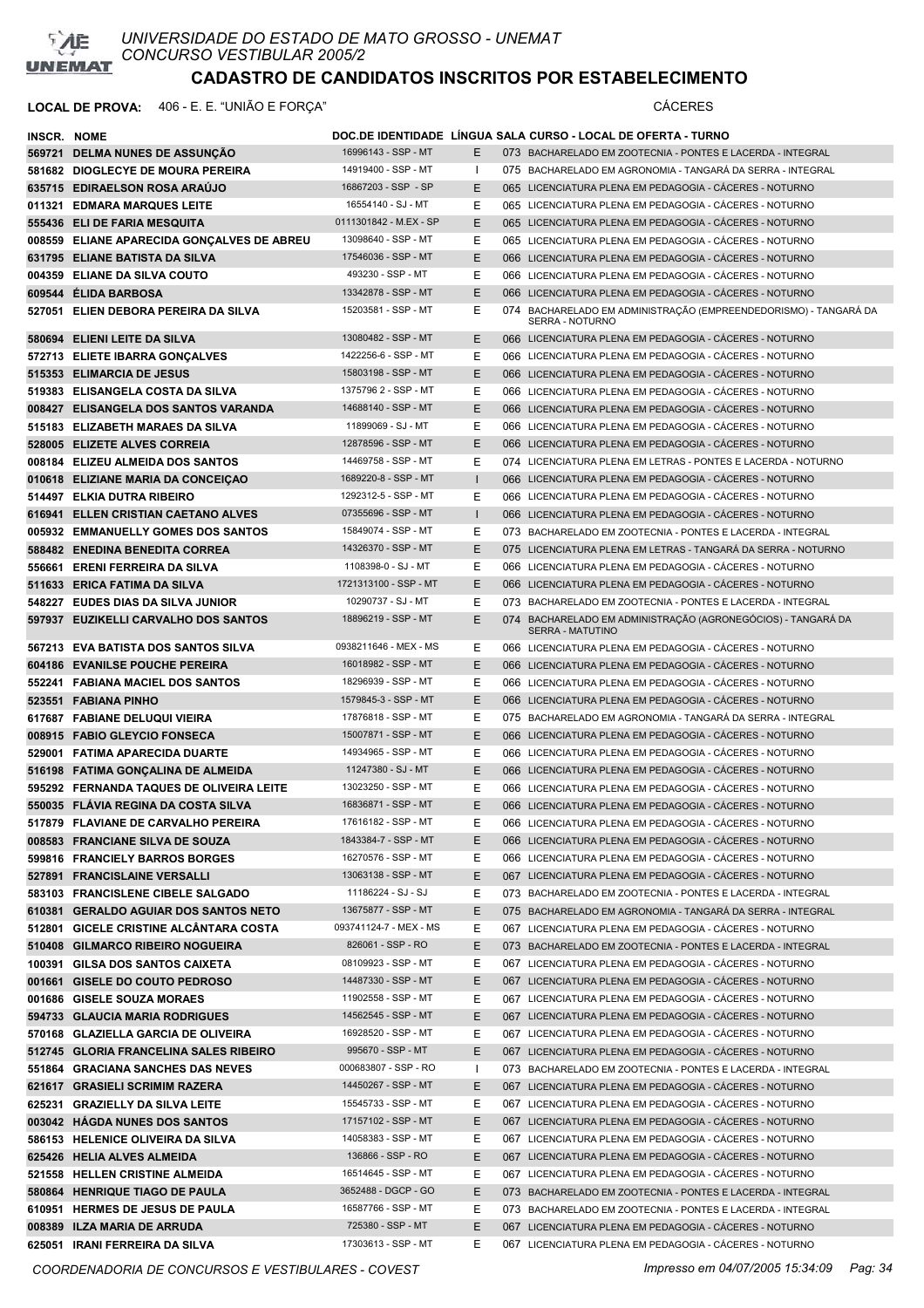

### **LOCAL DE PROVA:** 406 - E. E. "UNIÃO E FORÇA" CÁCERES

| INSCR. NOME |                                                                               |                                             |         | DOC.DE IDENTIDADE LINGUA SALA CURSO - LOCAL DE OFERTA - TURNO                                                            |
|-------------|-------------------------------------------------------------------------------|---------------------------------------------|---------|--------------------------------------------------------------------------------------------------------------------------|
|             | 569721 DELMA NUNES DE ASSUNÇÃO                                                | 16996143 - SSP - MT                         | E       | 073 BACHARELADO EM ZOOTECNIA - PONTES E LACERDA - INTEGRAL                                                               |
|             | 581682 DIOGLECYE DE MOURA PEREIRA                                             | 14919400 - SSP - MT                         |         | 075 BACHARELADO EM AGRONOMIA - TANGARÁ DA SERRA - INTEGRAL                                                               |
|             | 635715 EDIRAELSON ROSA ARAUJO                                                 | 16867203 - SSP - SP                         | E       | 065 LICENCIATURA PLENA EM PEDAGOGIA - CACERES - NOTURNO                                                                  |
|             | 011321 EDMARA MARQUES LEITE                                                   | 16554140 - SJ - MT                          | Е       | 065 LICENCIATURA PLENA EM PEDAGOGIA - CÁCERES - NOTURNO                                                                  |
|             | 555436 ELI DE FARIA MESQUITA                                                  | 0111301842 - M.EX - SP                      | Е       | 065 LICENCIATURA PLENA EM PEDAGOGIA - CACERES - NOTURNO                                                                  |
|             | 008559 ELIANE APARECIDA GONÇALVES DE ABREU                                    | 13098640 - SSP - MT                         | Е       | 065 LICENCIATURA PLENA EM PEDAGOGIA - CÁCERES - NOTURNO                                                                  |
|             | 631795 ELIANE BATISTA DA SILVA                                                | 17546036 - SSP - MT                         | Е       | 066 LICENCIATURA PLENA EM PEDAGOGIA - CACERES - NOTURNO                                                                  |
|             | 004359 ELIANE DA SILVA COUTO                                                  | 493230 - SSP - MT                           | Е       | 066 LICENCIATURA PLENA EM PEDAGOGIA - CACERES - NOTURNO                                                                  |
|             | 609544 ELIDA BARBOSA                                                          | 13342878 - SSP - MT                         | E       | 066 LICENCIATURA PLENA EM PEDAGOGIA - CÁCERES - NOTURNO                                                                  |
|             | 527051 ELIEN DEBORA PEREIRA DA SILVA                                          | 15203581 - SSP - MT                         | Е       | 074 BACHARELADO EM ADMINISTRAÇÃO (EMPREENDEDORISMO) - TANGARÁ DA<br>SERRA - NOTURNO                                      |
|             | 580694 ELIENI LEITE DA SILVA                                                  | 13080482 - SSP - MT                         | E       | 066 LICENCIATURA PLENA EM PEDAGOGIA - CÁCERES - NOTURNO                                                                  |
|             | 572713 ELIETE IBARRA GONÇALVES                                                | 1422256-6 - SSP - MT                        | Ε       | 066 LICENCIATURA PLENA EM PEDAGOGIA - CÁCERES - NOTURNO                                                                  |
|             | 515353 ELIMARCIA DE JESUS                                                     | 15803198 - SSP - MT                         | E       | 066 LICENCIATURA PLENA EM PEDAGOGIA - CACERES - NOTURNO                                                                  |
|             | 519383 ELISANGELA COSTA DA SILVA                                              | 1375796 2 - SSP - MT                        | Е       | 066 LICENCIATURA PLENA EM PEDAGOGIA - CÁCERES - NOTURNO                                                                  |
|             | 008427 ELISANGELA DOS SANTOS VARANDA                                          | 14688140 - SSP - MT                         | E       | 066 LICENCIATURA PLENA EM PEDAGOGIA - CACERES - NOTURNO                                                                  |
|             | 515183 ELIZABETH MARAES DA SILVA                                              | 11899069 - SJ - MT                          | Ε       | 066 LICENCIATURA PLENA EM PEDAGOGIA - CÁCERES - NOTURNO                                                                  |
|             | 528005 ELIZETE ALVES CORREIA                                                  | 12878596 - SSP - MT                         | E       | 066 LICENCIATURA PLENA EM PEDAGOGIA - CÁCERES - NOTURNO                                                                  |
|             | 008184 ELIZEU ALMEIDA DOS SANTOS                                              | 14469758 - SSP - MT                         | Е       | 074 LICENCIATURA PLENA EM LETRAS - PONTES E LACERDA - NOTURNO                                                            |
|             | 010618 ELIZIANE MARIA DA CONCEIÇÃO                                            | 1689220-8 - SSP - MT                        |         | 066 LICENCIATURA PLENA EM PEDAGOGIA - CÁCERES - NOTURNO                                                                  |
|             | 514497 ELKIA DUTRA RIBEIRO                                                    | 1292312-5 - SSP - MT                        | Е       | 066 LICENCIATURA PLENA EM PEDAGOGIA - CÁCERES - NOTURNO                                                                  |
|             | 616941 ELLEN CRISTIAN CAETANO ALVES                                           | 07355696 - SSP - MT                         | п       | 066 LICENCIATURA PLENA EM PEDAGOGIA - CÁCERES - NOTURNO                                                                  |
|             | 005932 EMMANUELLY GOMES DOS SANTOS                                            | 15849074 - SSP - MT                         | Ε       | 073 BACHARELADO EM ZOOTECNIA - PONTES E LACERDA - INTEGRAL                                                               |
|             | 588482 ENEDINA BENEDITA CORREA                                                | 14326370 - SSP - MT                         | Ε       | 075 LICENCIATURA PLENA EM LETRAS - TANGARÁ DA SERRA - NOTURNO                                                            |
|             | 556661 ERENI FERREIRA DA SILVA                                                | 1108398-0 - SJ - MT                         | Е       | 066 LICENCIATURA PLENA EM PEDAGOGIA - CÁCERES - NOTURNO                                                                  |
|             | 511633 ERICA FATIMA DA SILVA                                                  | 1721313100 - SSP - MT                       | Е       | 066 LICENCIATURA PLENA EM PEDAGOGIA - CÁCERES - NOTURNO                                                                  |
|             | 548227 EUDES DIAS DA SILVA JUNIOR                                             | 10290737 - SJ - MT                          | Е       | 073 BACHARELADO EM ZOOTECNIA - PONTES E LACERDA - INTEGRAL                                                               |
|             | 597937 EUZIKELLI CARVALHO DOS SANTOS                                          | 18896219 - SSP - MT                         | E       | 074 BACHARELADO EM ADMINISTRAÇÃO (AGRONEGÓCIOS) - TANGARÁ DA<br><b>SERRA - MATUTINO</b>                                  |
|             | 567213 EVA BATISTA DOS SANTOS SILVA                                           | 0938211646 - MEX - MS                       | Е       | 066 LICENCIATURA PLENA EM PEDAGOGIA - CACERES - NOTURNO                                                                  |
|             | 604186 EVANILSE POUCHE PEREIRA                                                | 16018982 - SSP - MT                         | E       | 066 LICENCIATURA PLENA EM PEDAGOGIA - CACERES - NOTURNO                                                                  |
|             | 552241 FABIANA MACIEL DOS SANTOS                                              | 18296939 - SSP - MT                         | Ε       | 066 LICENCIATURA PLENA EM PEDAGOGIA - CÁCERES - NOTURNO                                                                  |
|             | 523551 FABIANA PINHO                                                          | 1579845-3 - SSP - MT                        | E       | 066 LICENCIATURA PLENA EM PEDAGOGIA - CÁCERES - NOTURNO                                                                  |
|             | 617687 FABIANE DELUQUI VIEIRA                                                 | 17876818 - SSP - MT                         | Е       | 075 BACHARELADO EM AGRONOMIA - TANGARÁ DA SERRA - INTEGRAL                                                               |
|             | 008915 FABIO GLEYCIO FONSECA                                                  | 15007871 - SSP - MT                         | Е       | 066 LICENCIATURA PLENA EM PEDAGOGIA - CÁCERES - NOTURNO                                                                  |
|             | 529001 FATIMA APARECIDA DUARTE                                                | 14934965 - SSP - MT                         | Е       | 066 LICENCIATURA PLENA EM PEDAGOGIA - CÁCERES - NOTURNO                                                                  |
|             | 516198 FATIMA GONÇALINA DE ALMEIDA                                            | 11247380 - SJ - MT                          | E       | 066 LICENCIATURA PLENA EM PEDAGOGIA - CACERES - NOTURNO                                                                  |
|             | 595292 FERNANDA TAQUES DE OLIVEIRA LEITE                                      | 13023250 - SSP - MT                         | Е       | 066 LICENCIATURA PLENA EM PEDAGOGIA - CACERES - NOTURNO                                                                  |
|             | 550035 FLAVIA REGINA DA COSTA SILVA                                           | 16836871 - SSP - MT                         | E       | 066 LICENCIATURA PLENA EM PEDAGOGIA - CÁCERES - NOTURNO                                                                  |
|             | 517879 FLAVIANE DE CARVALHO PEREIRA                                           | 17616182 - SSP - MT                         | Е       | 066 LICENCIATURA PLENA EM PEDAGOGIA - CÁCERES - NOTURNO                                                                  |
|             | 008583 FRANCIANE SILVA DE SOUZA                                               | 1843384-7 - SSP - MT                        | E.      | 066 LICENCIATURA PLENA EM PEDAGOGIA - CACERES - NOTURNO                                                                  |
|             | 599816 FRANCIELY BARROS BORGES                                                | 16270576 - SSP - MT                         | Е       | 066 LICENCIATURA PLENA EM PEDAGOGIA - CÁCERES - NOTURNO                                                                  |
|             | 527891 FRANCISLAINE VERSALLI                                                  | 13063138 - SSP - MT                         | E.      | 067 LICENCIATURA PLENA EM PEDAGOGIA - CÁCERES - NOTURNO                                                                  |
|             | 583103 FRANCISLENE CIBELE SALGADO                                             | 11186224 - SJ - SJ                          | Е       | 073 BACHARELADO EM ZOOTECNIA - PONTES E LACERDA - INTEGRAL                                                               |
|             | 610381 GERALDO AGUIAR DOS SANTOS NETO                                         | 13675877 - SSP - MT                         | E.      | 075 BACHARELADO EM AGRONOMIA - TANGARÁ DA SERRA - INTEGRAL                                                               |
|             | 512801 GICELE CRISTINE ALCÂNTARA COSTA                                        | 093741124-7 - MEX - MS<br>826061 - SSP - RO | Е       | 067 LICENCIATURA PLENA EM PEDAGOGIA - CÁCERES - NOTURNO<br>073 BACHARELADO EM ZOOTECNIA - PONTES E LACERDA - INTEGRAL    |
|             | 510408 GILMARCO RIBEIRO NOGUEIRA                                              | 08109923 - SSP - MT                         | E.<br>Е | 067 LICENCIATURA PLENA EM PEDAGOGIA - CÁCERES - NOTURNO                                                                  |
|             | 100391 GILSA DOS SANTOS CAIXETA<br>001661 GISELE DO COUTO PEDROSO             | 14487330 - SSP - MT                         | Е       | 067 LICENCIATURA PLENA EM PEDAGOGIA - CÁCERES - NOTURNO                                                                  |
|             | 001686 GISELE SOUZA MORAES                                                    | 11902558 - SSP - MT                         | Е       | 067 LICENCIATURA PLENA EM PEDAGOGIA - CÁCERES - NOTURNO                                                                  |
|             | 594733 GLAUCIA MARIA RODRIGUES                                                | 14562545 - SSP - MT                         | Е       | 067 LICENCIATURA PLENA EM PEDAGOGIA - CÁCERES - NOTURNO                                                                  |
|             |                                                                               | 16928520 - SSP - MT                         | Е       | 067 LICENCIATURA PLENA EM PEDAGOGIA - CÁCERES - NOTURNO                                                                  |
|             | 570168 GLAZIELLA GARCIA DE OLIVEIRA<br>512745 GLORIA FRANCELINA SALES RIBEIRO | 995670 - SSP - MT                           | Е       | 067 LICENCIATURA PLENA EM PEDAGOGIA - CÁCERES - NOTURNO                                                                  |
|             |                                                                               | 000683807 - SSP - RO                        |         |                                                                                                                          |
|             | 551864 GRACIANA SANCHES DAS NEVES<br>621617 GRASIELI SCRIMIM RAZERA           | 14450267 - SSP - MT                         | Ε       | 073 BACHARELADO EM ZOOTECNIA - PONTES E LACERDA - INTEGRAL<br>067 LICENCIATURA PLENA EM PEDAGOGIA - CÁCERES - NOTURNO    |
|             | 625231 GRAZIELLY DA SILVA LEITE                                               | 15545733 - SSP - MT                         |         | 067 LICENCIATURA PLENA EM PEDAGOGIA - CÁCERES - NOTURNO                                                                  |
|             | 003042 HAGDA NUNES DOS SANTOS                                                 | 17157102 - SSP - MT                         | Ε<br>E  |                                                                                                                          |
|             |                                                                               | 14058383 - SSP - MT                         |         | 067 LICENCIATURA PLENA EM PEDAGOGIA - CÁCERES - NOTURNO                                                                  |
|             | 586153 HELENICE OLIVEIRA DA SILVA                                             |                                             | Ε       | 067 LICENCIATURA PLENA EM PEDAGOGIA - CÁCERES - NOTURNO                                                                  |
|             | 625426 HELIA ALVES ALMEIDA                                                    | 136866 - SSP - RO<br>16514645 - SSP - MT    | Е       | 067 LICENCIATURA PLENA EM PEDAGOGIA - CÁCERES - NOTURNO                                                                  |
|             | 521558 HELLEN CRISTINE ALMEIDA                                                | 3652488 - DGCP - GO                         | Е<br>E. | 067 LICENCIATURA PLENA EM PEDAGOGIA - CÁCERES - NOTURNO                                                                  |
|             | 580864 HENRIQUE TIAGO DE PAULA<br>610951 HERMES DE JESUS DE PAULA             | 16587766 - SSP - MT                         | Е       | 073 BACHARELADO EM ZOOTECNIA - PONTES E LACERDA - INTEGRAL<br>073 BACHARELADO EM ZOOTECNIA - PONTES E LACERDA - INTEGRAL |
|             |                                                                               | 725380 - SSP - MT                           |         |                                                                                                                          |
|             | 008389 ILZA MARIA DE ARRUDA                                                   | 17303613 - SSP - MT                         | Е<br>Е  | 067 LICENCIATURA PLENA EM PEDAGOGIA - CÁCERES - NOTURNO                                                                  |
|             | 625051 IRANI FERREIRA DA SILVA                                                |                                             |         | 067 LICENCIATURA PLENA EM PEDAGOGIA - CÁCERES - NOTURNO                                                                  |

*COORDENADORIA DE CONCURSOS E VESTIBULARES - COVEST Impresso em 04/07/2005 15:34:09 Pag: 34*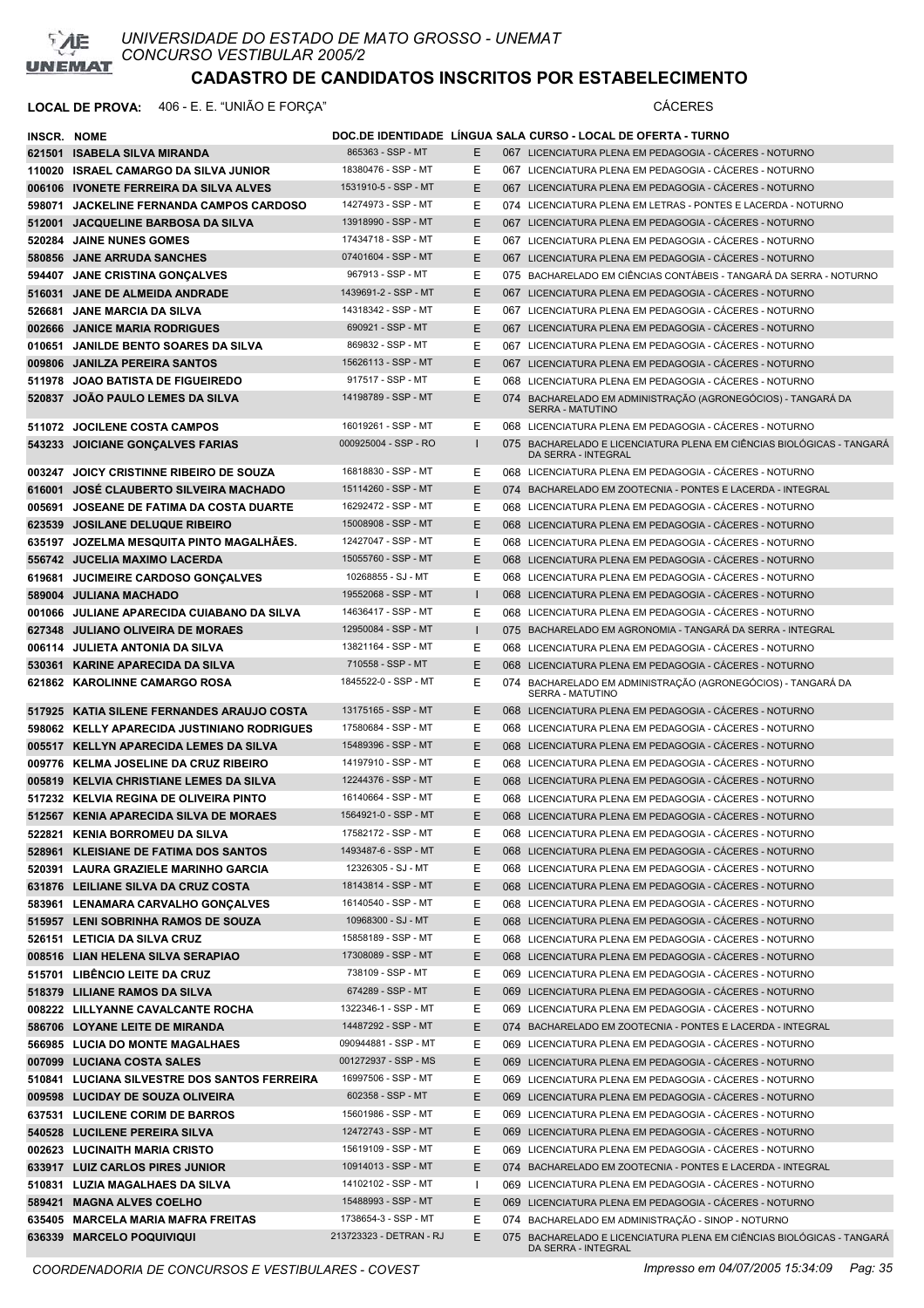

### **LOCAL DE PROVA:** 406 - E. E. "UNIÃO E FORÇA" CÁCERES

| <b>INSCR. NOME</b> |                                                                     |                                           |              | DOC.DE IDENTIDADE LINGUA SALA CURSO - LOCAL DE OFERTA - TURNO                                                      |
|--------------------|---------------------------------------------------------------------|-------------------------------------------|--------------|--------------------------------------------------------------------------------------------------------------------|
|                    | 621501 ISABELA SILVA MIRANDA                                        | 865363 - SSP - MT                         | Е            | 067 LICENCIATURA PLENA EM PEDAGOGIA - CÁCERES - NOTURNO                                                            |
|                    | 110020 ISRAEL CAMARGO DA SILVA JUNIOR                               | 18380476 - SSP - MT                       | Е            | 067 LICENCIATURA PLENA EM PEDAGOGIA - CÁCERES - NOTURNO                                                            |
|                    | 006106 IVONETE FERREIRA DA SILVA ALVES                              | 1531910-5 - SSP - MT                      | E            | 067 LICENCIATURA PLENA EM PEDAGOGIA - CÁCERES - NOTURNO                                                            |
|                    | 598071 JACKELINE FERNANDA CAMPOS CARDOSO                            | 14274973 - SSP - MT                       | Ε            | 074 LICENCIATURA PLENA EM LETRAS - PONTES E LACERDA - NOTURNO                                                      |
|                    | 512001 JACQUELINE BARBOSA DA SILVA                                  | 13918990 - SSP - MT                       | E            | 067 LICENCIATURA PLENA EM PEDAGOGIA - CÁCERES - NOTURNO                                                            |
|                    | 520284 JAINE NUNES GOMES                                            | 17434718 - SSP - MT                       | Е            | 067 LICENCIATURA PLENA EM PEDAGOGIA - CÁCERES - NOTURNO                                                            |
|                    | 580856 JANE ARRUDA SANCHES                                          | 07401604 - SSP - MT                       | E.           | 067 LICENCIATURA PLENA EM PEDAGOGIA - CÁCERES - NOTURNO                                                            |
|                    | 594407 JANE CRISTINA GONCALVES                                      | 967913 - SSP - MT                         | Ε            | 075 BACHARELADO EM CIÊNCIAS CONTÁBEIS - TANGARÁ DA SERRA - NOTURNO                                                 |
|                    | 516031 JANE DE ALMEIDA ANDRADE                                      | 1439691-2 - SSP - MT                      | E            | 067 LICENCIATURA PLENA EM PEDAGOGIA - CÁCERES - NOTURNO                                                            |
|                    | 526681 JANE MARCIA DA SILVA                                         | 14318342 - SSP - MT                       | Ε            | 067 LICENCIATURA PLENA EM PEDAGOGIA - CÁCERES - NOTURNO                                                            |
|                    | 002666 JANICE MARIA RODRIGUES                                       | 690921 - SSP - MT                         | E            | 067 LICENCIATURA PLENA EM PEDAGOGIA - CÁCERES - NOTURNO                                                            |
|                    | 010651 JANILDE BENTO SOARES DA SILVA                                | 869832 - SSP - MT                         | Ε            | 067 LICENCIATURA PLENA EM PEDAGOGIA - CÁCERES - NOTURNO                                                            |
|                    | 009806 JANILZA PEREIRA SANTOS                                       | 15626113 - SSP - MT                       | E            | 067 LICENCIATURA PLENA EM PEDAGOGIA - CÁCERES - NOTURNO                                                            |
| 511978             | <b>JOAO BATISTA DE FIGUEIREDO</b>                                   | 917517 - SSP - MT                         | Ε            | 068 LICENCIATURA PLENA EM PEDAGOGIA - CÁCERES - NOTURNO                                                            |
|                    | 520837 JOAO PAULO LEMES DA SILVA                                    | 14198789 - SSP - MT                       | Ε            | 074 BACHARELADO EM ADMINISTRAÇÃO (AGRONEGÓCIOS) - TANGARÁ DA<br><b>SERRA - MATUTINO</b>                            |
|                    | 511072 JOCILENE COSTA CAMPOS                                        | 16019261 - SSP - MT                       | E.           | 068 LICENCIATURA PLENA EM PEDAGOGIA - CÁCERES - NOTURNO                                                            |
|                    | 543233 JOICIANE GONÇALVES FARIAS                                    | 000925004 - SSP - RO                      |              | 075 BACHARELADO E LICENCIATURA PLENA EM CIÊNCIAS BIOLÓGICAS - TANGARÁ<br>DA SERRA - INTEGRAL                       |
|                    | 003247 JOICY CRISTINNE RIBEIRO DE SOUZA                             | 16818830 - SSP - MT                       | Е            | 068 LICENCIATURA PLENA EM PEDAGOGIA - CÁCERES - NOTURNO                                                            |
|                    | 616001 JOSE CLAUBERTO SILVEIRA MACHADO                              | 15114260 - SSP - MT                       | E            | 074 BACHARELADO EM ZOOTECNIA - PONTES E LACERDA - INTEGRAL                                                         |
|                    | 005691 JOSEANE DE FATIMA DA COSTA DUARTE                            | 16292472 - SSP - MT                       | Ε            | 068 LICENCIATURA PLENA EM PEDAGOGIA - CACERES - NOTURNO                                                            |
|                    | 623539 JOSILANE DELUQUE RIBEIRO                                     | 15008908 - SSP - MT                       | E.           | 068 LICENCIATURA PLENA EM PEDAGOGIA - CACERES - NOTURNO                                                            |
|                    | 635197 JOZELMA MESQUITA PINTO MAGALHÃES.                            | 12427047 - SSP - MT                       | Ε            | 068 LICENCIATURA PLENA EM PEDAGOGIA - CÁCERES - NOTURNO                                                            |
|                    | 556742 JUCELIA MAXIMO LACERDA                                       | 15055760 - SSP - MT                       | E.           | 068 LICENCIATURA PLENA EM PEDAGOGIA - CÁCERES - NOTURNO                                                            |
|                    | 619681 JUCIMEIRE CARDOSO GONÇALVES                                  | 10268855 - SJ - MT                        | Ε            | 068 LICENCIATURA PLENA EM PEDAGOGIA - CACERES - NOTURNO                                                            |
|                    | 589004 JULIANA MACHADO                                              | 19552068 - SSP - MT                       | т.           | 068 LICENCIATURA PLENA EM PEDAGOGIA - CÁCERES - NOTURNO                                                            |
|                    | 001066 JULIANE APARECIDA CUIABANO DA SILVA                          | 14636417 - SSP - MT                       | Е            | 068 LICENCIATURA PLENA EM PEDAGOGIA - CÁCERES - NOTURNO                                                            |
|                    | 627348 JULIANO OLIVEIRA DE MORAES                                   | 12950084 - SSP - MT                       | $\mathbf{I}$ | 075 BACHARELADO EM AGRONOMIA - TANGARÀ DA SERRA - INTEGRAL                                                         |
|                    | 006114 JULIETA ANTONIA DA SILVA                                     | 13821164 - SSP - MT                       | Ε            | 068 LICENCIATURA PLENA EM PEDAGOGIA - CÁCERES - NOTURNO                                                            |
| 530361             | KARINE APARECIDA DA SILVA                                           | 710558 - SSP - MT                         | E            | 068 LICENCIATURA PLENA EM PEDAGOGIA - CACERES - NOTURNO                                                            |
|                    | 621862 KAROLINNE CAMARGO ROSA                                       | 1845522-0 - SSP - MT                      | Е            | 074 BACHARELADO EM ADMINISTRAÇÃO (AGRONEGÓCIOS) - TANGARÁ DA<br><b>SERRA - MATUTINO</b>                            |
|                    | 517925 KATIA SILENE FERNANDES ARAUJO COSTA                          | 13175165 - SSP - MT                       | E.           | 068 LICENCIATURA PLENA EM PEDAGOGIA - CÁCERES - NOTURNO                                                            |
|                    | 598062 KELLY APARECIDA JUSTINIANO RODRIGUES                         | 17580684 - SSP - MT                       | Е            | 068 LICENCIATURA PLENA EM PEDAGOGIA - CÁCERES - NOTURNO                                                            |
|                    | 005517 KELLYN APARECIDA LEMES DA SILVA                              | 15489396 - SSP - MT                       | E            | 068 LICENCIATURA PLENA EM PEDAGOGIA - CÁCERES - NOTURNO                                                            |
|                    | 009776 KELMA JOSELINE DA CRUZ RIBEIRO                               | 14197910 - SSP - MT                       | Ε            | 068 LICENCIATURA PLENA EM PEDAGOGIA - CÁCERES - NOTURNO                                                            |
|                    | 005819 KELVIA CHRISTIANE LEMES DA SILVA                             | 12244376 - SSP - MT                       | E            | 068 LICENCIATURA PLENA EM PEDAGOGIA - CÁCERES - NOTURNO                                                            |
|                    | 517232 KELVIA REGINA DE OLIVEIRA PINTO                              | 16140664 - SSP - MT                       | Е            | 068 LICENCIATURA PLENA EM PEDAGOGIA - CÁCERES - NOTURNO                                                            |
|                    | 512567 KENIA APARECIDA SILVA DE MORAES                              | 1564921-0 - SSP - MT                      | E            | 068 LICENCIATURA PLENA EM PEDAGOGIA - CÁCERES - NOTURNO                                                            |
|                    | 522821 KENIA BORROMEU DA SILVA                                      | 17582172 - SSP - MT                       | Ε            | 068 LICENCIATURA PLENA EM PEDAGOGIA - CÁCERES - NOTURNO                                                            |
|                    | 528961 KLEISIANE DE FATIMA DOS SANTOS                               | 1493487-6 - SSP - MT                      | E            | 068 LICENCIATURA PLENA EM PEDAGOGIA - CÁCERES - NOTURNO                                                            |
|                    | 520391 LAURA GRAZIELE MARINHO GARCIA                                | 12326305 - SJ - MT<br>18143814 - SSP - MT | Е            | 068 LICENCIATURA PLENA EM PEDAGOGIA - CÁCERES - NOTURNO                                                            |
|                    | 631876 LEILIANE SILVA DA CRUZ COSTA                                 | 16140540 - SSP - MT                       | E.           | 068 LICENCIATURA PLENA EM PEDAGOGIA - CÁCERES - NOTURNO                                                            |
|                    | 583961 LENAMARA CARVALHO GONÇALVES                                  | 10968300 - SJ - MT                        | Е<br>E.      | 068 LICENCIATURA PLENA EM PEDAGOGIA - CÁCERES - NOTURNO<br>068 LICENCIATURA PLENA EM PEDAGOGIA - CÁCERES - NOTURNO |
|                    | 515957 LENI SOBRINHA RAMOS DE SOUZA<br>526151 LETICIA DA SILVA CRUZ | 15858189 - SSP - MT                       | Е            | 068 LICENCIATURA PLENA EM PEDAGOGIA - CÁCERES - NOTURNO                                                            |
|                    | 008516 LIAN HELENA SILVA SERAPIAO                                   | 17308089 - SSP - MT                       | E.           | 068 LICENCIATURA PLENA EM PEDAGOGIA - CÁCERES - NOTURNO                                                            |
|                    | 515701 LIBÊNCIO LEITE DA CRUZ                                       | 738109 - SSP - MT                         | Е            | 069 LICENCIATURA PLENA EM PEDAGOGIA - CÁCERES - NOTURNO                                                            |
|                    | 518379 LILIANE RAMOS DA SILVA                                       | 674289 - SSP - MT                         | E            | 069 LICENCIATURA PLENA EM PEDAGOGIA - CÁCERES - NOTURNO                                                            |
|                    | 008222 LILLYANNE CAVALCANTE ROCHA                                   | 1322346-1 - SSP - MT                      | Е            | 069 LICENCIATURA PLENA EM PEDAGOGIA - CÁCERES - NOTURNO                                                            |
|                    | 586706 LOYANE LEITE DE MIRANDA                                      | 14487292 - SSP - MT                       | E.           | 074 BACHARELADO EM ZOOTECNIA - PONTES E LACERDA - INTEGRAL                                                         |
|                    | 566985 LUCIA DO MONTE MAGALHAES                                     | 090944881 - SSP - MT                      | Е            | 069 LICENCIATURA PLENA EM PEDAGOGIA - CÁCERES - NOTURNO                                                            |
|                    | 007099 LUCIANA COSTA SALES                                          | 001272937 - SSP - MS                      | E.           | 069 LICENCIATURA PLENA EM PEDAGOGIA - CÁCERES - NOTURNO                                                            |
|                    | 510841 LUCIANA SILVESTRE DOS SANTOS FERREIRA                        | 16997506 - SSP - MT                       | E            | 069 LICENCIATURA PLENA EM PEDAGOGIA - CÁCERES - NOTURNO                                                            |
|                    | 009598 LUCIDAY DE SOUZA OLIVEIRA                                    | 602358 - SSP - MT                         | E.           | 069 LICENCIATURA PLENA EM PEDAGOGIA - CÁCERES - NOTURNO                                                            |
|                    | 637531 LUCILENE CORIM DE BARROS                                     | 15601986 - SSP - MT                       | Е            | 069 LICENCIATURA PLENA EM PEDAGOGIA - CÁCERES - NOTURNO                                                            |
|                    | 540528 LUCILENE PEREIRA SILVA                                       | 12472743 - SSP - MT                       | E.           | 069 LICENCIATURA PLENA EM PEDAGOGIA - CÁCERES - NOTURNO                                                            |
|                    | 002623 LUCINAITH MARIA CRISTO                                       | 15619109 - SSP - MT                       | Е            | 069 LICENCIATURA PLENA EM PEDAGOGIA - CÁCERES - NOTURNO                                                            |
|                    | 633917 LUIZ CARLOS PIRES JUNIOR                                     | 10914013 - SSP - MT                       | E.           | 074 BACHARELADO EM ZOOTECNIA - PONTES E LACERDA - INTEGRAL                                                         |
|                    | 510831 LUZIA MAGALHAES DA SILVA                                     | 14102102 - SSP - MT                       | $\mathbf{I}$ | 069 LICENCIATURA PLENA EM PEDAGOGIA - CÁCERES - NOTURNO                                                            |
|                    | 589421 MAGNA ALVES COELHO                                           | 15488993 - SSP - MT                       | E            | 069 LICENCIATURA PLENA EM PEDAGOGIA - CÁCERES - NOTURNO                                                            |
|                    | 635405 MARCELA MARIA MAFRA FREITAS                                  | 1738654-3 - SSP - MT                      | Е            | 074 BACHARELADO EM ADMINISTRAÇÃO - SINOP - NOTURNO                                                                 |
|                    | 636339 MARCELO POQUIVIQUI                                           | 213723323 - DETRAN - RJ                   | E.           | 075 BACHARELADO E LICENCIATURA PLENA EM CIÊNCIAS BIOLÓGICAS - TANGARÁ<br>DA SERRA - INTEGRAL                       |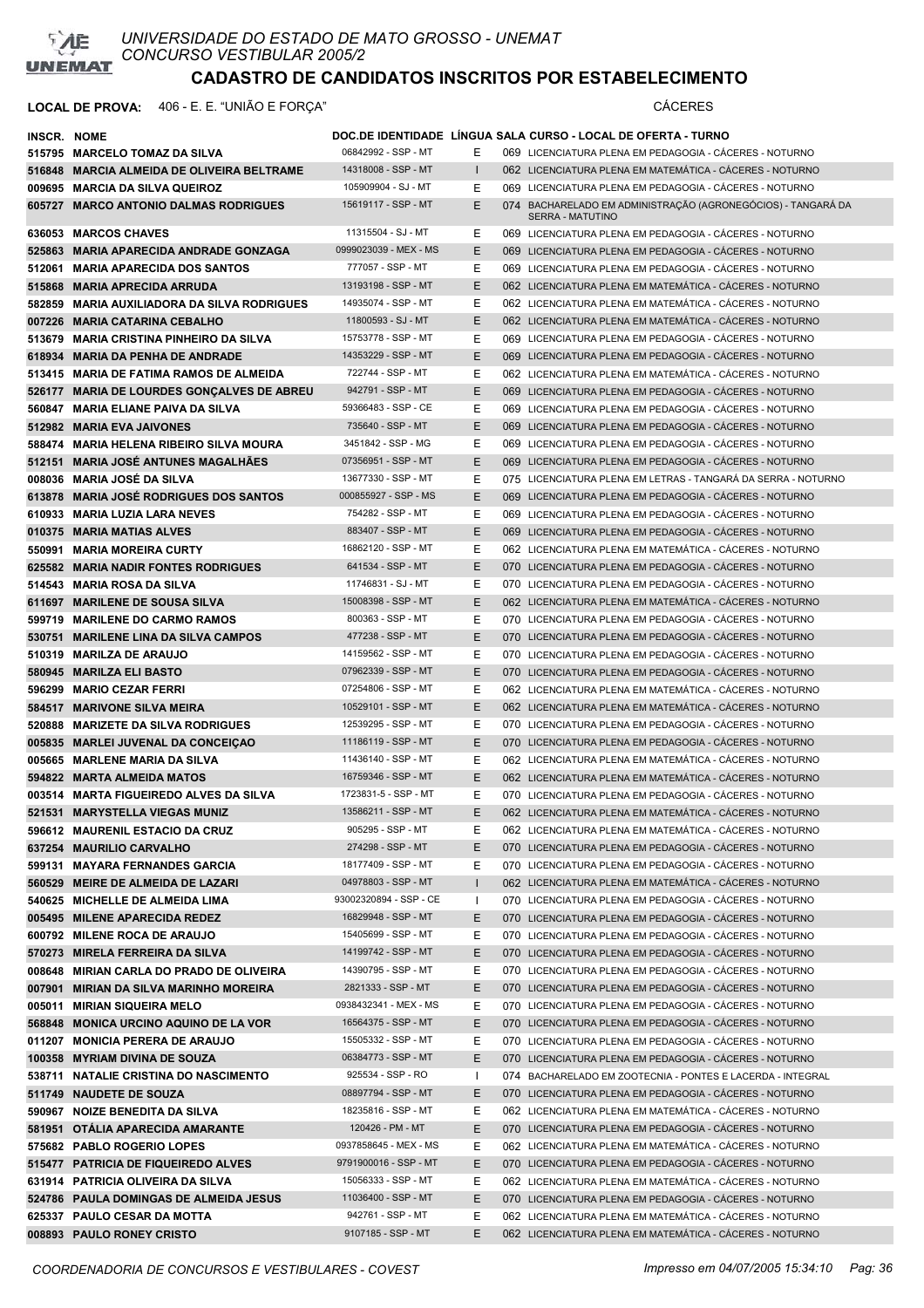

### **LOCAL DE PROVA:** 406 - E. E. "UNIÃO E FORÇA" CÁCERES

| <b>INSCR. NOME</b> |                                             |                        |              | DOC.DE IDENTIDADE LINGUA SALA CURSO - LOCAL DE OFERTA - TURNO                           |
|--------------------|---------------------------------------------|------------------------|--------------|-----------------------------------------------------------------------------------------|
|                    | 515795 MARCELO TOMAZ DA SILVA               | 06842992 - SSP - MT    | Е            | 069 LICENCIATURA PLENA EM PEDAGOGIA - CACERES - NOTURNO                                 |
|                    | 516848 MARCIA ALMEIDA DE OLIVEIRA BELTRAME  | 14318008 - SSP - MT    | $\mathbf{L}$ | 062 LICENCIATURA PLENA EM MATEMÁTICA - CÁCERES - NOTURNO                                |
|                    | 009695 MARCIA DA SILVA QUEIROZ              | 105909904 - SJ - MT    | Е            | 069 LICENCIATURA PLENA EM PEDAGOGIA - CÁCERES - NOTURNO                                 |
|                    | 605727 MARCO ANTONIO DALMAS RODRIGUES       | 15619117 - SSP - MT    | E.           | 074 BACHARELADO EM ADMINISTRAÇÃO (AGRONEGÓCIOS) - TANGARÁ DA<br><b>SERRA - MATUTINO</b> |
|                    | 636053 MARCOS CHAVES                        | 11315504 - SJ - MT     | E            | 069 LICENCIATURA PLENA EM PEDAGOGIA - CÁCERES - NOTURNO                                 |
|                    | 525863 MARIA APARECIDA ANDRADE GONZAGA      | 0999023039 - MEX - MS  | E            | 069 LICENCIATURA PLENA EM PEDAGOGIA - CACERES - NOTURNO                                 |
|                    | 512061 MARIA APARECIDA DOS SANTOS           | 777057 - SSP - MT      | Е            | 069 LICENCIATURA PLENA EM PEDAGOGIA - CÁCERES - NOTURNO                                 |
|                    | 515868 MARIA APRECIDA ARRUDA                | 13193198 - SSP - MT    | Е            | 062 LICENCIATURA PLENA EM MATEMÁTICA - CÁCERES - NOTURNO                                |
|                    | 582859 MARIA AUXILIADORA DA SILVA RODRIGUES | 14935074 - SSP - MT    | Е            | 062 LICENCIATURA PLENA EM MATEMÁTICA - CÁCERES - NOTURNO                                |
|                    | 007226 MARIA CATARINA CEBALHO               | 11800593 - SJ - MT     | E.           | 062 LICENCIATURA PLENA EM MATEMÁTICA - CÁCERES - NOTURNO                                |
|                    | 513679 MARIA CRISTINA PINHEIRO DA SILVA     | 15753778 - SSP - MT    | Ε            | 069 LICENCIATURA PLENA EM PEDAGOGIA - CÁCERES - NOTURNO                                 |
|                    | 618934 MARIA DA PENHA DE ANDRADE            | 14353229 - SSP - MT    | E.           | 069 LICENCIATURA PLENA EM PEDAGOGIA - CÁCERES - NOTURNO                                 |
|                    | 513415 MARIA DE FATIMA RAMOS DE ALMEIDA     | 722744 - SSP - MT      | Е            | 062 LICENCIATURA PLENA EM MATEMÁTICA - CÁCERES - NOTURNO                                |
|                    | 526177 MARIA DE LOURDES GONÇALVES DE ABREU  | 942791 - SSP - MT      | Ε            | 069 LICENCIATURA PLENA EM PEDAGOGIA - CÁCERES - NOTURNO                                 |
|                    | 560847 MARIA ELIANE PAIVA DA SILVA          | 59366483 - SSP - CE    | Ε            | 069 LICENCIATURA PLENA EM PEDAGOGIA - CÁCERES - NOTURNO                                 |
|                    | 512982 MARIA EVA JAIVONES                   | 735640 - SSP - MT      | E            | 069 LICENCIATURA PLENA EM PEDAGOGIA - CÁCERES - NOTURNO                                 |
|                    | 588474 MARIA HELENA RIBEIRO SILVA MOURA     | 3451842 - SSP - MG     | Е            | 069 LICENCIATURA PLENA EM PEDAGOGIA - CACERES - NOTURNO                                 |
|                    | 512151 MARIA JOSÉ ANTUNES MAGALHAES         | 07356951 - SSP - MT    | E            | 069 LICENCIATURA PLENA EM PEDAGOGIA - CACERES - NOTURNO                                 |
|                    | 008036 MARIA JOSÉ DA SILVA                  | 13677330 - SSP - MT    | Ε            | 075 LICENCIATURA PLENA EM LETRAS - TANGARÁ DA SERRA - NOTURNO                           |
|                    | 613878 MARIA JOSÉ RODRIGUES DOS SANTOS      | 000855927 - SSP - MS   | E.           | 069 LICENCIATURA PLENA EM PEDAGOGIA - CÁCERES - NOTURNO                                 |
|                    | 610933 MARIA LUZIA LARA NEVES               | 754282 - SSP - MT      | Ε            | 069 LICENCIATURA PLENA EM PEDAGOGIA - CÁCERES - NOTURNO                                 |
|                    | 010375 MARIA MATIAS ALVES                   | 883407 - SSP - MT      | E.           | 069 LICENCIATURA PLENA EM PEDAGOGIA - CÁCERES - NOTURNO                                 |
|                    | 550991 MARIA MOREIRA CURTY                  | 16862120 - SSP - MT    | Е            | 062 LICENCIATURA PLENA EM MATEMÁTICA - CÁCERES - NOTURNO                                |
|                    | 625582 MARIA NADIR FONTES RODRIGUES         | 641534 - SSP - MT      | E.           | 070 LICENCIATURA PLENA EM PEDAGOGIA - CÁCERES - NOTURNO                                 |
|                    | 514543 MARIA ROSA DA SILVA                  | 11746831 - SJ - MT     | Е            | 070 LICENCIATURA PLENA EM PEDAGOGIA - CÁCERES - NOTURNO                                 |
|                    | 611697 MARILENE DE SOUSA SILVA              | 15008398 - SSP - MT    | Е            | 062 LICENCIATURA PLENA EM MATEMÁTICA - CÁCERES - NOTURNO                                |
|                    | 599719 MARILENE DO CARMO RAMOS              | 800363 - SSP - MT      | Ε            | 070 LICENCIATURA PLENA EM PEDAGOGIA - CACERES - NOTURNO                                 |
|                    | 530751 MARILENE LINA DA SILVA CAMPOS        | 477238 - SSP - MT      | E.           | 070 LICENCIATURA PLENA EM PEDAGOGIA - CACERES - NOTURNO                                 |
|                    | 510319 MARILZA DE ARAUJO                    | 14159562 - SSP - MT    | Е            | 070 LICENCIATURA PLENA EM PEDAGOGIA - CÁCERES - NOTURNO                                 |
|                    | 580945 MARILZA ELI BASTO                    | 07962339 - SSP - MT    | E.           | 070 LICENCIATURA PLENA EM PEDAGOGIA - CÁCERES - NOTURNO                                 |
|                    | 596299 MARIO CEZAR FERRI                    | 07254806 - SSP - MT    | Е            | 062 LICENCIATURA PLENA EM MATEMÁTICA - CACERES - NOTURNO                                |
|                    | 584517 MARIVONE SILVA MEIRA                 | 10529101 - SSP - MT    | E            | 062 LICENCIATURA PLENA EM MATEMÁTICA - CÁCERES - NOTURNO                                |
|                    | 520888 MARIZETE DA SILVA RODRIGUES          | 12539295 - SSP - MT    | E.           | 070 LICENCIATURA PLENA EM PEDAGOGIA - CÁCERES - NOTURNO                                 |
|                    | 005835 MARLEI JUVENAL DA CONCEIÇÃO          | 11186119 - SSP - MT    | Е            | 070 LICENCIATURA PLENA EM PEDAGOGIA - CÁCERES - NOTURNO                                 |
|                    | 005665 MARLENE MARIA DA SILVA               | 11436140 - SSP - MT    | Ε            | 062 LICENCIATURA PLENA EM MATEMÁTICA - CÁCERES - NOTURNO                                |
|                    | 594822 MARTA ALMEIDA MATOS                  | 16759346 - SSP - MT    | E.           | 062 LICENCIATURA PLENA EM MATEMÁTICA - CÁCERES - NOTURNO                                |
|                    | 003514 MARTA FIGUEIREDO ALVES DA SILVA      | 1723831-5 - SSP - MT   | E.           | 070 LICENCIATURA PLENA EM PEDAGOGIA - CÁCERES - NOTURNO                                 |
|                    | 521531 MARYSTELLA VIEGAS MUNIZ              | 13586211 - SSP - MT    | E            | 062 LICENCIATURA PLENA EM MATEMÁTICA - CÁCERES - NOTURNO                                |
|                    | 596612 MAURENIL ESTACIO DA CRUZ             | 905295 - SSP - MT      | Е            | 062 LICENCIATURA PLENA EM MATEMÁTICA - CÁCERES - NOTURNO                                |
|                    | 637254 MAURILIO CARVALHO                    | 274298 - SSP - MT      | Ε            | 070 LICENCIATURA PLENA EM PEDAGOGIA - CÁCERES - NOTURNO                                 |
|                    | 599131 MAYARA FERNANDES GARCIA              | 18177409 - SSP - MT    | E            | 070 LICENCIATURA PLENA EM PEDAGOGIA - CÁCERES - NOTURNO                                 |
|                    | 560529 MEIRE DE ALMEIDA DE LAZARI           | 04978803 - SSP - MT    |              | 062 LICENCIATURA PLENA EM MATEMÁTICA - CÁCERES - NOTURNO                                |
|                    | 540625 MICHELLE DE ALMEIDA LIMA             | 93002320894 - SSP - CE |              | 070 LICENCIATURA PLENA EM PEDAGOGIA - CÁCERES - NOTURNO                                 |
|                    | 005495 MILENE APARECIDA REDEZ               | 16829948 - SSP - MT    | Ε            | 070 LICENCIATURA PLENA EM PEDAGOGIA - CÁCERES - NOTURNO                                 |
|                    | 600792 MILENE ROCA DE ARAUJO                | 15405699 - SSP - MT    | E.           | 070 LICENCIATURA PLENA EM PEDAGOGIA - CÁCERES - NOTURNO                                 |
|                    | 570273 MIRELA FERREIRA DA SILVA             | 14199742 - SSP - MT    | E            | 070 LICENCIATURA PLENA EM PEDAGOGIA - CÁCERES - NOTURNO                                 |
|                    | 008648 MIRIAN CARLA DO PRADO DE OLIVEIRA    | 14390795 - SSP - MT    | E.           | 070 LICENCIATURA PLENA EM PEDAGOGIA - CÁCERES - NOTURNO                                 |
|                    | 007901 MIRIAN DA SILVA MARINHO MOREIRA      | 2821333 - SSP - MT     | E.           | 070 LICENCIATURA PLENA EM PEDAGOGIA - CÁCERES - NOTURNO                                 |
|                    | 005011 MIRIAN SIQUEIRA MELO                 | 0938432341 - MEX - MS  | Е            | 070 LICENCIATURA PLENA EM PEDAGOGIA - CÁCERES - NOTURNO                                 |
|                    | 568848 MONICA URCINO AQUINO DE LA VOR       | 16564375 - SSP - MT    | E.           | 070 LICENCIATURA PLENA EM PEDAGOGIA - CÁCERES - NOTURNO                                 |
|                    | 011207 MONICIA PERERA DE ARAUJO             | 15505332 - SSP - MT    | Ε            | 070 LICENCIATURA PLENA EM PEDAGOGIA - CÁCERES - NOTURNO                                 |
|                    | 100358 MYRIAM DIVINA DE SOUZA               | 06384773 - SSP - MT    | E.           | 070 LICENCIATURA PLENA EM PEDAGOGIA - CÁCERES - NOTURNO                                 |
|                    | 538711 NATALIE CRISTINA DO NASCIMENTO       | 925534 - SSP - RO      | H            | 074 BACHARELADO EM ZOOTECNIA - PONTES E LACERDA - INTEGRAL                              |
|                    | 511749 NAUDETE DE SOUZA                     | 08897794 - SSP - MT    | E            | 070 LICENCIATURA PLENA EM PEDAGOGIA - CÁCERES - NOTURNO                                 |
|                    | 590967 NOIZE BENEDITA DA SILVA              | 18235816 - SSP - MT    | Е            | 062 LICENCIATURA PLENA EM MATEMÁTICA - CÁCERES - NOTURNO                                |
|                    | 581951 OTALIA APARECIDA AMARANTE            | 120426 - PM - MT       | Ε            | 070 LICENCIATURA PLENA EM PEDAGOGIA - CÁCERES - NOTURNO                                 |
|                    | 575682 PABLO ROGERIO LOPES                  | 0937858645 - MEX - MS  | Ε            | 062 LICENCIATURA PLENA EM MATEMÁTICA - CÁCERES - NOTURNO                                |
|                    | 515477 PATRICIA DE FIQUEIREDO ALVES         | 9791900016 - SSP - MT  | Ε            | 070 LICENCIATURA PLENA EM PEDAGOGIA - CÁCERES - NOTURNO                                 |
|                    | 631914 PATRICIA OLIVEIRA DA SILVA           | 15056333 - SSP - MT    | E.           | 062 LICENCIATURA PLENA EM MATEMÁTICA - CÁCERES - NOTURNO                                |
|                    | 524786 PAULA DOMINGAS DE ALMEIDA JESUS      | 11036400 - SSP - MT    | E.           | 070 LICENCIATURA PLENA EM PEDAGOGIA - CÁCERES - NOTURNO                                 |
|                    | 625337 PAULO CESAR DA MOTTA                 | 942761 - SSP - MT      | E.           | 062 LICENCIATURA PLENA EM MATEMÁTICA - CÁCERES - NOTURNO                                |
|                    | 008893 PAULO RONEY CRISTO                   | 9107185 - SSP - MT     | E            | 062 LICENCIATURA PLENA EM MATEMÁTICA - CÁCERES - NOTURNO                                |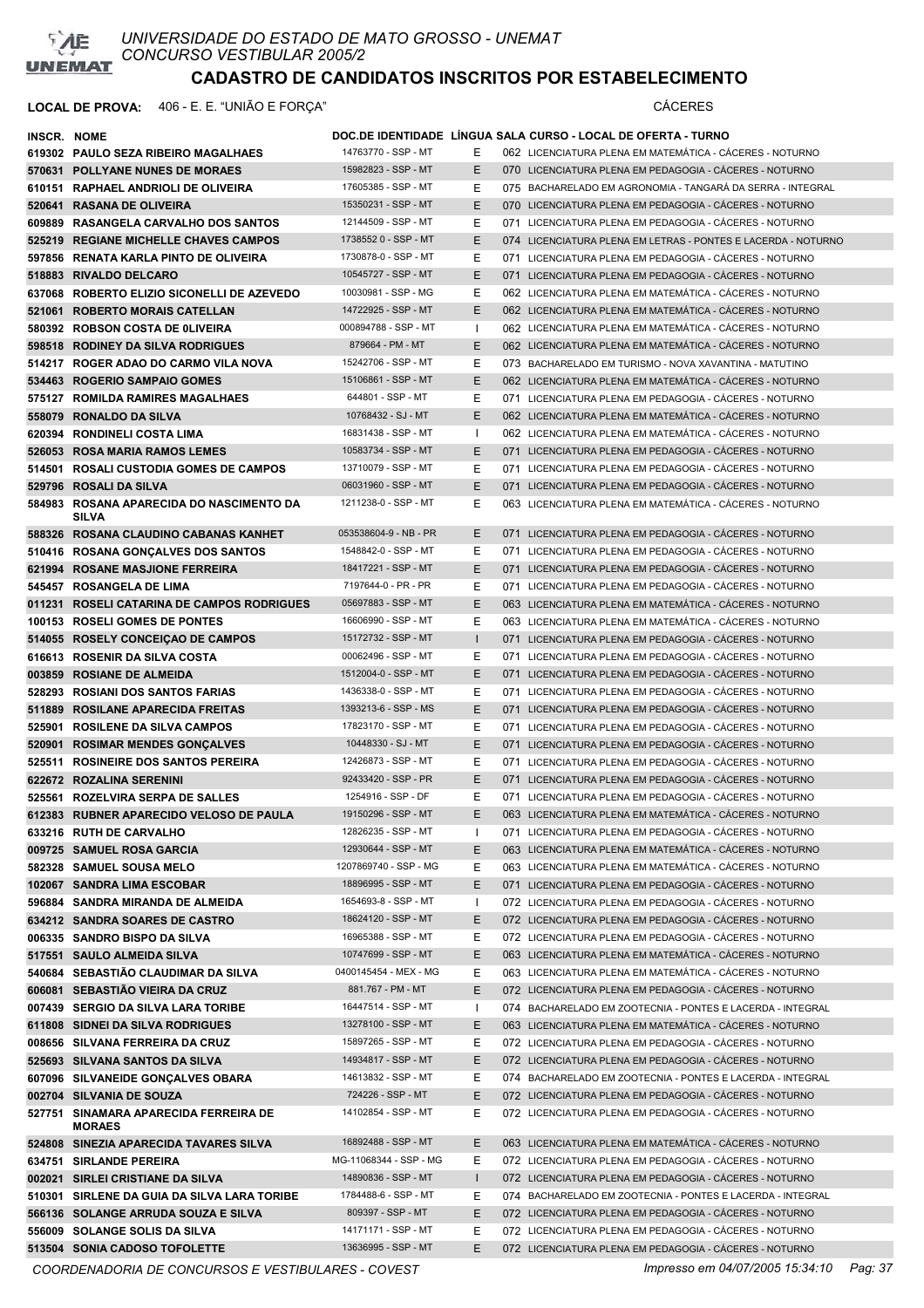

### **LOCAL DE PROVA:** 406 - E. E. "UNIÃO E FORÇA" CÁCERES

| INSCR. NOME |                                                              |                                            |              | DOC.DE IDENTIDADE LINGUA SALA CURSO - LOCAL DE OFERTA - TURNO                                                      |
|-------------|--------------------------------------------------------------|--------------------------------------------|--------------|--------------------------------------------------------------------------------------------------------------------|
|             | 619302 PAULO SEZA RIBEIRO MAGALHAES                          | 14763770 - SSP - MT                        | Е            | 062 LICENCIATURA PLENA EM MATEMÁTICA - CÁCERES - NOTURNO                                                           |
|             | 570631 POLLYANE NUNES DE MORAES                              | 15982823 - SSP - MT                        | E            | 070 LICENCIATURA PLENA EM PEDAGOGIA - CÁCERES - NOTURNO                                                            |
|             | 610151 RAPHAEL ANDRIOLI DE OLIVEIRA                          | 17605385 - SSP - MT                        | Ε            | 075 BACHARELADO EM AGRONOMIA - TANGARÁ DA SERRA - INTEGRAL                                                         |
|             | 520641 RASANA DE OLIVEIRA                                    | 15350231 - SSP - MT                        | E            | 070 LICENCIATURA PLENA EM PEDAGOGIA - CÁCERES - NOTURNO                                                            |
|             | 609889 RASANGELA CARVALHO DOS SANTOS                         | 12144509 - SSP - MT                        | Ε            | 071 LICENCIATURA PLENA EM PEDAGOGIA - CÁCERES - NOTURNO                                                            |
|             | 525219 REGIANE MICHELLE CHAVES CAMPOS                        | 1738552 0 - SSP - MT                       | E            | 074 LICENCIATURA PLENA EM LETRAS - PONTES E LACERDA - NOTURNO                                                      |
|             | 597856 RENATA KARLA PINTO DE OLIVEIRA                        | 1730878-0 - SSP - MT                       | Ε            | 071 LICENCIATURA PLENA EM PEDAGOGIA - CÁCERES - NOTURNO                                                            |
|             | 518883 RIVALDO DELCARO                                       | 10545727 - SSP - MT                        | E            | 071 LICENCIATURA PLENA EM PEDAGOGIA - CÁCERES - NOTURNO                                                            |
|             | 637068 ROBERTO ELIZIO SICONELLI DE AZEVEDO                   | 10030981 - SSP - MG                        | Е            | 062 LICENCIATURA PLENA EM MATEMÁTICA - CÁCERES - NOTURNO                                                           |
|             | 521061 ROBERTO MORAIS CATELLAN                               | 14722925 - SSP - MT                        | Ε            | 062 LICENCIATURA PLENA EM MATEMÁTICA - CÁCERES - NOTURNO                                                           |
|             | 580392 ROBSON COSTA DE 0LIVEIRA                              | 000894788 - SSP - MT                       | - 1          | 062 LICENCIATURA PLENA EM MATEMÁTICA - CÁCERES - NOTURNO                                                           |
|             | 598518 RODINEY DA SILVA RODRIGUES                            | 879664 - PM - MT                           | E            | 062 LICENCIATURA PLENA EM MATEMÁTICA - CÁCERES - NOTURNO                                                           |
|             | 514217 ROGER ADAO DO CARMO VILA NOVA                         | 15242706 - SSP - MT                        | Ε            | 073 BACHARELADO EM TURISMO - NOVA XAVANTINA - MATUTINO                                                             |
|             | 534463 ROGERIO SAMPAIO GOMES                                 | 15106861 - SSP - MT                        | Ε            | 062 LICENCIATURA PLENA EM MATEMÁTICA - CÁCERES - NOTURNO                                                           |
|             | 575127 ROMILDA RAMIRES MAGALHAES                             | 644801 - SSP - MT                          | Ε            | 071 LICENCIATURA PLENA EM PEDAGOGIA - CÁCERES - NOTURNO                                                            |
|             | 558079 RONALDO DA SILVA                                      | 10768432 - SJ - MT                         | Ε            | 062 LICENCIATURA PLENA EM MATEMÁTICA - CÁCERES - NOTURNO                                                           |
|             | 620394 RONDINELI COSTA LIMA                                  | 16831438 - SSP - MT                        | $\mathbf{I}$ | 062 LICENCIATURA PLENA EM MATEMÁTICA - CÁCERES - NOTURNO                                                           |
|             | 526053 ROSA MARIA RAMOS LEMES                                | 10583734 - SSP - MT                        | E            | 071 LICENCIATURA PLENA EM PEDAGOGIA - CÁCERES - NOTURNO                                                            |
|             | 514501 ROSALI CUSTODIA GOMES DE CAMPOS                       | 13710079 - SSP - MT                        | Ε            | 071 LICENCIATURA PLENA EM PEDAGOGIA - CÁCERES - NOTURNO                                                            |
|             | 529796 ROSALI DA SILVA                                       | 06031960 - SSP - MT                        | E            | 071 LICENCIATURA PLENA EM PEDAGOGIA - CÁCERES - NOTURNO                                                            |
|             | 584983 ROSANA APARECIDA DO NASCIMENTO DA<br><b>SILVA</b>     | 1211238-0 - SSP - MT                       | Е            | 063 LICENCIATURA PLENA EM MATEMÁTICA - CÁCERES - NOTURNO                                                           |
|             | 588326 ROSANA CLAUDINO CABANAS KANHET                        | 053538604-9 - NB - PR                      | Е            | 071 LICENCIATURA PLENA EM PEDAGOGIA - CÁCERES - NOTURNO                                                            |
|             | 510416 ROSANA GONCALVES DOS SANTOS                           | 1548842-0 - SSP - MT                       | Ε            | 071 LICENCIATURA PLENA EM PEDAGOGIA - CACERES - NOTURNO                                                            |
|             | 621994 ROSANE MASJIONE FERREIRA                              | 18417221 - SSP - MT                        | E            | 071 LICENCIATURA PLENA EM PEDAGOGIA - CÁCERES - NOTURNO                                                            |
|             | 545457 ROSANGELA DE LIMA                                     | 7197644-0 - PR - PR                        | Е            | 071 LICENCIATURA PLENA EM PEDAGOGIA - CÁCERES - NOTURNO                                                            |
|             | 011231 ROSELI CATARINA DE CAMPOS RODRIGUES                   | 05697883 - SSP - MT                        | Е            | 063 LICENCIATURA PLENA EM MATEMÁTICA - CÁCERES - NOTURNO                                                           |
|             | 100153 ROSELI GOMES DE PONTES                                | 16606990 - SSP - MT                        | Ε            | 063 LICENCIATURA PLENA EM MATEMÁTICA - CÁCERES - NOTURNO                                                           |
|             | 514055 ROSELY CONCEIÇÃO DE CAMPOS                            | 15172732 - SSP - MT                        |              | 071 LICENCIATURA PLENA EM PEDAGOGIA - CÁCERES - NOTURNO                                                            |
|             | 616613 ROSENIR DA SILVA COSTA                                | 00062496 - SSP - MT                        | Е            | 071 LICENCIATURA PLENA EM PEDAGOGIA - CÁCERES - NOTURNO                                                            |
|             | 003859 ROSIANE DE ALMEIDA                                    | 1512004-0 - SSP - MT                       | Ε            | 071 LICENCIATURA PLENA EM PEDAGOGIA - CACERES - NOTURNO                                                            |
|             | 528293 ROSIANI DOS SANTOS FARIAS                             | 1436338-0 - SSP - MT                       | Е            | 071 LICENCIATURA PLENA EM PEDAGOGIA - CÁCERES - NOTURNO                                                            |
|             | 511889 ROSILANE APARECIDA FREITAS                            | 1393213-6 - SSP - MS                       | E            | 071 LICENCIATURA PLENA EM PEDAGOGIA - CÁCERES - NOTURNO                                                            |
|             | 525901 ROSILENE DA SILVA CAMPOS                              | 17823170 - SSP - MT                        | Ε            | 071 LICENCIATURA PLENA EM PEDAGOGIA - CÁCERES - NOTURNO                                                            |
|             | 520901 ROSIMAR MENDES GONÇALVES                              | 10448330 - SJ - MT                         | Ε            | 071 LICENCIATURA PLENA EM PEDAGOGIA - CÁCERES - NOTURNO                                                            |
|             | 525511 ROSINEIRE DOS SANTOS PEREIRA                          | 12426873 - SSP - MT<br>92433420 - SSP - PR | Ε<br>E       | 071 LICENCIATURA PLENA EM PEDAGOGIA - CÁCERES - NOTURNO                                                            |
|             | 622672 ROZALINA SERENINI<br>525561 ROZELVIRA SERPA DE SALLES | 1254916 - SSP - DF                         | Е            | 071 LICENCIATURA PLENA EM PEDAGOGIA - CÁCERES - NOTURNO<br>071 LICENCIATURA PLENA EM PEDAGOGIA - CÁCERES - NOTURNO |
|             | 612383 RUBNER APARECIDO VELOSO DE PAULA                      | 19150296 - SSP - MT                        | E            | 063 LICENCIATURA PLENA EM MATEMÁTICA - CÁCERES - NOTURNO                                                           |
|             | 633216 RUTH DE CARVALHO                                      | 12826235 - SSP - MT                        | H            | 071 LICENCIATURA PLENA EM PEDAGOGIA - CÁCERES - NOTURNO                                                            |
|             | 009725 SAMUEL ROSA GARCIA                                    | 12930644 - SSP - MT                        | E            | 063 LICENCIATURA PLENA EM MATEMÁTICA - CÁCERES - NOTURNO                                                           |
|             | 582328 SAMUEL SOUSA MELO                                     | 1207869740 - SSP - MG                      | Е            | 063 LICENCIATURA PLENA EM MATEMÁTICA - CÁCERES - NOTURNO                                                           |
|             | 102067 SANDRA LIMA ESCOBAR                                   | 18896995 - SSP - MT                        | Ε            | 071 LICENCIATURA PLENA EM PEDAGOGIA - CÁCERES - NOTURNO                                                            |
|             | 596884 SANDRA MIRANDA DE ALMEIDA                             | 1654693-8 - SSP - MT                       | ı            | 072 LICENCIATURA PLENA EM PEDAGOGIA - CÁCERES - NOTURNO                                                            |
|             | 634212 SANDRA SOARES DE CASTRO                               | 18624120 - SSP - MT                        | Е            | 072 LICENCIATURA PLENA EM PEDAGOGIA - CÁCERES - NOTURNO                                                            |
|             | 006335 SANDRO BISPO DA SILVA                                 | 16965388 - SSP - MT                        | Е            | 072 LICENCIATURA PLENA EM PEDAGOGIA - CÁCERES - NOTURNO                                                            |
|             | 517551 SAULO ALMEIDA SILVA                                   | 10747699 - SSP - MT                        | Ε            | 063 LICENCIATURA PLENA EM MATEMÁTICA - CÁCERES - NOTURNO                                                           |
|             | 540684 SEBASTIÃO CLAUDIMAR DA SILVA                          | 0400145454 - MEX - MG                      | Ε            | 063 LICENCIATURA PLENA EM MATEMÁTICA - CÁCERES - NOTURNO                                                           |
|             | 606081 SEBASTIÃO VIEIRA DA CRUZ                              | 881.767 - PM - MT                          | Ε            | 072 LICENCIATURA PLENA EM PEDAGOGIA - CÁCERES - NOTURNO                                                            |
|             | 007439 SERGIO DA SILVA LARA TORIBE                           | 16447514 - SSP - MT                        | H            | 074 BACHARELADO EM ZOOTECNIA - PONTES E LACERDA - INTEGRAL                                                         |
|             | 611808 SIDNEI DA SILVA RODRIGUES                             | 13278100 - SSP - MT                        | E.           | 063 LICENCIATURA PLENA EM MATEMÁTICA - CÁCERES - NOTURNO                                                           |
|             | 008656 SILVANA FERREIRA DA CRUZ                              | 15897265 - SSP - MT                        | Е            | 072 LICENCIATURA PLENA EM PEDAGOGIA - CÁCERES - NOTURNO                                                            |
|             | 525693 SILVANA SANTOS DA SILVA                               | 14934817 - SSP - MT                        | E.           | 072 LICENCIATURA PLENA EM PEDAGOGIA - CÁCERES - NOTURNO                                                            |
|             | 607096 SILVANEIDE GONÇALVES OBARA                            | 14613832 - SSP - MT                        | Е            | 074 BACHARELADO EM ZOOTECNIA - PONTES E LACERDA - INTEGRAL                                                         |
|             | 002704 SILVANIA DE SOUZA                                     | 724226 - SSP - MT                          | E.           | 072 LICENCIATURA PLENA EM PEDAGOGIA - CÁCERES - NOTURNO                                                            |
|             | 527751 SINAMARA APARECIDA FERREIRA DE<br><b>MORAES</b>       | 14102854 - SSP - MT                        | Ε            | 072 LICENCIATURA PLENA EM PEDAGOGIA - CÁCERES - NOTURNO                                                            |
|             | 524808 SINEZIA APARECIDA TAVARES SILVA                       | 16892488 - SSP - MT                        | E.           | 063 LICENCIATURA PLENA EM MATEMÁTICA - CÁCERES - NOTURNO                                                           |
|             | 634751 SIRLANDE PEREIRA                                      | MG-11068344 - SSP - MG                     | E.           | 072 LICENCIATURA PLENA EM PEDAGOGIA - CÁCERES - NOTURNO                                                            |
|             | 002021 SIRLEI CRISTIANE DA SILVA                             | 14890836 - SSP - MT                        |              | 072 LICENCIATURA PLENA EM PEDAGOGIA - CÁCERES - NOTURNO                                                            |
|             | 510301 SIRLENE DA GUIA DA SILVA LARA TORIBE                  | 1784488-6 - SSP - MT                       | Е            | 074 BACHARELADO EM ZOOTECNIA - PONTES E LACERDA - INTEGRAL                                                         |
|             | 566136 SOLANGE ARRUDA SOUZA E SILVA                          | 809397 - SSP - MT                          | Ε            | 072 LICENCIATURA PLENA EM PEDAGOGIA - CÁCERES - NOTURNO                                                            |
|             | 556009 SOLANGE SOLIS DA SILVA                                | 14171171 - SSP - MT                        | Ε            | 072 LICENCIATURA PLENA EM PEDAGOGIA - CÁCERES - NOTURNO                                                            |
|             | 513504 SONIA CADOSO TOFOLETTE                                | 13636995 - SSP - MT                        | Ε            | 072 LICENCIATURA PLENA EM PEDAGOGIA - CÁCERES - NOTURNO                                                            |

*COORDENADORIA DE CONCURSOS E VESTIBULARES - COVEST Impresso em 04/07/2005 15:34:10 Pag: 37*